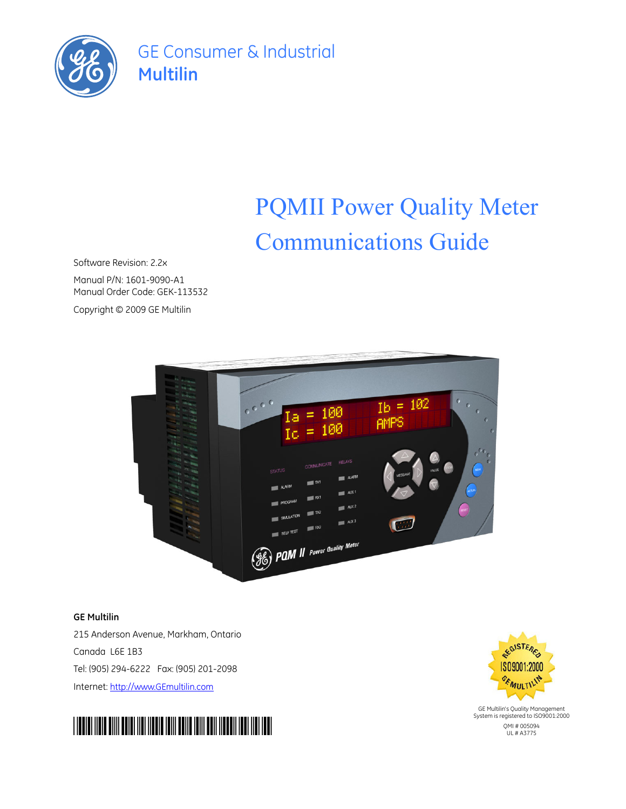

GE Consumer & Industrial **Multilin**

# PQMII Power Quality Meter Communications Guide

Software Revision: 2.2x

Manual P/N: 1601-9090-A1 Manual Order Code: GEK-113532 Copyright © 2009 GE Multilin



## **GE Multilin**

215 Anderson Avenue, Markham, Ontario Canada L6E 1B3 Tel: (905) 294-6222 Fax: (905) 201-2098 Internet: <http://www.GEmultilin.com>



GE Multilin's Quality Management System is registered to ISO9001:2000

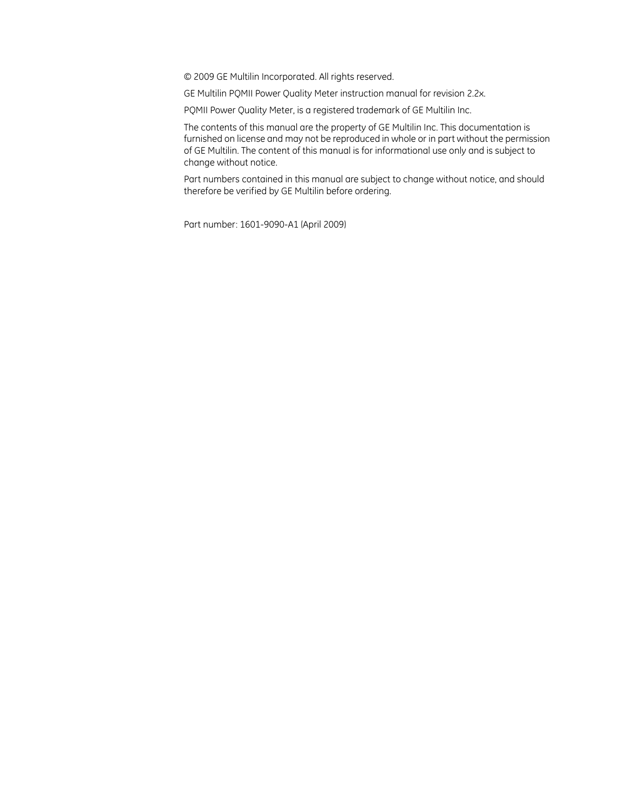© 2009 GE Multilin Incorporated. All rights reserved.

GE Multilin PQMII Power Quality Meter instruction manual for revision 2.2x.

PQMII Power Quality Meter, is a registered trademark of GE Multilin Inc.

The contents of this manual are the property of GE Multilin Inc. This documentation is furnished on license and may not be reproduced in whole or in part without the permission of GE Multilin. The content of this manual is for informational use only and is subject to change without notice.

Part numbers contained in this manual are subject to change without notice, and should therefore be verified by GE Multilin before ordering.

Part number: 1601-9090-A1 (April 2009)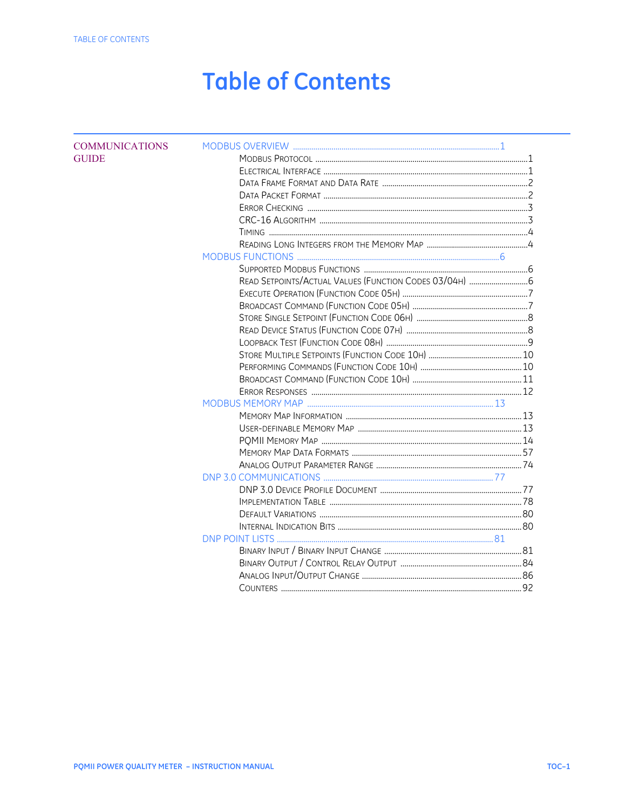## **Table of Contents**

| <b>COMMUNICATIONS</b> |  |  |
|-----------------------|--|--|
| <b>GUIDE</b>          |  |  |
|                       |  |  |
|                       |  |  |
|                       |  |  |
|                       |  |  |
|                       |  |  |
|                       |  |  |
|                       |  |  |
|                       |  |  |
|                       |  |  |
|                       |  |  |
|                       |  |  |
|                       |  |  |
|                       |  |  |
|                       |  |  |
|                       |  |  |
|                       |  |  |
|                       |  |  |
|                       |  |  |
|                       |  |  |
|                       |  |  |
|                       |  |  |
|                       |  |  |
|                       |  |  |
|                       |  |  |
|                       |  |  |
|                       |  |  |
|                       |  |  |
|                       |  |  |
|                       |  |  |
|                       |  |  |
|                       |  |  |
|                       |  |  |
|                       |  |  |
|                       |  |  |
|                       |  |  |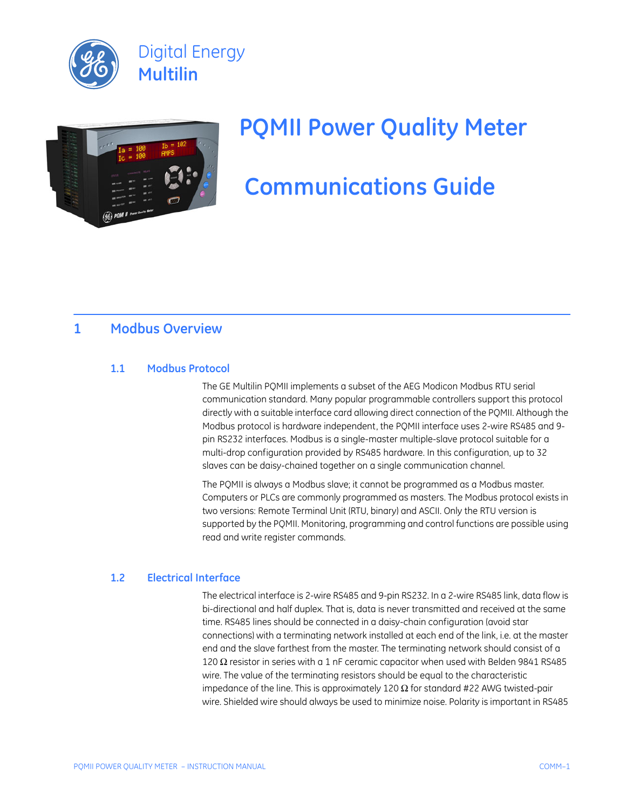



# **PQMII Power Quality Meter**

## **Communications Guide**

## <span id="page-4-1"></span>**1 Modbus Overview**

## <span id="page-4-2"></span>**1.1 Modbus Protocol**

<span id="page-4-0"></span>The GE Multilin PQMII implements a subset of the AEG Modicon Modbus RTU serial communication standard. Many popular programmable controllers support this protocol directly with a suitable interface card allowing direct connection of the PQMII. Although the Modbus protocol is hardware independent, the PQMII interface uses 2-wire RS485 and 9 pin RS232 interfaces. Modbus is a single-master multiple-slave protocol suitable for a multi-drop configuration provided by RS485 hardware. In this configuration, up to 32 slaves can be daisy-chained together on a single communication channel.

The PQMII is always a Modbus slave; it cannot be programmed as a Modbus master. Computers or PLCs are commonly programmed as masters. The Modbus protocol exists in two versions: Remote Terminal Unit (RTU, binary) and ASCII. Only the RTU version is supported by the PQMII. Monitoring, programming and control functions are possible using read and write register commands.

## <span id="page-4-3"></span>**1.2 Electrical Interface**

The electrical interface is 2-wire RS485 and 9-pin RS232. In a 2-wire RS485 link, data flow is bi-directional and half duplex. That is, data is never transmitted and received at the same time. RS485 lines should be connected in a daisy-chain configuration (avoid star connections) with a terminating network installed at each end of the link, i.e. at the master end and the slave farthest from the master. The terminating network should consist of a 120 Ω resistor in series with a 1 nF ceramic capacitor when used with Belden 9841 RS485 wire. The value of the terminating resistors should be equal to the characteristic impedance of the line. This is approximately 120  $\Omega$  for standard #22 AWG twisted-pair wire. Shielded wire should always be used to minimize noise. Polarity is important in RS485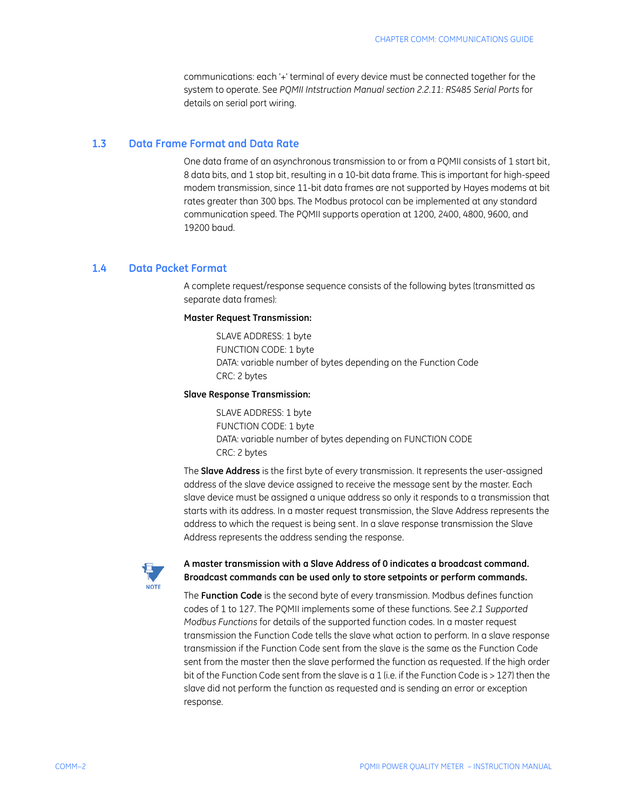communications: each '+' terminal of every device must be connected together for the system to operate. See *PQMII Intstruction Manual section 2.2.11: RS485 Serial Ports* for details on serial port wiring.

#### <span id="page-5-0"></span>**1.3 Data Frame Format and Data Rate**

One data frame of an asynchronous transmission to or from a PQMII consists of 1 start bit, 8 data bits, and 1 stop bit, resulting in a 10-bit data frame. This is important for high-speed modem transmission, since 11-bit data frames are not supported by Hayes modems at bit rates greater than 300 bps. The Modbus protocol can be implemented at any standard communication speed. The PQMII supports operation at 1200, 2400, 4800, 9600, and 19200 baud.

## <span id="page-5-1"></span>**1.4 Data Packet Format**

A complete request/response sequence consists of the following bytes (transmitted as separate data frames):

#### **Master Request Transmission:**

SLAVE ADDRESS: 1 byte FUNCTION CODE: 1 byte DATA: variable number of bytes depending on the Function Code CRC: 2 bytes

#### **Slave Response Transmission:**

SLAVE ADDRESS: 1 byte FUNCTION CODE: 1 byte DATA: variable number of bytes depending on FUNCTION CODE CRC: 2 bytes

The **Slave Address** is the first byte of every transmission. It represents the user-assigned address of the slave device assigned to receive the message sent by the master. Each slave device must be assigned a unique address so only it responds to a transmission that starts with its address. In a master request transmission, the Slave Address represents the address to which the request is being sent. In a slave response transmission the Slave Address represents the address sending the response.



### A master transmission with a Slave Address of 0 indicates a broadcast command. **Broadcast commands can be used only to store setpoints or perform commands.**

The **Function Code** is the second byte of every transmission. Modbus defines function codes of 1 to 127. The PQMII implements some of these functions. See *[2.1 Supported](#page-9-1)  [Modbus Functions](#page-9-1)* for details of the supported function codes. In a master request transmission the Function Code tells the slave what action to perform. In a slave response transmission if the Function Code sent from the slave is the same as the Function Code sent from the master then the slave performed the function as requested. If the high order bit of the Function Code sent from the slave is a 1 (i.e. if the Function Code is > 127) then the slave did not perform the function as requested and is sending an error or exception response.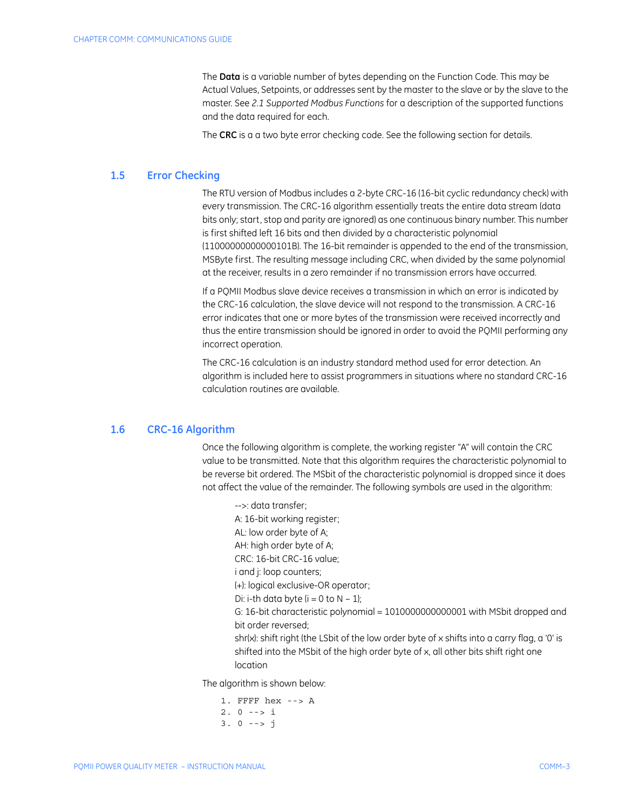The **Data** is a variable number of bytes depending on the Function Code. This may be Actual Values, Setpoints, or addresses sent by the master to the slave or by the slave to the master. See *[2.1 Supported Modbus Functions](#page-9-1)* for a description of the supported functions and the data required for each.

The **CRC** is a a two byte error checking code. See the following section for details.

#### <span id="page-6-0"></span>**1.5 Error Checking**

The RTU version of Modbus includes a 2-byte CRC-16 (16-bit cyclic redundancy check) with every transmission. The CRC-16 algorithm essentially treats the entire data stream (data bits only; start, stop and parity are ignored) as one continuous binary number. This number is first shifted left 16 bits and then divided by a characteristic polynomial (11000000000000101B). The 16-bit remainder is appended to the end of the transmission, MSByte first. The resulting message including CRC, when divided by the same polynomial at the receiver, results in a zero remainder if no transmission errors have occurred.

If a PQMII Modbus slave device receives a transmission in which an error is indicated by the CRC-16 calculation, the slave device will not respond to the transmission. A CRC-16 error indicates that one or more bytes of the transmission were received incorrectly and thus the entire transmission should be ignored in order to avoid the PQMII performing any incorrect operation.

The CRC-16 calculation is an industry standard method used for error detection. An algorithm is included here to assist programmers in situations where no standard CRC-16 calculation routines are available.

#### <span id="page-6-1"></span>**1.6 CRC-16 Algorithm**

Once the following algorithm is complete, the working register "A" will contain the CRC value to be transmitted. Note that this algorithm requires the characteristic polynomial to be reverse bit ordered. The MSbit of the characteristic polynomial is dropped since it does not affect the value of the remainder. The following symbols are used in the algorithm:

-->: data transfer; A: 16-bit working register; AL: low order byte of A; AH: high order byte of A; CRC: 16-bit CRC-16 value; i and i: loop counters: (+): logical exclusive-OR operator; Di: i-th data byte  $(i = 0$  to  $N - 1)$ : G: 16-bit characteristic polynomial = 1010000000000001 with MSbit dropped and bit order reversed; shr(x): shift right (the LSbit of the low order byte of x shifts into a carry flag, a '0' is shifted into the MSbit of the high order byte of x, all other bits shift right one location

The algorithm is shown below:

1. FFFF hex --> A  $2.0 \rightarrow i$  $3. 0 \rightarrow 5 \text{ i}$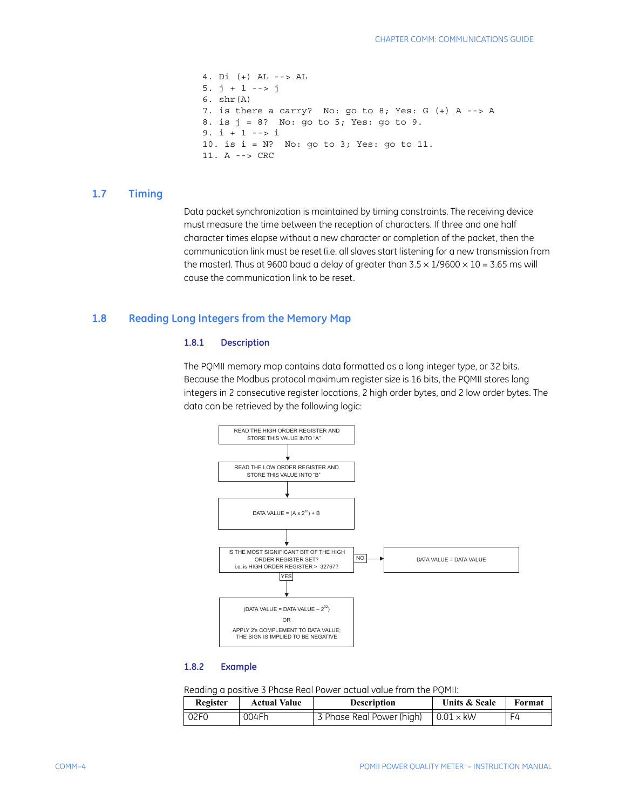```
4. Di (+) AL --> AL
5. j + 1 --> j
6. shr(A)7. is there a carry? No: go to 8; Yes: G (+) A --> A
8. is j = 8? No: go to 5; Yes: go to 9.
9. i + 1 --> i10. is i = N? No: go to 3; Yes: go to 11.
11. A --> CRC
```
#### <span id="page-7-0"></span>**1.7 Timing**

Data packet synchronization is maintained by timing constraints. The receiving device must measure the time between the reception of characters. If three and one half character times elapse without a new character or completion of the packet, then the communication link must be reset (i.e. all slaves start listening for a new transmission from the master). Thus at 9600 baud a delay of greater than  $3.5 \times 1/9600 \times 10 = 3.65$  ms will cause the communication link to be reset.

## <span id="page-7-1"></span>**1.8 Reading Long Integers from the Memory Map**

#### **1.8.1 Description**

The PQMII memory map contains data formatted as a long integer type, or 32 bits. Because the Modbus protocol maximum register size is 16 bits, the PQMII stores long integers in 2 consecutive register locations, 2 high order bytes, and 2 low order bytes. The data can be retrieved by the following logic:



#### **1.8.2 Example**

Reading a positive 3 Phase Real Power actual value from the PQMII:

| Register         | <b>Actual Value</b> | <b>Description</b>        | <b>Units &amp; Scale</b> | Format |
|------------------|---------------------|---------------------------|--------------------------|--------|
| 02F <sub>0</sub> | 004Fh               | 3 Phase Real Power (high) | $\vert$ 0.01 $\times$ kW | F4     |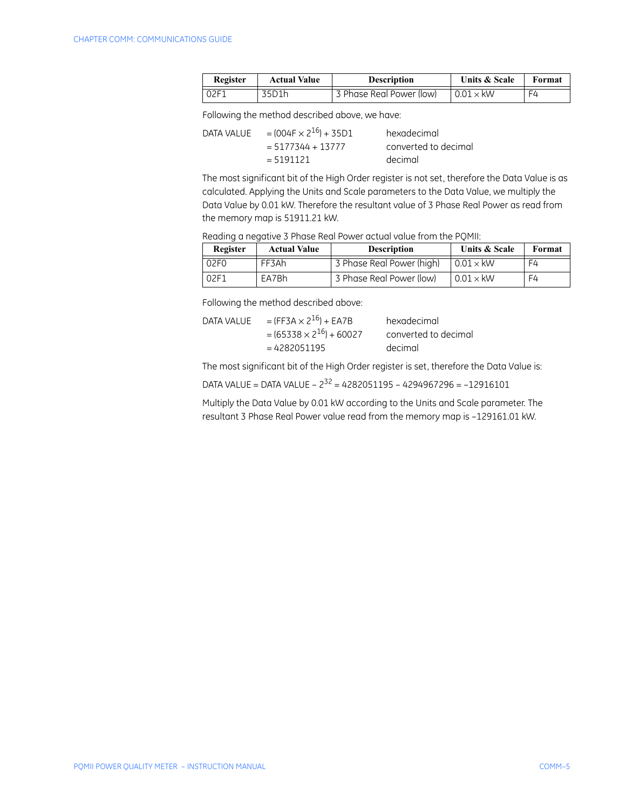| Register | <b>Actual Value</b> | <b>Description</b>       | Units & Scale           | Format |
|----------|---------------------|--------------------------|-------------------------|--------|
| 02F1     | 35D1h               | 3 Phase Real Power (low) | $\mid$ 0.01 $\times$ kW | ⊢Δ     |

Following the method described above, we have:

| DATA VALUE | $=(004F \times 2^{16}) + 35D1$ | hexadecimal          |
|------------|--------------------------------|----------------------|
|            | $= 5177344 + 13777$            | converted to decimal |
|            | $= 5191121$                    | decimal              |

The most significant bit of the High Order register is not set, therefore the Data Value is as calculated. Applying the Units and Scale parameters to the Data Value, we multiply the Data Value by 0.01 kW. Therefore the resultant value of 3 Phase Real Power as read from the memory map is 51911.21 kW.

Reading a negative 3 Phase Real Power actual value from the PQMII:

| Register | <b>Actual Value</b> | <b>Description</b>        | Units & Scale    | Format |
|----------|---------------------|---------------------------|------------------|--------|
| 02F0     | FF3Ah               | 3 Phase Real Power (high) | $0.01 \times$ kW | F4     |
| 02F1     | EA7Bh               | 3 Phase Real Power (low)  | $0.01 \times$ kW | F4     |

Following the method described above:

| DATA VALUE | $=(FF3A \times 2^{16}) + EAYB$   | hexadecimal          |
|------------|----------------------------------|----------------------|
|            | $=(65338 \times 2^{16}) + 60027$ | converted to decimal |
|            | $= 4282051195$                   | decimal              |

The most significant bit of the High Order register is set, therefore the Data Value is:

DATA VALUE = DATA VALUE –  $2^{32}$  = 4282051195 – 4294967296 = -12916101

Multiply the Data Value by 0.01 kW according to the Units and Scale parameter. The resultant 3 Phase Real Power value read from the memory map is –129161.01 kW.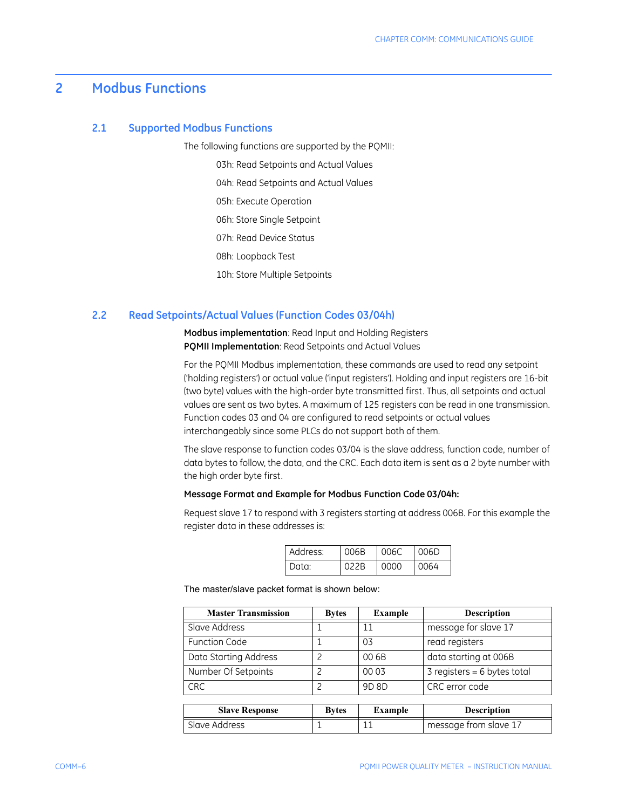## <span id="page-9-0"></span>**2 Modbus Functions**

#### <span id="page-9-1"></span>**2.1 Supported Modbus Functions**

The following functions are supported by the PQMII:

03h: Read Setpoints and Actual Values 04h: Read Setpoints and Actual Values 05h: Execute Operation 06h: Store Single Setpoint 07h: Read Device Status 08h: Loopback Test 10h: Store Multiple Setpoints

#### <span id="page-9-2"></span>**2.2 Read Setpoints/Actual Values (Function Codes 03/04h)**

**Modbus implementation**: Read Input and Holding Registers **PQMII Implementation**: Read Setpoints and Actual Values

For the PQMII Modbus implementation, these commands are used to read any setpoint ('holding registers') or actual value ('input registers'). Holding and input registers are 16-bit (two byte) values with the high-order byte transmitted first. Thus, all setpoints and actual values are sent as two bytes. A maximum of 125 registers can be read in one transmission. Function codes 03 and 04 are configured to read setpoints or actual values interchangeably since some PLCs do not support both of them.

The slave response to function codes 03/04 is the slave address, function code, number of data bytes to follow, the data, and the CRC. Each data item is sent as a 2 byte number with the high order byte first.

### **Message Format and Example for Modbus Function Code 03/04h:**

Request slave 17 to respond with 3 registers starting at address 006B. For this example the register data in these addresses is:

| Address: | 006B | 006C | 006D  |
|----------|------|------|-------|
| Data:    | 022B | 0000 | LOO64 |

The master/slave packet format is shown below:

| <b>Master Transmission</b> | <b>Bytes</b> | <b>Example</b> | <b>Description</b>            |
|----------------------------|--------------|----------------|-------------------------------|
| Slave Address              |              | 11             | message for slave 17          |
| <b>Function Code</b>       |              | 03             | read registers                |
| Data Starting Address      | 2            | 00 6B          | data starting at 006B         |
| Number Of Setpoints        | っ            | 00 03          | $3$ registers = 6 bytes total |
| <b>CRC</b>                 | っ            | 9D 8D          | CRC error code                |
|                            |              |                |                               |
| <b>Slave Response</b>      | <b>Bytes</b> | <b>Example</b> | <b>Description</b>            |
| Slave Address              |              |                | message from slave 17         |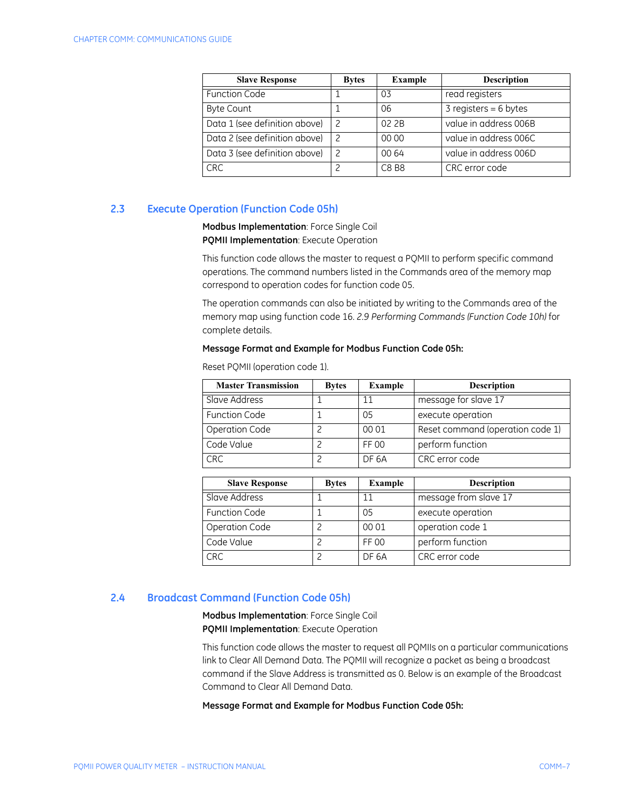| <b>Slave Response</b>         | <b>Bytes</b> | <b>Example</b> | <b>Description</b>      |
|-------------------------------|--------------|----------------|-------------------------|
| <b>Function Code</b>          |              | 03             | read registers          |
| <b>Byte Count</b>             |              | 06             | $3$ registers = 6 bytes |
| Data 1 (see definition above) |              | 02 2B          | value in address 006B   |
| Data 2 (see definition above) | 2            | 00 00          | value in address 006C   |
| Data 3 (see definition above) | 2            | 00 64          | value in address 006D   |
| <b>CRC</b>                    |              | C8 B8          | CRC error code          |

## <span id="page-10-0"></span>**2.3 Execute Operation (Function Code 05h)**

**Modbus Implementation**: Force Single Coil **PQMII Implementation**: Execute Operation

This function code allows the master to request a PQMII to perform specific command operations. The command numbers listed in the Commands area of the memory map correspond to operation codes for function code 05.

The operation commands can also be initiated by writing to the Commands area of the memory map using function code 16. *[2.9 Performing Commands \(Function Code 10h\)](#page-13-1)* for complete details.

#### **Message Format and Example for Modbus Function Code 05h:**

| <b>Master Transmission</b> | <b>Bytes</b> | <b>Example</b> | <b>Description</b>               |
|----------------------------|--------------|----------------|----------------------------------|
| Slave Address              |              | 11             | message for slave 17             |
| <b>Function Code</b>       |              | 05             | execute operation                |
| <b>Operation Code</b>      |              | 00 01          | Reset command (operation code 1) |
| Code Value                 |              | FF 00          | perform function                 |
| CRC                        |              | DF 6A          | CRC error code                   |

Reset PQMII (operation code 1).

| <b>Slave Response</b> | <b>Bytes</b> | Example | <b>Description</b>    |
|-----------------------|--------------|---------|-----------------------|
| Slave Address         |              | 11      | message from slave 17 |
| <b>Function Code</b>  |              | 05      | execute operation     |
| Operation Code        |              | 00 01   | operation code 1      |
| Code Value            |              | FF 00   | perform function      |
| <b>CRC</b>            |              | DF 6A   | CRC error code        |

## <span id="page-10-1"></span>**2.4 Broadcast Command (Function Code 05h)**

**Modbus Implementation**: Force Single Coil **PQMII Implementation**: Execute Operation

This function code allows the master to request all PQMIIs on a particular communications link to Clear All Demand Data. The PQMII will recognize a packet as being a broadcast command if the Slave Address is transmitted as 0. Below is an example of the Broadcast Command to Clear All Demand Data.

**Message Format and Example for Modbus Function Code 05h:**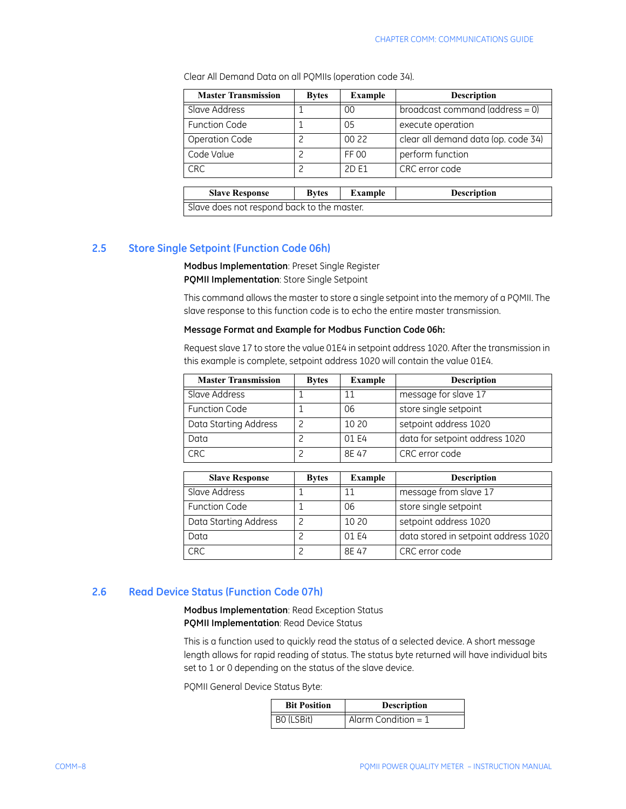| <b>Master Transmission</b>                 | <b>Bytes</b> | <b>Example</b> | <b>Description</b>                  |  |
|--------------------------------------------|--------------|----------------|-------------------------------------|--|
| Slave Address                              |              | 00             | broadcast command (address = $0$ )  |  |
| <b>Function Code</b>                       |              | 05             | execute operation                   |  |
| Operation Code                             | っ            | 00 22          | clear all demand data (op. code 34) |  |
| Code Value                                 | っ            | FF 00          | perform function                    |  |
| <b>CRC</b>                                 | っ            | 2D E1          | CRC error code                      |  |
|                                            |              |                |                                     |  |
| <b>Slave Response</b>                      | <b>Bytes</b> | <b>Example</b> | <b>Description</b>                  |  |
| Slave does not respond back to the master. |              |                |                                     |  |

Clear All Demand Data on all PQMIIs (operation code 34).

## <span id="page-11-0"></span>**2.5 Store Single Setpoint (Function Code 06h)**

**Modbus Implementation**: Preset Single Register **PQMII Implementation**: Store Single Setpoint

This command allows the master to store a single setpoint into the memory of a PQMII. The slave response to this function code is to echo the entire master transmission.

#### **Message Format and Example for Modbus Function Code 06h:**

Request slave 17 to store the value 01E4 in setpoint address 1020. After the transmission in this example is complete, setpoint address 1020 will contain the value 01E4.

| <b>Master Transmission</b> | <b>Bytes</b> | Example | <b>Description</b>             |
|----------------------------|--------------|---------|--------------------------------|
| Slave Address              |              |         | message for slave 17           |
| <b>Function Code</b>       |              | 06      | store single setpoint          |
| Data Starting Address      |              | 10 20   | setpoint address 1020          |
| Data                       |              | 01 E4   | data for setpoint address 1020 |
| <b>CRC</b>                 |              | 8E 47   | CRC error code                 |

| <b>Slave Response</b> | <b>Bytes</b> | Example | <b>Description</b>                   |
|-----------------------|--------------|---------|--------------------------------------|
| Slave Address         |              | 11      | message from slave 17                |
| <b>Function Code</b>  |              | 06      | store single setpoint                |
| Data Starting Address |              | 10 20   | setpoint address 1020                |
| Data                  |              | 01 E4   | data stored in setpoint address 1020 |
| <b>CRC</b>            |              | 8F 47   | CRC error code                       |

## <span id="page-11-1"></span>**2.6 Read Device Status (Function Code 07h)**

**Modbus Implementation**: Read Exception Status **PQMII Implementation**: Read Device Status

This is a function used to quickly read the status of a selected device. A short message length allows for rapid reading of status. The status byte returned will have individual bits set to 1 or 0 depending on the status of the slave device.

PQMII General Device Status Byte:

| <b>Bit Position</b> | <b>Description</b>    |
|---------------------|-----------------------|
| BO (LSBit)          | Alarm Condition = $1$ |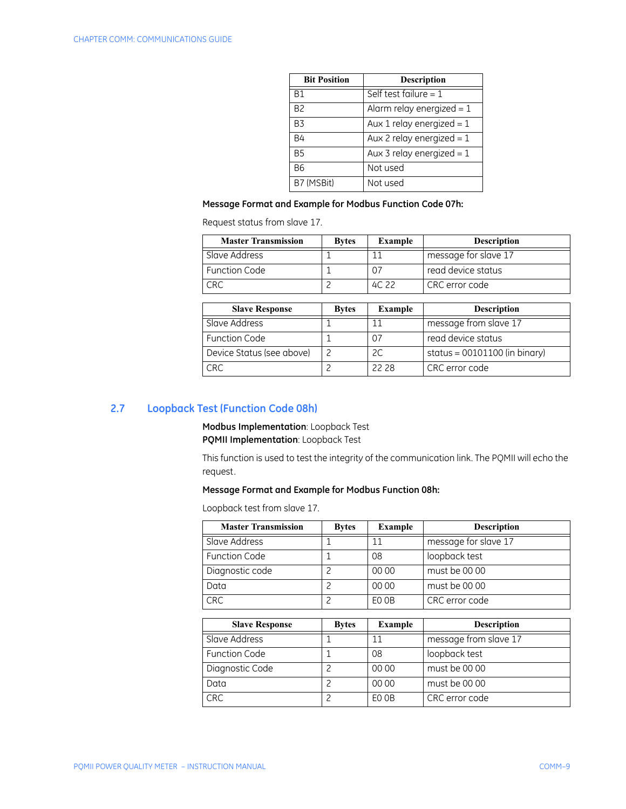| <b>Bit Position</b> | <b>Description</b>          |
|---------------------|-----------------------------|
| B <sub>1</sub>      | Self test failure = $1$     |
| B <sub>2</sub>      | Alarm relay energized = $1$ |
| <b>B3</b>           | Aux 1 relay energized = $1$ |
| <b>B4</b>           | Aux 2 relay energized = $1$ |
| <b>B5</b>           | Aux 3 relay energized = $1$ |
| B <sub>6</sub>      | Not used                    |
| B7 (MSBit)          | Not used                    |

### **Message Format and Example for Modbus Function Code 07h:**

Request status from slave 17.

| <b>Master Transmission</b> | <b>Bytes</b> | Example | <b>Description</b>   |
|----------------------------|--------------|---------|----------------------|
| Slave Address              |              |         | message for slave 17 |
| <b>Function Code</b>       |              | 07      | read device status   |
| <b>CRC</b>                 |              | 4C 22   | CRC error code       |

| <b>Slave Response</b>     | <b>Bytes</b> | <b>Example</b> | <b>Description</b>              |
|---------------------------|--------------|----------------|---------------------------------|
| Slave Address             |              |                | message from slave 17           |
| <b>Function Code</b>      |              | 07             | read device status              |
| Device Status (see above) |              |                | status = $00101100$ (in binary) |
| <b>CRC</b>                |              | 22.28          | CRC error code                  |

## <span id="page-12-0"></span>**2.7 Loopback Test (Function Code 08h)**

**Modbus Implementation**: Loopback Test **PQMII Implementation**: Loopback Test

This function is used to test the integrity of the communication link. The PQMII will echo the request.

## **Message Format and Example for Modbus Function 08h:**

Loopback test from slave 17.

| <b>Master Transmission</b> | <b>Bytes</b> | <b>Example</b> | <b>Description</b>   |
|----------------------------|--------------|----------------|----------------------|
| Slave Address              |              | 11             | message for slave 17 |
| <b>Function Code</b>       |              | 08             | loopback test        |
| Diagnostic code            |              | 00 00          | must be 00 00        |
| Data                       |              | 00 00          | must be 00 00        |
| <b>CRC</b>                 |              | EO OB          | CRC error code       |

| <b>Slave Response</b> | <b>Bytes</b> | Example | <b>Description</b>    |
|-----------------------|--------------|---------|-----------------------|
| Slave Address         |              |         | message from slave 17 |
| <b>Function Code</b>  |              | 08      | loopback test         |
| Diagnostic Code       |              | 00 00   | must be 00 00         |
| Data                  |              | 00 00   | must be 00 00         |
| <b>CRC</b>            |              | EO OB   | CRC error code        |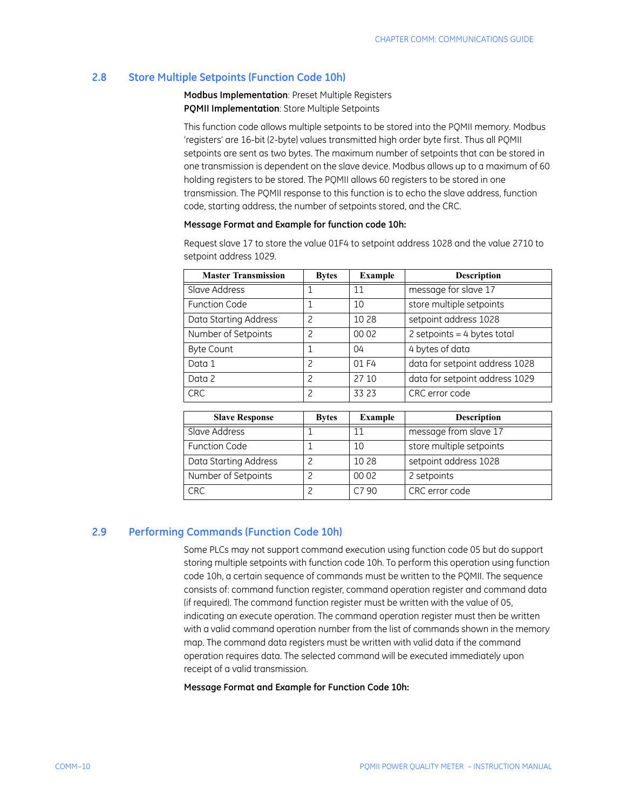## <span id="page-13-0"></span>**2.8 Store Multiple Setpoints (Function Code 10h)**

**Modbus Implementation**: Preset Multiple Registers **PQMII Implementation**: Store Multiple Setpoints

This function code allows multiple setpoints to be stored into the PQMII memory. Modbus 'registers' are 16-bit (2-byte) values transmitted high order byte first. Thus all PQMII setpoints are sent as two bytes. The maximum number of setpoints that can be stored in one transmission is dependent on the slave device. Modbus allows up to a maximum of 60 holding registers to be stored. The PQMII allows 60 registers to be stored in one transmission. The PQMII response to this function is to echo the slave address, function code, starting address, the number of setpoints stored, and the CRC.

## **Message Format and Example for function code 10h:**

| <b>Master Transmission</b> | <b>Bytes</b>  | <b>Example</b> | <b>Description</b>             |
|----------------------------|---------------|----------------|--------------------------------|
| Slave Address              |               | 11             | message for slave 17           |
| <b>Function Code</b>       |               | 10             | store multiple setpoints       |
| Data Starting Address      | っ             | 10 28          | setpoint address 1028          |
| Number of Setpoints        | っ             | 00 02          | 2 setpoints = $4$ bytes total  |
| <b>Byte Count</b>          |               | 04             | 4 bytes of data                |
| Data 1                     | 2             | 01 F4          | data for setpoint address 1028 |
| Data 2                     | $\mathcal{P}$ | 27 10          | data for setpoint address 1029 |
| <b>CRC</b>                 | 2             | 33 23          | CRC error code                 |

Request slave 17 to store the value 01F4 to setpoint address 1028 and the value 2710 to setpoint address 1029.

| <b>Slave Response</b> | <b>Bytes</b> | Example | <b>Description</b>       |
|-----------------------|--------------|---------|--------------------------|
| Slave Address         |              |         | message from slave 17    |
| <b>Function Code</b>  |              | 10      | store multiple setpoints |
| Data Starting Address |              | 10 28   | setpoint address 1028    |
| Number of Setpoints   |              | 00 02   | 2 setpoints              |
| <b>CRC</b>            |              | C7 90   | CRC error code           |

#### <span id="page-13-1"></span>**2.9 Performing Commands (Function Code 10h)**

Some PLCs may not support command execution using function code 05 but do support storing multiple setpoints with function code 10h. To perform this operation using function code 10h, a certain sequence of commands must be written to the PQMII. The sequence consists of: command function register, command operation register and command data (if required). The command function register must be written with the value of 05, indicating an execute operation. The command operation register must then be written with a valid command operation number from the list of commands shown in the memory map. The command data registers must be written with valid data if the command operation requires data. The selected command will be executed immediately upon receipt of a valid transmission.

**Message Format and Example for Function Code 10h:**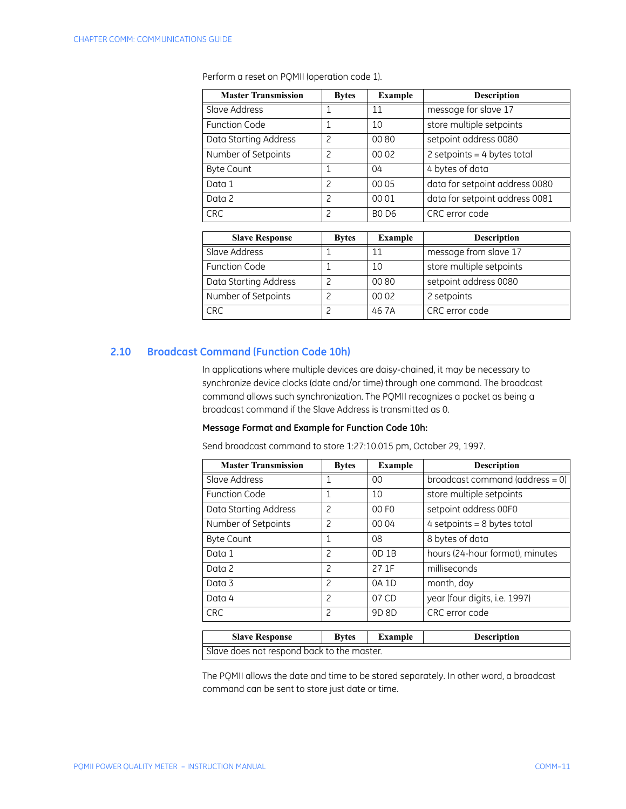| <b>Master Transmission</b> | <b>Bytes</b>  | <b>Example</b> | <b>Description</b>             |
|----------------------------|---------------|----------------|--------------------------------|
| Slave Address              |               | 11             | message for slave 17           |
| <b>Function Code</b>       |               | 10             | store multiple setpoints       |
| Data Starting Address      | 2             | 0080           | setpoint address 0080          |
| Number of Setpoints        | $\mathcal{P}$ | 00 02          | 2 setpoints = $4$ bytes total  |
| <b>Byte Count</b>          |               | 04             | 4 bytes of data                |
| Data 1                     | $\mathcal{P}$ | 00 05          | data for setpoint address 0080 |
| Data 2                     | $\mathcal{P}$ | 00 01          | data for setpoint address 0081 |
| <b>CRC</b>                 | $\mathcal{P}$ | <b>BO D6</b>   | CRC error code                 |

Perform a reset on PQMII (operation code 1).

| <b>Slave Response</b> | <b>Bytes</b> | <b>Example</b> | <b>Description</b>       |
|-----------------------|--------------|----------------|--------------------------|
| Slave Address         |              |                | message from slave 17    |
| <b>Function Code</b>  |              | 10             | store multiple setpoints |
| Data Starting Address |              | 0080           | setpoint address 0080    |
| Number of Setpoints   |              | 00 02          | 2 setpoints              |
| <b>CRC</b>            |              | 46 7A          | CRC error code           |

## <span id="page-14-0"></span>**2.10 Broadcast Command (Function Code 10h)**

In applications where multiple devices are daisy-chained, it may be necessary to synchronize device clocks (date and/or time) through one command. The broadcast command allows such synchronization. The PQMII recognizes a packet as being a broadcast command if the Slave Address is transmitted as 0.

#### **Message Format and Example for Function Code 10h:**

Send broadcast command to store 1:27:10.015 pm, October 29, 1997.

| <b>Master Transmission</b>                 | <b>Bytes</b>             | <b>Example</b>    | <b>Description</b>                 |
|--------------------------------------------|--------------------------|-------------------|------------------------------------|
| Slave Address                              | 1                        | $00\,$            | broadcast command (address = $0$ ) |
| <b>Function Code</b>                       | $\mathbf{1}$             | 10                | store multiple setpoints           |
| Data Starting Address                      | $\overline{c}$           | 00 F <sub>0</sub> | setpoint address 00F0              |
| Number of Setpoints                        | 2                        | 00 04             | $4$ setpoints = 8 bytes total      |
| <b>Byte Count</b>                          | 1                        | 08                | 8 bytes of data                    |
| Data 1                                     | $\overline{c}$           | $OD$ 1B           | hours (24-hour format), minutes    |
| Data 2                                     | $\overline{\phantom{0}}$ | 27 1F             | milliseconds                       |
| Data 3                                     | $\overline{\phantom{0}}$ | 0A 1D             | month, day                         |
| Data 4                                     | $\overline{\phantom{0}}$ | 07 CD             | year (four digits, i.e. 1997)      |
| <b>CRC</b>                                 | $\overline{\phantom{0}}$ | 9D 8D             | CRC error code                     |
|                                            |                          |                   |                                    |
| <b>Slave Response</b>                      | <b>Bytes</b>             | <b>Example</b>    | <b>Description</b>                 |
| Slave does not respond back to the master. |                          |                   |                                    |

The PQMII allows the date and time to be stored separately. In other word, a broadcast command can be sent to store just date or time.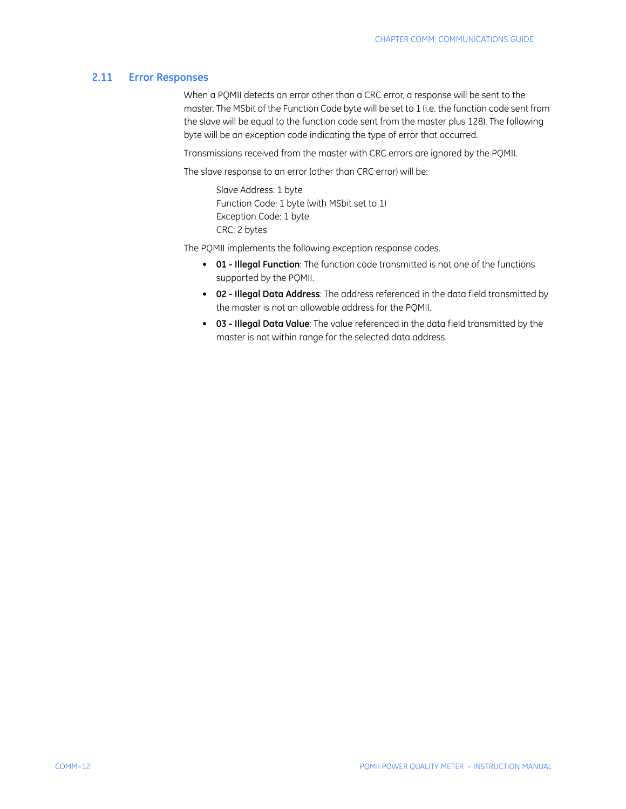#### <span id="page-15-0"></span>**2.11 Error Responses**

When a PQMII detects an error other than a CRC error, a response will be sent to the master. The MSbit of the Function Code byte will be set to 1 (i.e. the function code sent from the slave will be equal to the function code sent from the master plus 128). The following byte will be an exception code indicating the type of error that occurred.

Transmissions received from the master with CRC errors are ignored by the PQMII.

The slave response to an error (other than CRC error) will be:

Slave Address: 1 byte Function Code: 1 byte (with MSbit set to 1) Exception Code: 1 byte CRC: 2 bytes

The PQMII implements the following exception response codes.

- **01 Illegal Function**: The function code transmitted is not one of the functions supported by the PQMII.
- **02 Illegal Data Address**: The address referenced in the data field transmitted by the master is not an allowable address for the PQMII.
- **03 Illegal Data Value**: The value referenced in the data field transmitted by the master is not within range for the selected data address.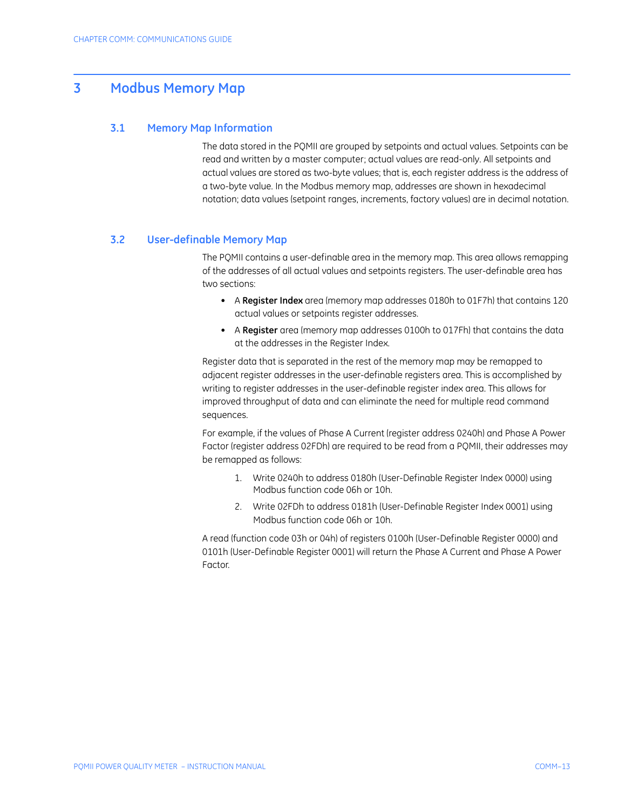## <span id="page-16-0"></span>**3 Modbus Memory Map**

#### <span id="page-16-1"></span>**3.1 Memory Map Information**

The data stored in the PQMII are grouped by setpoints and actual values. Setpoints can be read and written by a master computer; actual values are read-only. All setpoints and actual values are stored as two-byte values; that is, each register address is the address of a two-byte value. In the Modbus memory map, addresses are shown in hexadecimal notation; data values (setpoint ranges, increments, factory values) are in decimal notation.

#### <span id="page-16-2"></span>**3.2 User-definable Memory Map**

The PQMII contains a user-definable area in the memory map. This area allows remapping of the addresses of all actual values and setpoints registers. The user-definable area has two sections:

- A **Register Index** area (memory map addresses 0180h to 01F7h) that contains 120 actual values or setpoints register addresses.
- A **Register** area (memory map addresses 0100h to 017Fh) that contains the data at the addresses in the Register Index.

Register data that is separated in the rest of the memory map may be remapped to adjacent register addresses in the user-definable registers area. This is accomplished by writing to register addresses in the user-definable register index area. This allows for improved throughput of data and can eliminate the need for multiple read command sequences.

For example, if the values of Phase A Current (register address 0240h) and Phase A Power Factor (register address 02FDh) are required to be read from a PQMII, their addresses may be remapped as follows:

- 1. Write 0240h to address 0180h (User-Definable Register Index 0000) using Modbus function code 06h or 10h.
- 2. Write 02FDh to address 0181h (User-Definable Register Index 0001) using Modbus function code 06h or 10h.

A read (function code 03h or 04h) of registers 0100h (User-Definable Register 0000) and 0101h (User-Definable Register 0001) will return the Phase A Current and Phase A Power Factor.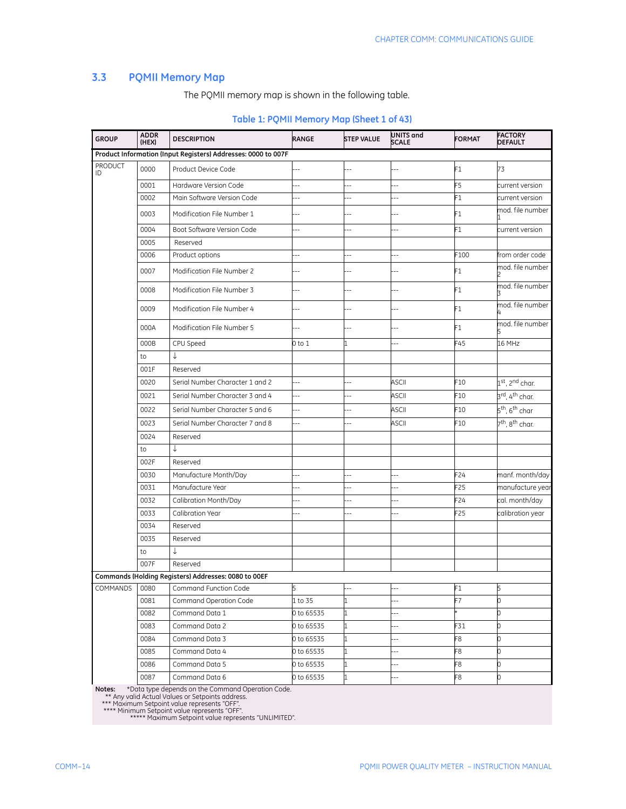## <span id="page-17-0"></span>**3.3 PQMII Memory Map**

The PQMII memory map is shown in the following table.

| <b>GROUP</b>         | <b>ADDR</b><br>(HEX) | <b>DESCRIPTION</b>                                            | RANGE          | <b>STEP VALUE</b>        | UNITS and<br><b>SCALE</b> | <b>FORMAT</b>   | <b>FACTORY</b><br><b>DEFAULT</b>        |
|----------------------|----------------------|---------------------------------------------------------------|----------------|--------------------------|---------------------------|-----------------|-----------------------------------------|
|                      |                      | Product Information (Input Registers) Addresses: 0000 to 007F |                |                          |                           |                 |                                         |
| <b>PRODUCT</b><br>ID | 0000                 | Product Device Code                                           |                | $-$                      |                           | F1              | 73                                      |
|                      | 0001                 | Hardware Version Code                                         | ш,             | $\overline{a}$           | $-$                       | F5              | current version                         |
|                      | 0002                 | Main Software Version Code                                    |                |                          |                           | F1              | current version                         |
|                      | 0003                 | Modification File Number 1                                    |                | $-$                      |                           | F1              | mod. file number                        |
|                      | 0004                 | Boot Software Version Code                                    |                |                          |                           | F1              | current version                         |
|                      | 0005                 | Reserved                                                      |                |                          |                           |                 |                                         |
|                      | 0006                 | Product options                                               | ц,             | $-$                      | Ξ.                        | F100            | from order code                         |
|                      | 0007                 | Modification File Number 2                                    | ٠.             | $-1$                     |                           | F1              | mod, file number                        |
|                      | 0008                 | Modification File Number 3                                    |                | $-$                      |                           | F1              | mod. file number                        |
|                      | 0009                 | Modification File Number 4                                    |                |                          |                           | F1              | mod. file number                        |
|                      | 000A                 | Modification File Number 5                                    |                |                          |                           | F1              | mod. file number                        |
|                      | 000B                 | CPU Speed                                                     | 0 to 1         |                          | ÷.                        | F45             | 16 MHz                                  |
|                      | to                   | ↓                                                             |                |                          |                           |                 |                                         |
|                      | 001F                 | Reserved                                                      |                |                          |                           |                 |                                         |
|                      | 0020                 | Serial Number Character 1 and 2                               | $\overline{a}$ |                          | ASCII                     | F10             | 1 <sup>st</sup> , 2 <sup>nd</sup> char. |
|                      | 0021                 | Serial Number Character 3 and 4                               | Ξ.             |                          | <b>ASCII</b>              | F10             | 3 <sup>rd</sup> , 4 <sup>th</sup> char. |
|                      | 0022                 | Serial Number Character 5 and 6                               |                |                          | ASCII                     | F10             | 5 <sup>th</sup> , 6 <sup>th</sup> char  |
|                      | 0023                 | Serial Number Character 7 and 8                               | Ξ.             | $-$                      | <b>ASCII</b>              | F10             | 7 <sup>th</sup> , 8 <sup>th</sup> char. |
|                      | 0024                 | Reserved                                                      |                |                          |                           |                 |                                         |
|                      | to                   | ↓                                                             |                |                          |                           |                 |                                         |
|                      | 002F                 | Reserved                                                      |                |                          |                           |                 |                                         |
|                      | 0030                 | Manufacture Month/Day                                         |                |                          |                           | F24             | manf. month/day                         |
|                      | 0031                 | Manufacture Year                                              |                |                          | ц,                        | F25             | manufacture year                        |
|                      | 0032                 | Calibration Month/Day                                         | $\overline{a}$ | $-$                      | $\overline{a}$            | F24             | cal. month/day                          |
|                      | 0033                 | Calibration Year                                              | 4              | $-1$                     | $\sim$                    | F <sub>25</sub> | calibration year                        |
|                      | 0034                 | Reserved                                                      |                |                          |                           |                 |                                         |
|                      | 0035                 | Reserved                                                      |                |                          |                           |                 |                                         |
|                      | to                   | ↓                                                             |                |                          |                           |                 |                                         |
|                      | 007F                 | Reserved                                                      |                |                          |                           |                 |                                         |
|                      |                      | Commands (Holding Registers) Addresses: 0080 to 00EF          |                |                          |                           |                 |                                         |
| COMMANDS 0080        |                      | Command Function Code                                         | 5              | $\overline{\phantom{a}}$ | $---$                     | F1              | 5                                       |
|                      | 0081                 | Command Operation Code                                        | 1 to 35        |                          |                           | F7              | 0                                       |
|                      | 0082                 | Command Data 1                                                | 0 to 65535     | 1                        | $-$                       |                 | 0                                       |
|                      | 0083                 | Command Data 2                                                | 0 to 65535     | 1                        | $-$                       | F31             | 0                                       |
|                      | 0084                 | Command Data 3                                                | 0 to 65535     | 1                        | --                        | F8              | 0                                       |
|                      | 0085                 | Command Data 4                                                | 0 to 65535     |                          |                           | F8              | 0                                       |
|                      | 0086                 | Command Data 5                                                | 0 to 65535     | 1                        |                           | F8              | 0                                       |
|                      | 0087                 | Command Data 6                                                | 0 to 65535     |                          |                           | F8              | 0                                       |

## **Table 1: PQMII Memory Map (Sheet 1 of 43)**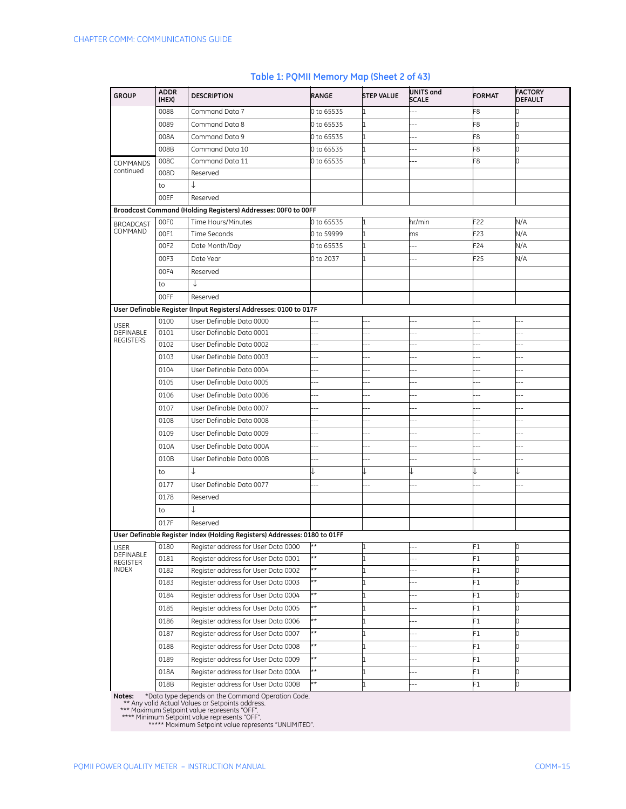USER DEFINABLE REGISTERS

#### 0088 Command Data 7 0 to 65535 1 --- F8 0 0089 Command Data 8 0 to 65535 1 --- F8 0 008A Command Data 9 0 to 65535 1 --- F8 0 008B Command Data 10 0 to 65535 1 --- F8 0 COMMANDS continued 008C Command Data 11 Q 0 to 65535 Q 1 --- F8 008D Reserved to  $\downarrow$ 00EF Reserved **Broadcast Command (Holding Registers) Addresses: 00F0 to 00FF** BROADCAST COMMAND 00F0 Time Hours/Minutes b to 65535 1 hr/min F22 N/A 00F1 Time Seconds 0 to 59999 1 ms F23 N/A 00F2 Date Month/Day **0** to 65535 1 -- F24 N/A 00F3 Date Year 0 to 2037 1 --- F25 N/A 00F4 Reserved to  $\downarrow$ 00FF Reserved **User Definable Register (Input Registers) Addresses: 0100 to 017F** 0100 User Definable Data 0000 0101 User Definable Data 0001 0102 User Definable Data 0002 0103 User Definable Data 0003 0104 User Definable Data 0004 0105 User Definable Data 0005 0106 User Definable Data 0006 **GROUP ADDR (HEX) DESCRIPTION RANGE STEP VALUE UNITS and SCALE FORMAT FACTORY DEFAULT**

#### **Table 1: PQMII Memory Map (Sheet 2 of 43)**

to ↓ ↓ ↓ ↓ ↓ ↓ ↓ ↓ 0177 User Definable Data 0077 0178 Reserved to ↓ 017F Reserved **User Definable Register Index (Holding Registers) Addresses: 0180 to 01FF** USER DEFINABLE REGISTER INDEX 0180 Register address for User Data 0000  $**$  1 1 -- F1 F1 0181 Register address for User Data 0001 \*\* 1 1 -- F1 F1 0182 Register address for User Data 0002 \*\* 1 -- F1 1 0183 Register address for User Data 0003 **\*\*** 1 -- **1** -- **F1** 0184 Register address for User Data 0004  $\ast$   $\ast$  1  $\ast$  -- F1 0185 Register address for User Data 0005 \*\* 1 1 -- F1 0186 Register address for User Data 0006 \*\* 1 1 -- F1 1 0187 Register address for User Data 0007  $\ast$  1 1 -- F1 F1 0188 Register address for User Data 0008  $\star$  1  $\qquad$  -- F1 0189 Register address for User Data 0009 \*\* 1 1 -- F1 018A Register address for User Data 000A  $*$   $\uparrow$  1  $\downarrow$  -- F1 018B Register address for User Data 000B \*\* 1 1 -- F1

**Notes:** \*Data type depends on the Command Operation Code.

0107 User Definable Data 0007 0108 User Definable Data 0008 0109 User Definable Data 0009 010A User Definable Data 000A 010B User Definable Data 000B

\*\* Any valid Actual Values or Setpoints address. \*\*\* Maximum Setpoint value represents "OFF".

\*\*\*\* Minimum Setpoint value represents "OFF". \*\*\*\*\* Maximum Setpoint value represents "UNLIMITED".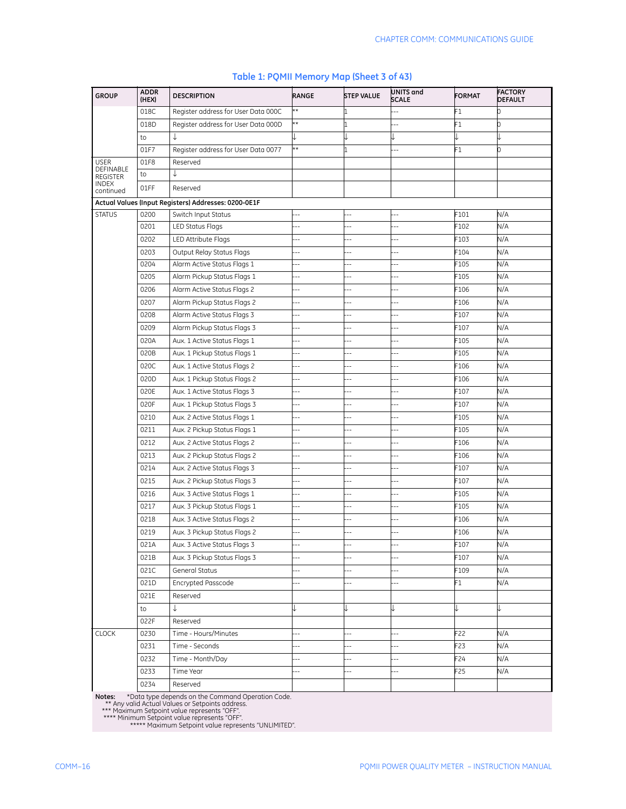| <b>GROUP</b>                 | <b>ADDR</b><br>(HEX) | <b>DESCRIPTION</b>                                   | RANGE          | <b>STEP VALUE</b>        | UNITS and<br><b>SCALE</b> | <b>FORMAT</b> | <b>FACTORY</b><br><b>DEFAULT</b> |
|------------------------------|----------------------|------------------------------------------------------|----------------|--------------------------|---------------------------|---------------|----------------------------------|
|                              | 018C                 | Register address for User Data 000C                  | k*             |                          |                           | F1            | 0                                |
|                              | 018D                 | Register address for User Data 000D                  | k*             |                          |                           | F1            | 0                                |
|                              | to                   | ↓                                                    |                |                          |                           |               |                                  |
|                              | 01F7                 | Register address for User Data 0077                  | ł×             |                          |                           | F1            | 0                                |
| <b>USER</b>                  | 01F8                 | Reserved                                             |                |                          |                           |               |                                  |
| DEFINABLE<br><b>REGISTER</b> | to                   | ↓                                                    |                |                          |                           |               |                                  |
| <b>INDEX</b><br>continued    | 01FF                 | Reserved                                             |                |                          |                           |               |                                  |
|                              |                      | Actual Values (Input Registers) Addresses: 0200-0E1F |                |                          |                           |               |                                  |
| <b>STATUS</b>                | 0200                 | Switch Input Status                                  |                |                          |                           | F101          | N/A                              |
|                              | 0201                 | <b>LED Status Flags</b>                              | Ц,             |                          |                           | F102          | N/A                              |
|                              | 0202                 | LED Attribute Flags                                  |                |                          |                           | $-103$        | N/A                              |
|                              | 0203                 | Output Relay Status Flags                            | Ξ.             | --                       |                           | F104          | N/A                              |
|                              | 0204                 | Alarm Active Status Flags 1                          |                |                          |                           | F105          | N/A                              |
|                              | 0205                 | Alarm Pickup Status Flags 1                          | --             |                          |                           | $-105$        | N/A                              |
|                              | 0206                 | Alarm Active Status Flags 2                          |                |                          |                           | F106          | N/A                              |
|                              | 0207                 | Alarm Pickup Status Flags 2                          | Ξ.             | Ц,                       | ц,                        | F106          | N/A                              |
|                              | 0208                 | Alarm Active Status Flags 3                          | --             | $\overline{\phantom{a}}$ | Ξ.                        | F107          | N/A                              |
|                              | 0209                 | Alarm Pickup Status Flags 3                          | $\overline{a}$ | ۵.                       | --                        | F107          | N/A                              |
|                              | 020A                 | Aux. 1 Active Status Flags 1                         |                |                          |                           | F105          | N/A                              |
|                              | 020B                 | Aux. 1 Pickup Status Flags 1                         | $\overline{a}$ | $-$                      | ۵.                        | F105          | N/A                              |
|                              | 020C                 | Aux. 1 Active Status Flags 2                         | --             |                          |                           | F106          | N/A                              |
|                              | 020D                 | Aux. 1 Pickup Status Flags 2                         | Ξ.             |                          | ۵.                        | F106          | N/A                              |
|                              | 020E                 | Aux. 1 Active Status Flags 3                         | --             | $\overline{a}$           | Ξ.                        | F107          | N/A                              |
|                              | 020F                 | Aux. 1 Pickup Status Flags 3                         | Ц,             |                          | ٠.                        | F107          | N/A                              |
|                              | 0210                 | Aux. 2 Active Status Flags 1                         | $\overline{a}$ |                          |                           | F105          | N/A                              |
|                              | 0211                 | Aux. 2 Pickup Status Flags 1                         |                | $-$                      | ٠.                        | F105          | N/A                              |
|                              | 0212                 | Aux. 2 Active Status Flags 2                         |                |                          |                           | F106          | N/A                              |
|                              | 0213                 | Aux. 2 Pickup Status Flags 2                         |                |                          |                           | F106          | N/A                              |
|                              | 0214                 | Aux. 2 Active Status Flags 3                         | $\overline{a}$ | ۵.                       | ۵.                        | F107          | N/A                              |
|                              | 0215                 | Aux. 2 Pickup Status Flags 3                         |                |                          |                           | F107          | N/A                              |
|                              | 0216                 | Aux. 3 Active Status Flags 1                         |                |                          |                           | F105          | N/A                              |
|                              | 0217                 | Aux. 3 Pickup Status Flags 1                         |                | ٠.                       |                           | F105          | N/A                              |
|                              | 0218                 | Aux. 3 Active Status Flags 2                         |                |                          |                           | F106          | N/A                              |
|                              | 0219                 | Aux. 3 Pickup Status Flags 2                         |                |                          |                           | F106          | N/A                              |
|                              | 021A                 | Aux. 3 Active Status Flags 3                         | Ξ.             | $\overline{\phantom{a}}$ | $\overline{a}$            | F107          | N/A                              |
|                              | 021B                 | Aux. 3 Pickup Status Flags 3                         | --             |                          | ۵.                        | F107          | N/A                              |
|                              | 021C                 | <b>General Status</b>                                | $-$            |                          |                           | F109          | N/A                              |
|                              | 021D                 | Encrypted Passcode                                   | 44             | $\overline{\phantom{a}}$ | $\overline{a}$            | F1            | N/A                              |
|                              | 021E                 | Reserved                                             |                |                          |                           |               |                                  |
|                              | to                   | ↓                                                    |                |                          |                           |               | ↓                                |
|                              | 022F                 | Reserved                                             |                |                          |                           |               |                                  |
| <b>CLOCK</b>                 | 0230                 | Time - Hours/Minutes                                 | Ξ.             | Ξ.                       | Ξ.                        | F22           | N/A                              |
|                              | 0231                 | Time - Seconds                                       | 44             | Ξ.                       | $\overline{a}$            | F23           | N/A                              |
|                              | 0232                 | Time - Month/Day                                     | Ξ.             | $\overline{a}$           | $\overline{a}$            | F24           | N/A                              |
|                              | 0233                 | Time Year                                            | $\overline{a}$ |                          | $-$                       | F25           | N/A                              |
|                              | 0234                 | Reserved                                             |                |                          |                           |               |                                  |

#### **Table 1: PQMII Memory Map (Sheet 3 of 43)**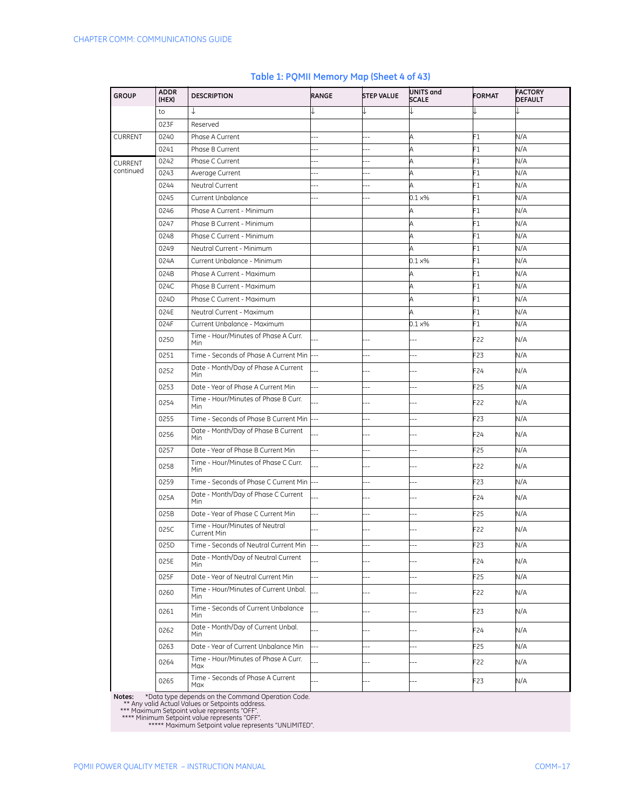| <b>GROUP</b>   | <b>ADDR</b><br>(HEX) | <b>DESCRIPTION</b>                                 | RANGE          | <b>STEP VALUE</b>        | UNITS and<br><b>SCALE</b> | <b>FORMAT</b>   | <b>FACTORY</b><br><b>DEFAULT</b> |
|----------------|----------------------|----------------------------------------------------|----------------|--------------------------|---------------------------|-----------------|----------------------------------|
|                | to                   | ↓                                                  |                |                          |                           |                 |                                  |
|                | 023F                 | Reserved                                           |                |                          |                           |                 |                                  |
| CURRENT        | 0240                 | Phase A Current                                    |                |                          | A                         | F1              | N/A                              |
|                | 0241                 | Phase B Current                                    |                |                          | A                         | F1              | N/A                              |
| <b>CURRENT</b> | 0242                 | Phase C Current                                    |                |                          | A                         | F1              | N/A                              |
| continued      | 0243                 | Average Current                                    | Ξ.             | $\overline{a}$           | Α                         | F1              | N/A                              |
|                | 0244                 | Neutral Current                                    |                |                          | A                         | F1              | N/A                              |
|                | 0245                 | Current Unbalance                                  |                | ц,                       | $0.1 \times\%$            | F1              | N/A                              |
|                | 0246                 | Phase A Current - Minimum                          |                |                          | $\mathsf A$               | F1              | N/A                              |
|                | 0247                 | Phase B Current - Minimum                          |                |                          | A                         | F1              | N/A                              |
|                | 0248                 | Phase C Current - Minimum                          |                |                          | A                         | F1              | N/A                              |
|                | 0249                 | Neutral Current - Minimum                          |                |                          | A                         | F1              | N/A                              |
|                | 024A                 | Current Unbalance - Minimum                        |                |                          | $0.1 \times\%$            | F1              | N/A                              |
|                | 024B                 | Phase A Current - Maximum                          |                |                          | A                         | F1              | N/A                              |
|                | 024C                 | Phase B Current - Maximum                          |                |                          | A                         | F1              | N/A                              |
|                | 024D                 | Phase C Current - Maximum                          |                |                          | A                         | F1              | N/A                              |
|                | 024E                 | Neutral Current - Maximum                          |                |                          | A                         | F1              | N/A                              |
|                | 024F                 | Current Unbalance - Maximum                        |                |                          | $0.1 \times\%$            | F1              | N/A                              |
|                | 0250                 | Time - Hour/Minutes of Phase A Curr.<br>Min        |                |                          |                           | F22             | N/A                              |
|                | 0251                 | Time - Seconds of Phase A Current Min              |                | --                       | $\overline{a}$            | F23             | N/A                              |
|                | 0252                 | Date - Month/Day of Phase A Current<br>Min         |                |                          | ٠.                        | F24             | N/A                              |
|                | 0253                 | Date - Year of Phase A Current Min                 | Ξ.             | --                       | $\overline{a}$            | F25             | N/A                              |
|                | 0254                 | Time - Hour/Minutes of Phase B Curr.<br>Min        |                |                          | Ξ.                        | F22             | N/A                              |
|                | 0255                 | Time - Seconds of Phase B Current Min              | $-1$           | ц,                       | ц,                        | F23             | N/A                              |
|                | 0256                 | Date - Month/Day of Phase B Current<br>Min         |                |                          |                           | F24             | N/A                              |
|                | 0257                 | Date - Year of Phase B Current Min                 | $-$            |                          |                           | F25             | N/A                              |
|                | 0258                 | Time - Hour/Minutes of Phase C Curr.<br><b>Min</b> |                | ٠.                       | $-$                       | F22             | N/A                              |
|                | 0259                 | Time - Seconds of Phase C Current Min              | $-1$           |                          | $-$                       | F23             | N/A                              |
|                | 025A                 | Date - Month/Day of Phase C Current<br>Min         |                |                          |                           | F24             | N/A                              |
|                | 025B                 | Date - Year of Phase C Current Min                 | --             | $\overline{a}$           | Ξ.                        | F25             | N/A                              |
|                | 025C                 | Time - Hour/Minutes of Neutral<br>Current Min      |                |                          |                           | F22             | N/A                              |
|                | 025D                 | Time - Seconds of Neutral Current Min              |                | --                       | $\overline{a}$            | F23             | N/A                              |
|                | 025E                 | Date - Month/Day of Neutral Current<br><b>Min</b>  |                | $-$                      | $-$                       | F24             | N/A                              |
|                | 025F                 | Date - Year of Neutral Current Min                 | Ξ.             | $-$                      | $\overline{a}$            | F <sub>25</sub> | N/A                              |
|                | 0260                 | Time - Hour/Minutes of Current Unbal.<br>Min       |                | $\overline{a}$           | --                        | F22             | N/A                              |
|                | 0261                 | Time - Seconds of Current Unbalance<br>Min         |                | $-$                      | $-$                       | F <sub>23</sub> | N/A                              |
|                | 0262                 | Date - Month/Day of Current Unbal.<br><b>Min</b>   |                |                          |                           | F24             | N/A                              |
|                | 0263                 | Date - Year of Current Unbalance Min               | $\overline{a}$ | $\overline{\phantom{a}}$ | $\overline{\phantom{a}}$  | F25             | N/A                              |
|                | 0264                 | Time - Hour/Minutes of Phase A Curr.<br>Max        |                | $-1$                     | --                        | F22             | N/A                              |
|                | 0265                 | Time - Seconds of Phase A Current<br>Max           | $\overline{a}$ | --                       | --                        | F23             | N/A                              |

## **Table 1: PQMII Memory Map (Sheet 4 of 43)**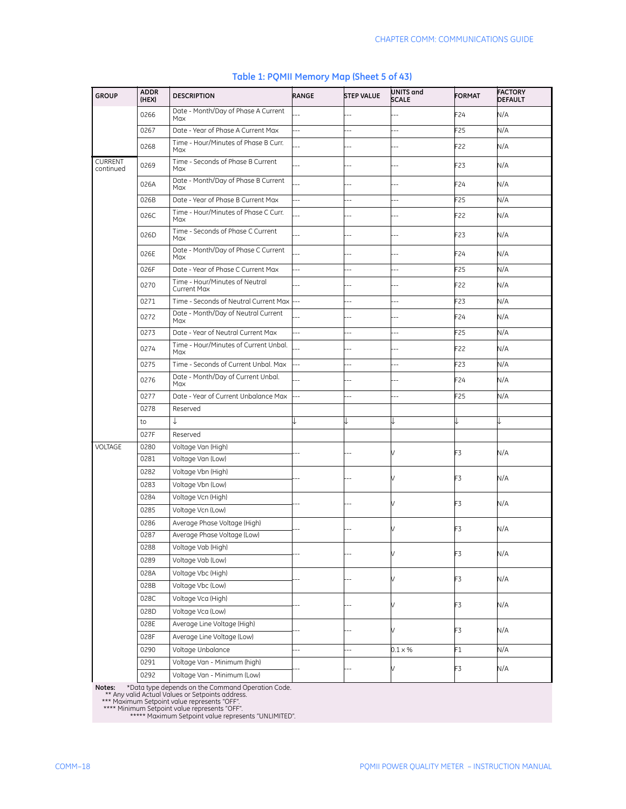| <b>GROUP</b>                | <b>ADDR</b><br>(HEX) | <b>DESCRIPTION</b>                                   | RANGE          | <b>STEP VALUE</b> | UNITS and<br><b>SCALE</b> | <b>FORMAT</b>   | <b>FACTORY</b><br><b>DEFAULT</b> |
|-----------------------------|----------------------|------------------------------------------------------|----------------|-------------------|---------------------------|-----------------|----------------------------------|
|                             | 0266                 | Date - Month/Day of Phase A Current<br>Max           |                |                   |                           | F24             | N/A                              |
|                             | 0267                 | Date - Year of Phase A Current Max                   | 44             | ä.                | $\overline{a}$            | F25             | N/A                              |
|                             | 0268                 | Time - Hour/Minutes of Phase B Curr.<br>Max          |                |                   |                           | F22             | N/A                              |
| <b>CURRENT</b><br>continued | 0269                 | Time - Seconds of Phase B Current<br>Max             |                |                   |                           | F23             | N/A                              |
|                             | 026A                 | Date - Month/Day of Phase B Current<br>Max           |                |                   |                           | F24             | N/A                              |
|                             | 026B                 | Date - Year of Phase B Current Max                   | $\overline{a}$ |                   |                           | F25             | N/A                              |
|                             | 026C                 | Time - Hour/Minutes of Phase C Curr.<br>Max          |                |                   |                           | F22             | N/A                              |
|                             | 026D                 | Time - Seconds of Phase C Current<br>Max             |                | $\overline{a}$    | $-1$                      | F23             | N/A                              |
|                             | 026E                 | Date - Month/Day of Phase C Current<br>Max           |                |                   |                           | F24             | N/A                              |
|                             | 026F                 | Date - Year of Phase C Current Max                   | ÷.             | $\overline{a}$    | $\overline{a}$            | F25             | N/A                              |
|                             | 0270                 | Time - Hour/Minutes of Neutral<br><b>Current Max</b> |                |                   |                           | F22             | N/A                              |
|                             | 0271                 | Time - Seconds of Neutral Current Max                |                | --                |                           | F23             | N/A                              |
|                             | 0272                 | Date - Month/Day of Neutral Current<br>Max           |                |                   |                           | F24             | N/A                              |
|                             | 0273                 | Date - Year of Neutral Current Max                   | Ξ.             | $\overline{a}$    | --                        | F25             | N/A                              |
|                             | 0274                 | Time - Hour/Minutes of Current Unbal.<br>Max         |                |                   | --                        | F22             | N/A                              |
|                             | 0275                 | Time - Seconds of Current Unbal, Max                 | Ξ.             | $\overline{a}$    | $\overline{a}$            | F23             | N/A                              |
|                             | 0276                 | Date - Month/Day of Current Unbal.<br>Max            |                |                   | $-$                       | F24             | N/A                              |
|                             | 0277                 | Date - Year of Current Unbalance Max                 |                |                   |                           | F <sub>25</sub> | N/A                              |
|                             | 0278                 | Reserved                                             |                |                   |                           |                 |                                  |
|                             | to                   | ↓                                                    |                |                   |                           |                 |                                  |
|                             | 027F                 | Reserved                                             |                |                   |                           |                 |                                  |
| VOLTAGE                     | 0280                 | Voltage Van (High)                                   |                |                   |                           | F3              | N/A                              |
|                             | 0281                 | Voltage Van (Low)                                    |                |                   |                           |                 |                                  |
|                             | 0282                 | Voltage Vbn (High)                                   |                |                   |                           | F3              | N/A                              |
|                             | 0283                 | Voltage Vbn (Low)                                    |                |                   |                           |                 |                                  |
|                             | 0284                 | Voltage Vcn (High)                                   |                |                   |                           | F3              | N/A                              |
|                             | 0285                 | Voltage Vcn (Low)                                    |                |                   |                           |                 |                                  |
|                             | 0286                 | Average Phase Voltage (High)                         |                |                   |                           | F3              | N/A                              |
|                             | 0287                 | Average Phase Voltage (Low)                          |                |                   |                           |                 |                                  |
|                             | 0288                 | Voltage Vab (High)                                   |                |                   | V                         | F3              | N/A                              |
|                             | 0289                 | Voltage Vab (Low)                                    |                |                   |                           |                 |                                  |
|                             | 028A                 | Voltage Vbc (High)                                   |                |                   |                           | F3              | N/A                              |
|                             | 028B                 | Voltage Vbc (Low)                                    |                |                   |                           |                 |                                  |
|                             | 028C                 | Voltage Vca (High)                                   |                |                   | V                         | F3              | N/A                              |
|                             | 028D                 | Voltage Vca (Low)                                    |                |                   |                           |                 |                                  |
|                             | 028E                 | Average Line Voltage (High)                          |                |                   | V                         | F3              | N/A                              |
|                             | 028F                 | Average Line Voltage (Low)                           |                |                   |                           |                 |                                  |
|                             | 0290                 | Voltage Unbalance                                    | ш,             | $-$               | $0.1 \times %$            | F1              | N/A                              |
|                             | 0291                 | Voltage Van - Minimum (high)                         |                |                   |                           | F3              | N/A                              |
|                             | 0292                 | Voltage Van - Minimum (Low)                          |                |                   |                           |                 |                                  |

## **Table 1: PQMII Memory Map (Sheet 5 of 43)**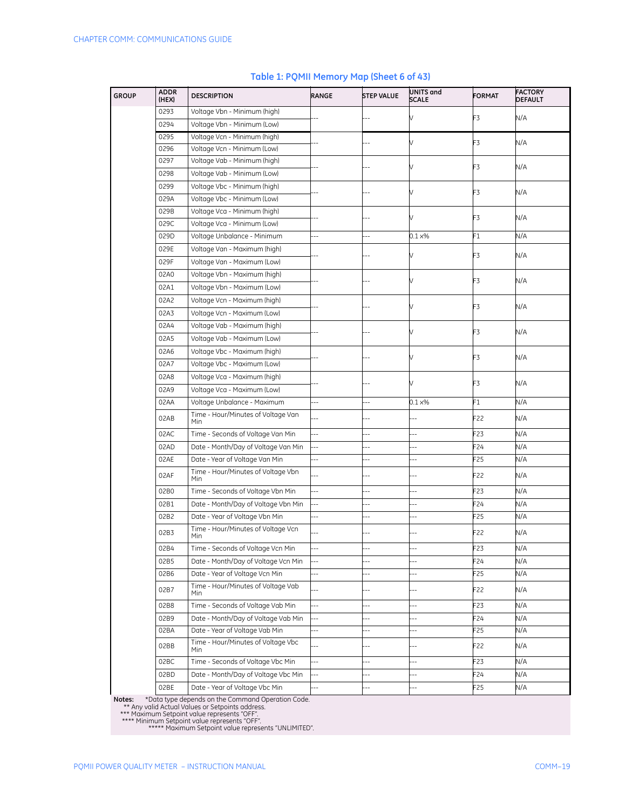| <b>GROUP</b> | <b>ADDR</b><br>(HEX) | <b>DESCRIPTION</b>                        | RANGE                    | <b>STEP VALUE</b>        | UNITS and<br><b>SCALE</b> | <b>FORMAT</b>   | <b>FACTORY</b><br>DEFAULT |
|--------------|----------------------|-------------------------------------------|--------------------------|--------------------------|---------------------------|-----------------|---------------------------|
|              | 0293                 | Voltage Vbn - Minimum (high)              |                          |                          |                           | F3              | N/A                       |
|              | 0294                 | Voltage Vbn - Minimum (Low)               |                          |                          |                           |                 |                           |
|              | 0295                 | Voltage Vcn - Minimum (high)              |                          |                          |                           | F3              | N/A                       |
|              | 0296                 | Voltage Vcn - Minimum (Low)               |                          |                          |                           |                 |                           |
|              | 0297                 | Voltage Vab - Minimum (high)              |                          |                          |                           | F3              | N/A                       |
|              | 0298                 | Voltage Vab - Minimum (Low)               |                          |                          |                           |                 |                           |
|              | 0299                 | Voltage Vbc - Minimum (high)              |                          |                          |                           | F3              | N/A                       |
|              | 029A                 | Voltage Vbc - Minimum (Low)               |                          |                          |                           |                 |                           |
|              | 029B                 | Voltage Vca - Minimum (high)              |                          |                          |                           | F3              | N/A                       |
|              | 029C                 | Voltage Vca - Minimum (Low)               |                          |                          |                           |                 |                           |
|              | 029D                 | Voltage Unbalance - Minimum               |                          |                          | $0.1 \times %$            | F1              | N/A                       |
|              | 029E                 | Voltage Van - Maximum (high)              |                          |                          |                           | F3              | N/A                       |
|              | 029F                 | Voltage Van - Maximum (Low)               |                          |                          |                           |                 |                           |
|              | 02A0                 | Voltage Vbn - Maximum (high)              |                          |                          |                           | F3              | N/A                       |
|              | 02A1                 | Voltage Vbn - Maximum (Low)               |                          |                          |                           |                 |                           |
|              | 02A2                 | Voltage Vcn - Maximum (high)              |                          |                          |                           | F3              | N/A                       |
|              | 02A3                 | Voltage Vcn - Maximum (Low)               |                          |                          |                           |                 |                           |
|              | 02A4                 | Voltage Vab - Maximum (high)              |                          |                          |                           | F3              | N/A                       |
|              | 02A5                 | Voltage Vab - Maximum (Low)               |                          |                          |                           |                 |                           |
|              | 02A6                 | Voltage Vbc - Maximum (high)              |                          |                          |                           |                 |                           |
|              | 02A7                 | Voltage Vbc - Maximum (Low)               |                          |                          |                           | F3              | N/A                       |
|              | 02A8                 | Voltage Vca - Maximum (high)              |                          |                          |                           |                 |                           |
|              | 02A9                 | Voltage Vca - Maximum (Low)               |                          |                          |                           | F3              | N/A                       |
|              | 02AA                 | Voltage Unbalance - Maximum               | Ξ.                       |                          | $0.1 \times\%$            | F1              | N/A                       |
|              | 02AB                 | Time - Hour/Minutes of Voltage Van<br>Min |                          |                          |                           | F22             | N/A                       |
|              | 02AC                 | Time - Seconds of Voltage Van Min         | --                       | --                       |                           | F <sub>23</sub> | N/A                       |
|              | 02AD                 | Date - Month/Day of Voltage Van Min       | $\overline{a}$           | $\overline{a}$           | $\overline{a}$            | F24             | N/A                       |
|              | 02AE                 | Date - Year of Voltage Van Min            | Ц,                       | Ξ.                       | --                        | F <sub>25</sub> | N/A                       |
|              | 02AF                 | Time - Hour/Minutes of Voltage Vbn<br>Min |                          |                          |                           | F22             | N/A                       |
|              | 02B0                 | Time - Seconds of Voltage Vbn Min         | Ξ.                       |                          |                           | F <sub>23</sub> | N/A                       |
|              | 02B1                 | Date - Month/Day of Voltage Vbn Min       | 4                        |                          |                           | F24             | N/A                       |
|              | 02B2                 | Date - Year of Voltage Vbn Min            | ц,                       | --                       |                           | F <sub>25</sub> | N/A                       |
|              | 02B3                 | Time - Hour/Minutes of Voltage Vcn<br>Min |                          |                          |                           | F22             | N/A                       |
|              | 02B4                 | Time - Seconds of Voltage Vcn Min         | $\overline{a}$           | ۵.                       | $\overline{a}$            | F23             | N/A                       |
|              | 02B5                 | Date - Month/Day of Voltage Vcn Min       |                          |                          |                           | F24             | N/A                       |
|              | 02B6                 | Date - Year of Voltage Vcn Min            | --                       | $\overline{a}$           | $\overline{\phantom{a}}$  | F25             | N/A                       |
|              | 02B7                 | Time - Hour/Minutes of Voltage Vab<br>Min |                          | 4                        | ۵.                        | F22             | N/A                       |
|              | 02B8                 | Time - Seconds of Voltage Vab Min         | $\overline{\phantom{a}}$ |                          |                           | F23             | N/A                       |
|              | 02B9                 | Date - Month/Day of Voltage Vab Min       | $\overline{\phantom{a}}$ | $\overline{\phantom{a}}$ | $-$                       | F24             | N/A                       |
|              | 02BA                 | Date - Year of Voltage Vab Min            | $\overline{\phantom{a}}$ | $\overline{a}$           | --                        | F <sub>25</sub> | N/A                       |
|              | 02BB                 | Time - Hour/Minutes of Voltage Vbc<br>Min |                          | $\overline{a}$           | --                        | F22             | N/A                       |
|              | 02BC                 | Time - Seconds of Voltage Vbc Min         | $\overline{\phantom{a}}$ | Ξ.                       | --                        | F23             | N/A                       |
|              | 02BD                 | Date - Month/Day of Voltage Vbc Min       |                          |                          |                           | F24             | N/A                       |
|              | 02BE                 | Date - Year of Voltage Vbc Min            |                          | --                       |                           | F <sub>25</sub> | N/A                       |

## **Table 1: PQMII Memory Map (Sheet 6 of 43)**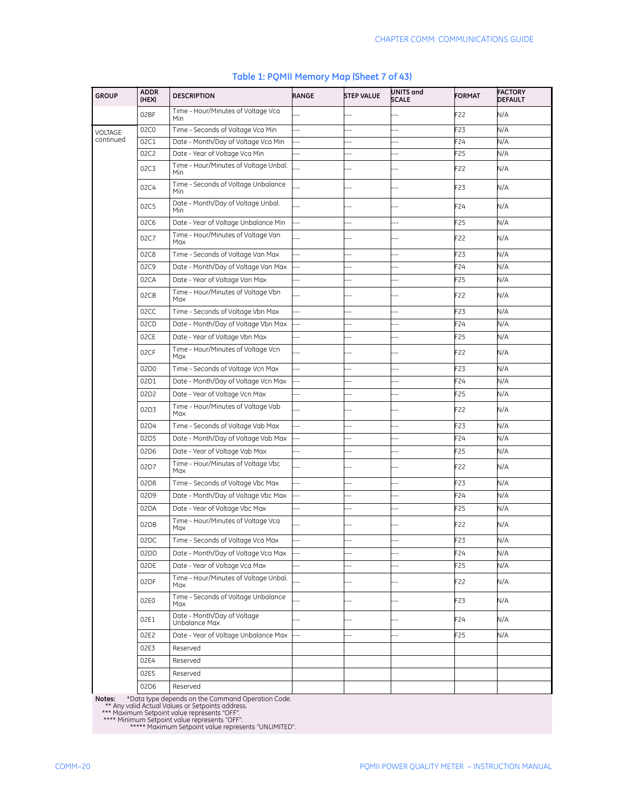| <b>GROUP</b> | <b>ADDR</b><br>(HEX) | <b>DESCRIPTION</b>                           | <b>RANGE</b>   | <b>STEP VALUE</b>        | UNITS and<br><b>SCALE</b> | <b>FORMAT</b> | <b>FACTORY</b><br><b>DEFAULT</b> |
|--------------|----------------------|----------------------------------------------|----------------|--------------------------|---------------------------|---------------|----------------------------------|
|              | 02BF                 | Time - Hour/Minutes of Voltage Vca<br>Min    |                |                          |                           | F22           | N/A                              |
| VOLTAGE      | 02C0                 | Time - Seconds of Voltage Vca Min            | ÷.             |                          |                           | F23           | N/A                              |
| continued    | 02C1                 | Date - Month/Day of Voltage Vca Min          |                | ۵.                       |                           | F24           | N/A                              |
|              | 02C2                 | Date - Year of Voltage Vca Min               |                | Ξ.                       | $-$                       | -25           | N/A                              |
|              | 02C3                 | Time - Hour/Minutes of Voltage Unbal.<br>Min |                |                          |                           | F22           | N/A                              |
|              | 02C4                 | Time - Seconds of Voltage Unbalance<br>Min   |                |                          |                           | F23           | N/A                              |
|              | 02C5                 | Date - Month/Day of Voltage Unbal.<br>Min    |                |                          |                           | F24           | N/A                              |
|              | 02C6                 | Date - Year of Voltage Unbalance Min         | 44             | --                       | $\overline{a}$            | F25           | N/A                              |
|              | 02C7                 | Time - Hour/Minutes of Voltage Van<br>Max    |                |                          |                           | F22           | N/A                              |
|              | 02C8                 | Time - Seconds of Voltage Van Max            | 44             |                          |                           | F23           | N/A                              |
|              | 02C9                 | Date - Month/Day of Voltage Van Max          | $\overline{a}$ | --                       | ۵.                        | F24           | N/A                              |
|              | 02CA                 | Date - Year of Voltage Van Max               |                |                          | ٠.                        | F25           | N/A                              |
|              | 02CB                 | Time - Hour/Minutes of Voltage Vbn<br>Max    |                |                          |                           | F22           | N/A                              |
|              | 02CC                 | Time - Seconds of Voltage Vbn Max            | ä,             | 4                        | 4                         | -23           | N/A                              |
|              | 02CD                 | Date - Month/Day of Voltage Vbn Max          |                | ۵.                       |                           | F24           | N/A                              |
|              | 02CE                 | Date - Year of Voltage Vbn Max               | $\overline{a}$ | --                       |                           | -25           | N/A                              |
|              | 02CF                 | Time - Hour/Minutes of Voltage Vcn<br>Max    |                |                          |                           | F22           | N/A                              |
|              | 02D0                 | Time - Seconds of Voltage Vcn Max            |                | ٠.                       |                           | F23           | N/A                              |
|              | 02D1                 | Date - Month/Day of Voltage Vcn Max          | $\overline{a}$ | $\overline{\phantom{a}}$ |                           | $-24$         | N/A                              |
|              | 02D2                 | Date - Year of Voltage Vcn Max               | --             | Ξ.                       | $\overline{a}$            | F25           | N/A                              |
|              | 02D3                 | Time - Hour/Minutes of Voltage Vab<br>Max    |                |                          |                           | F22           | N/A                              |
|              | 02D4                 | Time - Seconds of Voltage Vab Max            | $\overline{a}$ | ä,                       |                           | F23           | N/A                              |
|              | 02D5                 | Date - Month/Day of Voltage Vab Max          | $\overline{a}$ | Ξ.                       | ۵.                        | F24           | N/A                              |
|              | 02D6                 | Date - Year of Voltage Vab Max               |                | ۵.                       | ٠.                        | F25           | N/A                              |
|              | 02D7                 | Time - Hour/Minutes of Voltage Vbc<br>Max    |                |                          |                           | F22           | N/A                              |
|              | 02D8                 | Time - Seconds of Voltage Vbc Max            | ä,             | 4                        | 4                         | -23           | N/A                              |
|              | 02D9                 | Date - Month/Day of Voltage Vbc Max          |                | $-$                      |                           | F24           | N/A                              |
|              | 02DA                 | Date - Year of Voltage Vbc Max               |                | --                       |                           | -25           | N/A                              |
|              | 02DB                 | Time - Hour/Minutes of Voltage Vca<br>Max    |                |                          |                           | F22           | N/A                              |
|              | 02DC                 | Time - Seconds of Voltage Vca Max            |                |                          |                           | F23           | N/A                              |
|              | 02DD                 | Date - Month/Day of Voltage Vca Max          |                | --                       |                           | $-24$         | N/A                              |
|              | 02DE                 | Date - Year of Voltage Vca Max               | ÷              | Ξ.                       | $\overline{a}$            | F25           | N/A                              |
|              |                      | Time - Hour/Minutes of Voltage Unbal.        |                |                          |                           |               |                                  |
|              | 02DF                 | Max<br>Time - Seconds of Voltage Unbalance   |                | Ξ.                       |                           | F22           | N/A                              |
|              | 02E0                 | Max                                          |                | $\overline{\phantom{a}}$ |                           | F23           | N/A                              |
|              | 02E1                 | Date - Month/Day of Voltage<br>Unbalance Max |                | $-$                      |                           | F24           | N/A                              |
|              | 02E2                 | Date - Year of Voltage Unbalance Max         |                | ш,                       |                           | F25           | N/A                              |
|              | 02E3                 | Reserved                                     |                |                          |                           |               |                                  |
|              | 02E4                 | Reserved                                     |                |                          |                           |               |                                  |
|              | 02E5                 | Reserved                                     |                |                          |                           |               |                                  |
|              | 02D6                 | Reserved                                     |                |                          |                           |               |                                  |

## **Table 1: PQMII Memory Map (Sheet 7 of 43)**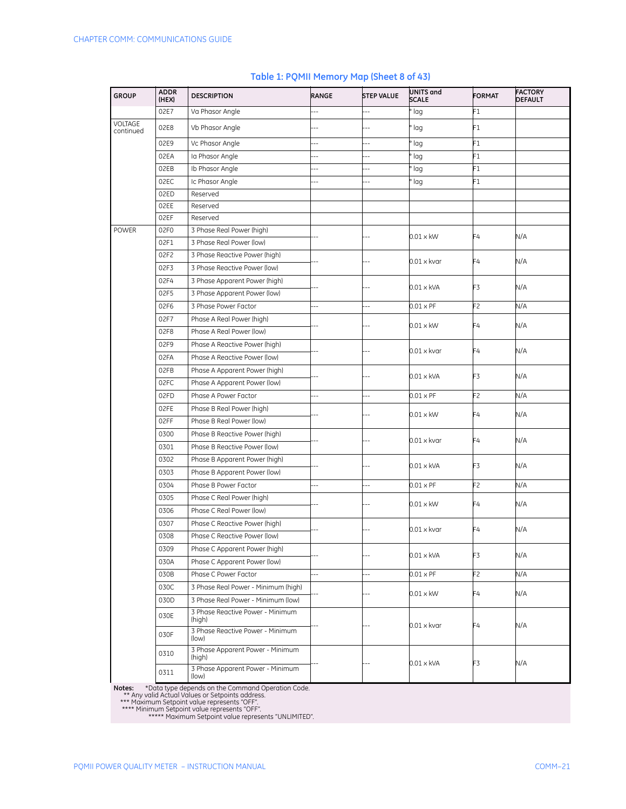| <b>GROUP</b>         | <b>ADDR</b><br>(HEX) | <b>DESCRIPTION</b>                         | RANGE                    | <b>STEP VALUE</b>        | UNITS and<br><b>SCALE</b> | <b>FORMAT</b>  | <b>FACTORY</b><br><b>DEFAULT</b> |
|----------------------|----------------------|--------------------------------------------|--------------------------|--------------------------|---------------------------|----------------|----------------------------------|
|                      | 02E7                 | Va Phasor Angle                            | Ц,                       | ÷.                       | lag                       | F1             |                                  |
| VOLTAGE<br>continued | 02E8                 | Vb Phasor Angle                            |                          | Ц,                       | lag                       | F1             |                                  |
|                      | 02E9                 | Vc Phasor Angle                            |                          | Ξ.                       | ' lag                     | F1             |                                  |
|                      | 02EA                 | Ia Phasor Angle                            | $\overline{\phantom{a}}$ | $\overline{\phantom{a}}$ | lag                       | F1             |                                  |
|                      | 02EB                 | Ib Phasor Angle                            | --                       | Ц,                       | lag                       | F1             |                                  |
|                      | 02EC                 | Ic Phasor Angle                            | --                       | Ц,                       | lag                       | F1             |                                  |
|                      | 02ED                 | Reserved                                   |                          |                          |                           |                |                                  |
|                      | 02EE                 | Reserved                                   |                          |                          |                           |                |                                  |
|                      | 02EF                 | Reserved                                   |                          |                          |                           |                |                                  |
| POWER                | 02F0                 | 3 Phase Real Power (high)                  |                          |                          | $0.01 \times$ kW          | F4             | N/A                              |
|                      | 02F1                 | 3 Phase Real Power (low)                   |                          |                          |                           |                |                                  |
|                      | 02F2                 | 3 Phase Reactive Power (high)              |                          |                          | $0.01 \times k$ var       | F4             | N/A                              |
|                      | 02F3                 | 3 Phase Reactive Power (low)               |                          |                          |                           |                |                                  |
|                      | 02F4                 | 3 Phase Apparent Power (high)              |                          |                          | $0.01 \times kVA$         | F3             | N/A                              |
|                      | 02F5                 | 3 Phase Apparent Power (low)               |                          |                          |                           |                |                                  |
|                      | 02F6                 | 3 Phase Power Factor                       | --                       | Ξ.                       | $0.01 \times PF$          | F2             | N/A                              |
|                      | 02F7                 | Phase A Real Power (high)                  |                          |                          | $0.01 \times$ kW          | F4             | N/A                              |
|                      | 02F8                 | Phase A Real Power (low)                   |                          |                          |                           |                |                                  |
|                      | 02F9                 | Phase A Reactive Power (high)              |                          |                          |                           | F4             |                                  |
|                      | 02FA                 | Phase A Reactive Power (low)               |                          |                          | $0.01 \times k$ var       |                | N/A                              |
|                      | 02FB                 | Phase A Apparent Power (high)              |                          |                          |                           |                |                                  |
|                      | 02FC                 | Phase A Apparent Power (low)               |                          |                          | $0.01 \times$ kVA         | F3             | N/A                              |
|                      | 02FD                 | Phase A Power Factor                       | $\overline{a}$           | 4                        | $0.01 \times PF$          | F <sub>2</sub> | N/A                              |
|                      | 02FE                 | Phase B Real Power (high)                  |                          |                          |                           |                |                                  |
|                      | 02FF                 | Phase B Real Power (low)                   |                          |                          | $0.01 \times$ kW          | F4             | N/A                              |
|                      | 0300                 | Phase B Reactive Power (high)              |                          |                          | $0.01 \times k$ var       |                |                                  |
|                      | 0301                 | Phase B Reactive Power (low)               |                          |                          |                           | F4             | N/A                              |
|                      | 0302                 | Phase B Apparent Power (high)              |                          |                          |                           |                |                                  |
|                      | 0303                 | Phase B Apparent Power (low)               |                          |                          | 0.01 x kVA                | F3             | N/A                              |
|                      | 0304                 | Phase B Power Factor                       | Ξ.                       | $\overline{a}$           | $0.01 \times PF$          | F2             | N/A                              |
|                      | 0305                 | Phase C Real Power (high)                  |                          |                          |                           |                |                                  |
|                      | 0306                 | Phase C Real Power (low)                   |                          |                          | $0.01 \times$ kW          | F4             | N/A                              |
|                      | 0307                 | Phase C Reactive Power (high)              |                          |                          |                           |                |                                  |
|                      | 0308                 | Phase C Reactive Power (low)               |                          |                          | $0.01 \times$ kvar        | F4             | N/A                              |
|                      | 0309                 | Phase C Apparent Power (high)              |                          |                          |                           |                |                                  |
|                      | 030A                 | Phase C Apparent Power (low)               |                          | --                       | 0.01 x kVA                | F3             | N/A                              |
|                      | 030B                 | Phase C Power Factor                       | Ξ.                       | Ξ.                       | $0.01 \times PF$          | F <sub>2</sub> | N/A                              |
|                      | 030C                 | 3 Phase Real Power - Minimum (high)        |                          |                          |                           |                |                                  |
|                      | 030D                 | 3 Phase Real Power - Minimum (low)         |                          |                          | $0.01 \times$ kW          | F4             | N/A                              |
|                      | 030E                 | 3 Phase Reactive Power - Minimum<br>(high) |                          |                          |                           |                |                                  |
|                      | 030F                 | 3 Phase Reactive Power - Minimum<br>(low)  |                          | Ξ.                       | 0.01 x kvar               | F4             | N/A                              |
|                      | 0310                 | 3 Phase Apparent Power - Minimum<br>(high) |                          |                          | 0.01 x kVA                | F3             | N/A                              |
|                      | 0311                 | 3 Phase Apparent Power - Minimum<br>(low)  |                          |                          |                           |                |                                  |

## **Table 1: PQMII Memory Map (Sheet 8 of 43)**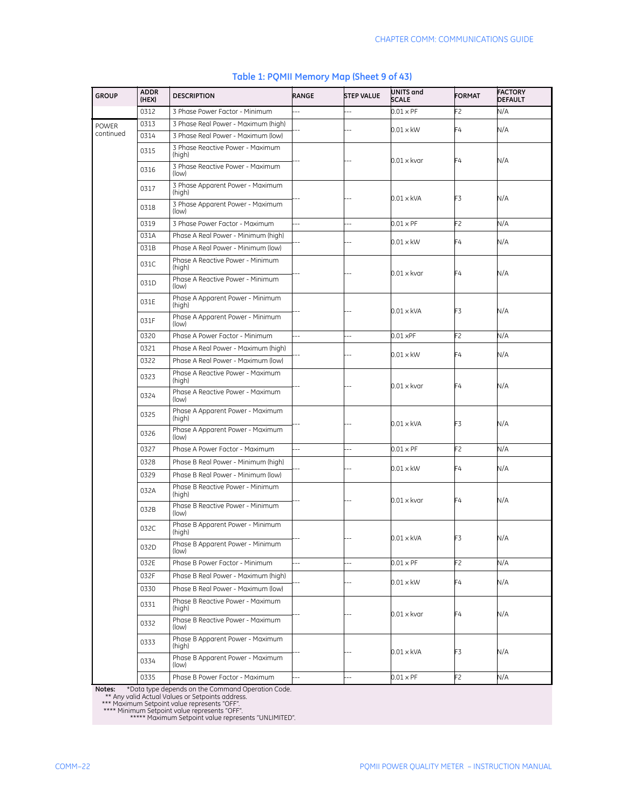| <b>GROUP</b> | <b>ADDR</b><br>(HEX) | <b>DESCRIPTION</b>                         | RANGE          | <b>STEP VALUE</b> | UNITS and<br><b>SCALE</b> | <b>FORMAT</b>  | <b>FACTORY</b><br><b>DEFAULT</b> |
|--------------|----------------------|--------------------------------------------|----------------|-------------------|---------------------------|----------------|----------------------------------|
|              | 0312                 | 3 Phase Power Factor - Minimum             | $\overline{a}$ | L.                | $0.01 \times PF$          | F2             | N/A                              |
| <b>POWER</b> | 0313                 | 3 Phase Real Power - Maximum (high)        |                |                   | $0.01 \times$ kW          | F4             | N/A                              |
| continued    | 0314                 | 3 Phase Real Power - Maximum (low)         |                |                   |                           |                |                                  |
|              | 0315                 | 3 Phase Reactive Power - Maximum<br>(high) |                |                   | $0.01 \times k$ var       | F4             | N/A                              |
|              | 0316                 | 3 Phase Reactive Power - Maximum<br>(low)  |                |                   |                           |                |                                  |
|              | 0317                 | 3 Phase Apparent Power - Maximum<br>(high) |                |                   | $0.01 \times$ kVA         | F3             | N/A                              |
|              | 0318                 | 3 Phase Apparent Power - Maximum<br>(low)  |                |                   |                           |                |                                  |
|              | 0319                 | 3 Phase Power Factor - Maximum             |                |                   | $0.01 \times PF$          | F2             | N/A                              |
|              | 031A                 | Phase A Real Power - Minimum (high)        |                |                   | $0.01 \times$ kW          | F4             | N/A                              |
|              | 031B                 | Phase A Real Power - Minimum (low)         |                |                   |                           |                |                                  |
|              | 031C                 | Phase A Reactive Power - Minimum<br>(high) |                |                   | $0.01 \times$ kvar        | F4             | N/A                              |
|              | 031D                 | Phase A Reactive Power - Minimum<br>(low)  |                |                   |                           |                |                                  |
|              | 031E                 | Phase A Apparent Power - Minimum<br>(high) |                |                   | 0.01 x kVA                | F3             | N/A                              |
|              | 031F                 | Phase A Apparent Power - Minimum<br>(low)  |                |                   |                           |                |                                  |
|              | 0320                 | Phase A Power Factor - Minimum             | $\overline{a}$ |                   | $0.01 \times PF$          | F2             | N/A                              |
|              | 0321                 | Phase A Real Power - Maximum (high)        |                |                   | $0.01 \times$ kW          | F4             | N/A                              |
|              | 0322                 | Phase A Real Power - Maximum (low)         |                |                   |                           |                |                                  |
|              | 0323                 | Phase A Reactive Power - Maximum<br>(high) |                |                   | $0.01 \times k$ var       | F4             | N/A                              |
|              | 0324                 | Phase A Reactive Power - Maximum<br>(low)  |                |                   |                           |                |                                  |
|              | 0325                 | Phase A Apparent Power - Maximum<br>(high) |                |                   | 0.01 x kVA                | F3             | N/A                              |
|              | 0326                 | Phase A Apparent Power - Maximum<br>(low)  |                |                   |                           |                |                                  |
|              | 0327                 | Phase A Power Factor - Maximum             | $\overline{a}$ |                   | $0.01 \times PF$          | F <sub>2</sub> | N/A                              |
|              | 0328                 | Phase B Real Power - Minimum (high)        |                |                   | $0.01 \times$ kW          | F4             | N/A                              |
|              | 0329                 | Phase B Real Power - Minimum (low)         |                |                   |                           |                |                                  |
|              | 032A                 | Phase B Reactive Power - Minimum<br>(high) |                |                   | $0.01 \times$ kvar        | F4             | N/A                              |
|              | 032B                 | Phase B Reactive Power - Minimum<br>(low)  |                |                   |                           |                |                                  |
|              | 032C                 | Phase B Apparent Power - Minimum<br>(high) |                |                   | $0.01 \times$ kVA         | F3             | N/A                              |
|              | 032D                 | Phase B Apparent Power - Minimum<br>(low)  |                |                   |                           |                |                                  |
|              | 032E                 | Phase B Power Factor - Minimum             | ÷.             | Ξ.                | $0.01 \times PF$          | F2             | N/A                              |
|              | 032F                 | Phase B Real Power - Maximum (high)        |                |                   | $0.01 \times$ kW          | F4             | N/A                              |
|              | 0330                 | Phase B Real Power - Maximum (low)         |                |                   |                           |                |                                  |
|              | 0331                 | Phase B Reactive Power - Maximum<br>(high) |                |                   | 0.01 x kvar               | F4             | N/A                              |
|              | 0332                 | Phase B Reactive Power - Maximum<br>(low)  |                |                   |                           |                |                                  |
|              | 0333                 | Phase B Apparent Power - Maximum<br>(high) |                |                   | 0.01 x kVA                | F3             | N/A                              |
|              | 0334                 | Phase B Apparent Power - Maximum<br>(low)  |                |                   |                           |                |                                  |
|              | 0335                 | Phase B Power Factor - Maximum             |                |                   | $0.01 \times PF$          | F2             | N/A                              |

## **Table 1: PQMII Memory Map (Sheet 9 of 43)**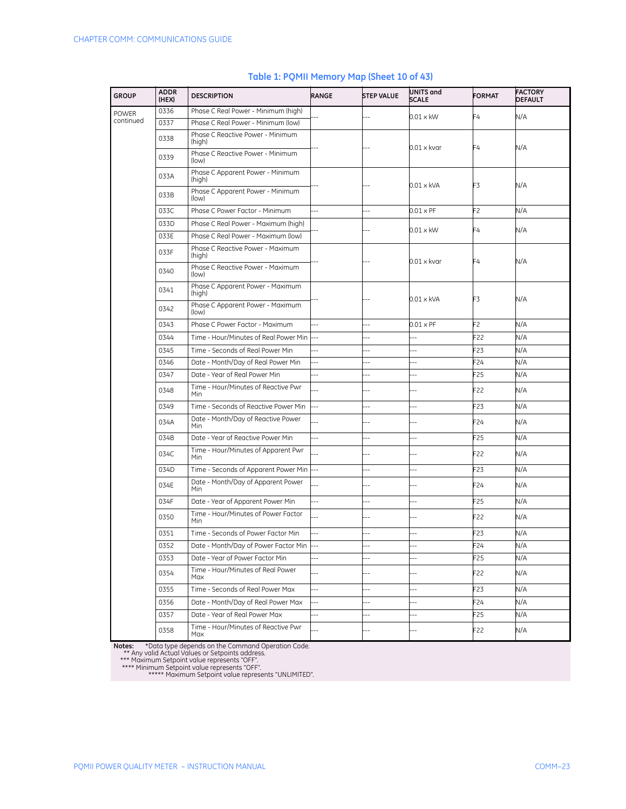| <b>GROUP</b> | <b>ADDR</b><br>(HEX) | <b>DESCRIPTION</b>                                | RANGE          | <b>STEP VALUE</b> | UNITS and<br><b>SCALE</b> | <b>FORMAT</b>   | <b>FACTORY</b><br><b>DEFAULT</b> |
|--------------|----------------------|---------------------------------------------------|----------------|-------------------|---------------------------|-----------------|----------------------------------|
| <b>POWER</b> | 0336                 | Phase C Real Power - Minimum (high)               |                |                   | $0.01 \times$ kW          | F4              | N/A                              |
| continued    | 0337                 | Phase C Real Power - Minimum (low)                |                |                   |                           |                 |                                  |
|              | 0338                 | Phase C Reactive Power - Minimum<br>(high)        |                |                   | $0.01 \times k$ var       | F4              | N/A                              |
|              | 0339                 | Phase C Reactive Power - Minimum<br>(low)         |                |                   |                           |                 |                                  |
|              | 033A                 | Phase C Apparent Power - Minimum<br>(high)        |                |                   | $0.01 \times$ kVA         | F3              | N/A                              |
|              | 033B                 | Phase C Apparent Power - Minimum<br>(low)         |                |                   |                           |                 |                                  |
|              | 033C                 | Phase C Power Factor - Minimum                    | $\overline{a}$ | ä.                | $0.01 \times PF$          | F2              | N/A                              |
|              | 033D                 | Phase C Real Power - Maximum (high)               |                |                   | $0.01 \times$ kW          | F4              | N/A                              |
|              | 033E                 | Phase C Real Power - Maximum (low)                |                |                   |                           |                 |                                  |
|              | 033F                 | Phase C Reactive Power - Maximum<br>(high)        |                |                   | $0.01 \times k$ var       | F4              | N/A                              |
|              | 0340                 | Phase C Reactive Power - Maximum<br>(low)         |                |                   |                           |                 |                                  |
|              | 0341                 | Phase C Apparent Power - Maximum<br>(high)        |                |                   | $0.01 \times$ kVA         | F3              | N/A                              |
|              | 0342                 | Phase C Apparent Power - Maximum<br>(low)         |                |                   |                           |                 |                                  |
|              | 0343                 | Phase C Power Factor - Maximum                    | $\ddotsc$      | Ξ.                | $0.01 \times PF$          | F2              | N/A                              |
|              | 0344                 | Time - Hour/Minutes of Real Power Min             | $\ddotsc$      | Ξ.                | $\overline{a}$            | F22             | N/A                              |
|              | 0345                 | Time - Seconds of Real Power Min                  |                |                   |                           | F23             | N/A                              |
|              | 0346                 | Date - Month/Day of Real Power Min                | $\overline{a}$ | ٠.                |                           | F <sub>24</sub> | N/A                              |
|              | 0347                 | Date - Year of Real Power Min                     |                |                   |                           | F25             | N/A                              |
|              | 0348                 | Time - Hour/Minutes of Reactive Pwr<br>Min        |                |                   |                           | F22             | N/A                              |
|              | 0349                 | Time - Seconds of Reactive Power Min              | $\ddotsc$      | $\overline{a}$    | --                        | F23             | N/A                              |
|              | 034A                 | Date - Month/Day of Reactive Power<br><b>Min</b>  |                |                   |                           | F24             | N/A                              |
|              | 034B                 | Date - Year of Reactive Power Min                 | 44             | $\overline{a}$    | $-$                       | F25             | N/A                              |
|              | 034C                 | Time - Hour/Minutes of Apparent Pwr<br><b>Min</b> |                | --                | $\sim$                    | F22             | N/A                              |
|              | 034D                 | Time - Seconds of Apparent Power Min              |                | --                | $\overline{a}$            | F23             | N/A                              |
|              | 034E                 | Date - Month/Day of Apparent Power<br><b>Min</b>  |                |                   |                           | F24             | N/A                              |
|              | 034F                 | Date - Year of Apparent Power Min                 | Ξ.             | $\overline{a}$    | --                        | F25             | N/A                              |
|              | 0350                 | Time - Hour/Minutes of Power Factor<br>Min        | 4              | $-$               | $-$                       | F22             | N/A                              |
|              | 0351                 | Time - Seconds of Power Factor Min                | 44             |                   |                           | F <sub>23</sub> | N/A                              |
|              | 0352                 | Date - Month/Day of Power Factor Min ---          |                |                   |                           | F24             | N/A                              |
|              | 0353                 | Date - Year of Power Factor Min                   |                | $\overline{a}$    |                           | F25             | N/A                              |
|              | 0354                 | Time - Hour/Minutes of Real Power<br>Max          |                | $-$               | $-$                       | F22             | N/A                              |
|              | 0355                 | Time - Seconds of Real Power Max                  | Ц,             |                   | $-$                       | F <sub>23</sub> | N/A                              |
|              | 0356                 | Date - Month/Day of Real Power Max                |                | --                | --                        | F24             | N/A                              |
|              | 0357                 | Date - Year of Real Power Max                     | Ξ.             | $\overline{a}$    | --                        | F25             | N/A                              |
|              | 0358                 | Time - Hour/Minutes of Reactive Pwr<br>Max        |                |                   |                           | F22             | N/A                              |

## **Table 1: PQMII Memory Map (Sheet 10 of 43)**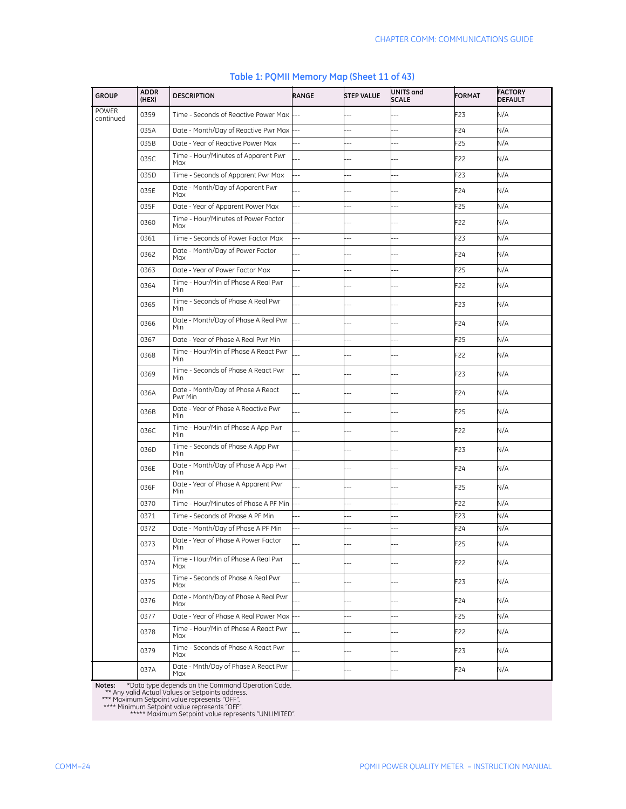| <b>GROUP</b>              | <b>ADDR</b><br>(HEX) | <b>DESCRIPTION</b>                                | RANGE                    | <b>STEP VALUE</b>        | UNITS and<br><b>SCALE</b> | <b>FORMAT</b>   | <b>FACTORY</b><br><b>DEFAULT</b> |
|---------------------------|----------------------|---------------------------------------------------|--------------------------|--------------------------|---------------------------|-----------------|----------------------------------|
| <b>POWER</b><br>continued | 0359                 | Time - Seconds of Reactive Power Max              |                          |                          |                           | F <sub>23</sub> | N/A                              |
|                           | 035A                 | Date - Month/Day of Reactive Pwr Max              |                          |                          |                           | F24             | N/A                              |
|                           | 035B                 | Date - Year of Reactive Power Max                 |                          |                          | ц,                        | F25             | N/A                              |
|                           | 035C                 | Time - Hour/Minutes of Apparent Pwr<br>Max        |                          |                          |                           | F22             | N/A                              |
|                           | 035D                 | Time - Seconds of Apparent Pwr Max                | $\overline{a}$           | Ξ.                       | --                        | F23             | N/A                              |
|                           | 035E                 | Date - Month/Day of Apparent Pwr<br>Max           |                          |                          |                           | F24             | N/A                              |
|                           | 035F                 | Date - Year of Apparent Power Max                 | $\overline{\phantom{a}}$ | --                       | --                        | F25             | N/A                              |
|                           | 0360                 | Time - Hour/Minutes of Power Factor<br>Max        |                          |                          |                           | F22             | N/A                              |
|                           | 0361                 | Time - Seconds of Power Factor Max                | $-$                      | --                       | Ц,                        | F23             | N/A                              |
|                           | 0362                 | Date - Month/Day of Power Factor<br>Max           |                          |                          |                           | F24             | N/A                              |
|                           | 0363                 | Date - Year of Power Factor Max                   | $\overline{a}$           | $\overline{a}$           | --                        | F25             | N/A                              |
|                           | 0364                 | Time - Hour/Min of Phase A Real Pwr<br>Min        |                          |                          | ٠.                        | F22             | N/A                              |
|                           | 0365                 | Time - Seconds of Phase A Real Pwr<br>Min         |                          |                          |                           | F <sub>23</sub> | N/A                              |
|                           | 0366                 | Date - Month/Day of Phase A Real Pwr<br>Min       |                          |                          |                           | F24             | N/A                              |
|                           | 0367                 | Date - Year of Phase A Real Pwr Min               |                          |                          | $-$                       | F25             | N/A                              |
|                           | 0368                 | Time - Hour/Min of Phase A React Pwr<br>Min       |                          |                          |                           | F22             | N/A                              |
|                           | 0369                 | Time - Seconds of Phase A React Pwr<br>Min        |                          | $-$                      | ٠.                        | F <sub>23</sub> | N/A                              |
|                           | 036A                 | Date - Month/Day of Phase A React<br>Pwr Min      |                          |                          | --                        | F24             | N/A                              |
|                           | 036B                 | Date - Year of Phase A Reactive Pwr<br><b>Min</b> |                          |                          |                           | F <sub>25</sub> | N/A                              |
|                           | 036C                 | Time - Hour/Min of Phase A App Pwr<br>Min         |                          |                          |                           | F22             | N/A                              |
|                           | 036D                 | Time - Seconds of Phase A App Pwr<br>Min          |                          |                          |                           | F23             | N/A                              |
|                           | 036E                 | Date - Month/Day of Phase A App Pwr<br>Min        |                          |                          |                           | F24             | N/A                              |
|                           | 036F                 | Date - Year of Phase A Apparent Pwr<br>Min        |                          | ٠.                       | $-$                       | F <sub>25</sub> | N/A                              |
|                           | 0370                 | Time - Hour/Minutes of Phase A PF Min             | $\ddotsc$                | $-$                      | $-$                       | F22             | N/A                              |
|                           | 0371                 | Time - Seconds of Phase A PF Min                  | $\overline{a}$           | $\overline{\phantom{a}}$ | --                        | F23             | N/A                              |
|                           | 0372                 | Date - Month/Day of Phase A PF Min                | $\ddotsc$                | $\overline{\phantom{a}}$ | ä,                        | F24             | N/A                              |
|                           | 0373                 | Date - Year of Phase A Power Factor<br>Min        |                          |                          |                           | F25             | N/A                              |
|                           | 0374                 | Time - Hour/Min of Phase A Real Pwr<br>Max        |                          | $-$                      | Ц,                        | F22             | N/A                              |
|                           | 0375                 | Time - Seconds of Phase A Real Pwr<br>Max         |                          | $\overline{a}$           | $-$                       | F23             | N/A                              |
|                           | 0376                 | Date - Month/Day of Phase A Real Pwr<br>Max       |                          |                          |                           | F24             | N/A                              |
|                           | 0377                 | Date - Year of Phase A Real Power Max             |                          | L.                       | 44                        | F <sub>25</sub> | N/A                              |
|                           | 0378                 | Time - Hour/Min of Phase A React Pwr<br>Max       |                          | $-1$                     | $-$                       | F22             | N/A                              |
|                           | 0379                 | Time - Seconds of Phase A React Pwr<br>Max        |                          | --                       | $-$                       | F23             | N/A                              |
|                           | 037A                 | Date - Mnth/Day of Phase A React Pwr<br>Max       |                          | $-$                      | $-$                       | F24             | N/A                              |

## **Table 1: PQMII Memory Map (Sheet 11 of 43)**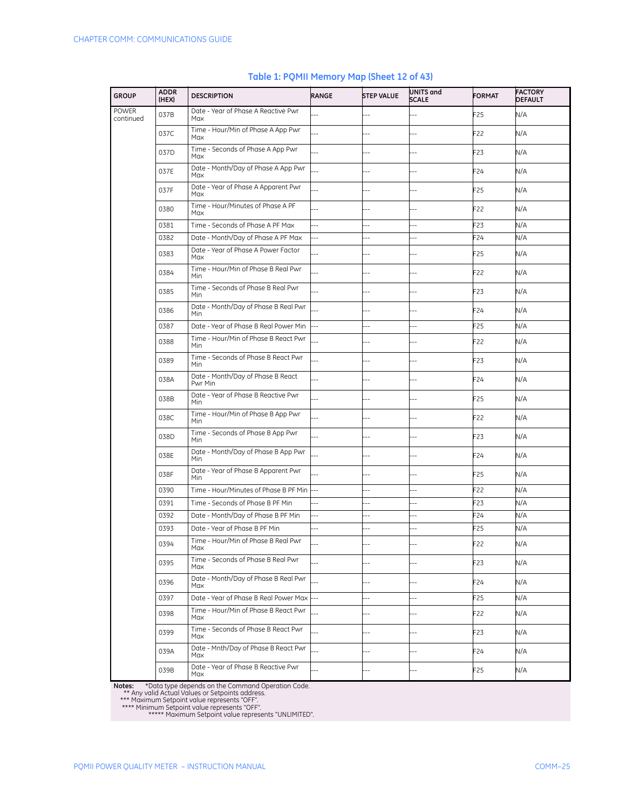| <b>GROUP</b>              | <b>ADDR</b><br>(HEX) | <b>DESCRIPTION</b>                                 | RANGE                    | <b>STEP VALUE</b> | UNITS and<br>SCALE | <b>FORMAT</b>   | <b>FACTORY</b><br><b>DEFAULT</b> |
|---------------------------|----------------------|----------------------------------------------------|--------------------------|-------------------|--------------------|-----------------|----------------------------------|
| <b>POWER</b><br>continued | 037B                 | Date - Year of Phase A Reactive Pwr<br>Max         |                          | Ξ.                |                    | F25             | N/A                              |
|                           | 037C                 | Time - Hour/Min of Phase A App Pwr<br>Max          | ä.                       |                   |                    | F22             | N/A                              |
|                           | 037D                 | Time - Seconds of Phase A App Pwr<br>Max           |                          |                   |                    | F23             | N/A                              |
|                           | 037E                 | Date - Month/Day of Phase A App Pwr<br>Max         |                          |                   |                    | F24             | N/A                              |
|                           | 037F                 | Date - Year of Phase A Apparent Pwr<br>Max         |                          |                   |                    | F25             | N/A                              |
|                           | 0380                 | Time - Hour/Minutes of Phase A PF<br>Max           |                          |                   |                    | F22             | N/A                              |
|                           | 0381                 | Time - Seconds of Phase A PF Max                   | Ц,                       | $-$               | Ξ.                 | F <sub>23</sub> | N/A                              |
|                           | 0382                 | Date - Month/Day of Phase A PF Max                 | $\overline{a}$           |                   |                    | F24             | N/A                              |
|                           | 0383                 | Date - Year of Phase A Power Factor<br>Max         |                          | ٠.                |                    | F <sub>25</sub> | N/A                              |
|                           | 0384                 | Time - Hour/Min of Phase B Real Pwr<br>Min         |                          |                   |                    | F22             | N/A                              |
|                           | 0385                 | Time - Seconds of Phase B Real Pwr<br>Min          |                          |                   |                    | F23             | N/A                              |
|                           | 0386                 | Date - Month/Day of Phase B Real Pwr<br>Min        |                          | Ξ.                | $-$                | F24             | N/A                              |
|                           | 0387                 | Date - Year of Phase B Real Power Min              |                          | Ξ.                | Ξ.                 | F <sub>25</sub> | N/A                              |
|                           | 0388                 | Time - Hour/Min of Phase B React Pwr<br><b>Min</b> |                          |                   |                    | F22             | N/A                              |
|                           | 0389                 | Time - Seconds of Phase B React Pwr<br><b>Min</b>  |                          |                   |                    | F23             | N/A                              |
|                           | 038A                 | Date - Month/Day of Phase B React<br>Pwr Min       |                          | --                |                    | F24             | N/A                              |
|                           | 038B                 | Date - Year of Phase B Reactive Pwr<br><b>Min</b>  |                          |                   |                    | F25             | N/A                              |
|                           | 038C                 | Time - Hour/Min of Phase B App Pwr<br>Min          |                          |                   |                    | F22             | N/A                              |
|                           | 038D                 | Time - Seconds of Phase B App Pwr<br>Min           |                          | ۵.                | $-$                | F <sub>23</sub> | N/A                              |
|                           | 038E                 | Date - Month/Day of Phase B App Pwr<br>Min         |                          |                   |                    | F24             | N/A                              |
|                           | 038F                 | Date - Year of Phase B Apparent Pwr<br>Min         |                          |                   |                    | F25             | N/A                              |
|                           | 0390                 | Time - Hour/Minutes of Phase B PF Min              |                          | ۵.                | ц,                 | F22             | N/A                              |
|                           | 0391                 | Time - Seconds of Phase B PF Min                   | $\overline{\phantom{a}}$ | --                | $\overline{a}$     | F23             | N/A                              |
|                           | 0392                 | Date - Month/Day of Phase B PF Min                 | ш,                       | 4                 | Ξ.                 | F24             | N/A                              |
|                           | 0393                 | Date - Year of Phase B PF Min                      | Ξ.                       | Ξ.                | --                 | F25             | N/A                              |
|                           | 0394                 | Time - Hour/Min of Phase B Real Pwr<br>Max         |                          |                   |                    | F22             | N/A                              |
|                           | 0395                 | Time - Seconds of Phase B Real Pwr<br>Max          |                          |                   |                    | F <sub>23</sub> | N/A                              |
|                           | 0396                 | Date - Month/Day of Phase B Real Pwr<br>Max        |                          | 4                 | $\overline{a}$     | F24             | N/A                              |
|                           | 0397                 | Date - Year of Phase B Real Power Max              |                          | ц,                |                    | F <sub>25</sub> | N/A                              |
|                           | 0398                 | Time - Hour/Min of Phase B React Pwr<br>Max        |                          |                   | --                 | F22             | N/A                              |
|                           | 0399                 | Time - Seconds of Phase B React Pwr<br>Max         |                          | 4                 | $-$                | F23             | N/A                              |
|                           | 039A                 | Date - Mnth/Day of Phase B React Pwr<br>Max        |                          |                   |                    | F24             | N/A                              |
|                           | 039B                 | Date - Year of Phase B Reactive Pwr<br>Max         |                          |                   |                    | F25             | N/A                              |

#### **Table 1: PQMII Memory Map (Sheet 12 of 43)**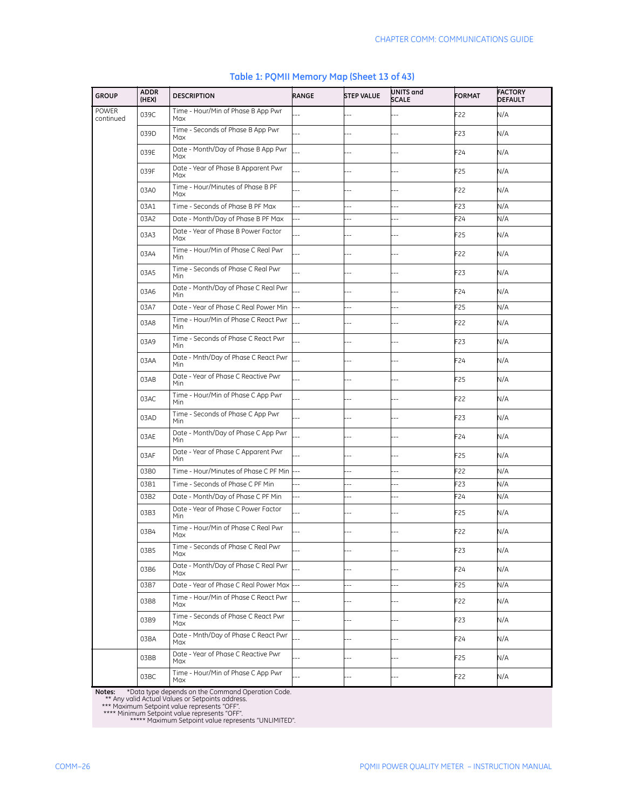| <b>GROUP</b>       | <b>ADDR</b><br>(HEX) | <b>DESCRIPTION</b>                                 | RANGE                    | <b>STEP VALUE</b> | UNITS and<br><b>SCALE</b> | <b>FORMAT</b>   | <b>FACTORY</b><br><b>DEFAULT</b> |
|--------------------|----------------------|----------------------------------------------------|--------------------------|-------------------|---------------------------|-----------------|----------------------------------|
| POWER<br>continued | 039C                 | Time - Hour/Min of Phase B App Pwr<br>Max          |                          | $\overline{a}$    |                           | F22             | N/A                              |
|                    | 039D                 | Time - Seconds of Phase B App Pwr<br>Max           | ä,                       |                   |                           | F <sub>23</sub> | N/A                              |
|                    | 039E                 | Date - Month/Day of Phase B App Pwr<br>Max         |                          |                   |                           | F24             | N/A                              |
|                    | 039F                 | Date - Year of Phase B Apparent Pwr<br>Max         |                          | $\overline{a}$    | $-1$                      | F <sub>25</sub> | N/A                              |
|                    | 03A0                 | Time - Hour/Minutes of Phase B PF<br>Max           |                          |                   |                           | F22             | N/A                              |
|                    | 03A1                 | Time - Seconds of Phase B PF Max                   | Ц,                       | ۵.                | Ξ.                        | F23             | N/A                              |
|                    | 03A2                 | Date - Month/Day of Phase B PF Max                 | 44                       | $\overline{a}$    | --                        | F24             | N/A                              |
|                    | 03A3                 | Date - Year of Phase B Power Factor<br>Max         | $\overline{a}$           |                   | $\overline{a}$            | F <sub>25</sub> | N/A                              |
|                    | 03A4                 | Time - Hour/Min of Phase C Real Pwr<br><b>Min</b>  |                          |                   |                           | F22             | N/A                              |
|                    | 03A5                 | Time - Seconds of Phase C Real Pwr<br><b>Min</b>   |                          |                   |                           | F23             | N/A                              |
|                    | 03A6                 | Date - Month/Day of Phase C Real Pwr<br><b>Min</b> |                          |                   |                           | F24             | N/A                              |
|                    | 03A7                 | Date - Year of Phase C Real Power Min              | --                       | $\overline{a}$    | $\overline{a}$            | F <sub>25</sub> | N/A                              |
|                    | 03A8                 | Time - Hour/Min of Phase C React Pwr<br><b>Min</b> |                          | --                | ۵.                        | F22             | N/A                              |
|                    | 03A9                 | Time - Seconds of Phase C React Pwr<br>Min         | Ξ.                       |                   | --                        | F <sub>23</sub> | N/A                              |
|                    | 03AA                 | Date - Mnth/Day of Phase C React Pwr<br><b>Min</b> |                          |                   |                           | F24             | N/A                              |
|                    | 03AB                 | Date - Year of Phase C Reactive Pwr<br><b>Min</b>  |                          | --                | $-$                       | F25             | N/A                              |
|                    | 03AC                 | Time - Hour/Min of Phase C App Pwr<br>Min          |                          |                   |                           | F22             | N/A                              |
|                    | 03AD                 | Time - Seconds of Phase C App Pwr<br>Min           |                          | $-$               | $-$                       | F <sub>23</sub> | N/A                              |
|                    | 03AE                 | Date - Month/Day of Phase C App Pwr<br><b>Min</b>  |                          |                   | $-$                       | F24             | N/A                              |
|                    | 03AF                 | Date - Year of Phase C Apparent Pwr<br>Min         |                          |                   | --                        | F <sub>25</sub> | N/A                              |
|                    | 03B0                 | Time - Hour/Minutes of Phase C PF Min              | $\ddotsc$                | Ξ.                |                           | F22             | N/A                              |
|                    | 03B1                 | Time - Seconds of Phase C PF Min                   |                          | Ξ.                | $\overline{a}$            | F23             | N/A                              |
|                    | 03B2                 | Date - Month/Day of Phase C PF Min                 | $\overline{\phantom{a}}$ | --                | --                        | F24             | N/A                              |
|                    | 03B3                 | Date - Year of Phase C Power Factor<br><b>Min</b>  |                          | --                | $-$                       | F <sub>25</sub> | N/A                              |
|                    | 03B4                 | Time - Hour/Min of Phase C Real Pwr<br>Max         |                          | --                |                           | F22             | N/A                              |
|                    | 03B5                 | Time - Seconds of Phase C Real Pwr<br>Max          |                          |                   |                           | F23             | N/A                              |
|                    | 03B6                 | Date - Month/Day of Phase C Real Pwr<br>Max        |                          |                   | $-$                       | F24             | N/A                              |
|                    | 03B7                 | Date - Year of Phase C Real Power Max              |                          | $\overline{a}$    | $\overline{a}$            | F25             | N/A                              |
|                    | 03B8                 | Time - Hour/Min of Phase C React Pwr<br>Max        |                          |                   |                           | F22             | N/A                              |
|                    | 03B9                 | Time - Seconds of Phase C React Pwr<br>Max         |                          |                   | --                        | F23             | N/A                              |
|                    | 03BA                 | Date - Mnth/Day of Phase C React Pwr<br>Max        |                          | $\overline{a}$    | $-1$                      | F24             | N/A                              |
|                    | 03BB                 | Date - Year of Phase C Reactive Pwr<br>Max         |                          |                   |                           | F25             | N/A                              |
|                    | 03BC                 | Time - Hour/Min of Phase C App Pwr<br>Max          |                          | --                |                           | F22             | N/A                              |

## **Table 1: PQMII Memory Map (Sheet 13 of 43)**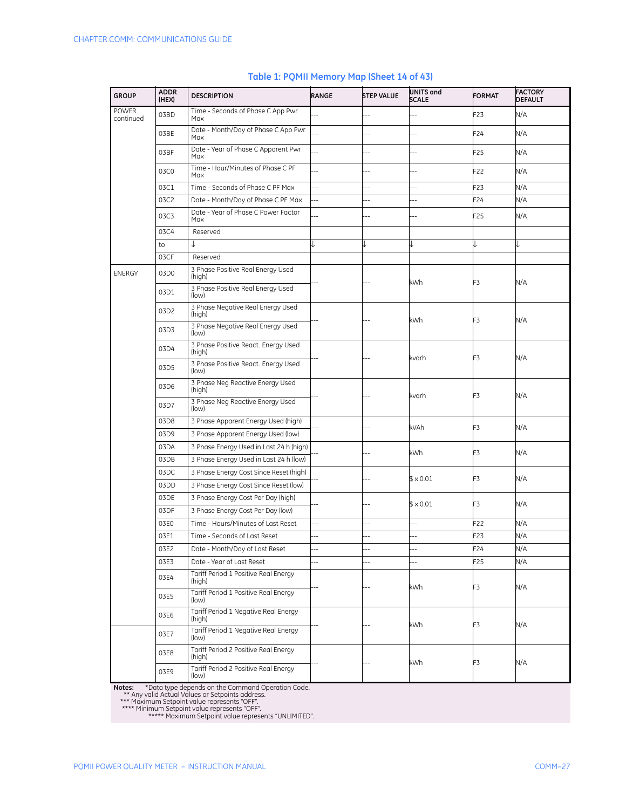| <b>GROUP</b>              | <b>ADDR</b><br>(HEX) | <b>DESCRIPTION</b>                             | RANGE                    | <b>STEP VALUE</b> | UNITS and<br><b>SCALE</b> | <b>FORMAT</b>   | <b>FACTORY</b><br><b>DEFAULT</b> |
|---------------------------|----------------------|------------------------------------------------|--------------------------|-------------------|---------------------------|-----------------|----------------------------------|
| <b>POWER</b><br>continued | 03BD                 | Time - Seconds of Phase C App Pwr<br>Max       |                          | Ξ.                |                           | F23             | N/A                              |
|                           | 03BE                 | Date - Month/Day of Phase C App Pwr<br>Max     |                          |                   |                           | F24             | N/A                              |
|                           | 03BF                 | Date - Year of Phase C Apparent Pwr<br>Max     |                          | ۵.                | $\overline{a}$            | F <sub>25</sub> | N/A                              |
|                           | 03C0                 | Time - Hour/Minutes of Phase C PF<br>Max       |                          | ۵.                | ٠.                        | F22             | N/A                              |
|                           | 03C1                 | Time - Seconds of Phase C PF Max               | --                       | $\overline{a}$    | $\overline{a}$            | F23             | N/A                              |
|                           | 03C2                 | Date - Month/Day of Phase C PF Max             | 44                       | ä,                | ä,                        | F24             | N/A                              |
|                           | 03C3                 | Date - Year of Phase C Power Factor<br>Max     |                          |                   |                           | F25             | N/A                              |
|                           | 03C4                 | Reserved                                       |                          |                   |                           |                 |                                  |
|                           | to                   | ↓                                              |                          |                   |                           |                 |                                  |
|                           | 03CF                 | Reserved                                       |                          |                   |                           |                 |                                  |
| <b>ENERGY</b>             | 03D0                 | 3 Phase Positive Real Energy Used<br>(high)    |                          |                   | kWh                       |                 |                                  |
|                           | 03D1                 | 3 Phase Positive Real Energy Used<br>(low)     |                          |                   |                           | F3              | N/A                              |
|                           | 03D2                 | 3 Phase Negative Real Energy Used<br>(high)    |                          |                   | kWh                       | F3              | N/A                              |
|                           | 03D3                 | 3 Phase Negative Real Energy Used<br>(low)     |                          |                   |                           |                 |                                  |
|                           | 03D4                 | 3 Phase Positive React. Energy Used<br>(high)  |                          |                   | kvarh                     | F3              | N/A                              |
|                           | 03D5                 | 3 Phase Positive React. Energy Used<br>(low)   |                          |                   |                           |                 |                                  |
|                           | 03D6                 | 3 Phase Neg Reactive Energy Used<br>(high)     |                          |                   | kvarh                     | F3              | N/A                              |
|                           | 03D7                 | 3 Phase Neg Reactive Energy Used<br>(low)      |                          |                   |                           |                 |                                  |
|                           | 03D8                 | 3 Phase Apparent Energy Used (high)            |                          |                   | kVAh                      | F3              | N/A                              |
|                           | 03D9                 | 3 Phase Apparent Energy Used (low)             |                          |                   |                           |                 |                                  |
|                           | 03DA                 | 3 Phase Energy Used in Last 24 h (high)        |                          |                   | kWh                       | F3              | N/A                              |
|                           | 03DB                 | 3 Phase Energy Used in Last 24 h (low)         |                          |                   |                           |                 |                                  |
|                           | 03DC                 | 3 Phase Energy Cost Since Reset (high)         |                          |                   | $$ \times 0.01$           | F3              | N/A                              |
|                           | 03DD                 | 3 Phase Energy Cost Since Reset (low)          |                          |                   |                           |                 |                                  |
|                           | 03DE                 | 3 Phase Energy Cost Per Day (high)             |                          |                   | $$ \times 0.01$           | F3              | N/A                              |
|                           | 03DF                 | 3 Phase Energy Cost Per Day (low)              |                          |                   |                           |                 |                                  |
|                           | 03E0                 | Time - Hours/Minutes of Last Reset             | Ξ.                       | ÷.                | ÷.                        | F22             | N/A                              |
|                           | 03E1                 | Time - Seconds of Last Reset                   | Ξ.                       | ц,                | ц,                        | F23             | N/A                              |
|                           | 03E2                 | Date - Month/Day of Last Reset                 |                          | Ξ.                | --                        | F24             | N/A                              |
|                           | 03E3                 | Date - Year of Last Reset                      | $\overline{\phantom{a}}$ | $\overline{a}$    | $\overline{\phantom{a}}$  | F <sub>25</sub> | N/A                              |
|                           | 03E4                 | Tariff Period 1 Positive Real Energy<br>(high) |                          |                   | kWh                       | F3              | N/A                              |
|                           | 03E5                 | Tariff Period 1 Positive Real Energy<br>(low)  |                          |                   |                           |                 |                                  |
|                           | 03E6                 | Tariff Period 1 Negative Real Energy<br>(high) |                          |                   | kWh                       | F3              | N/A                              |
|                           | 03E7                 | Tariff Period 1 Negative Real Energy<br>(low)  |                          |                   |                           |                 |                                  |
|                           | 03E8                 | Tariff Period 2 Positive Real Energy<br>(high) |                          |                   | kWh                       | F3              | N/A                              |
|                           | 03E9                 | Tariff Period 2 Positive Real Energy<br>(low)  |                          |                   |                           |                 |                                  |

## **Table 1: PQMII Memory Map (Sheet 14 of 43)**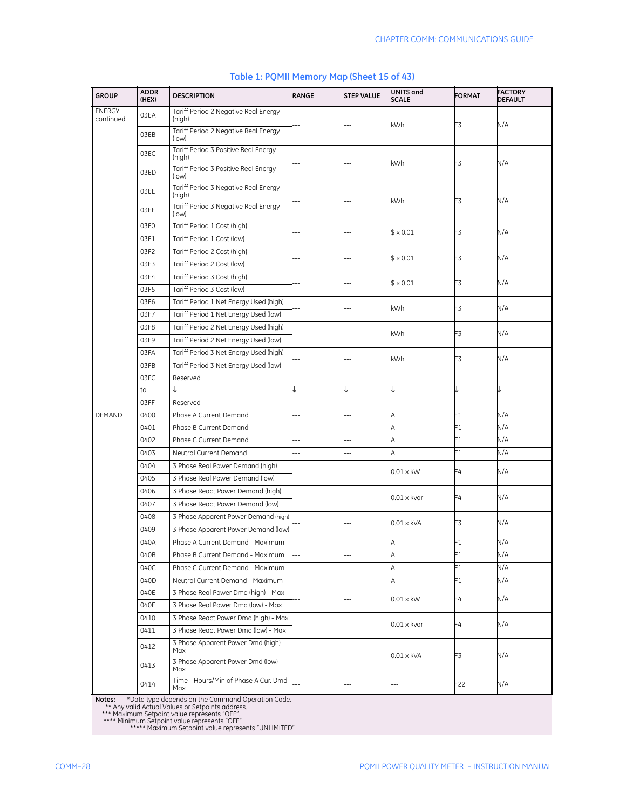| <b>GROUP</b>               | <b>ADDR</b><br>(HEX) | <b>DESCRIPTION</b>                             | RANGE          | <b>STEP VALUE</b> | UNITS and<br><b>SCALE</b> | <b>FORMAT</b>            | <b>FACTORY</b><br><b>DEFAULT</b> |
|----------------------------|----------------------|------------------------------------------------|----------------|-------------------|---------------------------|--------------------------|----------------------------------|
| <b>ENERGY</b><br>continued | 03EA                 | Tariff Period 2 Negative Real Energy<br>(high) |                |                   | kWh                       | F3                       | N/A                              |
|                            | 03EB                 | Tariff Period 2 Negative Real Energy<br>(low)  |                |                   |                           |                          |                                  |
|                            | 03EC                 | Tariff Period 3 Positive Real Energy<br>(high) |                |                   | kWh                       | F3                       | N/A                              |
|                            | 03ED                 | Tariff Period 3 Positive Real Energy<br>(low)  |                |                   |                           |                          |                                  |
|                            | 03EE                 | Tariff Period 3 Negative Real Energy<br>(high) |                |                   | kWh                       | F3                       | N/A                              |
|                            | 03EF                 | Tariff Period 3 Negative Real Energy<br>(low)  |                |                   |                           |                          |                                  |
|                            | 03F0                 | Tariff Period 1 Cost (high)                    |                |                   | $$ \times 0.01$           | F3                       | N/A                              |
|                            | 03F1                 | Tariff Period 1 Cost (low)                     |                |                   |                           |                          |                                  |
|                            | 03F2                 | Tariff Period 2 Cost (high)                    |                |                   |                           |                          |                                  |
|                            | 03F3                 | Tariff Period 2 Cost (low)                     |                |                   | $$ \times 0.01$           | F3                       | N/A                              |
|                            | 03F4                 | Tariff Period 3 Cost (high)                    |                |                   |                           |                          |                                  |
|                            | 03F5                 | Tariff Period 3 Cost (low)                     |                |                   | $$ \times 0.01$           | F3                       | N/A                              |
|                            | 03F6                 | Tariff Period 1 Net Energy Used (high)         |                |                   |                           | F3                       | N/A                              |
|                            | 03F7                 | Tariff Period 1 Net Energy Used (low)          |                |                   | kWh                       |                          |                                  |
|                            | 03F8                 | Tariff Period 2 Net Energy Used (high)         |                |                   |                           | F3                       |                                  |
|                            | 03F9                 | Tariff Period 2 Net Energy Used (low)          |                |                   | kWh                       |                          | N/A                              |
|                            | 03FA                 | Tariff Period 3 Net Energy Used (high)         |                |                   |                           | F3                       | N/A                              |
|                            | 03FB                 | Tariff Period 3 Net Energy Used (low)          |                |                   | kWh                       |                          |                                  |
|                            | 03FC                 | Reserved                                       |                |                   |                           |                          |                                  |
|                            | to                   | ↓                                              |                |                   |                           |                          |                                  |
|                            | 03FF                 | Reserved                                       |                |                   |                           |                          |                                  |
| DEMAND                     | 0400                 | Phase A Current Demand                         |                |                   | A                         | F1                       | N/A                              |
|                            | 0401                 | Phase B Current Demand                         |                |                   | A                         | F1                       | N/A                              |
|                            | 0402                 | Phase C Current Demand                         |                | --                | Α                         | F1                       | N/A                              |
|                            | 0403                 | Neutral Current Demand                         | $\overline{a}$ | $\overline{a}$    | A                         | F1                       | N/A                              |
|                            | 0404                 | 3 Phase Real Power Demand (high)               |                |                   |                           |                          |                                  |
|                            | 0405                 | 3 Phase Real Power Demand (low)                |                |                   | $0.01 \times$ kW          | F4                       | N/A                              |
|                            | 0406                 | 3 Phase React Power Demand (high)              |                |                   |                           |                          |                                  |
|                            | 0407                 | 3 Phase React Power Demand (low)               |                |                   | $0.01 \times k$ var       | F4                       | N/A                              |
|                            | 0408                 | 3 Phase Apparent Power Demand (high)           |                |                   |                           |                          |                                  |
|                            | 0409                 |                                                |                |                   | $0.01 \times kVA$         | F3                       | N/A                              |
|                            |                      | 3 Phase Apparent Power Demand (low)            |                |                   |                           |                          |                                  |
|                            | 040A                 | Phase A Current Demand - Maximum               |                |                   |                           | $\overline{\phantom{1}}$ | N/A                              |
|                            | 040B                 | Phase B Current Demand - Maximum               |                | --                | A                         | F1                       | N/A                              |
|                            | 040C                 | Phase C Current Demand - Maximum               |                | $\overline{a}$    | A                         | F1                       | N/A                              |
|                            | 040D                 | Neutral Current Demand - Maximum               | --             | --                | A                         | F1                       | N/A                              |
|                            | 040E                 | 3 Phase Real Power Dmd (high) - Max            |                |                   | 0.01 x kW                 | F4                       | N/A                              |
|                            | 040F                 | 3 Phase Real Power Dmd (low) - Max             |                |                   |                           |                          |                                  |
|                            | 0410                 | 3 Phase React Power Dmd (high) - Max           |                |                   | $0.01 \times k$ var       | F4                       | N/A                              |
|                            | 0411                 | 3 Phase React Power Dmd (low) - Max            |                |                   |                           |                          |                                  |
|                            | 0412                 | 3 Phase Apparent Power Dmd (high) -<br>Max     |                |                   | 0.01 x kVA                | F3                       | N/A                              |
|                            | 0413                 | 3 Phase Apparent Power Dmd (low) -<br>Max      |                |                   |                           |                          |                                  |
|                            | 0414                 | Time - Hours/Min of Phase A Cur. Dmd<br>Max    |                |                   |                           | F22                      | N/A                              |

## **Table 1: PQMII Memory Map (Sheet 15 of 43)**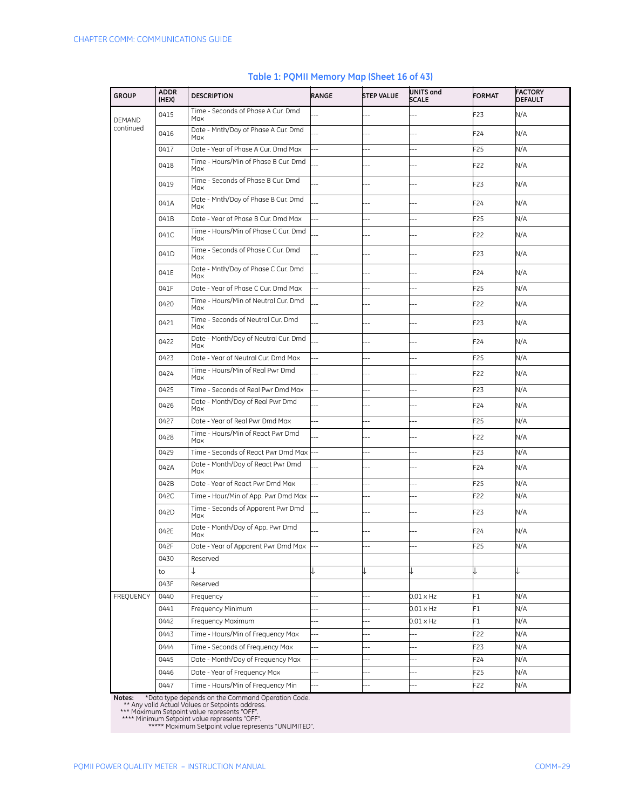| <b>GROUP</b>  | <b>ADDR</b><br>(HEX) | <b>DESCRIPTION</b>                          | RANGE                    | <b>STEP VALUE</b>        | UNITS and<br><b>SCALE</b> | <b>FORMAT</b>   | <b>FACTORY</b><br><b>DEFAULT</b> |
|---------------|----------------------|---------------------------------------------|--------------------------|--------------------------|---------------------------|-----------------|----------------------------------|
| <b>DEMAND</b> | 0415                 | Time - Seconds of Phase A Cur. Dmd<br>Max   |                          | 4                        |                           | F <sub>23</sub> | N/A                              |
| continued     | 0416                 | Date - Mnth/Day of Phase A Cur. Dmd<br>Max  |                          |                          |                           | F <sub>24</sub> | N/A                              |
|               | 0417                 | Date - Year of Phase A Cur. Dmd Max         | Ξ.                       | ۵.                       | ш,                        | F25             | N/A                              |
|               | 0418                 | Time - Hours/Min of Phase B Cur. Dmd<br>Max |                          |                          |                           | F22             | N/A                              |
|               | 0419                 | Time - Seconds of Phase B Cur. Dmd<br>Max   |                          |                          |                           | F23             | N/A                              |
|               | 041A                 | Date - Mnth/Day of Phase B Cur. Dmd<br>Max  |                          |                          |                           | F24             | N/A                              |
|               | 041B                 | Date - Year of Phase B Cur. Dmd Max         | $\overline{a}$           | $\overline{\phantom{a}}$ | --                        | F <sub>25</sub> | N/A                              |
|               | 041C                 | Time - Hours/Min of Phase C Cur. Dmd<br>Max |                          |                          |                           | F22             | N/A                              |
|               | 041D                 | Time - Seconds of Phase C Cur. Dmd<br>Max   |                          |                          |                           | F23             | N/A                              |
|               | 041E                 | Date - Mnth/Day of Phase C Cur. Dmd<br>Max  |                          |                          |                           | F24             | N/A                              |
|               | 041F                 | Date - Year of Phase C Cur. Dmd Max         | $\overline{a}$           | н,                       | $\overline{a}$            | F <sub>25</sub> | N/A                              |
|               | 0420                 | Time - Hours/Min of Neutral Cur. Dmd<br>Max |                          |                          |                           | F22             | N/A                              |
|               | 0421                 | Time - Seconds of Neutral Cur. Dmd<br>Max   |                          | $-$                      | $-$                       | F23             | N/A                              |
|               | 0422                 | Date - Month/Day of Neutral Cur. Dmd<br>Max |                          |                          | --                        | F24             | N/A                              |
|               | 0423                 | Date - Year of Neutral Cur. Dmd Max         | $\overline{a}$           |                          | ш,                        | F <sub>25</sub> | N/A                              |
|               | 0424                 | Time - Hours/Min of Real Pwr Dmd<br>Max     |                          |                          |                           | F22             | N/A                              |
|               | 0425                 | Time - Seconds of Real Pwr Dmd Max          | $-$                      | --                       | $\overline{a}$            | F23             | N/A                              |
|               | 0426                 | Date - Month/Day of Real Pwr Dmd<br>Max     |                          |                          | Ц,                        | F24             | N/A                              |
|               | 0427                 | Date - Year of Real Pwr Dmd Max             | $\overline{a}$           | ц,                       | --                        | F <sub>25</sub> | N/A                              |
|               | 0428                 | Time - Hours/Min of React Pwr Dmd<br>Max    |                          |                          |                           | F22             | N/A                              |
|               | 0429                 | Time - Seconds of React Pwr Dmd Max         |                          | $\overline{a}$           | $-$                       | F23             | N/A                              |
|               | 042A                 | Date - Month/Day of React Pwr Dmd<br>Max    |                          |                          |                           | F <sub>24</sub> | N/A                              |
|               | 042B                 | Date - Year of React Pwr Dmd Max            | $\overline{a}$           |                          | Ξ.                        | F <sub>25</sub> | N/A                              |
|               | 042C                 | Time - Hour/Min of App. Pwr Dmd Max         | $\ddotsc$                | $-$                      | Ц,                        | F22             | N/A                              |
|               | 042D                 | Time - Seconds of Apparent Pwr Dmd<br>Max   |                          | --                       |                           | F <sub>23</sub> | N/A                              |
|               | 042E                 | Date - Month/Day of App. Pwr Dmd<br>Max     |                          |                          |                           | F24             | N/A                              |
|               | 042F                 | Date - Year of Apparent Pwr Dmd Max         |                          |                          | --                        | F25             | N/A                              |
|               | 0430                 | Reserved                                    |                          |                          |                           |                 |                                  |
|               | to                   | ↓                                           |                          | ↓                        | ↓                         |                 |                                  |
|               | 043F                 | Reserved                                    |                          |                          |                           |                 |                                  |
| FREQUENCY     | 0440                 | Frequency                                   | ä.                       | Ξ.                       | 0.01 x Hz                 | F1              | N/A                              |
|               | 0441                 | Frequency Minimum                           | $-$                      | --                       | 0.01 x Hz                 | F1              | N/A                              |
|               | 0442                 | Frequency Maximum                           | $\overline{\phantom{a}}$ | $\overline{\phantom{a}}$ | 0.01 x Hz                 | F1              | N/A                              |
|               | 0443                 | Time - Hours/Min of Frequency Max           | $\overline{a}$           | --                       | --                        | F22             | N/A                              |
|               | 0444                 | Time - Seconds of Frequency Max             | $\overline{\phantom{a}}$ | --                       | $\overline{a}$            | F23             | N/A                              |
|               | 0445                 | Date - Month/Day of Frequency Max           | $\overline{\phantom{a}}$ | $\overline{\phantom{a}}$ | $-$                       | F24             | N/A                              |
|               | 0446                 | Date - Year of Frequency Max                | $\overline{a}$           | $\overline{a}$           | $\overline{\phantom{a}}$  | F25             | N/A                              |
|               | 0447                 | Time - Hours/Min of Frequency Min           | Ξ.                       | $\overline{\phantom{a}}$ | $\overline{\phantom{a}}$  | F22             | N/A                              |

#### **Table 1: PQMII Memory Map (Sheet 16 of 43)**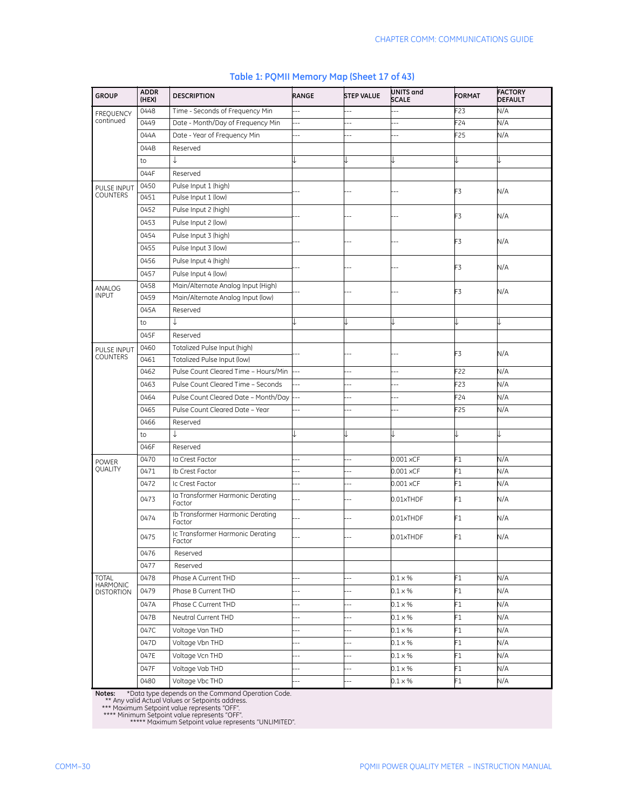| <b>GROUP</b>                         | <b>ADDR</b><br>(HEX) | <b>DESCRIPTION</b>                         | RANGE                    | <b>STEP VALUE</b> | UNITS and<br><b>SCALE</b> | <b>FORMAT</b>   | <b>FACTORY</b><br><b>DEFAULT</b> |
|--------------------------------------|----------------------|--------------------------------------------|--------------------------|-------------------|---------------------------|-----------------|----------------------------------|
| <b>FREQUENCY</b>                     | 0448                 | Time - Seconds of Frequency Min            |                          |                   |                           | F23             | N/A                              |
| continued                            | 0449                 | Date - Month/Day of Frequency Min          |                          |                   |                           | F <sub>24</sub> | N/A                              |
|                                      | 044A                 | Date - Year of Frequency Min               |                          |                   |                           | F <sub>25</sub> | N/A                              |
|                                      | 044B                 | Reserved                                   |                          |                   |                           |                 |                                  |
|                                      | to                   | ↓                                          |                          |                   |                           |                 |                                  |
|                                      | 044F                 | Reserved                                   |                          |                   |                           |                 |                                  |
| PULSE INPUT                          | 0450                 | Pulse Input 1 (high)                       |                          |                   |                           | F3              | N/A                              |
| <b>COUNTERS</b>                      | 0451                 | Pulse Input 1 (low)                        |                          |                   |                           |                 |                                  |
|                                      | 0452                 | Pulse Input 2 (high)                       |                          |                   |                           | F3              | N/A                              |
|                                      | 0453                 | Pulse Input 2 (low)                        |                          |                   |                           |                 |                                  |
|                                      | 0454                 | Pulse Input 3 (high)                       |                          |                   |                           | F3              | N/A                              |
|                                      | 0455                 | Pulse Input 3 (low)                        |                          |                   |                           |                 |                                  |
|                                      | 0456                 | Pulse Input 4 (high)                       |                          |                   |                           | F3              |                                  |
|                                      | 0457                 | Pulse Input 4 (low)                        |                          |                   |                           |                 | N/A                              |
| ANALOG                               | 0458                 | Main/Alternate Analog Input (High)         |                          |                   |                           | F3              | N/A                              |
| <b>INPUT</b>                         | 0459                 | Main/Alternate Analog Input (low)          |                          |                   |                           |                 |                                  |
|                                      | 045A                 | Reserved                                   |                          |                   |                           |                 |                                  |
|                                      | to                   | ↓                                          | J                        |                   |                           |                 |                                  |
|                                      | 045F                 | Reserved                                   |                          |                   |                           |                 |                                  |
| <b>PULSE INPUT</b>                   | 0460                 | Totalized Pulse Input (high)               |                          |                   |                           | F3              |                                  |
| <b>COUNTERS</b>                      | 0461                 | Totalized Pulse Input (low)                |                          |                   |                           |                 | N/A                              |
|                                      | 0462                 | Pulse Count Cleared Time - Hours/Min       | Ξ.                       | $\overline{a}$    |                           | F22             | N/A                              |
|                                      | 0463                 | Pulse Count Cleared Time - Seconds         |                          | $-$               |                           | F23             | N/A                              |
|                                      | 0464                 | Pulse Count Cleared Date - Month/Day       | $\overline{a}$           |                   |                           | F24             | N/A                              |
|                                      | 0465                 | Pulse Count Cleared Date - Year            | ш,                       | $-$               |                           | F <sub>25</sub> | N/A                              |
|                                      | 0466                 | Reserved                                   |                          |                   |                           |                 |                                  |
|                                      | to                   | J                                          |                          |                   |                           |                 |                                  |
|                                      | 046F                 | Reserved                                   |                          |                   |                           |                 |                                  |
| <b>POWER</b>                         | 0470                 | la Crest Factor                            | $-$                      | Ξ.                | 0.001 xCF                 | F1              | N/A                              |
| QUALITY                              | 0471                 | Ib Crest Factor                            | --                       | $\overline{a}$    | 0.001 xCF                 | F1              | N/A                              |
|                                      | 0472                 | Ic Crest Factor                            |                          | ٠.                | $0.001 \times CF$         | F1              | N/A                              |
|                                      | 0473                 | la Transformer Harmonic Derating<br>Factor |                          |                   | 0.01xTHDF                 | F1              | N/A                              |
|                                      | 0474                 | Ib Transformer Harmonic Derating<br>Factor |                          |                   | 0.01xTHDF                 | F1              | N/A                              |
|                                      | 0475                 | Ic Transformer Harmonic Derating<br>Factor |                          |                   | 0.01xTHDF                 | F1              | N/A                              |
|                                      | 0476                 | Reserved                                   |                          |                   |                           |                 |                                  |
|                                      | 0477                 | Reserved                                   |                          |                   |                           |                 |                                  |
| <b>TOTAL</b>                         | 0478                 | Phase A Current THD                        |                          |                   | $0.1 \times %$            | F1              | N/A                              |
| <b>HARMONIC</b><br><b>DISTORTION</b> | 0479                 | Phase B Current THD                        | Ц,                       | $-$               | $0.1 \times %$            | F1              | N/A                              |
|                                      | 047A                 | Phase C Current THD                        | $\overline{a}$           |                   | $0.1 \times \%$           | F1              | N/A                              |
|                                      | 047B                 | Neutral Current THD                        | --                       | $---$             | $0.1 \times %$            | F1              | N/A                              |
|                                      | 047C                 | Voltage Van THD                            | --                       | --                | $0.1 \times \%$           | F1              | N/A                              |
|                                      | 047D                 | Voltage Vbn THD                            | --                       | $\overline{a}$    | $0.1 \times \%$           | F1              | N/A                              |
|                                      | 047E                 | Voltage Vcn THD                            | $\overline{\phantom{a}}$ |                   | $0.1 \times \%$           | F1              | N/A                              |
|                                      | 047F                 | Voltage Vab THD                            | --                       |                   | $0.1 \times \%$           | F1              | N/A                              |
|                                      | 0480                 | Voltage Vbc THD                            | 4                        |                   | $0.1 \times \%$           | F1              | N/A                              |

## **Table 1: PQMII Memory Map (Sheet 17 of 43)**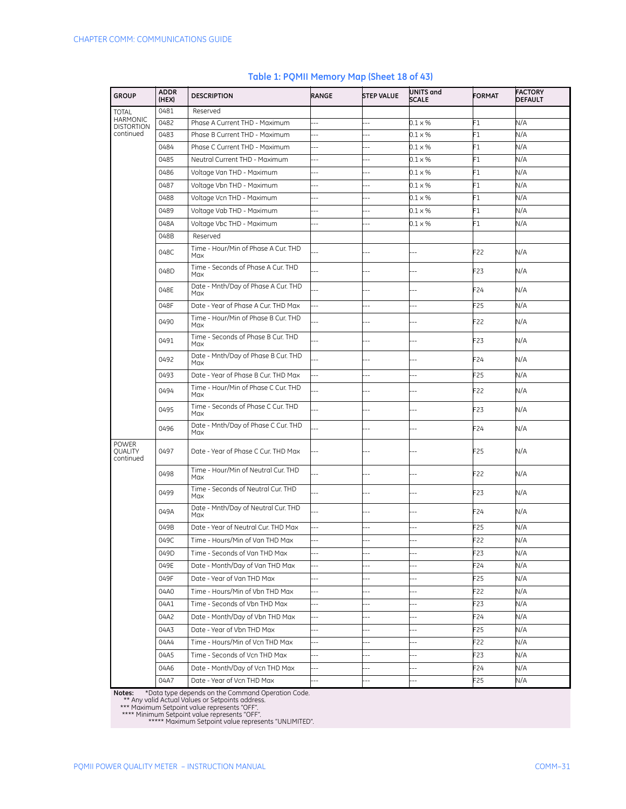| <b>GROUP</b>                         | <b>ADDR</b><br>(HEX) | <b>DESCRIPTION</b>                                     | <b>RANGE</b>             | <b>STEP VALUE</b>        | UNITS and<br><b>SCALE</b>        | <b>FORMAT</b>   | <b>FACTORY</b><br><b>DEFAULT</b> |
|--------------------------------------|----------------------|--------------------------------------------------------|--------------------------|--------------------------|----------------------------------|-----------------|----------------------------------|
| <b>TOTAL</b>                         | 0481                 | Reserved                                               |                          |                          |                                  |                 |                                  |
| <b>HARMONIC</b><br><b>DISTORTION</b> | 0482                 | Phase A Current THD - Maximum                          |                          |                          | $0.1 \times %$                   | F1              | N/A                              |
| continued                            | 0483                 | Phase B Current THD - Maximum                          | 44                       | ц,                       | $0.1 \times %$                   | F1              | N/A                              |
|                                      | 0484                 | Phase C Current THD - Maximum                          | $\overline{a}$           |                          | $0.1 \times %$                   | F1              | N/A                              |
|                                      | 0485                 | Neutral Current THD - Maximum                          | $\overline{a}$           | ż.                       | $0.1 \times %$                   | F1              | N/A                              |
|                                      | 0486                 | Voltage Van THD - Maximum                              | ۵.                       |                          | $0.1 \times %$                   | F1              | N/A                              |
|                                      | 0487                 | Voltage Vbn THD - Maximum                              | $-$                      |                          | $0.1 \times %$                   | F1              | N/A                              |
|                                      | 0488                 | Voltage Vcn THD - Maximum                              | Ξ.<br>ä,                 | ż.                       | $0.1 \times %$                   | F1              | N/A                              |
|                                      | 0489<br>048A         | Voltage Vab THD - Maximum<br>Voltage Vbc THD - Maximum | $-$                      |                          | $0.1 \times %$<br>$0.1 \times %$ | F1<br>F1        | N/A<br>N/A                       |
|                                      | 048B                 | Reserved                                               |                          |                          |                                  |                 |                                  |
|                                      |                      | Time - Hour/Min of Phase A Cur. THD                    |                          |                          |                                  |                 |                                  |
|                                      | 048C                 | Max                                                    |                          |                          |                                  | F22             | N/A                              |
|                                      | 048D                 | Time - Seconds of Phase A Cur. THD<br>Max              |                          |                          |                                  | F <sub>23</sub> | N/A                              |
|                                      | 048E                 | Date - Mnth/Day of Phase A Cur. THD<br>Max             |                          |                          | $-$                              | F24             | N/A                              |
|                                      | 048F                 | Date - Year of Phase A Cur. THD Max                    | 44                       | $-$                      | $-$                              | F <sub>25</sub> | N/A                              |
|                                      | 0490                 | Time - Hour/Min of Phase B Cur. THD<br>Max             |                          |                          |                                  | F22             | N/A                              |
|                                      | 0491                 | Time - Seconds of Phase B Cur. THD<br>Max              |                          | $-$                      | ٠.                               | F23             | N/A                              |
|                                      | 0492                 | Date - Mnth/Day of Phase B Cur. THD<br>Max             |                          |                          |                                  | F24             | N/A                              |
|                                      | 0493                 | Date - Year of Phase B Cur. THD Max                    | ш,                       |                          | $\overline{a}$                   | F <sub>25</sub> | N/A                              |
|                                      | 0494                 | Time - Hour/Min of Phase C Cur. THD<br>Max             |                          | $-$                      | $-$                              | F22             | N/A                              |
|                                      | 0495                 | Time - Seconds of Phase C Cur. THD<br>Max              |                          |                          | $\overline{a}$                   | F23             | N/A                              |
|                                      | 0496                 | Date - Mnth/Day of Phase C Cur. THD<br>Max             |                          |                          |                                  | F24             | N/A                              |
| <b>POWER</b><br>QUALITY<br>continued | 0497                 | Date - Year of Phase C Cur. THD Max                    |                          |                          |                                  | F25             | N/A                              |
|                                      | 0498                 | Time - Hour/Min of Neutral Cur. THD<br>Max             |                          |                          | $-$                              | F22             | N/A                              |
|                                      | 0499                 | Time - Seconds of Neutral Cur. THD<br>Max              |                          |                          |                                  | F <sub>23</sub> | N/A                              |
|                                      | 049A                 | Date - Mnth/Day of Neutral Cur. THD<br>Max             | ц,                       |                          | $\overline{a}$                   | F24             | N/A                              |
|                                      | 049B                 | Date - Year of Neutral Cur. THD Max                    | $\overline{a}$           | ш,                       |                                  | F25             | N/A                              |
|                                      | 049C                 | Time - Hours/Min of Van THD Max                        |                          |                          |                                  | F22             | N/A                              |
|                                      | 049D                 | Time - Seconds of Van THD Max                          | $\overline{a}$           |                          | $\overline{a}$                   | F23             | N/A                              |
|                                      | 049E                 | Date - Month/Day of Van THD Max                        | 44                       | ш,                       | --                               | F24             | N/A                              |
|                                      | 049F                 | Date - Year of Van THD Max                             | $\overline{\phantom{a}}$ | ц,                       | --                               | F25             | N/A                              |
|                                      | 04A0                 | Time - Hours/Min of Vbn THD Max                        | $\overline{a}$           | $\overline{a}$           | --                               | F22             | N/A                              |
|                                      | 04A1                 | Time - Seconds of Vbn THD Max                          | $-$                      | --                       | --                               | F23             | N/A                              |
|                                      | 04A2                 | Date - Month/Day of Vbn THD Max                        | $\overline{a}$           | Ξ.                       | --                               | F24             | N/A                              |
|                                      | 04A3                 | Date - Year of Vbn THD Max                             | $\overline{\phantom{a}}$ | $\overline{\phantom{a}}$ | $\overline{\phantom{a}}$         | F25             | N/A                              |
|                                      | 04A4                 | Time - Hours/Min of Vcn THD Max                        |                          | --                       | $\overline{\phantom{a}}$         | F22             | N/A                              |
|                                      | 04A5                 | Time - Seconds of Vcn THD Max                          | $\overline{a}$           | --                       | --                               | F <sub>23</sub> | N/A                              |
|                                      | 04A6                 | Date - Month/Day of Vcn THD Max                        | $\overline{a}$           | $\overline{\phantom{a}}$ | --                               | F24             | N/A                              |
|                                      | 04A7                 | Date - Year of Vcn THD Max                             |                          |                          |                                  | F25             | N/A                              |

#### **Table 1: PQMII Memory Map (Sheet 18 of 43)**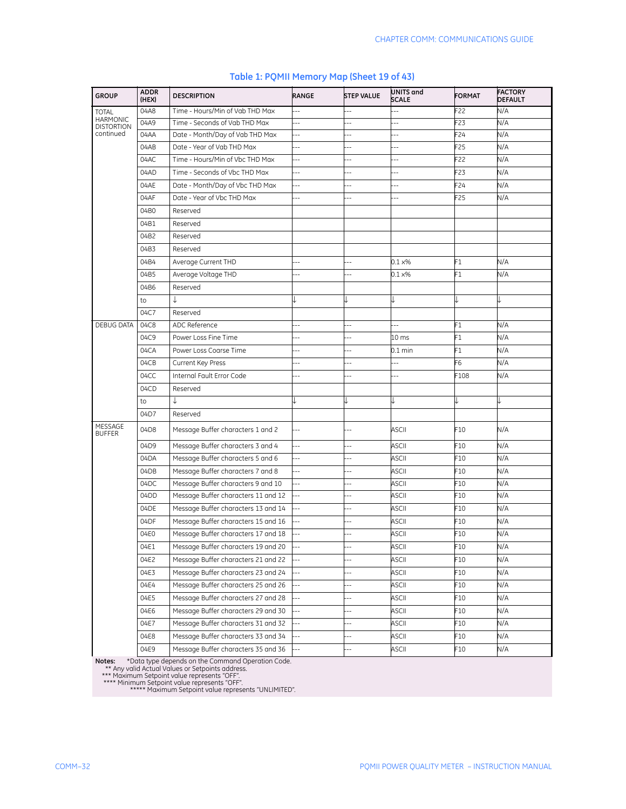| <b>GROUP</b>                         | <b>ADDR</b><br>(HEX) | <b>DESCRIPTION</b>                  | RANGE                    | <b>STEP VALUE</b>        | UNITS and<br><b>SCALE</b> | <b>FORMAT</b> | <b>FACTORY</b><br><b>DEFAULT</b> |
|--------------------------------------|----------------------|-------------------------------------|--------------------------|--------------------------|---------------------------|---------------|----------------------------------|
| <b>TOTAL</b>                         | 04A8                 | Time - Hours/Min of Vab THD Max     | --                       | ш,                       |                           | F22           | N/A                              |
| <b>HARMONIC</b><br><b>DISTORTION</b> | 04A9                 | Time - Seconds of Vab THD Max       | --                       |                          |                           | F23           | N/A                              |
| continued                            | 04AA                 | Date - Month/Day of Vab THD Max     | $\overline{a}$           |                          |                           | F24           | N/A                              |
|                                      | 04AB                 | Date - Year of Vab THD Max          |                          |                          |                           | F25           | N/A                              |
|                                      | 04AC                 | Time - Hours/Min of Vbc THD Max     | $\overline{a}$           |                          | $\overline{a}$            | F22           | N/A                              |
|                                      | 04AD                 | Time - Seconds of Vbc THD Max       | --                       | $\overline{\phantom{a}}$ | Ξ.                        | F23           | N/A                              |
|                                      | 04AE                 | Date - Month/Day of Vbc THD Max     | $-$                      | ۵.                       | ۵.                        | F24           | N/A                              |
|                                      | 04AF                 | Date - Year of Vbc THD Max          |                          |                          |                           | F25           | N/A                              |
|                                      | 04B0                 | Reserved                            |                          |                          |                           |               |                                  |
|                                      | 04B1                 | Reserved                            |                          |                          |                           |               |                                  |
|                                      | 04B2                 | Reserved                            |                          |                          |                           |               |                                  |
|                                      | 04B3                 | Reserved                            |                          |                          |                           |               |                                  |
|                                      | 04B4                 | Average Current THD                 | ٠.                       |                          | $0.1 \times %$            | F1            | N/A                              |
|                                      | 04B5                 | Average Voltage THD                 |                          |                          | $0.1 \times\%$            | F1            | N/A                              |
|                                      | 04B6                 | Reserved                            |                          |                          |                           |               |                                  |
|                                      | to                   | ↓                                   |                          |                          |                           |               |                                  |
|                                      | 04C7                 | Reserved                            |                          |                          |                           |               |                                  |
| <b>DEBUG DATA</b>                    | 04C8                 | ADC Reference                       | Ξ.                       |                          | 4                         | F1            | N/A                              |
|                                      | 04C9                 | Power Loss Fine Time                |                          |                          | 10 <sub>ms</sub>          | F1            | N/A                              |
|                                      | 04CA                 | Power Loss Coarse Time              | $\overline{a}$           | $\overline{\phantom{a}}$ | $0.1 \text{ min}$         | F1            | N/A                              |
|                                      | 04CB                 | Current Key Press                   |                          |                          |                           | F6            | N/A                              |
|                                      | 04CC                 | Internal Fault Error Code           |                          |                          |                           | F108          | N/A                              |
|                                      | 04CD                 | Reserved                            |                          |                          |                           |               |                                  |
|                                      | to                   |                                     |                          |                          |                           |               |                                  |
|                                      | 04D7                 | Reserved                            |                          |                          |                           |               |                                  |
| MESSAGE<br><b>BUFFER</b>             | 04D8                 | Message Buffer characters 1 and 2   | Ξ.                       |                          | <b>ASCII</b>              | F10           | N/A                              |
|                                      | 04D9                 | Message Buffer characters 3 and 4   | $\overline{a}$           | $-$                      | <b>ASCII</b>              | F10           | N/A                              |
|                                      | 04DA                 | Message Buffer characters 5 and 6   | $\overline{a}$           |                          | <b>ASCII</b>              | F10           | N/A                              |
|                                      | 04DB                 | Message Buffer characters 7 and 8   | --                       |                          | <b>ASCII</b>              | F10           | N/A                              |
|                                      | 04DC                 | Message Buffer characters 9 and 10  | $\overline{a}$           | $-$                      | ASCII                     | F10           | N/A                              |
|                                      | 04DD                 | Message Buffer characters 11 and 12 | $\overline{a}$           | $-$                      | ASCII                     | F10           | N/A                              |
|                                      | 04DE                 | Message Buffer characters 13 and 14 | $\overline{a}$           |                          | <b>ASCII</b>              | F10           | N/A                              |
|                                      | 04DF                 | Message Buffer characters 15 and 16 | Ξ.                       |                          | <b>ASCII</b>              | F10           | N/A                              |
|                                      | 04E0                 | Message Buffer characters 17 and 18 | $\overline{a}$           | ц,                       | <b>ASCII</b>              | F10           | N/A                              |
|                                      | 04E1                 | Message Buffer characters 19 and 20 |                          |                          | <b>ASCII</b>              | F10           | N/A                              |
|                                      | 04E2                 | Message Buffer characters 21 and 22 |                          |                          | <b>ASCII</b>              | F10           | N/A                              |
|                                      | 04E3                 | Message Buffer characters 23 and 24 |                          | Ц.                       | ASCII                     | F10           | N/A                              |
|                                      | 04E4                 | Message Buffer characters 25 and 26 |                          |                          | ASCII                     | F10           | N/A                              |
|                                      | 04E5                 | Message Buffer characters 27 and 28 |                          |                          | ASCII                     | F10           | N/A                              |
|                                      | 04E6                 | Message Buffer characters 29 and 30 |                          | ш,                       | ASCII                     | F10           | N/A                              |
|                                      | 04E7                 | Message Buffer characters 31 and 32 |                          | --                       | ASCII                     | F10           | N/A                              |
|                                      | 04E8                 | Message Buffer characters 33 and 34 |                          | н,                       | <b>ASCII</b>              | F10           | N/A                              |
|                                      | 04E9                 | Message Buffer characters 35 and 36 | $\overline{\phantom{a}}$ | --                       | <b>ASCII</b>              | F10           | N/A                              |

## **Table 1: PQMII Memory Map (Sheet 19 of 43)**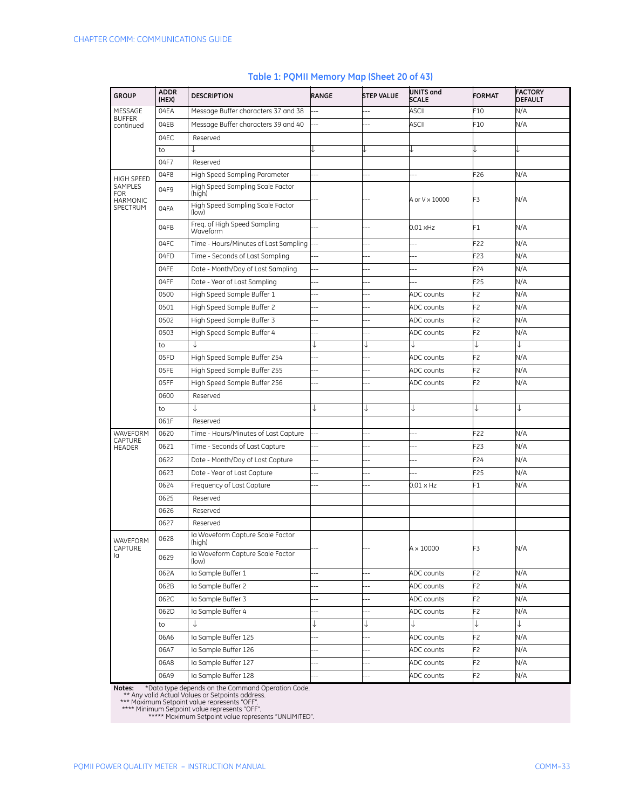| <b>GROUP</b>                             | <b>ADDR</b><br>(HEX) | <b>DESCRIPTION</b>                         | RANGE                    | <b>STEP VALUE</b>        | <b>UNITS</b> and<br><b>SCALE</b> | <b>FORMAT</b>   | <b>FACTORY</b><br><b>DEFAULT</b> |
|------------------------------------------|----------------------|--------------------------------------------|--------------------------|--------------------------|----------------------------------|-----------------|----------------------------------|
| MESSAGE                                  | 04EA                 | Message Buffer characters 37 and 38        |                          |                          | <b>ASCII</b>                     | F10             | N/A                              |
| <b>BUFFER</b><br>continued               | 04EB                 | Message Buffer characters 39 and 40        |                          |                          | ASCII                            | F10             | N/A                              |
|                                          | 04EC                 | Reserved                                   |                          |                          |                                  |                 |                                  |
|                                          | to                   | ↓                                          |                          |                          | J                                |                 |                                  |
|                                          | 04F7                 | Reserved                                   |                          |                          |                                  |                 |                                  |
| <b>HIGH SPEED</b>                        | 04F8                 | High Speed Sampling Parameter              | --                       |                          | --                               | F <sub>26</sub> | N/A                              |
| SAMPLES<br><b>FOR</b><br><b>HARMONIC</b> | 04F9                 | High Speed Sampling Scale Factor<br>(high) |                          |                          | A or V × 10000                   | F3              | N/A                              |
| SPECTRUM                                 | 04FA                 | High Speed Sampling Scale Factor<br>(low)  |                          |                          |                                  |                 |                                  |
|                                          | 04FB                 | Freq. of High Speed Sampling<br>Waveform   | $\overline{a}$           |                          | $0.01$ xHz                       | F1              | N/A                              |
|                                          | 04FC                 | Time - Hours/Minutes of Last Sampling      | $\overline{a}$           |                          | --                               | F22             | N/A                              |
|                                          | 04FD                 | Time - Seconds of Last Sampling            | $\overline{a}$           | $\overline{\phantom{a}}$ | --                               | F <sub>23</sub> | N/A                              |
|                                          | 04FE                 | Date - Month/Day of Last Sampling          | $\overline{a}$           |                          | $\overline{a}$                   | F <sub>24</sub> | N/A                              |
|                                          | 04FF                 | Date - Year of Last Sampling               | --                       |                          | --                               | F25             | N/A                              |
|                                          | 0500                 | High Speed Sample Buffer 1                 | J.                       | ä,                       | <b>ADC</b> counts                | F <sub>2</sub>  | N/A                              |
|                                          | 0501                 | High Speed Sample Buffer 2                 | à.                       |                          | <b>ADC</b> counts                | F <sub>2</sub>  | N/A                              |
|                                          | 0502                 | High Speed Sample Buffer 3                 | $\overline{a}$           |                          | <b>ADC</b> counts                | F2              | N/A                              |
|                                          | 0503                 | High Speed Sample Buffer 4                 | $\overline{a}$           | --                       | <b>ADC</b> counts                | F <sub>2</sub>  | N/A                              |
|                                          | to                   | J                                          | ↓                        | ↓                        | ↓                                | ↓               |                                  |
|                                          | 05FD                 | High Speed Sample Buffer 254               | ÷.                       |                          | <b>ADC</b> counts                | F2              | N/A                              |
|                                          | 05FE                 | High Speed Sample Buffer 255               | --                       |                          | <b>ADC</b> counts                | F2              | N/A                              |
|                                          | 05FF                 | High Speed Sample Buffer 256               | ш,                       |                          | <b>ADC</b> counts                | F2              | N/A                              |
|                                          | 0600                 | Reserved                                   |                          |                          |                                  |                 |                                  |
|                                          | to                   | ↓                                          | ↓                        | ↓                        | ↓                                | ↓               |                                  |
|                                          | 061F                 | Reserved                                   |                          |                          |                                  |                 |                                  |
| WAVEFORM                                 | 0620                 | Time - Hours/Minutes of Last Capture       | $\overline{\phantom{a}}$ |                          |                                  | F22             | N/A                              |
| CAPTURE<br><b>HEADER</b>                 | 0621                 | Time - Seconds of Last Capture             | Ξ.                       | Ξ.                       | $\overline{a}$                   | F23             | N/A                              |
|                                          | 0622                 | Date - Month/Day of Last Capture           | $\overline{a}$           | 4                        |                                  | F <sub>24</sub> | N/A                              |
|                                          | 0623                 | Date - Year of Last Capture                | н,                       |                          |                                  | F25             | N/A                              |
|                                          | 0624                 | Frequency of Last Capture                  |                          |                          | $0.01 \times Hz$                 | F1              | N/A                              |
|                                          | 0625                 | Reserved                                   |                          |                          |                                  |                 |                                  |
|                                          | 0626                 | Reserved                                   |                          |                          |                                  |                 |                                  |
|                                          | 0627                 | Reserved                                   |                          |                          |                                  |                 |                                  |
| WAVEFORM<br>CAPTURE                      | 0628                 | la Waveform Capture Scale Factor<br>(high) |                          |                          | $A \times 10000$                 | F3              | N/A                              |
| la                                       | 0629                 | la Waveform Capture Scale Factor<br>(low)  |                          |                          |                                  |                 |                                  |
|                                          | 062A                 | Ia Sample Buffer 1                         | $\overline{\phantom{a}}$ | $-1$                     | ADC counts                       | F2              | N/A                              |
|                                          | 062B                 | Ia Sample Buffer 2                         | --                       |                          | ADC counts                       | F2              | N/A                              |
|                                          | 062C                 | Ia Sample Buffer 3                         | н,                       |                          | ADC counts                       | F2              | N/A                              |
|                                          | 062D                 | la Sample Buffer 4                         | $\overline{\phantom{a}}$ | $-$                      | ADC counts                       | F2              | N/A                              |
|                                          | to                   |                                            | ↓                        | ↓                        | ↓                                | ↓               | ↓                                |
|                                          | 06A6                 | Ia Sample Buffer 125                       | $\overline{a}$           |                          | ADC counts                       | F2              | N/A                              |
|                                          | 06A7                 | Ia Sample Buffer 126                       | $\overline{a}$           | --                       | ADC counts                       | F <sub>2</sub>  | N/A                              |
|                                          | 06A8                 | Ia Sample Buffer 127                       |                          |                          | ADC counts                       | F2              | N/A                              |
|                                          | 06A9                 | Ia Sample Buffer 128                       |                          |                          | ADC counts                       | F2              | N/A                              |

#### **Table 1: PQMII Memory Map (Sheet 20 of 43)**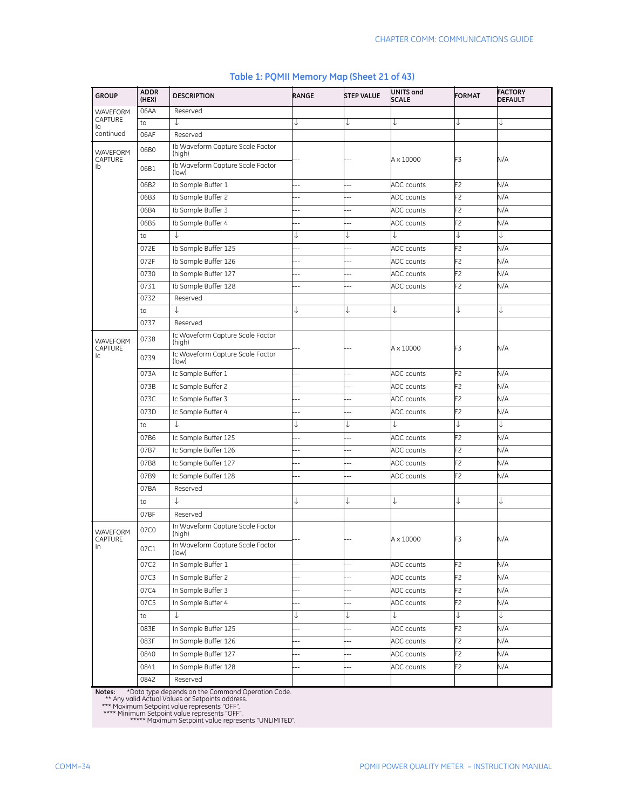| <b>GROUP</b>               | <b>ADDR</b><br>(HEX) | <b>DESCRIPTION</b>                         | <b>RANGE</b> | <b>STEP VALUE</b> | UNITS and<br><b>SCALE</b> | <b>FORMAT</b>  | <b>FACTORY</b><br>DEFAULT |
|----------------------------|----------------------|--------------------------------------------|--------------|-------------------|---------------------------|----------------|---------------------------|
| WAVEFORM                   | 06AA                 | Reserved                                   |              |                   |                           |                |                           |
| CAPTURE<br>la              | to                   | T                                          | ↓            | ↓                 | ↓                         | ↓              | ↓                         |
| continued                  | 06AF                 | Reserved                                   |              |                   |                           |                |                           |
| <b>WAVEFORM</b><br>CAPTURE | 06B0                 | Ib Waveform Capture Scale Factor<br>(high) |              |                   | A × 10000                 | F3             | N/A                       |
| Ib                         | 06B1                 | Ib Waveform Capture Scale Factor<br>(low)  |              |                   |                           |                |                           |
|                            | 06B2                 | Ib Sample Buffer 1                         |              |                   | ADC counts                | F2             | N/A                       |
|                            | 06B3                 | Ib Sample Buffer 2                         |              |                   | ADC counts                | F <sub>2</sub> | N/A                       |
|                            | 06B4                 | Ib Sample Buffer 3                         |              | --                | ADC counts                | F2             | N/A                       |
|                            | 06B5                 | Ib Sample Buffer 4                         |              | 4                 | ADC counts                | F <sub>2</sub> | N/A                       |
|                            | to                   | ↓                                          | ↓            | ↓                 | ↓                         |                | ↓                         |
|                            | 072E                 | Ib Sample Buffer 125                       |              |                   | <b>ADC</b> counts         | F2             | N/A                       |
|                            | 072F                 | Ib Sample Buffer 126                       |              | 4                 | ADC counts                | F2             | N/A                       |
|                            | 0730                 | Ib Sample Buffer 127                       | --           | $-$               | ADC counts                | F2             | N/A                       |
|                            | 0731                 | Ib Sample Buffer 128                       |              | $-$               | ADC counts                | F2             | N/A                       |
|                            | 0732                 | Reserved                                   |              |                   |                           |                |                           |
|                            | to                   | ↓                                          | ↓            | ↓                 | ↓                         | ↓              | ↓                         |
|                            | 0737                 | Reserved                                   |              |                   |                           |                |                           |
| WAVEFORM<br>CAPTURE        | 0738                 | Ic Waveform Capture Scale Factor<br>(high) |              |                   |                           |                |                           |
| lc.                        | 0739                 | Ic Waveform Capture Scale Factor<br>(low)  |              |                   | A × 10000                 | F3             | N/A                       |
|                            | 073A                 | Ic Sample Buffer 1                         | Ξ.           | $\overline{a}$    | ADC counts                | F2             | N/A                       |
|                            | 073B                 | Ic Sample Buffer 2                         |              |                   | ADC counts                | F2             | N/A                       |
|                            | 073C                 | Ic Sample Buffer 3                         |              |                   | ADC counts                | F2             | N/A                       |
|                            | 073D                 | Ic Sample Buffer 4                         |              | $-$               | ADC counts                | F <sub>2</sub> | N/A                       |
|                            | to                   | J                                          | ↓            | ↓                 | ↓                         |                | ↓                         |
|                            | 07B6                 | Ic Sample Buffer 125                       | Ξ.           | --                | ADC counts                | F2             | N/A                       |
|                            | 07B7                 | Ic Sample Buffer 126                       | ш,           |                   | ADC counts                | F2             | N/A                       |
|                            | 07B8                 | Ic Sample Buffer 127                       |              |                   | ADC counts                | F2             | N/A                       |
|                            | 07B9                 | Ic Sample Buffer 128                       |              |                   | ADC counts                | F2             | N/A                       |
|                            | 07BA                 | Reserved                                   |              |                   |                           |                |                           |
|                            | to                   | ↓                                          | ↓            | ↓                 | ↓                         | ↓              | ↓                         |
|                            | 07BF                 | Reserved                                   |              |                   |                           |                |                           |
| WAVEFORM<br>CAPTURE        | 07C0                 | In Waveform Capture Scale Factor<br>(high) |              |                   |                           | F3             | N/A                       |
| In                         | 07C1                 | In Waveform Capture Scale Factor<br>(low)  |              |                   | A × 10000                 |                |                           |
|                            | 07C2                 | In Sample Buffer 1                         |              |                   | ADC counts                | F2             | N/A                       |
|                            | 07C3                 | In Sample Buffer 2                         | Ц,           | --                | ADC counts                | F2             | N/A                       |
|                            | 07C4                 | In Sample Buffer 3                         |              |                   | ADC counts                | F2             | N/A                       |
|                            | 07C5                 | In Sample Buffer 4                         |              | $\overline{a}$    | ADC counts                | F2             | N/A                       |
|                            | to                   | ↓                                          | ↓            | ↓                 | ↓                         |                | ↓                         |
|                            | 083E                 | In Sample Buffer 125                       |              |                   | ADC counts                | F2             | N/A                       |
|                            | 083F                 | In Sample Buffer 126                       | $-$          | --                | ADC counts                | F2             | N/A                       |
|                            | 0840                 | In Sample Buffer 127                       | --           | --                | ADC counts                | F2             | N/A                       |
|                            | 0841                 | In Sample Buffer 128                       |              | --                | ADC counts                | F2             | N/A                       |
|                            | 0842                 | Reserved                                   |              |                   |                           |                |                           |

#### **Table 1: PQMII Memory Map (Sheet 21 of 43)**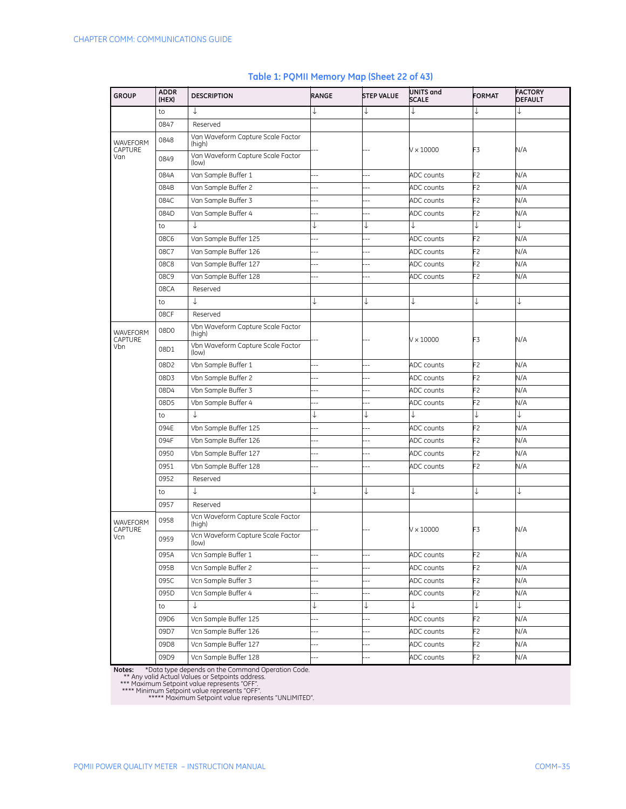| <b>GROUP</b>        | <b>ADDR</b><br>(HEX) | <b>DESCRIPTION</b>                          | RANGE                    | <b>STEP VALUE</b> | UNITS and<br><b>SCALE</b> | <b>FORMAT</b>  | <b>FACTORY</b><br><b>DEFAULT</b> |
|---------------------|----------------------|---------------------------------------------|--------------------------|-------------------|---------------------------|----------------|----------------------------------|
|                     | to                   | ↓                                           | ↓                        | ↓                 | T                         | ↓              | ↓                                |
|                     | 0847                 | Reserved                                    |                          |                   |                           |                |                                  |
| WAVEFORM<br>CAPTURE | 0848                 | Van Waveform Capture Scale Factor<br>(high) |                          |                   | $V \times 10000$          | F3             | N/A                              |
| Van                 | 0849                 | Van Waveform Capture Scale Factor<br>(low)  |                          |                   |                           |                |                                  |
|                     | 084A                 | Van Sample Buffer 1                         | --                       | Ξ.                | ADC counts                | F2             | N/A                              |
|                     | 084B                 | Van Sample Buffer 2                         | Ξ.                       | ÷.                | ADC counts                | F2             | N/A                              |
|                     | 084C                 | Van Sample Buffer 3                         | 44                       | ш,                | ADC counts                | F2             | N/A                              |
|                     | 084D                 | Van Sample Buffer 4                         | $\overline{\phantom{a}}$ | --                | ADC counts                | F2             | N/A                              |
|                     | to                   | $\downarrow$                                | ↓                        | J                 |                           | J              | ↓                                |
|                     | 08C6                 | Van Sample Buffer 125                       | $\overline{a}$           | ۵.                | ADC counts                | F2             | N/A                              |
|                     | 08C7                 | Van Sample Buffer 126                       | --                       | ÷                 | ADC counts                | F2             | N/A                              |
|                     | 08C8                 | Van Sample Buffer 127                       | Ξ.                       | ц,                | ADC counts                | F2             | N/A                              |
|                     | 08C9                 | Van Sample Buffer 128                       | --                       | $\overline{a}$    | ADC counts                | F2             | N/A                              |
|                     | 08CA                 | Reserved                                    |                          |                   |                           |                |                                  |
|                     | to                   | ↓                                           |                          | ↓                 | J                         | ↓              | ↓                                |
|                     | 08CF                 | Reserved                                    |                          |                   |                           |                |                                  |
| WAVEFORM<br>CAPTURE | 08D0                 | Vbn Waveform Capture Scale Factor<br>(high) |                          |                   | $V \times 10000$          | F3             | N/A                              |
| Vbn                 | 08D1                 | Vbn Waveform Capture Scale Factor<br>(low)  |                          |                   |                           |                |                                  |
|                     | 08D2                 | Vbn Sample Buffer 1                         | --                       | Ξ.                | ADC counts                | F <sub>2</sub> | N/A                              |
|                     | 08D3                 | Vbn Sample Buffer 2                         |                          | ÷.                | ADC counts                | F2             | N/A                              |
|                     | 08D4                 | Vbn Sample Buffer 3                         | Ξ.                       | ш,                | ADC counts                | F2             | N/A                              |
|                     | 08D5                 | Vbn Sample Buffer 4                         | Ξ.                       | ш,                | ADC counts                | F2             | N/A                              |
|                     | to                   | ↓                                           | ↓                        | ↓                 | ↓                         | J              | ↓                                |
|                     | 094E                 | Vbn Sample Buffer 125                       | $\overline{a}$           | $\overline{a}$    | ADC counts                | F2             | N/A                              |
|                     | 094F                 | Vbn Sample Buffer 126                       | ۵.                       | ÷.                | ADC counts                | F2             | N/A                              |
|                     | 0950                 | Vbn Sample Buffer 127                       | $\overline{a}$           | Ц,                | ADC counts                | F2             | N/A                              |
|                     | 0951                 | Vbn Sample Buffer 128                       | --                       | ÷                 | ADC counts                | F2             | N/A                              |
|                     | 0952                 | Reserved                                    |                          |                   |                           |                |                                  |
|                     | to                   | ↓                                           |                          | ↓                 | J                         | ↓              | ↓                                |
|                     | 0957                 | Reserved                                    |                          |                   |                           |                |                                  |
| WAVEFORM<br>CAPTURE | 0958                 | Vcn Waveform Capture Scale Factor<br>(high) |                          |                   | $V \times 10000$          | F3             | N/A                              |
| Vcn                 | 0959                 | Vcn Waveform Capture Scale Factor<br>(low)  |                          |                   |                           |                |                                  |
|                     | 095A                 | Vcn Sample Buffer 1                         | $\overline{\phantom{a}}$ |                   | ADC counts                | F2             | N/A                              |
|                     | 095B                 | Vcn Sample Buffer 2                         | $\overline{\phantom{a}}$ | ä,                | ADC counts                | F2             | N/A                              |
|                     | 095C                 | Vcn Sample Buffer 3                         | Ξ.                       | $\overline{a}$    | ADC counts                | F2             | N/A                              |
|                     | 095D                 | Vcn Sample Buffer 4                         |                          |                   | ADC counts                | F2             | N/A                              |
|                     | to                   | $\downarrow$                                | ↓                        | ↓                 | ↓                         | ↓              | ↓                                |
|                     | 09D6                 | Vcn Sample Buffer 125                       | $---$                    | $\overline{a}$    | ADC counts                | F2             | N/A                              |
|                     | 09D7                 | Vcn Sample Buffer 126                       | $\overline{\phantom{a}}$ |                   | ADC counts                | F2             | N/A                              |
|                     | 09D8                 | Vcn Sample Buffer 127                       | $\overline{\phantom{a}}$ |                   | ADC counts                | F2             | N/A                              |
|                     | 09D9                 | Vcn Sample Buffer 128                       | $\overline{\phantom{a}}$ | ÷,                | ADC counts                | F2             | N/A                              |

#### **Table 1: PQMII Memory Map (Sheet 22 of 43)**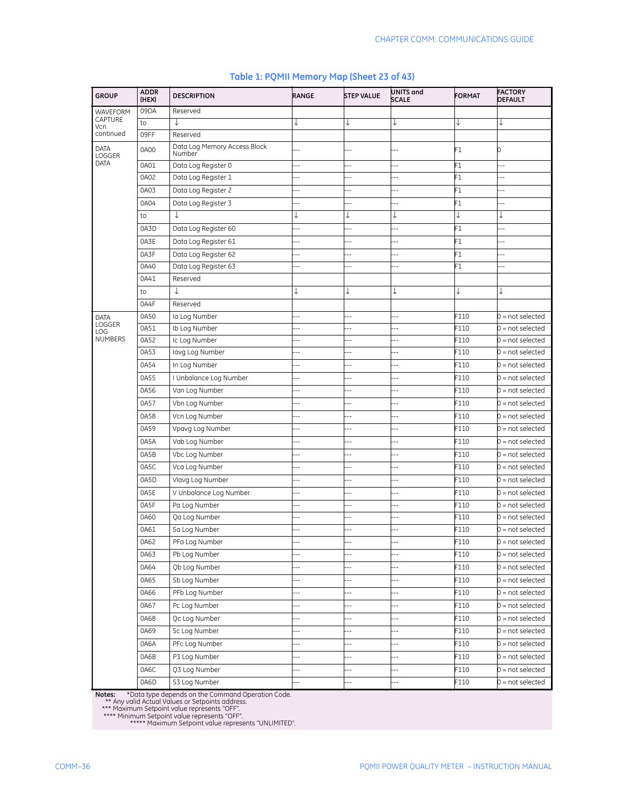| <b>GROUP</b>   | <b>ADDR</b><br>(HEX) | <b>DESCRIPTION</b>                     | <b>RANGE</b>   | <b>STEP VALUE</b> | UNITS and<br><b>SCALE</b> | <b>FORMAT</b> | <b>FACTORY</b><br><b>DEFAULT</b> |
|----------------|----------------------|----------------------------------------|----------------|-------------------|---------------------------|---------------|----------------------------------|
| WAVEFORM       | 09DA                 | Reserved                               |                |                   |                           |               |                                  |
| CAPTURE<br>Vcn | to                   | J                                      |                | ↓                 |                           |               |                                  |
| continued      | 09FF                 | Reserved                               |                |                   |                           |               |                                  |
| DATA<br>LOGGER | 0A00                 | Data Log Memory Access Block<br>Number |                |                   |                           | F1            | 0                                |
| DATA           | 0A01                 | Data Log Register 0                    |                |                   |                           | F1            | $\overline{\phantom{a}}$         |
|                | 0A02                 | Data Log Register 1                    |                |                   | ۵.                        | F1            | $\overline{a}$                   |
|                | 0A03                 | Data Log Register 2                    |                |                   | ä.                        | F1            | --                               |
|                | 0A04                 | Data Log Register 3                    |                | ۵.                | ۵.                        | F1            |                                  |
|                | to                   | ↓                                      | ↓              | ↓                 | ↓                         | ↓             | ↓                                |
|                | 0A3D                 | Data Log Register 60                   | ä.             | $\overline{a}$    | $\overline{a}$            | F1            | $\overline{a}$                   |
|                | 0A3E                 | Data Log Register 61                   | ٠.             | ۵.                | $\sim$                    | F1            |                                  |
|                | 0A3F                 | Data Log Register 62                   |                |                   |                           | F1            |                                  |
|                | 0A40                 | Data Log Register 63                   |                | --                |                           | F1            |                                  |
|                | 0A41                 | Reserved                               |                |                   |                           |               |                                  |
|                | to                   | ↓                                      | ↓              | ↓                 | ↓                         | ↓             | ↓                                |
|                | 0A4F                 | Reserved                               |                |                   |                           |               |                                  |
| DATA           | 0A50                 | Ia Log Number                          |                | ۵.                |                           | F110          | $0 = not selected$               |
| LOGGER<br>LOG  | 0A51                 | Ib Log Number                          |                | $-$               | ٠.                        | F110          | $0 = not selected$               |
| <b>NUMBERS</b> | 0A52                 | Ic Log Number                          |                | $\overline{a}$    |                           | F110          | $0 = not selected$               |
|                | 0A53                 | lavg Log Number                        |                | --                |                           | F110          | $0 = not selected$               |
|                | 0A54                 | In Log Number                          |                |                   |                           | F110          | $0 = not selected$               |
|                | 0A55                 | I Unbalance Log Number                 |                |                   |                           | F110          | $0 = not selected$               |
|                | 0A56                 | Van Log Number                         |                | $-$               | Ξ.                        | F110          | $0 = not selected$               |
|                | 0A57                 | Vbn Log Number                         | ۵.             | Ξ.                | $\overline{a}$            | F110          | $0 = not selected$               |
|                | 0A58                 | Vcn Log Number                         | ٠.             | $\overline{a}$    | $-$                       | F110          | $0 = not selected$               |
|                | 0A59                 | Vpavg Log Number                       |                | $\overline{a}$    | ۵.                        | F110          | $0 = not selected$               |
|                | 0A5A                 | Vab Log Number                         |                | --                | ۵.                        | F110          | $0 = not selected$               |
|                | 0A5B                 | Vbc Log Number                         |                | --                | --                        | F110          | $0 = not selected$               |
|                | 0A5C                 | Vca Log Number                         | ÷              | --                | --                        | F110          | $0 = not selected$               |
|                | 0A5D                 | Vlava Log Number                       |                | 4                 | 4                         | F110          | $0 = not selected$               |
|                | 0A5E                 | V Unbalance Log Number                 | ٠.             | --                | ۵.                        | F110          | $0 = not selected$               |
|                | 0A5F                 | Pa Log Number                          |                | --                | Ξ.                        | F110          | $0 = not selected$               |
|                | 0A60                 | Qa Log Number                          | ٠.             | $\overline{a}$    | $-$                       | F110          | $0 = not selected$               |
|                | 0A61                 | Sa Log Number                          |                | 44                | $\sim$                    | F110          | $0 = not selected$               |
|                | OA62                 | PFa Log Number                         |                | --                |                           | -110          | 0 = not selected                 |
|                | 0A63                 | Pb Log Number                          | $\overline{a}$ | $\overline{a}$    | $-$                       | F110          | 0 = not selected                 |
|                | 0A64                 | Qb Log Number                          | --             |                   | $-$                       | F110          | $0 = not selected$               |
|                | 0A65                 | Sb Log Number                          | --             | $-$               | --                        | F110          | $0 = not selected$               |
|                | 0A66                 | PFb Log Number                         | $\overline{a}$ | --                | --                        | F110          | $0 = not selected$               |
|                | 0A67                 | Pc Log Number                          | ٠.             | $-1$              | $-$                       | F110          | $0 = not selected$               |
|                | 0A68                 | Qc Log Number                          | --             | --                | --                        | F110          | $0 = not selected$               |
|                | 0A69                 |                                        |                | $-$               | --                        | F110          | $0 = not selected$               |
|                |                      | Sc Log Number                          | $\overline{a}$ |                   | $-$                       |               |                                  |
|                | 0A6A                 | PFc Log Number                         |                |                   |                           | F110          | $0 = not selected$               |
|                | 0A6B                 | P3 Log Number                          |                | --                | $-$                       | F110          | $0 = not selected$               |
|                | 0A6C                 | Q3 Log Number                          | ц,             | --                | --                        | F110          | $0 = not selected$               |
|                | 0A6D                 | S3 Log Number                          |                | $\overline{a}$    | $\overline{a}$            | F110          | 0 = not selected                 |

#### **Table 1: PQMII Memory Map (Sheet 23 of 43)**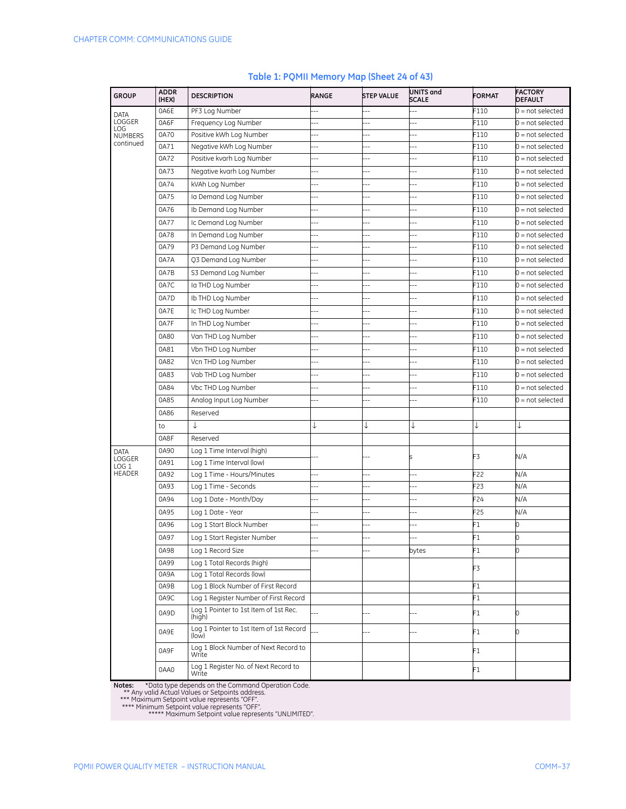| <b>GROUP</b>               | <b>ADDR</b><br>(HEX) | <b>DESCRIPTION</b>                               | RANGE                    | <b>STEP VALUE</b>        | UNITS and<br><b>SCALE</b> | <b>FORMAT</b> | <b>FACTORY</b><br><b>DEFAULT</b> |
|----------------------------|----------------------|--------------------------------------------------|--------------------------|--------------------------|---------------------------|---------------|----------------------------------|
| DATA                       | 0A6E                 | PF3 Log Number                                   |                          |                          |                           | F110          | $0 = not selected$               |
| LOGGER<br><b>LOG</b>       | 0A6F                 | Frequency Log Number                             | ц,                       | Ξ.                       |                           | F110          | $0 = not selected$               |
| <b>NUMBERS</b>             | 0A70                 | Positive kWh Log Number                          | ۵.                       | ۵.                       | ۵.                        | F110          | $0 = not selected$               |
| continued                  | 0A71                 | Negative kWh Log Number                          | $-$                      | $\overline{\phantom{a}}$ | --                        | F110          | $0 = not selected$               |
|                            | 0A72                 | Positive kvarh Log Number                        | --                       | J.                       | --                        | F110          | $0 = not selected$               |
|                            | 0A73                 | Negative kvarh Log Number                        | Ξ.                       | $\overline{a}$           | $\overline{a}$            | F110          | $0 = not selected$               |
|                            | 0A74                 | kVAh Log Number                                  | Ξ.                       | ц,                       |                           | F110          | $0 = not selected$               |
|                            | 0A75                 | Ia Demand Log Number                             | ц,                       | ż,                       |                           | F110          | $0 = not selected$               |
|                            | 0A76                 | Ib Demand Log Number                             | Ξ.                       | ۵.                       | ۵.                        | F110          | $0 = not selected$               |
|                            | 0A77                 | Ic Demand Log Number                             |                          | ц,                       |                           | F110          | $0 = not selected$               |
|                            | 0A78                 | In Demand Log Number                             | $\overline{\phantom{a}}$ | --                       | --                        | F110          | $0 = not selected$               |
|                            | 0A79                 | P3 Demand Log Number                             | --                       | ò,                       | --                        | F110          | $0 = not selected$               |
|                            | 0A7A                 | Q3 Demand Log Number                             | ٠.                       | ż,                       | ц,                        | F110          | $0 = not selected$               |
|                            | 0A7B                 | S3 Demand Log Number                             | 44                       | Ξ.                       | $\overline{a}$            | F110          | $0 = not selected$               |
|                            | 0A7C                 | Ia THD Log Number                                | $-$                      |                          | --                        | F110          | $0 = not selected$               |
|                            | 0A7D                 | Ib THD Log Number                                | ٠.                       |                          |                           | F110          | $0 = not selected$               |
|                            | 0A7E                 | Ic THD Log Number                                | $\overline{a}$           | --                       | ۵.                        | F110          | $0 = not selected$               |
|                            | 0A7F                 | In THD Log Number                                | $\overline{a}$           | ò,                       | Ξ.                        | F110          | $0 = not selected$               |
|                            | 0A80                 |                                                  | --                       |                          | ۵.                        | F110          | $0 = not selected$               |
|                            |                      | Van THD Log Number                               |                          | $-$                      |                           |               |                                  |
|                            | 0A81                 | Vbn THD Log Number                               | --                       | Ξ.                       | $\overline{a}$            | F110          | $0 = not selected$               |
|                            | 0A82                 | Vcn THD Log Number                               |                          | --                       |                           | F110          | $0 = not selected$               |
|                            | 0A83                 | Vab THD Log Number                               | --                       | $-$                      | ۵.                        | F110          | $0 = not selected$               |
|                            | 0A84                 | Vbc THD Log Number                               | ٠.                       | ٠.                       | ۵.                        | F110          | $0 = not selected$               |
|                            | 0A85                 | Analog Input Log Number                          |                          |                          |                           | F110          | $0 = not selected$               |
|                            | 0A86                 | Reserved                                         |                          |                          |                           |               |                                  |
|                            | to                   | ↓                                                | ↓                        | ↓                        | ↓                         | ↓             | ↓                                |
|                            | 0A8F                 | Reserved                                         |                          |                          |                           |               |                                  |
| <b>DATA</b>                | 0A90                 | Log 1 Time Interval (high)                       |                          |                          |                           | F3            | N/A                              |
| LOGGER<br>LOG <sub>1</sub> | 0A91                 | Log 1 Time Interval (low)                        |                          |                          |                           |               |                                  |
| <b>HEADER</b>              | 0A92                 | Log 1 Time - Hours/Minutes                       | $-$                      | ц,                       | $\overline{\phantom{a}}$  | F22           | N/A                              |
|                            | 0A93                 | Log 1 Time - Seconds                             | --                       | à,                       |                           | F23           | N/A                              |
|                            | 0A94                 | Log 1 Date - Month/Day                           | 44                       | ۵.                       | $\overline{a}$            | F24           | N/A                              |
|                            | 0A95                 | Log 1 Date - Year                                | $-$                      |                          | --                        | F25           | N/A                              |
|                            | 0A96                 | Log 1 Start Block Number                         | Ξ.                       | ۵.                       | --                        | F1            | 0                                |
|                            | 0A97                 | Log 1 Start Register Number                      | $-$                      | $-$                      | Ξ.                        | F1            | 0                                |
|                            | 0A98                 | Log 1 Record Size                                |                          |                          | bytes                     | F1            | 0                                |
|                            | 0A99                 | Log 1 Total Records (high)                       |                          |                          |                           |               |                                  |
|                            | 0A9A                 | Log 1 Total Records (low)                        |                          |                          |                           | F3            |                                  |
|                            | 0A9B                 | Log 1 Block Number of First Record               |                          |                          |                           | F1            |                                  |
|                            | 0A9C                 | Log 1 Register Number of First Record            |                          |                          |                           | F1            |                                  |
|                            | 0A9D                 | Log 1 Pointer to 1st Item of 1st Rec.<br>(high)  |                          |                          |                           | F1            | U                                |
|                            | 0A9E                 | Log 1 Pointer to 1st Item of 1st Record<br>(low) |                          |                          |                           | F1            | n                                |
|                            | 0A9F                 | Log 1 Block Number of Next Record to<br>Write    |                          |                          |                           | F1            |                                  |
|                            | 0AA0                 | Log 1 Register No. of Next Record to<br>Write    |                          |                          |                           | F1            |                                  |

#### **Table 1: PQMII Memory Map (Sheet 24 of 43)**

**Notes:** \*Data type depends on the Command Operation Code.<br>\*\* Any valid Actual Values or Setpoints address.<br>\*\*\* Maximum Setpoint value represents "OFF".<br>\*\*\*\*\* Minimum Setpoint value represents "OFF".<br>\*\*\*\*\* Maximum Setpoint

PQMII POWER QUALITY METER – INSTRUCTION MANUAL COMM–37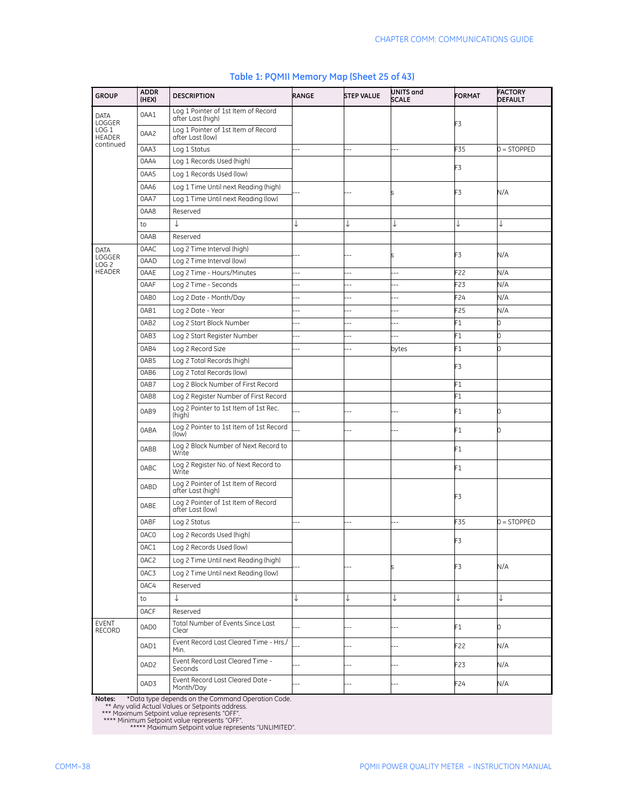| <b>GROUP</b>                      | <b>ADDR</b><br>(HEX) | <b>DESCRIPTION</b>                                       | <b>RANGE</b>             | <b>STEP VALUE</b>        | UNITS and<br><b>SCALE</b> | <b>FORMAT</b>   | <b>FACTORY</b><br><b>DEFAULT</b> |
|-----------------------------------|----------------------|----------------------------------------------------------|--------------------------|--------------------------|---------------------------|-----------------|----------------------------------|
| <b>DATA</b><br>LOGGER             | 0AA1                 | Log 1 Pointer of 1st Item of Record<br>after Last (high) |                          |                          |                           | F3              |                                  |
| LOG <sub>1</sub><br><b>HEADER</b> | 0AA2                 | Log 1 Pointer of 1st Item of Record<br>after Last (low)  |                          |                          |                           |                 |                                  |
| continued                         | 0AA3                 | Log 1 Status                                             | $\overline{a}$           |                          |                           | F35             | $0 =$ STOPPED                    |
|                                   | 0AA4                 | Log 1 Records Used (high)                                |                          |                          |                           | F3              |                                  |
|                                   | 0AA5                 | Log 1 Records Used (low)                                 |                          |                          |                           |                 |                                  |
|                                   | 0AA6                 | Log 1 Time Until next Reading (high)                     |                          |                          |                           | F3              | N/A                              |
|                                   | 0AA7                 | Log 1 Time Until next Reading (low)                      |                          |                          |                           |                 |                                  |
|                                   | 0AA8                 | Reserved                                                 |                          |                          |                           |                 |                                  |
|                                   | to                   | ↓                                                        | ↓                        | ↓                        | ↓                         | ↓               | ↓                                |
|                                   | 0AAB                 | Reserved                                                 |                          |                          |                           |                 |                                  |
| <b>DATA</b>                       | 0AAC                 | Log 2 Time Interval (high)                               |                          |                          |                           | F3              | N/A                              |
| LOGGER<br>LOG <sub>2</sub>        | 0AAD                 | Log 2 Time Interval (low)                                |                          |                          |                           |                 |                                  |
| <b>HEADER</b>                     | 0AAE                 | Log 2 Time - Hours/Minutes                               |                          |                          | ٠.                        | F22             | N/A                              |
|                                   | 0AAF                 | Log 2 Time - Seconds                                     | --                       | ۵.                       | --                        | F23             | N/A                              |
|                                   | 0AB0                 | Log 2 Date - Month/Day                                   | $\overline{a}$           | ц,                       | $\overline{a}$            | F24             | N/A                              |
|                                   | 0AB1                 | Log 2 Date - Year                                        | $\overline{a}$           |                          |                           | F25             | N/A                              |
|                                   | 0AB2                 | Log 2 Start Block Number                                 | $\overline{a}$           | $-$                      | Ц,                        | F1              | 0                                |
|                                   | 0AB3                 | Log 2 Start Register Number                              | $\overline{a}$           | --                       | $\overline{a}$            | F1              | 0                                |
|                                   | 0AB4                 | Log 2 Record Size                                        | Ξ.                       | $\overline{\phantom{a}}$ | bytes                     | F1              | 0                                |
|                                   | 0AB5                 | Log 2 Total Records (high)                               |                          |                          |                           |                 |                                  |
|                                   | 0AB6                 | Log 2 Total Records (low)                                |                          |                          |                           | F3              |                                  |
|                                   | 0AB7                 | Log 2 Block Number of First Record                       |                          |                          |                           | F1              |                                  |
|                                   | 0AB8                 | Log 2 Register Number of First Record                    |                          |                          |                           | F1              |                                  |
|                                   | 0AB9                 | Log 2 Pointer to 1st Item of 1st Rec.<br>(high)          |                          |                          |                           | F1              | n                                |
|                                   | 0ABA                 | Log 2 Pointer to 1st Item of 1st Record<br>(low)         |                          |                          |                           | F1              | n                                |
|                                   | 0ABB                 | Log 2 Block Number of Next Record to<br>Write            |                          |                          |                           | F1              |                                  |
|                                   | 0ABC                 | Log 2 Register No. of Next Record to<br>Write            |                          |                          |                           | F1              |                                  |
|                                   | 0ABD                 | Log 2 Pointer of 1st Item of Record<br>after Last (high) |                          |                          |                           | F3              |                                  |
|                                   | 0ABE                 | Log 2 Pointer of 1st Item of Record<br>after Last (low)  |                          |                          |                           |                 |                                  |
|                                   | 0ABF                 | Log 2 Status                                             | $\overline{a}$           | Ξ.                       |                           | F35             | $0 = STOPPED$                    |
|                                   | 0AC0                 | Log 2 Records Used (high)                                |                          |                          |                           | F3              |                                  |
|                                   | 0AC1                 | Log 2 Records Used (low)                                 |                          |                          |                           |                 |                                  |
|                                   | 0AC2                 | Log 2 Time Until next Reading (high)                     |                          |                          |                           | F3              |                                  |
|                                   | 0AC3                 | Log 2 Time Until next Reading (low)                      |                          |                          |                           |                 | N/A                              |
|                                   | 0AC4                 | Reserved                                                 |                          |                          |                           |                 |                                  |
|                                   | to                   | ↓                                                        | ↓                        | ↓                        | ↓                         | ↓               | ↓                                |
|                                   | 0ACF                 | Reserved                                                 |                          |                          |                           |                 |                                  |
| <b>EVENT</b><br>RECORD            | 0AD0                 | Total Number of Events Since Last<br>Clear               | $-$                      |                          |                           | F1              | 0                                |
|                                   | 0AD1                 | Event Record Last Cleared Time - Hrs./<br>Min.           |                          | --                       |                           | F22             | N/A                              |
|                                   | 0AD2                 | Event Record Last Cleared Time -<br>Seconds              | 44                       | Ξ.                       | $\overline{a}$            | F <sub>23</sub> | N/A                              |
|                                   | 0AD3                 | Event Record Last Cleared Date -<br>Month/Day            | $\overline{\phantom{a}}$ | --                       |                           | F24             | N/A                              |

#### **Table 1: PQMII Memory Map (Sheet 25 of 43)**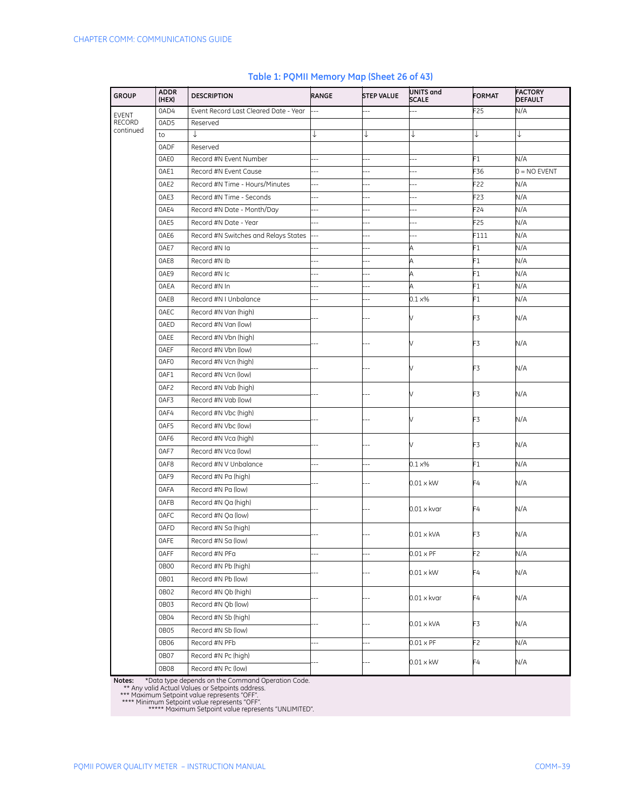| <b>GROUP</b>               | <b>ADDR</b><br>(HEX) | <b>DESCRIPTION</b>                    | RANGE          | <b>STEP VALUE</b>        | UNITS and<br><b>SCALE</b> | <b>FORMAT</b>  | <b>FACTORY</b><br><b>DEFAULT</b> |
|----------------------------|----------------------|---------------------------------------|----------------|--------------------------|---------------------------|----------------|----------------------------------|
| <b>EVENT</b>               | 0AD4                 | Event Record Last Cleared Date - Year |                |                          |                           | F25            | N/A                              |
| <b>RECORD</b><br>continued | 0AD5                 | Reserved                              |                |                          |                           |                |                                  |
|                            | to                   | ↓                                     |                | ↓                        | ↓                         | ↓              |                                  |
|                            | 0ADF                 | Reserved                              |                |                          |                           |                |                                  |
|                            | 0AE0                 | Record #N Event Number                | 44             | $\sim$                   | ٠.                        | F1             | N/A                              |
|                            | 0AE1                 | Record #N Event Cause                 | $-$            |                          |                           | F36            | $0 = NO$ EVENT                   |
|                            | 0AE2                 | Record #N Time - Hours/Minutes        | $-$            |                          |                           | F22            | N/A                              |
|                            | 0AE3                 | Record #N Time - Seconds              | $\overline{a}$ | $\overline{a}$           | ۵.                        | F23            | N/A                              |
|                            | 0AE4                 | Record #N Date - Month/Day            |                |                          |                           | F24            | N/A                              |
|                            | 0AE5                 | Record #N Date - Year                 |                |                          | Ξ.                        | F25            | N/A                              |
|                            | 0AE6                 | Record #N Switches and Relays States  |                | ۵.                       | ۵.                        | F111           | N/A                              |
|                            | 0AE7                 | Record #N Ia                          | --             | $\overline{a}$           | A                         | F1             | N/A                              |
|                            | 0AE8                 | Record #N Ib                          |                |                          | Α                         | F <sub>1</sub> | N/A                              |
|                            | 0AE9                 | Record #N Ic                          | ۵.             | ۵.                       | A                         | F1             | N/A                              |
|                            | 0AEA                 | Record #N In                          |                | --                       | A                         | F1             | N/A                              |
|                            | 0AEB                 | Record #N I Unbalance                 |                | $\overline{\phantom{a}}$ | $0.1 \times %$            | F1             | N/A                              |
|                            | 0AEC                 | Record #N Van (high)                  |                |                          |                           |                |                                  |
|                            | 0AED                 | Record #N Van (low)                   |                |                          |                           | F3             | N/A                              |
|                            | <b>OAEE</b>          | Record #N Vbn (high)                  |                |                          |                           |                | N/A                              |
|                            | <b>OAEF</b>          | Record #N Vbn (low)                   |                |                          |                           | F3             |                                  |
|                            | 0AF0                 | Record #N Vcn (high)                  |                |                          |                           |                | N/A                              |
|                            | 0AF1                 | Record #N Vcn (low)                   |                |                          |                           | F3             |                                  |
|                            | 0AF2                 | Record #N Vab (high)                  |                |                          |                           |                |                                  |
|                            | 0AF3                 | Record #N Vab (low)                   |                |                          |                           | F3             | N/A                              |
|                            | 0AF4                 | Record #N Vbc (high)                  |                |                          |                           |                | N/A                              |
|                            | 0AF5                 | Record #N Vbc (low)                   |                |                          |                           | F3             |                                  |
|                            | 0AF6                 | Record #N Vca (high)                  |                |                          |                           |                |                                  |
|                            | 0AF7                 | Record #N Vca (low)                   |                |                          |                           | F3             | N/A                              |
|                            | 0AF8                 | Record #N V Unbalance                 |                | $-$                      | $0.1 \times\%$            | F1             | N/A                              |
|                            | 0AF9                 | Record #N Pa (high)                   |                |                          |                           |                |                                  |
|                            | 0AFA                 | Record #N Pa (low)                    |                |                          | $0.01 \times$ kW          | F4             | N/A                              |
|                            | 0AFB                 | Record #N Qa (high)                   |                |                          |                           |                |                                  |
|                            | 0AFC                 | Record #N Qa (low)                    |                |                          | $0.01 \times k$ var       | F4             | N/A                              |
|                            | 0AFD                 | Record #N Sa (high)                   |                |                          |                           |                |                                  |
|                            | <b>OAFE</b>          | Record #N Sa (low)                    |                |                          | $0.01 \times$ kVA         | F3             | N/A                              |
|                            | 0AFF                 | Record #N PFa                         | --             |                          | $0.01 \times PF$          | F2             | N/A                              |
|                            | 0B00                 | Record #N Pb (high)                   |                |                          |                           |                |                                  |
|                            | 0B01                 | Record #N Pb (low)                    |                |                          | $0.01 \times$ kW          | F4             | N/A                              |
|                            | 0B02                 | Record #N Qb (high)                   |                |                          |                           |                |                                  |
|                            | 0B03                 | Record #N Qb (low)                    |                |                          | 0.01 x kvar               | F4             | N/A                              |
|                            | 0B04                 | Record #N Sb (high)                   |                |                          |                           |                |                                  |
|                            | OB05                 | Record #N Sb (low)                    |                |                          | 0.01 x kVA                | F3             | N/A                              |
|                            |                      | Record #N PFb                         | $-$            | $-$                      | $0.01 \times PF$          |                | N/A                              |
|                            | 0B06                 |                                       |                |                          |                           | F2             |                                  |
|                            | 0B07                 | Record #N Pc (high)                   |                |                          | $0.01 \times$ kW          | F4             | N/A                              |
|                            | 0B08                 | Record #N Pc (low)                    |                |                          |                           |                |                                  |

#### **Table 1: PQMII Memory Map (Sheet 26 of 43)**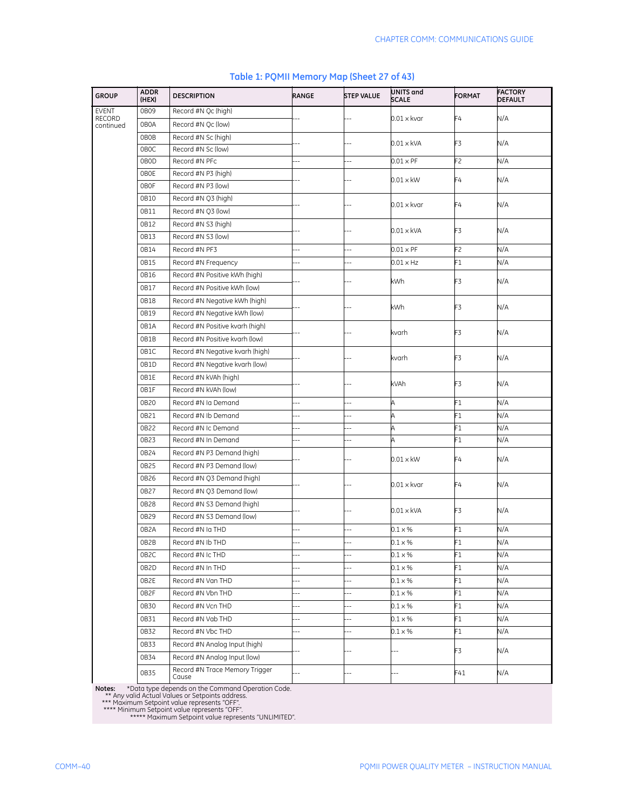| <b>GROUP</b>                  | <b>ADDR</b><br>(HEX) | <b>DESCRIPTION</b>              | RANGE                    | <b>STEP VALUE</b> | UNITS and<br><b>SCALE</b> | <b>FORMAT</b>  | <b>FACTORY</b><br><b>DEFAULT</b> |
|-------------------------------|----------------------|---------------------------------|--------------------------|-------------------|---------------------------|----------------|----------------------------------|
| <b>EVENT</b><br><b>RECORD</b> | 0B09                 | Record #N Oc (high)             |                          |                   | $0.01 \times k$ var       | F4             | N/A                              |
| continued                     | 0B0A                 | Record #N Qc (low)              |                          |                   |                           |                |                                  |
|                               | 0B0B                 | Record #N Sc (high)             |                          |                   | $0.01 \times$ kVA         | F3             | N/A                              |
|                               | 0B <sub>O</sub> C    | Record #N Sc (low)              |                          |                   |                           |                |                                  |
|                               | 0B0D                 | Record #N PFc                   | Ξ.                       |                   | $0.01 \times PF$          | F <sub>2</sub> | N/A                              |
|                               | 0B0E                 | Record #N P3 (high)             |                          |                   | $0.01 \times$ kW          | F4             | N/A                              |
|                               | 0B0F                 | Record #N P3 (low)              |                          |                   |                           |                |                                  |
|                               | 0B10                 | Record #N Q3 (high)             |                          |                   | $0.01 \times k$ var       | F4             | N/A                              |
|                               | 0B11                 | Record #N Q3 (low)              |                          |                   |                           |                |                                  |
|                               | 0B12                 | Record #N S3 (high)             |                          |                   | $0.01 \times$ kVA         | F3             | N/A                              |
|                               | 0B13                 | Record #N S3 (low)              |                          |                   |                           |                |                                  |
|                               | 0B14                 | Record #N PF3                   |                          |                   | $0.01 \times PF$          | F2             | N/A                              |
|                               | 0B15                 | Record #N Frequency             |                          | ä.                | $0.01 \times Hz$          | F1             | N/A                              |
|                               | 0B16                 | Record #N Positive kWh (high)   |                          |                   | kWh                       | F3             | N/A                              |
|                               | 0B17                 | Record #N Positive kWh (low)    |                          |                   |                           |                |                                  |
|                               | 0B18                 | Record #N Negative kWh (high)   |                          |                   |                           |                |                                  |
|                               | 0B19                 | Record #N Negative kWh (low)    |                          |                   | kWh                       | F3             | N/A                              |
|                               | 0B1A                 | Record #N Positive kvarh (high) |                          |                   |                           |                |                                  |
|                               | OB1B                 | Record #N Positive kvarh (low)  |                          |                   | kvarh                     | F3             | N/A                              |
|                               | 0B1C                 | Record #N Negative kvarh (high) |                          |                   |                           |                |                                  |
|                               | 0B1D                 | Record #N Negative kvarh (low)  |                          |                   | kvarh                     | F3             | N/A                              |
|                               | 0B1E                 | Record #N kVAh (high)           |                          |                   |                           |                |                                  |
|                               | 0B1F                 | Record #N kVAh (low)            |                          |                   | kVAh                      | F3             | N/A                              |
|                               | 0B20                 | Record #N Ia Demand             |                          |                   | A                         | F1             | N/A                              |
|                               | 0B21                 | Record #N Ib Demand             | Ξ.                       |                   | A                         | F1             | N/A                              |
|                               | 0B22                 | Record #N Ic Demand             | $-$                      | $-$               | A                         | F1             | N/A                              |
|                               | 0B23                 | Record #N In Demand             | $\overline{a}$           | ۵.                | A                         | F1             | N/A                              |
|                               | 0B24                 | Record #N P3 Demand (high)      |                          |                   |                           |                |                                  |
|                               | 0B25                 | Record #N P3 Demand (low)       |                          |                   | $0.01 \times$ kW          | F4             | N/A                              |
|                               | 0B26                 | Record #N 03 Demand (high)      |                          |                   |                           |                |                                  |
|                               | 0B27                 | Record #N Q3 Demand (low)       |                          |                   | $0.01 \times k$ var       | F4             | N/A                              |
|                               | 0B28                 | Record #N S3 Demand (high)      |                          |                   |                           |                |                                  |
|                               | 0B29                 | Record #N S3 Demand (low)       |                          |                   | $0.01 \times$ kVA         | F3             | N/A                              |
|                               | 0B <sub>2</sub> A    | Record #N Ia THD                |                          |                   | $0.1 \times %$            | F1             | N/A                              |
|                               | 0B2B                 | Record #N Ib THD                |                          |                   | $0.1 \times \%$           | F1             | N/A                              |
|                               | 0B <sub>2</sub> C    | Record #N Ic THD                | $\overline{a}$           |                   | 0.1 x %                   | F1             | N/A                              |
|                               | 0B2D                 | Record #N In THD                | $\overline{a}$           |                   | $0.1 \times \%$           | F1             | N/A                              |
|                               | OB2E                 | Record #N Van THD               | $\overline{\phantom{a}}$ | $\overline{a}$    | $0.1 \times \%$           | F1             | N/A                              |
|                               | 0B2F                 | Record #N Vbn THD               | $-$                      | $\overline{a}$    | $0.1 \times \%$           | F1             | N/A                              |
|                               | 0B30                 | Record #N Vcn THD               | --                       | --                | $0.1 \times %$            | F1             | N/A                              |
|                               | 0B31                 | Record #N Vab THD               | --                       | --                | $0.1 \times \%$           | F1             | N/A                              |
|                               | 0B32                 | Record #N Vbc THD               | --                       | Ξ.                | $0.1 \times \%$           | F1             | N/A                              |
|                               | 0B33                 | Record #N Analog Input (high)   |                          |                   |                           |                |                                  |
|                               | 0B34                 | Record #N Analog Input (low)    |                          |                   | $---$                     | F3             | N/A                              |
|                               |                      | Record #N Trace Memory Trigger  |                          |                   |                           |                |                                  |
|                               | 0B35                 | Cause                           | $---$                    | $-$               | ---                       | F41            | N/A                              |

#### **Table 1: PQMII Memory Map (Sheet 27 of 43)**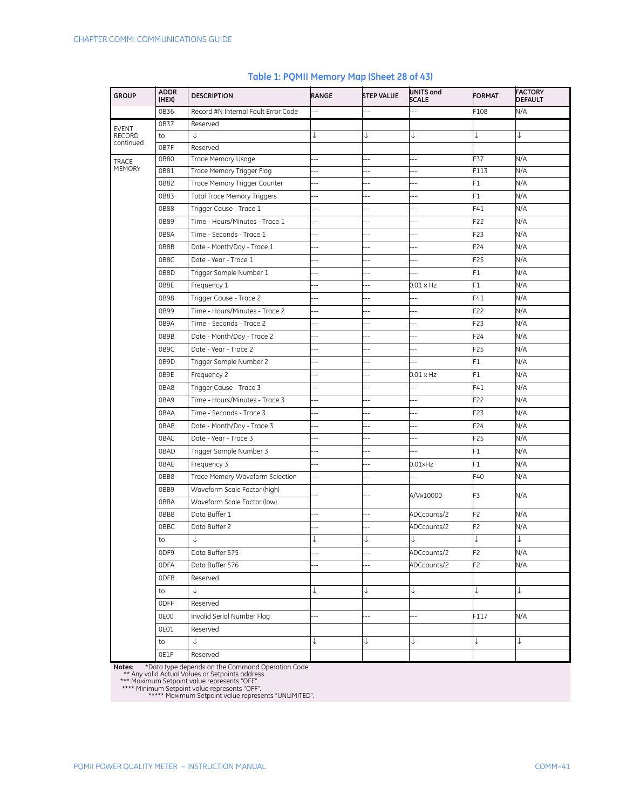| <b>GROUP</b>               | <b>ADDR</b><br>(HEX) | <b>DESCRIPTION</b>                  | RANGE                    | <b>STEP VALUE</b>        | <b>UNITS and</b><br><b>SCALE</b> | <b>FORMAT</b>  | <b>FACTORY</b><br><b>DEFAULT</b> |
|----------------------------|----------------------|-------------------------------------|--------------------------|--------------------------|----------------------------------|----------------|----------------------------------|
|                            | 0B36                 | Record #N Internal Fault Error Code | $\overline{\phantom{a}}$ |                          |                                  | F108           | N/A                              |
| <b>EVENT</b>               | 0B37                 | Reserved                            |                          |                          |                                  |                |                                  |
| <b>RECORD</b><br>continued | to                   | ↓                                   |                          | ↓                        |                                  | ↓              | ↓                                |
|                            | 0B7F                 | Reserved                            |                          |                          |                                  |                |                                  |
| TRACE<br><b>MEMORY</b>     | 0B80                 | Trace Memory Usage                  | --                       | Ξ.                       | ۵.                               | F37            | N/A                              |
|                            | 0B81                 | Trace Memory Trigger Flag           | --                       | ۵.                       |                                  | F113           | N/A                              |
|                            | 0B82                 | Trace Memory Trigger Counter        | $-$                      | $\overline{\phantom{a}}$ | $\overline{a}$                   | F1             | N/A                              |
|                            | 0B83                 | <b>Total Trace Memory Triggers</b>  | 44                       | --                       | $\overline{a}$                   | F1             | N/A                              |
|                            | 0B88                 | Trigger Cause - Trace 1             | $\overline{a}$           | --                       | $-$                              | F41            | N/A                              |
|                            | 0B89                 | Time - Hours/Minutes - Trace 1      | $\overline{a}$           | $\overline{\phantom{a}}$ | ц,                               | F22            | N/A                              |
|                            | 0B8A                 | Time - Seconds - Trace 1            | Ξ.                       | ۵.                       | ۵.                               | F23            | N/A                              |
|                            | OB8B                 | Date - Month/Day - Trace 1          | $\overline{a}$           |                          | $\overline{a}$                   | F24            | N/A                              |
|                            | 0B8C                 | Date - Year - Trace 1               | ц,                       | ц,                       | ц,                               | F25            | N/A                              |
|                            | 0B8D                 | Trigger Sample Number 1             | $\overline{a}$           | --                       | --                               | F1             | N/A                              |
|                            | OB8E                 | Frequency 1                         | $-$                      |                          | $0.01 \times HZ$                 | F1             | N/A                              |
|                            | 0B98                 | Trigger Cause - Trace 2             |                          | ۵.                       | --                               | F41            | N/A                              |
|                            | 0B99                 | Time - Hours/Minutes - Trace 2      |                          | $-$                      | ۵.                               | F22            | N/A                              |
|                            | 0B9A                 | Time - Seconds - Trace 2            | $\overline{a}$           |                          | Ξ.                               | F23            | N/A                              |
|                            | 0B9B                 | Date - Month/Day - Trace 2          | $-$                      | --                       |                                  | F24            | N/A                              |
|                            | 0B9C                 | Date - Year - Trace 2               | --                       | $\overline{a}$           | $\overline{a}$                   | F25            | N/A                              |
|                            | 0B9D                 | Trigger Sample Number 2             |                          |                          | ۵.                               | F1             | N/A                              |
|                            | OB9E                 | Frequency 2                         | Ξ.                       | $-$                      | $0.01 \times HZ$                 | F1             | N/A                              |
|                            | 0BA8                 | Trigger Cause - Trace 3             | Ξ.                       | ۵.                       |                                  | F41            | N/A                              |
|                            | 0BA9                 | Time - Hours/Minutes - Trace 3      | $\overline{a}$           |                          |                                  | F22            | N/A                              |
|                            | 0BAA                 | Time - Seconds - Trace 3            | ц,                       | ۵.                       | ц,                               | F23            | N/A                              |
|                            | 0BAB                 | Date - Month/Day - Trace 3          | $\overline{a}$           | $-$                      | $\overline{a}$                   | F24            | N/A                              |
|                            | 0BAC                 | Date - Year - Trace 3               | ۵.                       |                          | --                               | F25            | N/A                              |
|                            | 0BAD                 | Trigger Sample Number 3             |                          |                          | ц,                               | F1             | N/A                              |
|                            | <b>OBAE</b>          | Frequency 3                         | --                       | ۵.                       | $0.01$ xHz                       | F1             | N/A                              |
|                            | OBB8                 | Trace Memory Waveform Selection     |                          | --                       | --                               | F40            | N/A                              |
|                            | OBB9                 | Waveform Scale Factor (high)        |                          |                          | A/Vx10000                        | F3             | N/A                              |
|                            | 0BBA                 | Waveform Scale Factor (low)         |                          |                          |                                  |                |                                  |
|                            | <b>OBBB</b>          | Data Buffer 1                       | $-$                      | --                       | ADCcounts/2                      | F2             | N/A                              |
|                            | <b>OBBC</b>          | Data Buffer 2                       | Ξ.                       | --                       | ADCcounts/2                      | F <sub>2</sub> | N/A                              |
|                            | to                   |                                     |                          |                          |                                  |                |                                  |
|                            | ODF9                 | Data Buffer 575                     |                          | $\overline{\phantom{a}}$ | ADCcounts/2                      | F2             | N/A                              |
|                            | 0DFA                 | Data Buffer 576                     | 44                       | $\overline{\phantom{a}}$ | ADCcounts/2                      | F2             | N/A                              |
|                            | ODFB                 | Reserved                            |                          |                          |                                  |                |                                  |
|                            | to                   | $\downarrow$                        |                          | ↓                        | ↓                                | ↓              | ↓                                |
|                            | 0DFF                 | Reserved                            |                          |                          |                                  |                |                                  |
|                            | 0E00                 | Invalid Serial Number Flag          | $-$                      | --                       | --                               | F117           | N/A                              |
|                            | OEO1                 | Reserved                            |                          |                          |                                  |                |                                  |
|                            | to                   | $\downarrow$                        | ↓                        | ↓                        | ↓                                | $\downarrow$   | ↓                                |
|                            | OE1F                 | Reserved                            |                          |                          |                                  |                |                                  |

#### **Table 1: PQMII Memory Map (Sheet 28 of 43)**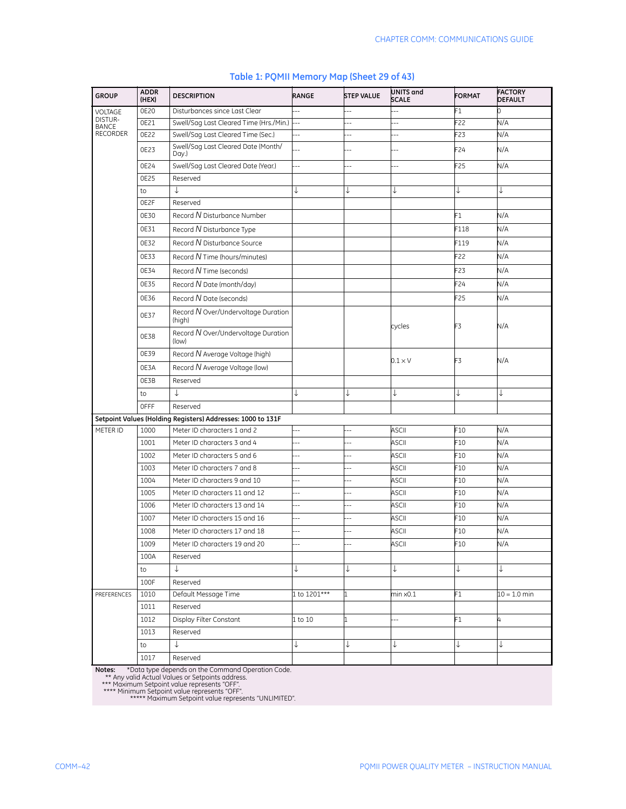| <b>GROUP</b>                    | <b>ADDR</b><br>(HEX) | <b>DESCRIPTION</b>                                          | RANGE          | <b>STEP VALUE</b>        | UNITS and<br><b>SCALE</b> | <b>FORMAT</b>   | <b>FACTORY</b><br><b>DEFAULT</b> |
|---------------------------------|----------------------|-------------------------------------------------------------|----------------|--------------------------|---------------------------|-----------------|----------------------------------|
| VOLTAGE<br>DISTUR-              | 0E20                 | Disturbances since Last Clear                               | $\overline{a}$ | Ξ.                       |                           | F1              | 0                                |
| <b>BANCE</b><br><b>RECORDER</b> | 0E21                 | Swell/Sag Last Cleared Time (Hrs./Min.)                     | $\ddotsc$      | $\overline{a}$           | ٠.                        | F22             | N/A                              |
|                                 | 0E22                 | Swell/Sag Last Cleared Time (Sec.)                          | $-$            | $\overline{\phantom{a}}$ | $-$                       | F23             | N/A                              |
|                                 | 0E23                 | Swell/Sag Last Cleared Date (Month/<br>Day.)                |                |                          |                           | F <sub>24</sub> | N/A                              |
|                                 | 0E24                 | Swell/Sag Last Cleared Date (Year.)                         | $\overline{a}$ | $\overline{a}$           | 4                         | F25             | N/A                              |
|                                 | 0E25                 | Reserved                                                    |                |                          |                           |                 |                                  |
|                                 | to                   | J                                                           | ↓              | ↓                        | ↓                         | ↓               | ↓                                |
|                                 | OE2F                 | Reserved                                                    |                |                          |                           |                 |                                  |
|                                 | 0E30                 | Record N Disturbance Number                                 |                |                          |                           | F1              | N/A                              |
|                                 | 0E31                 | Record N Disturbance Type                                   |                |                          |                           | F118            | N/A                              |
|                                 | 0E32                 | Record N Disturbance Source                                 |                |                          |                           | F119            | N/A                              |
|                                 | 0E33                 | Record N Time (hours/minutes)                               |                |                          |                           | F22             | N/A                              |
|                                 | 0E34                 | Record N Time (seconds)                                     |                |                          |                           | F <sub>23</sub> | N/A                              |
|                                 | 0E35                 | Record N Date (month/day)                                   |                |                          |                           | F24             | N/A                              |
|                                 | 0E36                 | Record N Date (seconds)                                     |                |                          |                           | F25             | N/A                              |
|                                 | 0E37                 | Record N Over/Undervoltage Duration<br>(high)               |                |                          |                           |                 |                                  |
|                                 | 0E38                 | Record N Over/Undervoltage Duration<br>(low)                |                |                          | cycles                    | F3              | N/A                              |
|                                 | 0E39                 | Record N Average Voltage (high)                             |                |                          |                           | F3              |                                  |
|                                 | 0E3A                 | Record N Average Voltage (low)                              |                |                          | $0.1 \times V$            |                 | N/A                              |
|                                 | OE3B                 | Reserved                                                    |                |                          |                           |                 |                                  |
|                                 | to                   | T                                                           | ↓              | ↓                        | ↓                         | ↓               | ↓                                |
|                                 | <b>OFFF</b>          | Reserved                                                    |                |                          |                           |                 |                                  |
|                                 |                      | Setpoint Values (Holding Registers) Addresses: 1000 to 131F |                |                          |                           |                 |                                  |
| METER ID                        | 1000                 | Meter ID characters 1 and 2                                 |                |                          | <b>ASCII</b>              | F10             | N/A                              |
|                                 | 1001                 | Meter ID characters 3 and 4                                 | $\overline{a}$ |                          | <b>ASCII</b>              | F <sub>10</sub> | N/A                              |
|                                 | 1002                 | Meter ID characters 5 and 6                                 |                |                          | <b>ASCII</b>              | F10             | N/A                              |
|                                 | 1003                 | Meter ID characters 7 and 8                                 | $-$            |                          | <b>ASCII</b>              | F10             | N/A                              |
|                                 | 1004                 | Meter ID characters 9 and 10                                | $-$            |                          | <b>ASCII</b>              | F10             | N/A                              |
|                                 | 1005                 | Meter ID characters 11 and 12                               | $-$            |                          | <b>ASCII</b>              | F10             | N/A                              |
|                                 | 1006                 | Meter ID characters 13 and 14                               | --             | ц,                       | <b>ASCII</b>              | F <sub>10</sub> | N/A                              |
|                                 | 1007                 | Meter ID characters 15 and 16                               | ä.             | $\overline{a}$           | <b>ASCII</b>              | F10             | N/A                              |
|                                 | 1008                 | Meter ID characters 17 and 18                               |                | $\overline{\phantom{a}}$ | <b>ASCII</b>              | F10             | N/A                              |
|                                 | 1009                 | Meter ID characters 19 and 20                               |                |                          | ASCII                     | F10             | N/A                              |
|                                 | 100A                 | Reserved                                                    |                |                          |                           |                 |                                  |
|                                 | to                   | $\downarrow$                                                | ↓              | ↓                        | ↓                         | ↓               | ↓                                |
|                                 | 100F                 | Reserved                                                    |                |                          |                           |                 |                                  |
| PREFERENCES                     | 1010                 | Default Message Time                                        | 1 to $1201***$ | $\mathbf{1}$             | min x0.1                  | F1              | $10 = 1.0$ min                   |
|                                 | 1011                 | Reserved                                                    |                |                          |                           |                 |                                  |
|                                 | 1012                 | Display Filter Constant                                     | 1 to 10        | 1                        | $\overline{a}$            | F1              | 4                                |
|                                 | 1013                 | Reserved                                                    |                |                          |                           |                 |                                  |
|                                 | to                   | $\downarrow$                                                | ↓              | $\downarrow$             | ↓                         | ↓               | ↓                                |
|                                 | 1017                 | Reserved                                                    |                |                          |                           |                 |                                  |

#### **Table 1: PQMII Memory Map (Sheet 29 of 43)**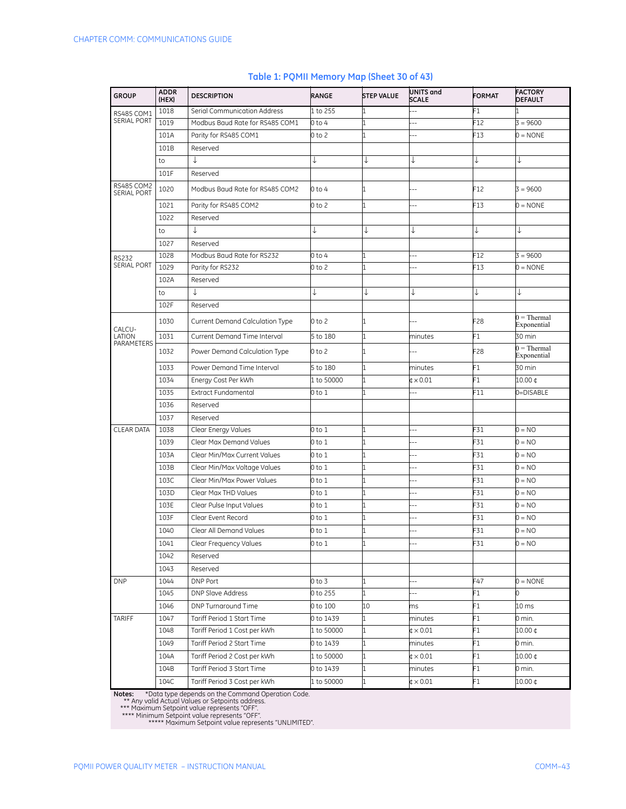| <b>GROUP</b>                     | <b>ADDR</b><br>(HEX) | <b>DESCRIPTION</b>                     | RANGE      | <b>STEP VALUE</b> | <b>UNITS and</b><br><b>SCALE</b>  | <b>FORMAT</b> | <b>FACTORY</b><br><b>DEFAULT</b>    |
|----------------------------------|----------------------|----------------------------------------|------------|-------------------|-----------------------------------|---------------|-------------------------------------|
| RS485 COM1                       | 1018                 | Serial Communication Address           | 1 to 255   |                   |                                   | F1            |                                     |
| <b>SERIAL PORT</b>               | 1019                 | Modbus Baud Rate for RS485 COM1        | 0 to 4     |                   |                                   | F12           | $3 = 9600$                          |
|                                  | 101A                 | Parity for RS485 COM1                  | 0 to 2     |                   |                                   | F13           | $0 = \text{NONE}$                   |
|                                  | 101B                 | Reserved                               |            |                   |                                   |               |                                     |
|                                  | to                   | ↓                                      |            | J                 |                                   | ↓             |                                     |
|                                  | 101F                 | Reserved                               |            |                   |                                   |               |                                     |
| <b>RS485 COM2</b><br>SERIAL PORT | 1020                 | Modbus Baud Rate for RS485 COM2        | 0 to 4     |                   |                                   | F12           | $3 = 9600$                          |
|                                  | 1021                 | Parity for RS485 COM2                  | 0 to 2     | 1                 | Ξ.                                | F13           | $0 = \text{NONE}$                   |
|                                  | 1022                 | Reserved                               |            |                   |                                   |               |                                     |
|                                  | to                   | ↓                                      |            | ↓                 | ↓                                 | ↓             | ↓                                   |
|                                  | 1027                 | Reserved                               |            |                   |                                   |               |                                     |
| <b>RS232</b>                     | 1028                 | Modbus Baud Rate for RS232             | 0 to 4     |                   |                                   | F12           | $3 = 9600$                          |
| <b>SERIAL PORT</b>               | 1029                 | Parity for RS232                       | 0 to 2     |                   |                                   | F13           | $0 = \text{NONE}$                   |
|                                  | 102A                 | Reserved                               |            |                   |                                   |               |                                     |
|                                  | to                   | ↓                                      |            | ↓                 | ↓                                 | ↓             | ↓                                   |
|                                  | 102F                 | Reserved                               |            |                   |                                   |               |                                     |
| CALCU-                           | 1030                 | <b>Current Demand Calculation Type</b> | 0 to 2     |                   |                                   | F28           | $0 =$ Thermal<br>Exponential        |
| LATION                           | 1031                 | Current Demand Time Interval           | 5 to 180   |                   | minutes                           | F1            | 30 min                              |
| PARAMETERS                       | 1032                 | Power Demand Calculation Type          | 0 to 2     |                   |                                   | F28           | $0 = \text{Thermal}$<br>Exponential |
|                                  | 1033                 | Power Demand Time Interval             | 5 to 180   |                   | minutes                           | F1            | 30 min                              |
|                                  | 1034                 | Energy Cost Per kWh                    | 1 to 50000 |                   | ¢ × 0.01                          | F1            | 10.00 ¢                             |
|                                  | 1035                 | <b>Extract Fundamental</b>             | 0 to 1     |                   | $\overline{a}$                    | F11           | 0=DISABLE                           |
|                                  | 1036                 | Reserved                               |            |                   |                                   |               |                                     |
|                                  | 1037                 | Reserved                               |            |                   |                                   |               |                                     |
| <b>CLEAR DATA</b>                | 1038                 | Clear Energy Values                    | 0 to 1     |                   |                                   | F31           | $0 = NO$                            |
|                                  | 1039                 | Clear Max Demand Values                | 0 to 1     |                   |                                   | F31           | $0 = NO$                            |
|                                  | 103A                 | Clear Min/Max Current Values           | 0 to 1     |                   |                                   | F31           | $0 = NO$                            |
|                                  | 103B                 | Clear Min/Max Voltage Values           | 0 to 1     |                   |                                   | F31           | $0 = NO$                            |
|                                  | 103C                 | Clear Min/Max Power Values             | 0 to 1     |                   | Ξ.                                | F31           | $0 = NO$                            |
|                                  | 103D                 | Clear Max THD Values                   | 0 to 1     |                   | $-$                               | F31           | $0 = NO$                            |
|                                  | 103E                 | Clear Pulse Input Values               | 0 to 1     |                   |                                   | F31           | $0 = NO$                            |
|                                  | 103F                 | Clear Event Record                     | 0 to 1     |                   | Ξ.                                | F31           | $0 = NO$                            |
|                                  | 1040                 | Clear All Demand Values                | 0 to 1     |                   |                                   | F31           | $0 = NO$                            |
|                                  | 1041                 | Clear Frequency Values                 | 0 to 1     | 1                 |                                   | F31           | 0 = NO                              |
|                                  | 1042                 | Reserved                               |            |                   |                                   |               |                                     |
|                                  | 1043                 | Reserved                               |            |                   |                                   |               |                                     |
| <b>DNP</b>                       | 1044                 | DNP Port                               | 0 to 3     |                   |                                   | F47           | $0 = \text{NONE}$                   |
|                                  | 1045                 | <b>DNP Slave Address</b>               | 0 to 255   | 1                 | --                                | F1            | 0                                   |
|                                  | 1046                 | DNP Turnaround Time                    | 0 to 100   | 10                | ms                                | F1            | 10 <sub>ms</sub>                    |
| <b>TARIFF</b>                    | 1047                 | Tariff Period 1 Start Time             | 0 to 1439  |                   | minutes                           | F1            | 0 min.                              |
|                                  | 1048                 | Tariff Period 1 Cost per kWh           | 1 to 50000 |                   | $\text{C} \times 0.01$            | F1            | 10.00 ¢                             |
|                                  | 1049                 | Tariff Period 2 Start Time             | 0 to 1439  | 1                 | minutes                           | F1            | 0 min.                              |
|                                  | 104A                 | Tariff Period 2 Cost per kWh           | 1 to 50000 |                   | $\texttt{\textup{t}} \times 0.01$ | F1            | 10.00 ¢                             |
|                                  | 104B                 | Tariff Period 3 Start Time             | 0 to 1439  |                   | minutes                           | F1            | 0 min.                              |
|                                  | 104C                 | Tariff Period 3 Cost per kWh           | 1 to 50000 |                   | $\texttt{\textup{t}} \times 0.01$ | F1            | 10.00 ¢                             |

#### **Table 1: PQMII Memory Map (Sheet 30 of 43)**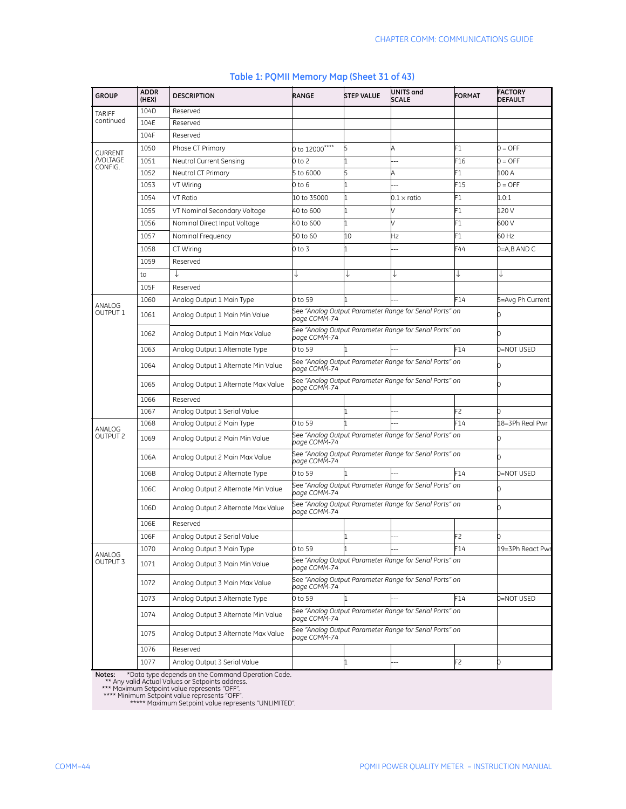| <b>GROUP</b>              | <b>ADDR</b><br>(HEX) | <b>DESCRIPTION</b>                  | RANGE                                                                        | <b>STEP VALUE</b> | UNITS and<br><b>SCALE</b>                               | <b>FORMAT</b> | <b>FACTORY</b><br><b>DEFAULT</b> |  |  |
|---------------------------|----------------------|-------------------------------------|------------------------------------------------------------------------------|-------------------|---------------------------------------------------------|---------------|----------------------------------|--|--|
| <b>TARIFF</b>             | 104D                 | Reserved                            |                                                                              |                   |                                                         |               |                                  |  |  |
| continued                 | 104E                 | Reserved                            |                                                                              |                   |                                                         |               |                                  |  |  |
|                           | 104F                 | Reserved                            |                                                                              |                   |                                                         |               |                                  |  |  |
| CURRENT                   | 1050                 | Phase CT Primary                    | 0 to 12000 <sup>****</sup>                                                   | 5                 | А                                                       | F1            | $0 = OFF$                        |  |  |
| /VOLTAGE                  | 1051                 | Neutral Current Sensing             | 0 to 2                                                                       |                   | ц,                                                      | F16           | $0 = OFF$                        |  |  |
| CONFIG.                   | 1052                 | Neutral CT Primary                  | 5 to 6000                                                                    | 5                 | А                                                       | -1            | 100 A                            |  |  |
|                           | 1053                 | VT Wiring                           | 0 to 6                                                                       |                   |                                                         | F15           | $0 =$ OFF                        |  |  |
|                           | 1054                 | VT Ratio                            | 10 to 35000                                                                  | 1                 | $0.1\times$ ratio                                       | F1            | 1.0:1                            |  |  |
|                           | 1055                 | VT Nominal Secondary Voltage        | 40 to 600                                                                    | 1                 |                                                         | F1            | 120 V                            |  |  |
|                           | 1056                 | Nominal Direct Input Voltage        | 40 to 600                                                                    |                   |                                                         | F1            | 600 V                            |  |  |
|                           | 1057                 | Nominal Frequency                   | 50 to 60                                                                     | 10                | Ηz                                                      | F1            | 60 Hz                            |  |  |
|                           | 1058                 | CT Wiring                           | 0 to 3                                                                       |                   |                                                         | F44           | 0=A,B AND C                      |  |  |
|                           | 1059                 | Reserved                            |                                                                              |                   |                                                         |               |                                  |  |  |
|                           | to                   | T                                   |                                                                              | ↓                 |                                                         |               |                                  |  |  |
|                           | 105F                 | Reserved                            |                                                                              |                   |                                                         |               |                                  |  |  |
|                           | 1060                 | Analog Output 1 Main Type           | F14<br>0 to 59                                                               |                   |                                                         |               | 5=Avg Ph Current                 |  |  |
| ANALOG<br><b>OUTPUT 1</b> | 1061                 | Analog Output 1 Main Min Value      | See "Analog Output Parameter Range for Serial Ports" on<br>oage COMM-74      |                   |                                                         |               |                                  |  |  |
|                           | 1062                 | Analog Output 1 Main Max Value      | page COMM-74                                                                 |                   | See "Analog Output Parameter Range for Serial Ports" on |               |                                  |  |  |
|                           | 1063                 | Analog Output 1 Alternate Type      | 0 to 59                                                                      |                   |                                                         | F14           | 0=NOT USED                       |  |  |
|                           | 1064                 | Analog Output 1 Alternate Min Value | page COMM-74                                                                 |                   | See "Analog Output Parameter Range for Serial Ports" on |               |                                  |  |  |
|                           | 1065                 | Analog Output 1 Alternate Max Value | oage COMM-74                                                                 |                   | See "Analog Output Parameter Range for Serial Ports" on |               |                                  |  |  |
|                           | 1066                 | Reserved                            |                                                                              |                   |                                                         |               |                                  |  |  |
|                           | 1067                 | Analog Output 1 Serial Value        |                                                                              |                   |                                                         | F2            |                                  |  |  |
| ANALOG                    | 1068                 | Analog Output 2 Main Type           | 0 to 59                                                                      |                   |                                                         | F14           | 18=3Ph Real Pwr                  |  |  |
| OUTPUT <sub>2</sub>       | 1069                 | Analog Output 2 Main Min Value      | See "Analog Output Parameter Range for Serial Ports" on<br>U<br>page COMM-74 |                   |                                                         |               |                                  |  |  |
|                           | 106A                 | Analog Output 2 Main Max Value      | page COMM-74                                                                 |                   | See "Analog Output Parameter Range for Serial Ports" on |               |                                  |  |  |
|                           | 106B                 | Analog Output 2 Alternate Type      | 0 to 59                                                                      | 1                 |                                                         | F14           | 0=NOT USED                       |  |  |
|                           | 106C                 | Analog Output 2 Alternate Min Value | page COMM-74                                                                 |                   | See "Analog Output Parameter Range for Serial Ports" on |               |                                  |  |  |
|                           | 106D                 | Analog Output 2 Alternate Max Value | оаае СОМЙ-74                                                                 |                   | See "Analog Output Parameter Range for Serial Ports" on |               |                                  |  |  |
|                           | 106E                 | Reserved                            |                                                                              |                   |                                                         |               |                                  |  |  |
|                           | 106F                 | Analog Output 2 Serial Value        |                                                                              | 11                |                                                         | F2            | 0                                |  |  |
| ANALOG                    | 1070                 | Analog Output 3 Main Type           | 0 to 59                                                                      |                   |                                                         | F14           | 19=3Ph React Pwr                 |  |  |
| OUTPUT 3                  | 1071                 | Analog Output 3 Main Min Value      | page COMM-74                                                                 |                   | See "Analog Output Parameter Range for Serial Ports" on |               |                                  |  |  |
|                           | 1072                 | Analog Output 3 Main Max Value      | page COMM-74                                                                 |                   | See "Analog Output Parameter Range for Serial Ports" on |               |                                  |  |  |
|                           | 1073                 | Analog Output 3 Alternate Type      | 0 to 59                                                                      |                   |                                                         | F14           | 0=NOT USED                       |  |  |
|                           | 1074                 | Analog Output 3 Alternate Min Value | page COMM-74                                                                 |                   | See "Analog Output Parameter Range for Serial Ports" on |               |                                  |  |  |
|                           | 1075                 | Analog Output 3 Alternate Max Value | page COMM-74                                                                 |                   | See "Analog Output Parameter Range for Serial Ports" on |               |                                  |  |  |
|                           | 1076                 | Reserved                            |                                                                              |                   |                                                         |               |                                  |  |  |
|                           | 1077                 | Analog Output 3 Serial Value        |                                                                              |                   |                                                         | F2            | 0                                |  |  |

#### **Table 1: PQMII Memory Map (Sheet 31 of 43)**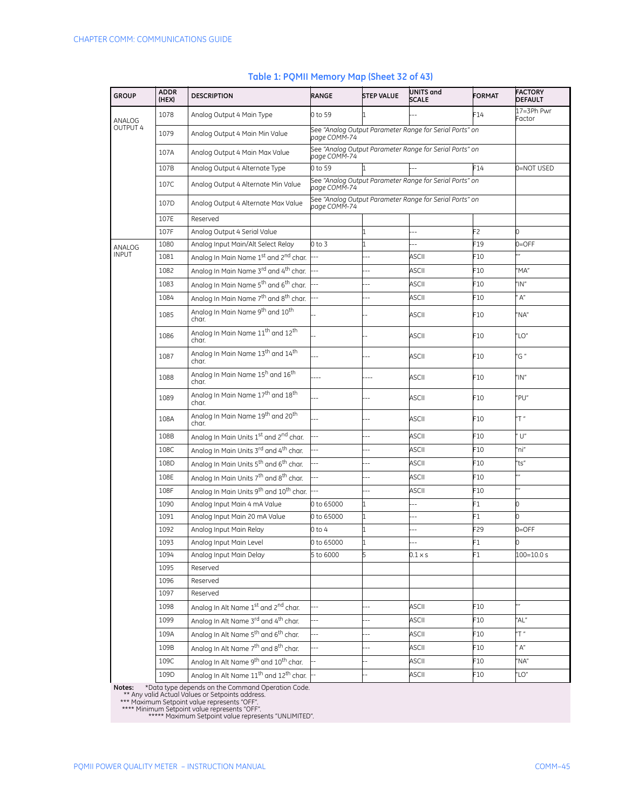| <b>GROUP</b>    | <b>ADDR</b><br>(HEX) | <b>DESCRIPTION</b>                                                 | RANGE                    | <b>STEP VALUE</b> | UNITS and<br><b>SCALE</b>                               | <b>FORMAT</b> | <b>FACTORY</b><br><b>DEFAULT</b> |
|-----------------|----------------------|--------------------------------------------------------------------|--------------------------|-------------------|---------------------------------------------------------|---------------|----------------------------------|
| ANALOG          | 1078                 | Analog Output 4 Main Type                                          | 0 to 59                  |                   |                                                         | F14           | 17=3Ph Pwr<br>Factor             |
| <b>OUTPUT 4</b> | 1079                 | Analog Output 4 Main Min Value                                     | page COMM-74             |                   | See "Analog Output Parameter Range for Serial Ports" on |               |                                  |
|                 | 107A                 | Analog Output 4 Main Max Value                                     | page COMM-74             |                   | See "Analog Output Parameter Range for Serial Ports" on |               |                                  |
|                 | 107B                 | Analog Output 4 Alternate Type                                     | 0 to 59                  |                   |                                                         | F14           | 0=NOT USED                       |
|                 | 107C                 | Analog Output 4 Alternate Min Value                                | page COMM-74             |                   | See "Analog Output Parameter Range for Serial Ports" on |               |                                  |
|                 | 107D                 | Analog Output 4 Alternate Max Value                                | page COMM-74             |                   | See "Analog Output Parameter Range for Serial Ports" on |               |                                  |
|                 | 107E                 | Reserved                                                           |                          |                   |                                                         |               |                                  |
|                 | 107F                 | Analog Output 4 Serial Value                                       |                          |                   |                                                         | F2            | 0                                |
| ANALOG          | 1080                 | Analog Input Main/Alt Select Relay                                 | $0$ to 3                 |                   | $\overline{a}$                                          | F19           | $0 =$ OFF                        |
| <b>INPUT</b>    | 1081                 | Analog In Main Name 1st and 2 <sup>nd</sup> char.                  |                          |                   | ASCII                                                   | F10           |                                  |
|                 | 1082                 | Analog In Main Name 3 <sup>rd</sup> and 4 <sup>th</sup> char.      |                          |                   | ASCII                                                   | F10           | $M^{\prime}$                     |
|                 | 1083                 | Analog In Main Name 5 <sup>th</sup> and 6 <sup>th</sup> char.      |                          |                   | <b>ASCII</b>                                            | F10           | "IN"                             |
|                 | 1084                 | Analog In Main Name 7 <sup>th</sup> and 8 <sup>th</sup> char.      |                          |                   | ASCII                                                   | F10           | A''                              |
|                 | 1085                 | Analog In Main Name 9 <sup>th</sup> and 10 <sup>th</sup><br>char.  |                          |                   | <b>ASCII</b>                                            | F10           | "NA"                             |
|                 | 1086                 | Analog In Main Name 11 <sup>th</sup> and 12 <sup>th</sup><br>char. |                          |                   | ASCII                                                   | F10           | "LO"                             |
|                 | 1087                 | Analog In Main Name 13 <sup>th</sup> and 14 <sup>th</sup><br>char  |                          |                   | <b>ASCII</b>                                            | F10           | "G "                             |
|                 | 1088                 | Analog In Main Name 15 <sup>h</sup> and 16 <sup>th</sup><br>char.  |                          |                   | <b>ASCII</b>                                            | F10           | "IN"                             |
|                 | 1089                 | Analog In Main Name 17 <sup>th</sup> and 18 <sup>th</sup><br>char. |                          |                   | ASCII                                                   | F10           | "PU"                             |
|                 | 108A                 | Analog In Main Name 19 <sup>th</sup> and 20 <sup>th</sup><br>char. |                          |                   | <b>ASCII</b>                                            | F10           | "T"                              |
|                 | 108B                 | Analog In Main Units 1st and 2 <sup>nd</sup> char.                 | 44                       | Ξ.                | ASCII                                                   | F10           | $\bigcup''$                      |
|                 | 108C                 | Analog In Main Units 3rd and 4 <sup>th</sup> char.                 | $\overline{a}$           |                   | ASCII                                                   | F10           | "ni"                             |
|                 | 108D                 | Analog In Main Units 5 <sup>th</sup> and 6 <sup>th</sup> char.     |                          |                   | ASCII                                                   | F10           | "ts"                             |
|                 | 108E                 | Analog In Main Units 7 <sup>th</sup> and 8 <sup>th</sup> char.     |                          |                   | ASCII                                                   | F10           |                                  |
|                 | 108F                 | Analog In Main Units 9 <sup>th</sup> and 10 <sup>th</sup> char.    |                          |                   | ASCII                                                   | F10           | $\overline{\phantom{a}}$         |
|                 | 1090                 | Analog Input Main 4 mA Value                                       | 0 to 65000               |                   | $-$                                                     | F1            | 0                                |
|                 | 1091                 | Analog Input Main 20 mA Value                                      | 0 to 65000               |                   | $\overline{a}$                                          | F1            | <sup>o</sup>                     |
|                 | 1092                 | Analog Input Main Relay                                            | $0$ to 4                 |                   |                                                         | F29           | $0=$ OFF                         |
|                 | 1093                 | Analog Input Main Level                                            | 0 to 65000               |                   |                                                         | F1            |                                  |
|                 | 1094                 | Analog Input Main Delay                                            | 5 to 6000                | 5                 | 0.1 × s                                                 | F1            | 100=10.0 s                       |
|                 | 1095                 | Reserved                                                           |                          |                   |                                                         |               |                                  |
|                 | 1096                 | Reserved                                                           |                          |                   |                                                         |               |                                  |
|                 | 1097                 | Reserved                                                           |                          |                   |                                                         |               |                                  |
|                 | 1098                 | Analog In Alt Name 1 <sup>st</sup> and 2 <sup>nd</sup> char.       |                          |                   | ASCII                                                   | F10           |                                  |
|                 | 1099                 | Analog In Alt Name 3 <sup>rd</sup> and 4 <sup>th</sup> char.       | $\overline{\phantom{a}}$ | --                | ASCII                                                   | F10           | "AL"                             |
|                 | 109A                 | Analog In Alt Name 5 <sup>th</sup> and 6 <sup>th</sup> char.       | Ξ.                       | --                | <b>ASCII</b>                                            | F10           | "T"                              |
|                 | 109B                 | Analog In Alt Name 7 <sup>th</sup> and 8 <sup>th</sup> char.       |                          | $\overline{a}$    | ASCII                                                   | F10           | A''                              |
|                 | 109C                 | Analog In Alt Name 9 <sup>th</sup> and 10 <sup>th</sup> char.      |                          |                   | ASCII                                                   | F10           | "NA"                             |
|                 | 109D                 | Analog In Alt Name 11 <sup>th</sup> and 12 <sup>th</sup> char.     |                          |                   | ASCII                                                   | F10           | "LO"                             |
|                 |                      |                                                                    |                          |                   |                                                         |               |                                  |

#### **Table 1: PQMII Memory Map (Sheet 32 of 43)**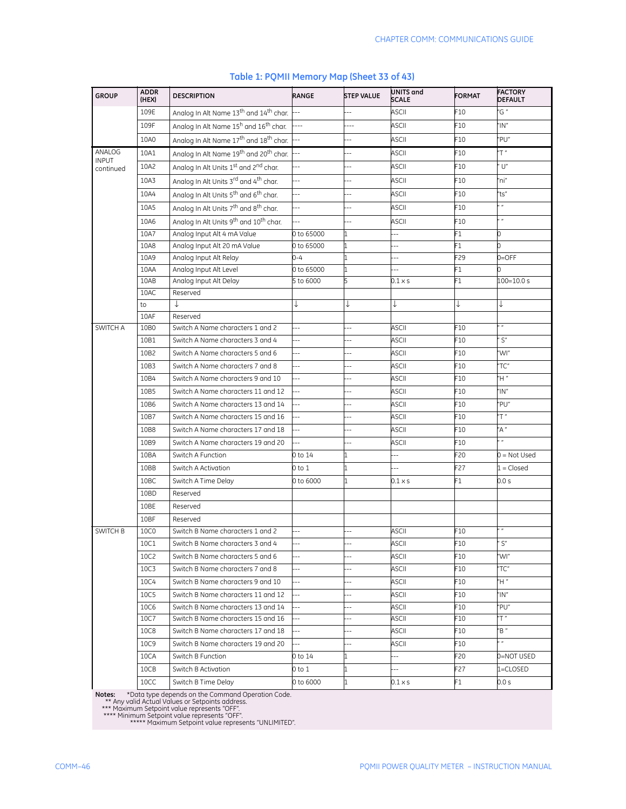| <b>GROUP</b>              | <b>ADDR</b><br>(HEX) | <b>DESCRIPTION</b>                                                       | RANGE                    | <b>STEP VALUE</b>        | UNITS and<br><b>SCALE</b> | <b>FORMAT</b>   | <b>FACTORY</b><br><b>DEFAULT</b> |
|---------------------------|----------------------|--------------------------------------------------------------------------|--------------------------|--------------------------|---------------------------|-----------------|----------------------------------|
|                           | 109E                 | Analog In Alt Name 13 <sup>th</sup> and 14 <sup>th</sup> char.           |                          | Ξ.                       | <b>ASCII</b>              | F10             | "G "                             |
|                           | 109F                 | Analog In Alt Name 15 <sup>h</sup> and 16 <sup>th</sup> char.            |                          | $\sim$                   | <b>ASCII</b>              | F <sub>10</sub> | $^{\prime\prime}$ IN"            |
|                           | 10A0                 | Analog In Alt Name 17 <sup>th</sup> and 18 <sup>th</sup> char.           |                          |                          | <b>ASCII</b>              | F10             | "PU"                             |
| ANALOG                    | 10A1                 | Analog In Alt Name 19 <sup>th</sup> and 20 <sup>th</sup> char.           |                          | $-$                      | <b>ASCII</b>              | F10             | "T"                              |
| <b>INPUT</b><br>continued | 10A2                 | Analog In Alt Units 1st and 2 <sup>nd</sup> char.                        |                          | Ξ.                       | <b>ASCII</b>              | F10             | $\bigcup''$                      |
|                           | 10A3                 | Analog In Alt Units 3rd and 4 <sup>th</sup> char.                        |                          |                          | <b>ASCII</b>              | F10             | "ni"                             |
|                           | 10A4                 | Analog In Alt Units 5 <sup>th</sup> and 6 <sup>th</sup> char.            |                          | 4                        | ASCII                     | F10             | "ts"                             |
|                           | 10A5                 | Analog In Alt Units 7 <sup>th</sup> and 8 <sup>th</sup> char.            |                          | Ξ.                       | ASCII                     | F10             | $\boldsymbol{n}$                 |
|                           | 10A6                 | Analog In Alt Units 9 <sup>th</sup> and 10 <sup>th</sup> char.           | Ξ.                       | --                       | ASCII                     | F10             | $\mathbf{a}$                     |
|                           | 10A7                 | Analog Input Alt 4 mA Value                                              | 0 to 65000               |                          | 44                        | F1              | 0                                |
|                           | 10A8                 | Analog Input Alt 20 mA Value                                             | 0 to 65000               |                          | --                        | F1              | 0                                |
|                           | 10A9                 | Analog Input Alt Relay                                                   | $0 - 4$                  |                          |                           | F29             | $0 =$ OFF                        |
|                           | 10AA                 | Analog Input Alt Level                                                   | 0 to 65000               |                          |                           | F1              | 0                                |
|                           | 10AB                 | Analog Input Alt Delay                                                   | 5 to 6000                |                          | 0.1 × s                   | F1              | 100=10.0 s                       |
|                           | 10AC                 | Reserved                                                                 |                          |                          |                           |                 |                                  |
|                           | to                   | ↓                                                                        | ↓                        | ↓                        | ↓                         | ↓               | ↓                                |
|                           | 10AF                 | Reserved                                                                 |                          |                          |                           |                 | , ,                              |
| SWITCH A                  | 10B0                 | Switch A Name characters 1 and 2                                         |                          |                          | <b>ASCII</b>              | F10             |                                  |
|                           | 10B1                 | Switch A Name characters 3 and 4                                         | $\overline{a}$           |                          | <b>ASCII</b>              | F10             | S''                              |
|                           | 10B2                 | Switch A Name characters 5 and 6                                         |                          |                          | <b>ASCII</b>              | F <sub>10</sub> | "WI"                             |
|                           | 10B3                 | Switch A Name characters 7 and 8                                         | 4                        | $\overline{a}$           | <b>ASCII</b>              | F10             | $T^{\prime}$                     |
|                           | 10B4                 | Switch A Name characters 9 and 10                                        | --                       | $\overline{\phantom{a}}$ | <b>ASCII</b>              | F10             | "H"                              |
|                           | 10B5                 | Switch A Name characters 11 and 12                                       | --                       | --                       | ASCII                     | F10             | " $IN$ "                         |
|                           | 10B6                 | Switch A Name characters 13 and 14                                       |                          | $-$                      | <b>ASCII</b>              | F10             | "PU"                             |
|                           | 10B7                 | Switch A Name characters 15 and 16                                       | $\overline{a}$           | $\overline{\phantom{a}}$ | <b>ASCII</b>              | F10             | "T"                              |
|                           | 10B8                 | Switch A Name characters 17 and 18                                       | Ξ.                       | --                       | <b>ASCII</b>              | F10             | "A"<br>$^{\prime\prime}$         |
|                           | 10B9                 | Switch A Name characters 19 and 20                                       |                          | Ξ.                       | ASCII                     | F10             |                                  |
|                           | 10BA                 | Switch A Function                                                        | 0 to 14                  |                          | Ξ.                        | F20             | $0 = Not Used$                   |
|                           | 10BB                 | Switch A Activation                                                      | 0 to 1                   |                          | $\overline{a}$            | F27             | $1 = Closed$                     |
|                           | 10BC                 | Switch A Time Delay                                                      | 0 to 6000                | $\mathbf 1$              | $0.1 \times s$            | F1              | 0.0 s                            |
|                           | 10BD                 | Reserved                                                                 |                          |                          |                           |                 |                                  |
|                           | 10BE                 | Reserved                                                                 |                          |                          |                           |                 |                                  |
|                           | 10BF                 | Reserved                                                                 |                          |                          |                           |                 | $^{\prime\prime}$ n              |
| SWITCH B                  | 10C0                 | Switch B Name characters 1 and 2                                         | J.                       | $\overline{a}$           | <b>ASCII</b>              | F10             |                                  |
|                           | 10C1                 | Switch B Name characters 3 and 4                                         | --                       |                          | ASCII                     | FI0             | S                                |
|                           | 10C2                 | Switch B Name characters 5 and 6                                         | $\overline{a}$           | $\overline{a}$           | ASCII                     | F10             | "WI"                             |
|                           | 10C3                 | Switch B Name characters 7 and 8                                         | $\overline{a}$           | $\overline{\phantom{a}}$ | ASCII                     | F10             | "TC"                             |
|                           | 10C4                 | Switch B Name characters 9 and 10                                        | --                       | --                       | ASCII                     | F10             | "H"                              |
|                           | 10C5                 | Switch B Name characters 11 and 12                                       | $\overline{\phantom{a}}$ | н,                       | ASCII                     | F10             | "IN"                             |
|                           | 10C6                 | Switch B Name characters 13 and 14                                       |                          | н,                       | ASCII                     | F10             | "PU"<br>"T"                      |
|                           | 10C7                 | Switch B Name characters 15 and 16                                       |                          | --                       | ASCII                     | F10             | "B "                             |
|                           | <b>10C8</b>          | Switch B Name characters 17 and 18<br>Switch B Name characters 19 and 20 |                          | --                       | ASCII                     | F10             | a n                              |
|                           | 10C9                 |                                                                          | $\overline{a}$           | $\overline{\phantom{a}}$ | ASCII                     | F10             |                                  |
|                           | 10CA                 | Switch B Function                                                        | 0 to 14                  | 1                        | $\overline{\phantom{a}}$  | F20             | 0=NOT USED                       |
|                           | 10CB                 | Switch B Activation                                                      | 0 to 1                   | 1                        | $\overline{\phantom{a}}$  | F27             | 1=CLOSED                         |
|                           | 10CC                 | Switch B Time Delay                                                      | 0 to 6000                | $\mathbf{1}$             | 0.1 × s                   | F1              | 0.0 s                            |

#### **Table 1: PQMII Memory Map (Sheet 33 of 43)**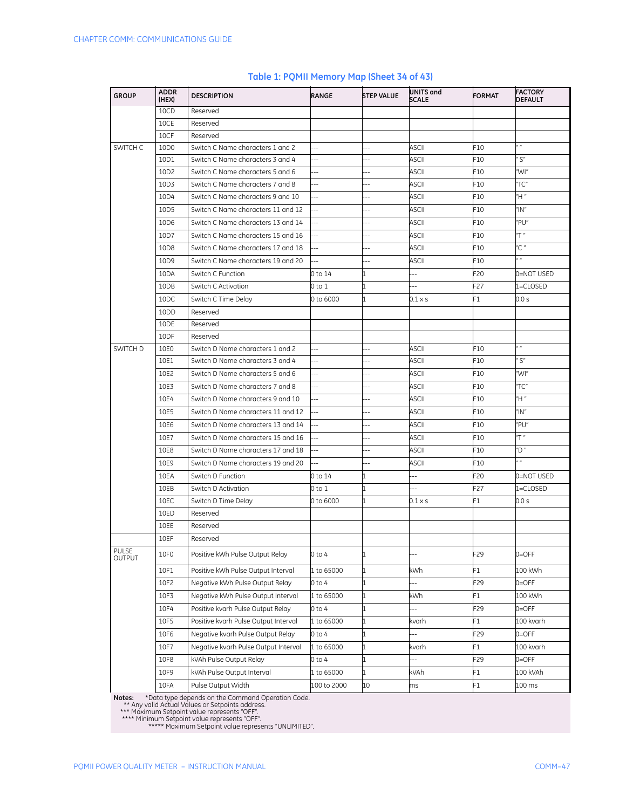| <b>GROUP</b>           | ADDR<br>(HEX) | <b>DESCRIPTION</b>                   | <b>RANGE</b>             | <b>STEP VALUE</b>        | UNITS and<br>SCALE       | <b>FORMAT</b> | <b>FACTORY</b><br><b>DEFAULT</b> |
|------------------------|---------------|--------------------------------------|--------------------------|--------------------------|--------------------------|---------------|----------------------------------|
|                        | 10CD          | Reserved                             |                          |                          |                          |               |                                  |
|                        | 10CE          | Reserved                             |                          |                          |                          |               |                                  |
|                        | 10CF          | Reserved                             |                          |                          |                          |               |                                  |
| SWITCH C               | 10D0          | Switch C Name characters 1 and 2     | $-$                      | Ξ.                       | ASCII                    | F10           | , ,                              |
|                        | 10D1          | Switch C Name characters 3 and 4     | $-$                      |                          | ASCII                    | F10           | S''                              |
|                        | 10D2          | Switch C Name characters 5 and 6     | $-1$                     |                          | ASCII                    | F10           | 'WI"                             |
|                        | 10D3          | Switch C Name characters 7 and 8     | $\overline{\phantom{a}}$ |                          | <b>ASCII</b>             | F10           | 'TC"                             |
|                        | 10D4          | Switch C Name characters 9 and 10    | $\overline{a}$           | $\overline{\phantom{a}}$ | ASCII                    | F10           | Ή"                               |
|                        | 10D5          | Switch C Name characters 11 and 12   | Щ,                       | Ξ.                       | ASCII                    | F10           | $^{\prime\prime}$ IN"            |
|                        | 10D6          | Switch C Name characters 13 and 14   | $\overline{a}$           | $\overline{\phantom{a}}$ | ASCII                    | F10           | "PU"                             |
|                        | 10D7          | Switch C Name characters 15 and 16   | $\ddotsc$                | $\overline{a}$           | ASCII                    | F10           | "T"                              |
|                        | 10D8          | Switch C Name characters 17 and 18   | $\ddotsc$                | ц,                       | ASCII                    | F10           | 'C "                             |
|                        | 10D9          | Switch C Name characters 19 and 20   |                          | --                       | <b>ASCII</b>             | F10           | a n                              |
|                        | 10DA          | Switch C Function                    | 0 to 14                  | 1                        | $-$                      | -20           | 0=NOT USED                       |
|                        | 10DB          | Switch C Activation                  | 0 to 1                   | $\mathbf{1}$             | Ξ.                       | F27           | 1=CLOSED                         |
|                        | 10DC          | Switch C Time Delay                  | 0 to 6000                | 1                        | 0.1 x s                  | -1            | 0.0 s                            |
|                        | 10DD          | Reserved                             |                          |                          |                          |               |                                  |
|                        | 10DE          | Reserved                             |                          |                          |                          |               |                                  |
|                        | 10DF          | Reserved                             |                          |                          |                          |               |                                  |
| SWITCH D               | 10E0          | Switch D Name characters 1 and 2     | $-$                      | --                       | ASCII                    | F10           | $\sqrt{ }$                       |
|                        | 10E1          | Switch D Name characters 3 and 4     | --                       | ш,                       | ASCII                    | F10           | S''                              |
|                        | 10E2          | Switch D Name characters 5 and 6     | Ξ.                       | $\overline{\phantom{a}}$ | <b>ASCII</b>             | F10           | 'WI"                             |
|                        | 10E3          | Switch D Name characters 7 and 8     | $-$                      | Ξ.                       | <b>ASCII</b>             | F10           | 'TC"                             |
|                        | 10E4          | Switch D Name characters 9 and 10    | --                       | Ц,                       | <b>ASCII</b>             | F10           | "H "                             |
|                        | 10E5          | Switch D Name characters 11 and 12   | Щ,                       | Ξ.                       | ASCII                    | F10           | "IN"                             |
|                        | 10E6          | Switch D Name characters 13 and 14   | $-$                      | --                       | ASCII                    | F10           | 'PU"                             |
|                        | 10E7          | Switch D Name characters 15 and 16   | $\ddotsc$                | 44                       | ASCII                    | F10           | "T "                             |
|                        | 10E8          | Switch D Name characters 17 and 18   | $-$                      | --                       | ASCII                    | F10           | 'D"                              |
|                        | 10E9          | Switch D Name characters 19 and 20   |                          | Ξ.                       | <b>ASCII</b>             | F10           | a n                              |
|                        | 10EA          | Switch D Function                    | 0 to 14                  | 1                        | $-$                      | -20           | 0=NOT USED                       |
|                        | 10EB          | Switch D Activation                  | 0 to 1                   | 1                        | Ξ.                       | F27           | 1=CLOSED                         |
|                        | 10EC          | Switch D Time Delay                  | 0 to 6000                | $\mathbf{1}$             | $0.1 \times s$           | F1            | 0.0 s                            |
|                        | 10ED          | Reserved                             |                          |                          |                          |               |                                  |
|                        | 10EE          | Reserved                             |                          |                          |                          |               |                                  |
|                        | 10EF          | Reserved                             |                          |                          |                          |               |                                  |
| <b>PULSE</b><br>OUTPUT | 10F0          | Positive kWh Pulse Output Relay      | 0 to 4                   | $\mathbf{1}$             |                          | F29           | $0 =$ OFF                        |
|                        | 10F1          | Positive kWh Pulse Output Interval   | 1 to 65000               | $\mathbf{1}$             | kWh                      | F1            | 100 kWh                          |
|                        | 10F2          | Negative kWh Pulse Output Relay      | 0 to 4                   | $\mathbf{1}$             |                          | F29           | $0 =$ OFF                        |
|                        | 10F3          | Negative kWh Pulse Output Interval   | 1 to 65000               | $\mathbf{1}$             | kWh                      | F1            | 100 kWh                          |
|                        | 10F4          | Positive kvarh Pulse Output Relay    | $0$ to $4$               | $\mathbf{1}$             | $\overline{\phantom{a}}$ | F29           | $0 =$ OFF                        |
|                        | 10F5          | Positive kvarh Pulse Output Interval | 1 to 65000               | $\mathbf{1}$             | kvarh                    | F1            | 100 kvarh                        |
|                        | 10F6          | Negative kvarh Pulse Output Relay    | $0$ to $4$               | $\mathbf{1}$             |                          | F29           | $0 =$ OFF                        |
|                        | 10F7          | Negative kvarh Pulse Output Interval | 1 to 65000               | $\mathbf{1}$             | kvarh                    | F1            | 100 kvarh                        |
|                        | 10F8          | kVAh Pulse Output Relay              | $0$ to $4$               | $\mathbf{1}$             |                          | -29           | $0 =$ OFF                        |
|                        | 10F9          | kVAh Pulse Output Interval           | 1 to 65000               | $\mathbf{1}$             | kVAh                     | F1            | 100 kVAh                         |
|                        | 10FA          | Pulse Output Width                   | 100 to 2000              | 10                       | ms                       | F1            | 100 ms                           |

#### **Table 1: PQMII Memory Map (Sheet 34 of 43)**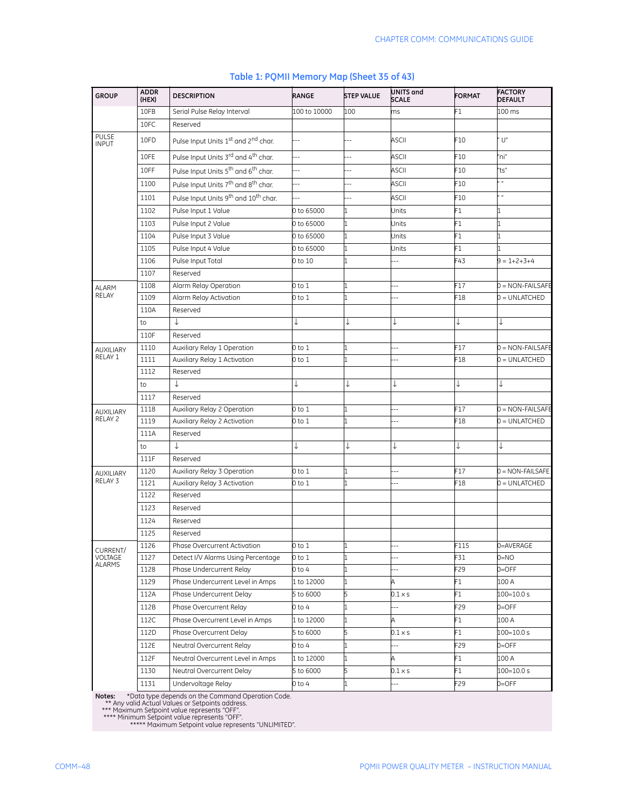| <b>GROUP</b>          | <b>ADDR</b><br>(HEX) | <b>DESCRIPTION</b>                                           | <b>RANGE</b>   | <b>STEP VALUE</b> | UNITS and<br><b>SCALE</b> | <b>FORMAT</b>   | <b>FACTORY</b><br><b>DEFAULT</b> |
|-----------------------|----------------------|--------------------------------------------------------------|----------------|-------------------|---------------------------|-----------------|----------------------------------|
|                       | 10FB                 | Serial Pulse Relay Interval                                  | 100 to 10000   | 100               | ms                        | F1              | 100 ms                           |
|                       | 10FC                 | Reserved                                                     |                |                   |                           |                 |                                  |
| PULSE<br><b>INPUT</b> | 10FD                 | Pulse Input Units 1st and 2nd char.                          |                |                   | ASCII                     | F10             | U''                              |
|                       | 10FE                 | Pulse Input Units 3 <sup>rd</sup> and 4 <sup>th</sup> char.  | Ц,             |                   | <b>ASCII</b>              | F10             | 'ni"                             |
|                       | 10FF                 | Pulse Input Units 5 <sup>th</sup> and 6 <sup>th</sup> char.  | ш,             | $-$               | ASCII                     | F10             | 'ts"                             |
|                       | 1100                 | Pulse Input Units 7 <sup>th</sup> and 8 <sup>th</sup> char.  | $\overline{a}$ | $\overline{a}$    | ASCII                     | F10             | $\boldsymbol{n}$                 |
|                       | 1101                 | Pulse Input Units 9 <sup>th</sup> and 10 <sup>th</sup> char. | ä,             | Ξ.                | ASCII                     | F10             | $\boldsymbol{\eta}$              |
|                       | 1102                 | Pulse Input 1 Value                                          | 0 to 65000     | 1                 | Jnits                     | F1              | 1                                |
|                       | 1103                 | Pulse Input 2 Value                                          | 0 to 65000     | 1                 | Jnits                     | F1              | 1                                |
|                       | 1104                 | Pulse Input 3 Value                                          | 0 to 65000     | 1                 | Jnits                     | F1              | 1                                |
|                       | 1105                 | Pulse Input 4 Value                                          | 0 to 65000     | 1                 | Jnits                     | F1              |                                  |
|                       | 1106                 | Pulse Input Total                                            | 0 to 10        |                   | $\overline{a}$            | -43             | $9 = 1 + 2 + 3 + 4$              |
|                       | 1107                 | Reserved                                                     |                |                   |                           |                 |                                  |
| <b>ALARM</b>          | 1108                 | Alarm Relay Operation                                        | $0$ to $1$     | 1                 | $\overline{a}$            | F17             | 0 = NON-FAILSAFE                 |
| RELAY                 | 1109                 | Alarm Relay Activation                                       | 0 to 1         |                   | $\overline{a}$            | F <sub>18</sub> | 0 = UNLATCHED                    |
|                       | 110A                 | Reserved                                                     |                |                   |                           |                 |                                  |
|                       | to                   | ↓                                                            | ↓              | ↓                 | ↓                         | ↓               | t                                |
|                       | 110F                 | Reserved                                                     |                |                   |                           |                 |                                  |
| <b>AUXILIARY</b>      | 1110                 | Auxiliary Relay 1 Operation                                  | $0$ to $1$     | 1                 | $\overline{a}$            | F17             | $0 = NON-FAILSAFE$               |
| RELAY 1               | 1111                 | Auxiliary Relay 1 Activation                                 | 0 to 1         | 1                 | $\overline{a}$            | F18             | $0 = UNLATCHED$                  |
|                       | 1112                 | Reserved                                                     |                |                   |                           |                 |                                  |
|                       | to                   | ↓                                                            | ↓              | ↓                 | ↓                         | ↓               | ↓                                |
|                       | 1117                 | Reserved                                                     |                |                   |                           |                 |                                  |
| <b>AUXILIARY</b>      | 1118                 | Auxiliary Relay 2 Operation                                  | $0$ to $1$     |                   | $\overline{a}$            | F17             | 0 = NON-FAILSAFE                 |
| RELAY 2               | 1119                 | Auxiliary Relay 2 Activation                                 | 0 to 1         | 1                 | $\overline{a}$            | F18             | 0 = UNLATCHED                    |
|                       | 111A                 | Reserved                                                     |                |                   |                           |                 |                                  |
|                       | to                   | ↓                                                            | ↓              | ↓                 | ↓                         | ↓               | ↓                                |
|                       | 111F                 | Reserved                                                     |                |                   |                           |                 |                                  |
| <b>AUXILIARY</b>      | 1120                 | Auxiliary Relay 3 Operation                                  | 0 to 1         | 1                 | $-$                       | F17             | 0 = NON-FAILSAFE                 |
| RELAY 3               | 1121                 | Auxiliary Relay 3 Activation                                 | 0 to 1         | 1                 | --                        | F18             | 0 = UNLATCHED                    |
|                       | 1122                 | Reserved                                                     |                |                   |                           |                 |                                  |
|                       | 1123                 | Reserved                                                     |                |                   |                           |                 |                                  |
|                       | 1124                 | Reserved                                                     |                |                   |                           |                 |                                  |
|                       | 1125                 | Reserved                                                     |                |                   |                           |                 |                                  |
| CURRENT/              | 1126                 | Phase Overcurrent Activation                                 | 0 to 1         | 1                 | $-$                       | F115            | 0=AVERAGE                        |
| VOLTAGE<br>ALARMS     | 1127                 | Detect I/V Alarms Using Percentage                           | 0 to 1         |                   | $\overline{a}$            | F31             | $0 = NO$                         |
|                       | 1128                 | Phase Undercurrent Relay                                     | 0 to 4         |                   | $\overline{a}$            | F29<br>F1       | $0 =$ OFF                        |
|                       | 1129                 | Phase Undercurrent Level in Amps                             | 1 to 12000     | 1<br>5            | A                         |                 | 100 A                            |
|                       | 112A                 | Phase Undercurrent Delay                                     | 5 to 6000      |                   | $0.1 \times s$            | F1              | 100=10.0 s                       |
|                       | 112B                 | Phase Overcurrent Relay                                      | 0 to 4         |                   | $-$                       | F29             | $0 =$ OFF                        |
|                       | 112C                 | Phase Overcurrent Level in Amps                              | 1 to 12000     | 1                 | A                         | F1              | 100 A                            |
|                       | 112D                 | Phase Overcurrent Delay                                      | 5 to 6000      | 5                 | $0.1 \times s$            | F1              | $100 = 10.0 s$                   |
|                       | 112E                 | Neutral Overcurrent Relay                                    | 0 to 4         |                   |                           | F <sub>29</sub> | $0 =$ OFF                        |
|                       | 112F                 | Neutral Overcurrent Level in Amps                            | 1 to 12000     | 1                 | A                         | F1              | 100 A                            |
|                       | 1130                 | Neutral Overcurrent Delay                                    | 5 to 6000      | 5                 | 0.1 × s                   | F1              | 100=10.0 s                       |
|                       | 1131                 | Undervoltage Relay                                           | 0 to 4         |                   | --                        | F29             | 0=OFF                            |

#### **Table 1: PQMII Memory Map (Sheet 35 of 43)**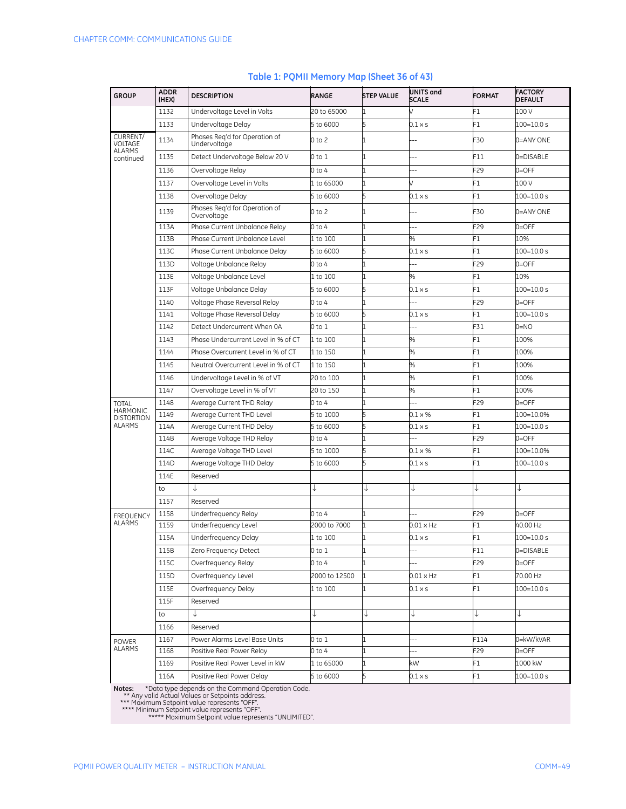| <b>GROUP</b>                      | <b>ADDR</b><br>(HEX) | <b>DESCRIPTION</b>                            | RANGE         | <b>STEP VALUE</b> | UNITS and<br><b>SCALE</b> | <b>FORMAT</b>   | <b>FACTORY</b><br><b>DEFAULT</b> |
|-----------------------------------|----------------------|-----------------------------------------------|---------------|-------------------|---------------------------|-----------------|----------------------------------|
|                                   | 1132                 | Undervoltage Level in Volts                   | 20 to 65000   | 1                 |                           | F1              | 100 V                            |
|                                   | 1133                 | Undervoltage Delay                            | 5 to 6000     | 5                 | $0.1 \times s$            | F1              | 100=10.0 s                       |
| CURRENT/<br>VOLTAGE               | 1134                 | Phases Reg'd for Operation of<br>Undervoltage | 0 to 2        | 1                 |                           | F30             | 0=ANY ONE                        |
| <b>ALARMS</b><br>continued        | 1135                 | Detect Undervoltage Below 20 V                | 0 to 1        | 1                 |                           | F11             | 0=DISABLE                        |
|                                   | 1136                 | Overvoltage Relay                             | 0 to 4        | 1                 |                           | F29             | $0 =$ OFF                        |
|                                   | 1137                 | Overvoltage Level in Volts                    | 1 to 65000    | 1                 |                           | F1              | 100 V                            |
|                                   | 1138                 | Overvoltage Delay                             | 5 to 6000     | 5                 | $0.1 \times s$            | F1              | 100=10.0 s                       |
|                                   | 1139                 | Phases Reg'd for Operation of<br>Overvoltage  | 0 to 2        | 1                 |                           | F30             | 0=ANY ONE                        |
|                                   | 113A                 | Phase Current Unbalance Relay                 | 0 to 4        |                   | ٠.                        | F29             | $0=$ OFF                         |
|                                   | 113B                 | Phase Current Unbalance Level                 | 1 to 100      | 1                 | %                         | F1              | 10%                              |
|                                   | 113C                 | Phase Current Unbalance Delay                 | 5 to 6000     | 5                 | $0.1 \times s$            | F1              | 100=10.0 s                       |
|                                   | 113D                 | Voltage Unbalance Relay                       | 0 to 4        |                   |                           | F29             | $0 =$ OFF                        |
|                                   | 113E                 | Voltage Unbalance Level                       | 1 to 100      | 1                 | %                         | F1              | 10%                              |
|                                   | 113F                 | Voltage Unbalance Delay                       | 5 to 6000     | 5                 | $0.1 \times s$            | F1              | 100=10.0 s                       |
|                                   | 1140                 | Voltage Phase Reversal Relay                  | 0 to 4        | l1                |                           | F29             | $0 =$ OFF                        |
|                                   | 1141                 | Voltage Phase Reversal Delay                  | 5 to 6000     | 5                 | 0.1 × s                   | F1              | $100 = 10.0 s$                   |
|                                   | 1142                 | Detect Undercurrent When 0A                   | 0 to 1        | 1                 |                           | F31             | $0=NO$                           |
|                                   | 1143                 | Phase Undercurrent Level in % of CT           | $1$ to $100$  | 1                 | %                         | F1              | 100%                             |
|                                   | 1144                 | Phase Overcurrent Level in % of CT            | 1 to 150      | 1                 | %                         | F1              | 100%                             |
|                                   | 1145                 | Neutral Overcurrent Level in % of CT          | 1 to 150      | $\overline{1}$    | %                         | F1              | 100%                             |
|                                   | 1146                 | Undervoltage Level in % of VT                 | 20 to 100     | 1                 | %                         | F1              | 100%                             |
|                                   | 1147                 | Overvoltage Level in % of VT                  | 20 to 150     | 11                | %                         | F1              | 100%                             |
| <b>TOTAL</b>                      | 1148                 | Average Current THD Relay                     | 0 to 4        | 1                 |                           | F29             | $0 =$ OFF                        |
| HARMONIC<br><b>DISTORTION</b>     | 1149                 | Average Current THD Level                     | 5 to 1000     | 5                 | $0.1 \times %$            | F1              | 100=10.0%                        |
| <b>ALARMS</b>                     | 114A                 | Average Current THD Delay                     | 5 to 6000     | 5                 | $0.1 \times s$            | F1              | 100=10.0 s                       |
|                                   | 114B                 | Average Voltage THD Relay                     | 0 to 4        | 1                 |                           | F29             | $0=$ OFF                         |
|                                   | 114C                 | Average Voltage THD Level                     | 5 to 1000     | 5                 | $0.1 \times \%$           | F1              | 100=10.0%                        |
|                                   | 114D                 | Average Voltage THD Delay                     | 5 to 6000     | 5                 | $0.1 \times s$            | F1              | 100=10.0 s                       |
|                                   | 114E                 | Reserved                                      |               |                   |                           |                 |                                  |
|                                   | to                   | ↓                                             |               | ↓                 |                           | ↓               | ↓                                |
|                                   | 1157                 | Reserved                                      |               |                   |                           |                 |                                  |
| <b>FREQUENCY</b><br><b>ALARMS</b> | 1158                 | Underfrequency Relay                          | 0 to 4        |                   |                           | F29             | $0 =$ OFF                        |
|                                   | 1159                 | Underfrequency Level                          | 2000 to 7000  | 1                 | $0.01 \times Hz$          | F1              | 40.00 Hz                         |
|                                   | 115A                 | Underfrequency Delay                          | 1 to 100      | 1                 | $0.1 \times s$            | F1              | $100 = 10.0 s$                   |
|                                   | 115B                 | Zero Frequency Detect                         | 0 to 1        | 1                 | $\overline{\phantom{a}}$  | F11             | 0=DISABLE                        |
|                                   | 115C                 | Overfrequency Relay                           | 0 to 4        | 1                 |                           | F <sub>29</sub> | $0 =$ OFF                        |
|                                   | 115D                 | Overfrequency Level                           | 2000 to 12500 | 1                 | 0.01 x Hz                 | F1              | 70.00 Hz                         |
|                                   | 115E                 | Overfrequency Delay                           | 1 to 100      | $\mathbf{1}$      | $0.1 \times s$            | F1              | $100 = 10.0 s$                   |
|                                   | 115F                 | Reserved                                      |               |                   |                           |                 |                                  |
|                                   | to                   | ↓                                             |               | ↓                 |                           | ↓               | ↓                                |
|                                   | 1166                 | Reserved                                      |               |                   |                           |                 |                                  |
| POWER<br><b>ALARMS</b>            | 1167                 | Power Alarms Level Base Units                 | 0 to 1        |                   |                           | F114            | 0=kW/kVAR                        |
|                                   | 1168                 | Positive Real Power Relay                     | 0 to 4        |                   |                           | F29             | $0 =$ OFF                        |
|                                   | 1169                 | Positive Real Power Level in kW               | 1 to 65000    | 1                 | kW                        | F1              | 1000 kW                          |
|                                   | 116A                 | Positive Real Power Delay                     | 5 to 6000     | 5                 | $0.1 \times s$            | F1              | 100=10.0 s                       |

#### **Table 1: PQMII Memory Map (Sheet 36 of 43)**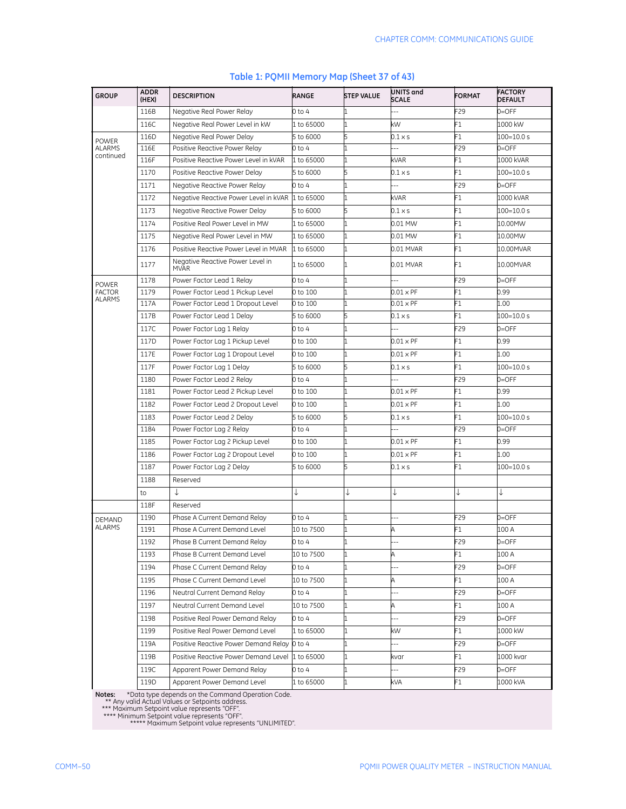| F29<br>$0 =$ OFF<br>116B<br>Negative Real Power Relay<br>0 to 4<br>F1<br>116C<br>Negative Real Power Level in kW<br>kW<br>1000 kW<br>1 to 65000<br>F1<br>116D<br>$100 = 10.0 s$<br>Negative Real Power Delay<br>5 to 6000<br>$0.1 \times s$<br><b>POWER</b><br><b>ALARMS</b><br>116E<br>F29<br>$0 =$ OFF<br>Positive Reactive Power Relay<br>0 to 4<br>continued<br>F1<br>116F<br>Positive Reactive Power Level in kVAR<br>1 to 65000<br>kVAR<br>1000 kVAR<br>F1<br>1170<br>Positive Reactive Power Delay<br>5 to 6000<br>$0.1 \times s$<br>100=10.0 s<br>1171<br>F29<br>Negative Reactive Power Relay<br>0 to 4<br>$0 =$ OFF<br>F1<br>1172<br>Negative Reactive Power Level in kVAR 1 to 65000<br>kVAR<br>1000 kVAR<br>F1<br>1173<br>Negative Reactive Power Delay<br>5 to 6000<br>5<br>$100 = 10.0 s$<br>$0.1 \times s$<br>1174<br>F1<br>Positive Real Power Level in MW<br>0.01 MW<br>10.00MW<br>1 to 65000<br>1175<br>F1<br>Negative Real Power Level in MW<br>1 to 65000<br>10.00MW<br>0.01 MW<br>1176<br>F1<br>Positive Reactive Power Level in MVAR<br>1 to 65000<br>0.01 MVAR<br>10.00MVAR<br>Negative Reactive Power Level in<br>1177<br>F1<br>1 to 65000<br>1<br>0.01 MVAR<br>10.00MVAR<br><b>MVAR</b><br>F29<br>1178<br>Power Factor Lead 1 Relay<br>0=OFF<br>0 to 4<br><b>POWER</b><br>F1<br>0.99<br><b>FACTOR</b><br>1179<br>Power Factor Lead 1 Pickup Level<br>0 to 100<br>$0.01 \times PF$<br><b>ALARMS</b><br>F1<br>117A<br>Power Factor Lead 1 Dropout Level<br>0 to 100<br>$0.01 \times PF$<br>1.00<br>F1<br>117B<br>$100 = 10.0 s$<br>Power Factor Lead 1 Delay<br>5 to 6000<br>0.1 x s<br>F29<br>117C<br>$0 =$ OFF<br>Power Factor Lag 1 Relay<br>0 to 4<br>117D<br>F1<br>Power Factor Lag 1 Pickup Level<br>$0.01 \times PF$<br>0.99<br>0 to 100<br>F1<br>117E<br>Power Factor Lag 1 Dropout Level<br>$0.01 \times PF$<br>1.00<br>0 to 100<br>F1<br>117F<br>Power Factor Lag 1 Delay<br>$100 = 10.0 s$<br>5 to 6000<br>5<br>$0.1 \times s$<br>F29<br>1180<br>$0=$ OFF<br>Power Factor Lead 2 Relay<br>0 to 4<br>F1<br>1181<br>Power Factor Lead 2 Pickup Level<br>0 to 100<br>$0.01 \times PF$<br>0.99<br>1182<br>F1<br>Power Factor Lead 2 Dropout Level<br>0 to 100<br>$0.01 \times PF$<br>1.00<br>F1<br>1183<br>Power Factor Lead 2 Delay<br>100=10.0 s<br>5 to 6000<br>0.1 × s<br>F29<br>1184<br>$0=$ OFF<br>Power Factor Lag 2 Relay<br>0 to 4<br>F1<br>1185<br>0.99<br>Power Factor Lag 2 Pickup Level<br>0 to 100<br>$0.01 \times PF$<br>F1<br>1186<br>Power Factor Lag 2 Dropout Level<br>$0.01 \times PF$<br>1.00<br>0 to 100<br>F1<br>1187<br>$0.1 \times s$<br>100=10.0 s<br>Power Factor Lag 2 Delay<br>5 to 6000<br>1188<br>Reserved<br>↓<br>↓<br>↓<br>↓<br>J<br>to<br>118F<br>Reserved<br>1190<br>F29<br>$0=$ OFF<br>Phase A Current Demand Relav<br>0 to 4<br>٠.<br>DEMAND<br><b>ALARMS</b><br>1191<br>10 to 7500<br>F1<br>Phase A Current Demand Level<br>100 A<br>Α<br>1192<br>Phase B Current Demand Relay<br>0=OFF<br>-29<br>U TO 4<br>1193<br>Phase B Current Demand Level<br>10 to 7500<br>F1<br>Α<br>100 A<br>1<br>1194<br>Phase C Current Demand Relay<br>F29<br>$0 =$ OFF<br>0 to 4<br>$-$<br>Phase C Current Demand Level<br>10 to 7500<br>F1<br>1195<br>A<br>100 A<br>1<br>1196<br>F29<br>$0 =$ OFF<br>Neutral Current Demand Relay<br>0 to 4<br>F1<br>1197<br>Neutral Current Demand Level<br>10 to 7500<br>100 A<br>Α<br>1<br>Positive Real Power Demand Relay<br>F29<br>$0 =$ OFF<br>1198<br>0 to 4<br>$-$<br>1199<br>Positive Real Power Demand Level<br>F1<br>1 to 65000<br>kW<br>1000 kW<br>1 | <b>GROUP</b> | <b>ADDR</b><br>(HEX) | <b>DESCRIPTION</b>                          | RANGE | <b>STEP VALUE</b> | UNITS and<br><b>SCALE</b> | <b>FORMAT</b> | <b>FACTORY</b><br><b>DEFAULT</b> |
|-----------------------------------------------------------------------------------------------------------------------------------------------------------------------------------------------------------------------------------------------------------------------------------------------------------------------------------------------------------------------------------------------------------------------------------------------------------------------------------------------------------------------------------------------------------------------------------------------------------------------------------------------------------------------------------------------------------------------------------------------------------------------------------------------------------------------------------------------------------------------------------------------------------------------------------------------------------------------------------------------------------------------------------------------------------------------------------------------------------------------------------------------------------------------------------------------------------------------------------------------------------------------------------------------------------------------------------------------------------------------------------------------------------------------------------------------------------------------------------------------------------------------------------------------------------------------------------------------------------------------------------------------------------------------------------------------------------------------------------------------------------------------------------------------------------------------------------------------------------------------------------------------------------------------------------------------------------------------------------------------------------------------------------------------------------------------------------------------------------------------------------------------------------------------------------------------------------------------------------------------------------------------------------------------------------------------------------------------------------------------------------------------------------------------------------------------------------------------------------------------------------------------------------------------------------------------------------------------------------------------------------------------------------------------------------------------------------------------------------------------------------------------------------------------------------------------------------------------------------------------------------------------------------------------------------------------------------------------------------------------------------------------------------------------------------------------------------------------------------------------------------------------------------------------------------------------------------------------------------------------------------------------------------------------------------------------------------------------------------------------------------------------------------------------------------------------------------------------------------------------------------------------------------------------------|--------------|----------------------|---------------------------------------------|-------|-------------------|---------------------------|---------------|----------------------------------|
|                                                                                                                                                                                                                                                                                                                                                                                                                                                                                                                                                                                                                                                                                                                                                                                                                                                                                                                                                                                                                                                                                                                                                                                                                                                                                                                                                                                                                                                                                                                                                                                                                                                                                                                                                                                                                                                                                                                                                                                                                                                                                                                                                                                                                                                                                                                                                                                                                                                                                                                                                                                                                                                                                                                                                                                                                                                                                                                                                                                                                                                                                                                                                                                                                                                                                                                                                                                                                                                                                                                                                     |              |                      |                                             |       |                   |                           |               |                                  |
|                                                                                                                                                                                                                                                                                                                                                                                                                                                                                                                                                                                                                                                                                                                                                                                                                                                                                                                                                                                                                                                                                                                                                                                                                                                                                                                                                                                                                                                                                                                                                                                                                                                                                                                                                                                                                                                                                                                                                                                                                                                                                                                                                                                                                                                                                                                                                                                                                                                                                                                                                                                                                                                                                                                                                                                                                                                                                                                                                                                                                                                                                                                                                                                                                                                                                                                                                                                                                                                                                                                                                     |              |                      |                                             |       |                   |                           |               |                                  |
|                                                                                                                                                                                                                                                                                                                                                                                                                                                                                                                                                                                                                                                                                                                                                                                                                                                                                                                                                                                                                                                                                                                                                                                                                                                                                                                                                                                                                                                                                                                                                                                                                                                                                                                                                                                                                                                                                                                                                                                                                                                                                                                                                                                                                                                                                                                                                                                                                                                                                                                                                                                                                                                                                                                                                                                                                                                                                                                                                                                                                                                                                                                                                                                                                                                                                                                                                                                                                                                                                                                                                     |              |                      |                                             |       |                   |                           |               |                                  |
|                                                                                                                                                                                                                                                                                                                                                                                                                                                                                                                                                                                                                                                                                                                                                                                                                                                                                                                                                                                                                                                                                                                                                                                                                                                                                                                                                                                                                                                                                                                                                                                                                                                                                                                                                                                                                                                                                                                                                                                                                                                                                                                                                                                                                                                                                                                                                                                                                                                                                                                                                                                                                                                                                                                                                                                                                                                                                                                                                                                                                                                                                                                                                                                                                                                                                                                                                                                                                                                                                                                                                     |              |                      |                                             |       |                   |                           |               |                                  |
|                                                                                                                                                                                                                                                                                                                                                                                                                                                                                                                                                                                                                                                                                                                                                                                                                                                                                                                                                                                                                                                                                                                                                                                                                                                                                                                                                                                                                                                                                                                                                                                                                                                                                                                                                                                                                                                                                                                                                                                                                                                                                                                                                                                                                                                                                                                                                                                                                                                                                                                                                                                                                                                                                                                                                                                                                                                                                                                                                                                                                                                                                                                                                                                                                                                                                                                                                                                                                                                                                                                                                     |              |                      |                                             |       |                   |                           |               |                                  |
|                                                                                                                                                                                                                                                                                                                                                                                                                                                                                                                                                                                                                                                                                                                                                                                                                                                                                                                                                                                                                                                                                                                                                                                                                                                                                                                                                                                                                                                                                                                                                                                                                                                                                                                                                                                                                                                                                                                                                                                                                                                                                                                                                                                                                                                                                                                                                                                                                                                                                                                                                                                                                                                                                                                                                                                                                                                                                                                                                                                                                                                                                                                                                                                                                                                                                                                                                                                                                                                                                                                                                     |              |                      |                                             |       |                   |                           |               |                                  |
|                                                                                                                                                                                                                                                                                                                                                                                                                                                                                                                                                                                                                                                                                                                                                                                                                                                                                                                                                                                                                                                                                                                                                                                                                                                                                                                                                                                                                                                                                                                                                                                                                                                                                                                                                                                                                                                                                                                                                                                                                                                                                                                                                                                                                                                                                                                                                                                                                                                                                                                                                                                                                                                                                                                                                                                                                                                                                                                                                                                                                                                                                                                                                                                                                                                                                                                                                                                                                                                                                                                                                     |              |                      |                                             |       |                   |                           |               |                                  |
|                                                                                                                                                                                                                                                                                                                                                                                                                                                                                                                                                                                                                                                                                                                                                                                                                                                                                                                                                                                                                                                                                                                                                                                                                                                                                                                                                                                                                                                                                                                                                                                                                                                                                                                                                                                                                                                                                                                                                                                                                                                                                                                                                                                                                                                                                                                                                                                                                                                                                                                                                                                                                                                                                                                                                                                                                                                                                                                                                                                                                                                                                                                                                                                                                                                                                                                                                                                                                                                                                                                                                     |              |                      |                                             |       |                   |                           |               |                                  |
|                                                                                                                                                                                                                                                                                                                                                                                                                                                                                                                                                                                                                                                                                                                                                                                                                                                                                                                                                                                                                                                                                                                                                                                                                                                                                                                                                                                                                                                                                                                                                                                                                                                                                                                                                                                                                                                                                                                                                                                                                                                                                                                                                                                                                                                                                                                                                                                                                                                                                                                                                                                                                                                                                                                                                                                                                                                                                                                                                                                                                                                                                                                                                                                                                                                                                                                                                                                                                                                                                                                                                     |              |                      |                                             |       |                   |                           |               |                                  |
|                                                                                                                                                                                                                                                                                                                                                                                                                                                                                                                                                                                                                                                                                                                                                                                                                                                                                                                                                                                                                                                                                                                                                                                                                                                                                                                                                                                                                                                                                                                                                                                                                                                                                                                                                                                                                                                                                                                                                                                                                                                                                                                                                                                                                                                                                                                                                                                                                                                                                                                                                                                                                                                                                                                                                                                                                                                                                                                                                                                                                                                                                                                                                                                                                                                                                                                                                                                                                                                                                                                                                     |              |                      |                                             |       |                   |                           |               |                                  |
|                                                                                                                                                                                                                                                                                                                                                                                                                                                                                                                                                                                                                                                                                                                                                                                                                                                                                                                                                                                                                                                                                                                                                                                                                                                                                                                                                                                                                                                                                                                                                                                                                                                                                                                                                                                                                                                                                                                                                                                                                                                                                                                                                                                                                                                                                                                                                                                                                                                                                                                                                                                                                                                                                                                                                                                                                                                                                                                                                                                                                                                                                                                                                                                                                                                                                                                                                                                                                                                                                                                                                     |              |                      |                                             |       |                   |                           |               |                                  |
|                                                                                                                                                                                                                                                                                                                                                                                                                                                                                                                                                                                                                                                                                                                                                                                                                                                                                                                                                                                                                                                                                                                                                                                                                                                                                                                                                                                                                                                                                                                                                                                                                                                                                                                                                                                                                                                                                                                                                                                                                                                                                                                                                                                                                                                                                                                                                                                                                                                                                                                                                                                                                                                                                                                                                                                                                                                                                                                                                                                                                                                                                                                                                                                                                                                                                                                                                                                                                                                                                                                                                     |              |                      |                                             |       |                   |                           |               |                                  |
|                                                                                                                                                                                                                                                                                                                                                                                                                                                                                                                                                                                                                                                                                                                                                                                                                                                                                                                                                                                                                                                                                                                                                                                                                                                                                                                                                                                                                                                                                                                                                                                                                                                                                                                                                                                                                                                                                                                                                                                                                                                                                                                                                                                                                                                                                                                                                                                                                                                                                                                                                                                                                                                                                                                                                                                                                                                                                                                                                                                                                                                                                                                                                                                                                                                                                                                                                                                                                                                                                                                                                     |              |                      |                                             |       |                   |                           |               |                                  |
|                                                                                                                                                                                                                                                                                                                                                                                                                                                                                                                                                                                                                                                                                                                                                                                                                                                                                                                                                                                                                                                                                                                                                                                                                                                                                                                                                                                                                                                                                                                                                                                                                                                                                                                                                                                                                                                                                                                                                                                                                                                                                                                                                                                                                                                                                                                                                                                                                                                                                                                                                                                                                                                                                                                                                                                                                                                                                                                                                                                                                                                                                                                                                                                                                                                                                                                                                                                                                                                                                                                                                     |              |                      |                                             |       |                   |                           |               |                                  |
|                                                                                                                                                                                                                                                                                                                                                                                                                                                                                                                                                                                                                                                                                                                                                                                                                                                                                                                                                                                                                                                                                                                                                                                                                                                                                                                                                                                                                                                                                                                                                                                                                                                                                                                                                                                                                                                                                                                                                                                                                                                                                                                                                                                                                                                                                                                                                                                                                                                                                                                                                                                                                                                                                                                                                                                                                                                                                                                                                                                                                                                                                                                                                                                                                                                                                                                                                                                                                                                                                                                                                     |              |                      |                                             |       |                   |                           |               |                                  |
|                                                                                                                                                                                                                                                                                                                                                                                                                                                                                                                                                                                                                                                                                                                                                                                                                                                                                                                                                                                                                                                                                                                                                                                                                                                                                                                                                                                                                                                                                                                                                                                                                                                                                                                                                                                                                                                                                                                                                                                                                                                                                                                                                                                                                                                                                                                                                                                                                                                                                                                                                                                                                                                                                                                                                                                                                                                                                                                                                                                                                                                                                                                                                                                                                                                                                                                                                                                                                                                                                                                                                     |              |                      |                                             |       |                   |                           |               |                                  |
|                                                                                                                                                                                                                                                                                                                                                                                                                                                                                                                                                                                                                                                                                                                                                                                                                                                                                                                                                                                                                                                                                                                                                                                                                                                                                                                                                                                                                                                                                                                                                                                                                                                                                                                                                                                                                                                                                                                                                                                                                                                                                                                                                                                                                                                                                                                                                                                                                                                                                                                                                                                                                                                                                                                                                                                                                                                                                                                                                                                                                                                                                                                                                                                                                                                                                                                                                                                                                                                                                                                                                     |              |                      |                                             |       |                   |                           |               |                                  |
|                                                                                                                                                                                                                                                                                                                                                                                                                                                                                                                                                                                                                                                                                                                                                                                                                                                                                                                                                                                                                                                                                                                                                                                                                                                                                                                                                                                                                                                                                                                                                                                                                                                                                                                                                                                                                                                                                                                                                                                                                                                                                                                                                                                                                                                                                                                                                                                                                                                                                                                                                                                                                                                                                                                                                                                                                                                                                                                                                                                                                                                                                                                                                                                                                                                                                                                                                                                                                                                                                                                                                     |              |                      |                                             |       |                   |                           |               |                                  |
|                                                                                                                                                                                                                                                                                                                                                                                                                                                                                                                                                                                                                                                                                                                                                                                                                                                                                                                                                                                                                                                                                                                                                                                                                                                                                                                                                                                                                                                                                                                                                                                                                                                                                                                                                                                                                                                                                                                                                                                                                                                                                                                                                                                                                                                                                                                                                                                                                                                                                                                                                                                                                                                                                                                                                                                                                                                                                                                                                                                                                                                                                                                                                                                                                                                                                                                                                                                                                                                                                                                                                     |              |                      |                                             |       |                   |                           |               |                                  |
|                                                                                                                                                                                                                                                                                                                                                                                                                                                                                                                                                                                                                                                                                                                                                                                                                                                                                                                                                                                                                                                                                                                                                                                                                                                                                                                                                                                                                                                                                                                                                                                                                                                                                                                                                                                                                                                                                                                                                                                                                                                                                                                                                                                                                                                                                                                                                                                                                                                                                                                                                                                                                                                                                                                                                                                                                                                                                                                                                                                                                                                                                                                                                                                                                                                                                                                                                                                                                                                                                                                                                     |              |                      |                                             |       |                   |                           |               |                                  |
|                                                                                                                                                                                                                                                                                                                                                                                                                                                                                                                                                                                                                                                                                                                                                                                                                                                                                                                                                                                                                                                                                                                                                                                                                                                                                                                                                                                                                                                                                                                                                                                                                                                                                                                                                                                                                                                                                                                                                                                                                                                                                                                                                                                                                                                                                                                                                                                                                                                                                                                                                                                                                                                                                                                                                                                                                                                                                                                                                                                                                                                                                                                                                                                                                                                                                                                                                                                                                                                                                                                                                     |              |                      |                                             |       |                   |                           |               |                                  |
|                                                                                                                                                                                                                                                                                                                                                                                                                                                                                                                                                                                                                                                                                                                                                                                                                                                                                                                                                                                                                                                                                                                                                                                                                                                                                                                                                                                                                                                                                                                                                                                                                                                                                                                                                                                                                                                                                                                                                                                                                                                                                                                                                                                                                                                                                                                                                                                                                                                                                                                                                                                                                                                                                                                                                                                                                                                                                                                                                                                                                                                                                                                                                                                                                                                                                                                                                                                                                                                                                                                                                     |              |                      |                                             |       |                   |                           |               |                                  |
|                                                                                                                                                                                                                                                                                                                                                                                                                                                                                                                                                                                                                                                                                                                                                                                                                                                                                                                                                                                                                                                                                                                                                                                                                                                                                                                                                                                                                                                                                                                                                                                                                                                                                                                                                                                                                                                                                                                                                                                                                                                                                                                                                                                                                                                                                                                                                                                                                                                                                                                                                                                                                                                                                                                                                                                                                                                                                                                                                                                                                                                                                                                                                                                                                                                                                                                                                                                                                                                                                                                                                     |              |                      |                                             |       |                   |                           |               |                                  |
|                                                                                                                                                                                                                                                                                                                                                                                                                                                                                                                                                                                                                                                                                                                                                                                                                                                                                                                                                                                                                                                                                                                                                                                                                                                                                                                                                                                                                                                                                                                                                                                                                                                                                                                                                                                                                                                                                                                                                                                                                                                                                                                                                                                                                                                                                                                                                                                                                                                                                                                                                                                                                                                                                                                                                                                                                                                                                                                                                                                                                                                                                                                                                                                                                                                                                                                                                                                                                                                                                                                                                     |              |                      |                                             |       |                   |                           |               |                                  |
|                                                                                                                                                                                                                                                                                                                                                                                                                                                                                                                                                                                                                                                                                                                                                                                                                                                                                                                                                                                                                                                                                                                                                                                                                                                                                                                                                                                                                                                                                                                                                                                                                                                                                                                                                                                                                                                                                                                                                                                                                                                                                                                                                                                                                                                                                                                                                                                                                                                                                                                                                                                                                                                                                                                                                                                                                                                                                                                                                                                                                                                                                                                                                                                                                                                                                                                                                                                                                                                                                                                                                     |              |                      |                                             |       |                   |                           |               |                                  |
|                                                                                                                                                                                                                                                                                                                                                                                                                                                                                                                                                                                                                                                                                                                                                                                                                                                                                                                                                                                                                                                                                                                                                                                                                                                                                                                                                                                                                                                                                                                                                                                                                                                                                                                                                                                                                                                                                                                                                                                                                                                                                                                                                                                                                                                                                                                                                                                                                                                                                                                                                                                                                                                                                                                                                                                                                                                                                                                                                                                                                                                                                                                                                                                                                                                                                                                                                                                                                                                                                                                                                     |              |                      |                                             |       |                   |                           |               |                                  |
|                                                                                                                                                                                                                                                                                                                                                                                                                                                                                                                                                                                                                                                                                                                                                                                                                                                                                                                                                                                                                                                                                                                                                                                                                                                                                                                                                                                                                                                                                                                                                                                                                                                                                                                                                                                                                                                                                                                                                                                                                                                                                                                                                                                                                                                                                                                                                                                                                                                                                                                                                                                                                                                                                                                                                                                                                                                                                                                                                                                                                                                                                                                                                                                                                                                                                                                                                                                                                                                                                                                                                     |              |                      |                                             |       |                   |                           |               |                                  |
|                                                                                                                                                                                                                                                                                                                                                                                                                                                                                                                                                                                                                                                                                                                                                                                                                                                                                                                                                                                                                                                                                                                                                                                                                                                                                                                                                                                                                                                                                                                                                                                                                                                                                                                                                                                                                                                                                                                                                                                                                                                                                                                                                                                                                                                                                                                                                                                                                                                                                                                                                                                                                                                                                                                                                                                                                                                                                                                                                                                                                                                                                                                                                                                                                                                                                                                                                                                                                                                                                                                                                     |              |                      |                                             |       |                   |                           |               |                                  |
|                                                                                                                                                                                                                                                                                                                                                                                                                                                                                                                                                                                                                                                                                                                                                                                                                                                                                                                                                                                                                                                                                                                                                                                                                                                                                                                                                                                                                                                                                                                                                                                                                                                                                                                                                                                                                                                                                                                                                                                                                                                                                                                                                                                                                                                                                                                                                                                                                                                                                                                                                                                                                                                                                                                                                                                                                                                                                                                                                                                                                                                                                                                                                                                                                                                                                                                                                                                                                                                                                                                                                     |              |                      |                                             |       |                   |                           |               |                                  |
|                                                                                                                                                                                                                                                                                                                                                                                                                                                                                                                                                                                                                                                                                                                                                                                                                                                                                                                                                                                                                                                                                                                                                                                                                                                                                                                                                                                                                                                                                                                                                                                                                                                                                                                                                                                                                                                                                                                                                                                                                                                                                                                                                                                                                                                                                                                                                                                                                                                                                                                                                                                                                                                                                                                                                                                                                                                                                                                                                                                                                                                                                                                                                                                                                                                                                                                                                                                                                                                                                                                                                     |              |                      |                                             |       |                   |                           |               |                                  |
|                                                                                                                                                                                                                                                                                                                                                                                                                                                                                                                                                                                                                                                                                                                                                                                                                                                                                                                                                                                                                                                                                                                                                                                                                                                                                                                                                                                                                                                                                                                                                                                                                                                                                                                                                                                                                                                                                                                                                                                                                                                                                                                                                                                                                                                                                                                                                                                                                                                                                                                                                                                                                                                                                                                                                                                                                                                                                                                                                                                                                                                                                                                                                                                                                                                                                                                                                                                                                                                                                                                                                     |              |                      |                                             |       |                   |                           |               |                                  |
|                                                                                                                                                                                                                                                                                                                                                                                                                                                                                                                                                                                                                                                                                                                                                                                                                                                                                                                                                                                                                                                                                                                                                                                                                                                                                                                                                                                                                                                                                                                                                                                                                                                                                                                                                                                                                                                                                                                                                                                                                                                                                                                                                                                                                                                                                                                                                                                                                                                                                                                                                                                                                                                                                                                                                                                                                                                                                                                                                                                                                                                                                                                                                                                                                                                                                                                                                                                                                                                                                                                                                     |              |                      |                                             |       |                   |                           |               |                                  |
|                                                                                                                                                                                                                                                                                                                                                                                                                                                                                                                                                                                                                                                                                                                                                                                                                                                                                                                                                                                                                                                                                                                                                                                                                                                                                                                                                                                                                                                                                                                                                                                                                                                                                                                                                                                                                                                                                                                                                                                                                                                                                                                                                                                                                                                                                                                                                                                                                                                                                                                                                                                                                                                                                                                                                                                                                                                                                                                                                                                                                                                                                                                                                                                                                                                                                                                                                                                                                                                                                                                                                     |              |                      |                                             |       |                   |                           |               |                                  |
|                                                                                                                                                                                                                                                                                                                                                                                                                                                                                                                                                                                                                                                                                                                                                                                                                                                                                                                                                                                                                                                                                                                                                                                                                                                                                                                                                                                                                                                                                                                                                                                                                                                                                                                                                                                                                                                                                                                                                                                                                                                                                                                                                                                                                                                                                                                                                                                                                                                                                                                                                                                                                                                                                                                                                                                                                                                                                                                                                                                                                                                                                                                                                                                                                                                                                                                                                                                                                                                                                                                                                     |              |                      |                                             |       |                   |                           |               |                                  |
|                                                                                                                                                                                                                                                                                                                                                                                                                                                                                                                                                                                                                                                                                                                                                                                                                                                                                                                                                                                                                                                                                                                                                                                                                                                                                                                                                                                                                                                                                                                                                                                                                                                                                                                                                                                                                                                                                                                                                                                                                                                                                                                                                                                                                                                                                                                                                                                                                                                                                                                                                                                                                                                                                                                                                                                                                                                                                                                                                                                                                                                                                                                                                                                                                                                                                                                                                                                                                                                                                                                                                     |              |                      |                                             |       |                   |                           |               |                                  |
|                                                                                                                                                                                                                                                                                                                                                                                                                                                                                                                                                                                                                                                                                                                                                                                                                                                                                                                                                                                                                                                                                                                                                                                                                                                                                                                                                                                                                                                                                                                                                                                                                                                                                                                                                                                                                                                                                                                                                                                                                                                                                                                                                                                                                                                                                                                                                                                                                                                                                                                                                                                                                                                                                                                                                                                                                                                                                                                                                                                                                                                                                                                                                                                                                                                                                                                                                                                                                                                                                                                                                     |              |                      |                                             |       |                   |                           |               |                                  |
|                                                                                                                                                                                                                                                                                                                                                                                                                                                                                                                                                                                                                                                                                                                                                                                                                                                                                                                                                                                                                                                                                                                                                                                                                                                                                                                                                                                                                                                                                                                                                                                                                                                                                                                                                                                                                                                                                                                                                                                                                                                                                                                                                                                                                                                                                                                                                                                                                                                                                                                                                                                                                                                                                                                                                                                                                                                                                                                                                                                                                                                                                                                                                                                                                                                                                                                                                                                                                                                                                                                                                     |              |                      |                                             |       |                   |                           |               |                                  |
|                                                                                                                                                                                                                                                                                                                                                                                                                                                                                                                                                                                                                                                                                                                                                                                                                                                                                                                                                                                                                                                                                                                                                                                                                                                                                                                                                                                                                                                                                                                                                                                                                                                                                                                                                                                                                                                                                                                                                                                                                                                                                                                                                                                                                                                                                                                                                                                                                                                                                                                                                                                                                                                                                                                                                                                                                                                                                                                                                                                                                                                                                                                                                                                                                                                                                                                                                                                                                                                                                                                                                     |              |                      |                                             |       |                   |                           |               |                                  |
|                                                                                                                                                                                                                                                                                                                                                                                                                                                                                                                                                                                                                                                                                                                                                                                                                                                                                                                                                                                                                                                                                                                                                                                                                                                                                                                                                                                                                                                                                                                                                                                                                                                                                                                                                                                                                                                                                                                                                                                                                                                                                                                                                                                                                                                                                                                                                                                                                                                                                                                                                                                                                                                                                                                                                                                                                                                                                                                                                                                                                                                                                                                                                                                                                                                                                                                                                                                                                                                                                                                                                     |              |                      |                                             |       |                   |                           |               |                                  |
|                                                                                                                                                                                                                                                                                                                                                                                                                                                                                                                                                                                                                                                                                                                                                                                                                                                                                                                                                                                                                                                                                                                                                                                                                                                                                                                                                                                                                                                                                                                                                                                                                                                                                                                                                                                                                                                                                                                                                                                                                                                                                                                                                                                                                                                                                                                                                                                                                                                                                                                                                                                                                                                                                                                                                                                                                                                                                                                                                                                                                                                                                                                                                                                                                                                                                                                                                                                                                                                                                                                                                     |              |                      |                                             |       |                   |                           |               |                                  |
|                                                                                                                                                                                                                                                                                                                                                                                                                                                                                                                                                                                                                                                                                                                                                                                                                                                                                                                                                                                                                                                                                                                                                                                                                                                                                                                                                                                                                                                                                                                                                                                                                                                                                                                                                                                                                                                                                                                                                                                                                                                                                                                                                                                                                                                                                                                                                                                                                                                                                                                                                                                                                                                                                                                                                                                                                                                                                                                                                                                                                                                                                                                                                                                                                                                                                                                                                                                                                                                                                                                                                     |              |                      |                                             |       |                   |                           |               |                                  |
|                                                                                                                                                                                                                                                                                                                                                                                                                                                                                                                                                                                                                                                                                                                                                                                                                                                                                                                                                                                                                                                                                                                                                                                                                                                                                                                                                                                                                                                                                                                                                                                                                                                                                                                                                                                                                                                                                                                                                                                                                                                                                                                                                                                                                                                                                                                                                                                                                                                                                                                                                                                                                                                                                                                                                                                                                                                                                                                                                                                                                                                                                                                                                                                                                                                                                                                                                                                                                                                                                                                                                     |              |                      |                                             |       |                   |                           |               |                                  |
|                                                                                                                                                                                                                                                                                                                                                                                                                                                                                                                                                                                                                                                                                                                                                                                                                                                                                                                                                                                                                                                                                                                                                                                                                                                                                                                                                                                                                                                                                                                                                                                                                                                                                                                                                                                                                                                                                                                                                                                                                                                                                                                                                                                                                                                                                                                                                                                                                                                                                                                                                                                                                                                                                                                                                                                                                                                                                                                                                                                                                                                                                                                                                                                                                                                                                                                                                                                                                                                                                                                                                     |              | 119A                 | Positive Reactive Power Demand Relay 0 to 4 |       |                   |                           | F29           | $0 =$ OFF                        |
| F1<br>119B<br>Positive Reactive Power Demand Level<br>1 to 65000<br>1000 kvar<br>kvar                                                                                                                                                                                                                                                                                                                                                                                                                                                                                                                                                                                                                                                                                                                                                                                                                                                                                                                                                                                                                                                                                                                                                                                                                                                                                                                                                                                                                                                                                                                                                                                                                                                                                                                                                                                                                                                                                                                                                                                                                                                                                                                                                                                                                                                                                                                                                                                                                                                                                                                                                                                                                                                                                                                                                                                                                                                                                                                                                                                                                                                                                                                                                                                                                                                                                                                                                                                                                                                               |              |                      |                                             |       |                   |                           |               |                                  |
| F29<br>119C<br>Apparent Power Demand Relay<br>0 to 4<br>0=OFF                                                                                                                                                                                                                                                                                                                                                                                                                                                                                                                                                                                                                                                                                                                                                                                                                                                                                                                                                                                                                                                                                                                                                                                                                                                                                                                                                                                                                                                                                                                                                                                                                                                                                                                                                                                                                                                                                                                                                                                                                                                                                                                                                                                                                                                                                                                                                                                                                                                                                                                                                                                                                                                                                                                                                                                                                                                                                                                                                                                                                                                                                                                                                                                                                                                                                                                                                                                                                                                                                       |              |                      |                                             |       |                   |                           |               |                                  |
| F1<br>119D<br>Apparent Power Demand Level<br>1 to 65000<br>kVA<br>1000 kVA<br>1                                                                                                                                                                                                                                                                                                                                                                                                                                                                                                                                                                                                                                                                                                                                                                                                                                                                                                                                                                                                                                                                                                                                                                                                                                                                                                                                                                                                                                                                                                                                                                                                                                                                                                                                                                                                                                                                                                                                                                                                                                                                                                                                                                                                                                                                                                                                                                                                                                                                                                                                                                                                                                                                                                                                                                                                                                                                                                                                                                                                                                                                                                                                                                                                                                                                                                                                                                                                                                                                     |              |                      |                                             |       |                   |                           |               |                                  |

#### **Table 1: PQMII Memory Map (Sheet 37 of 43)**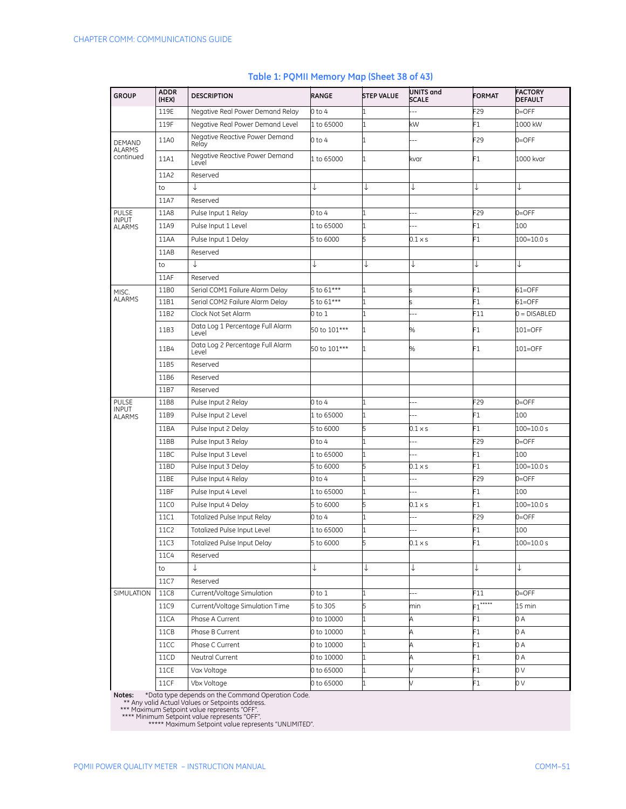| <b>GROUP</b>                   | <b>ADDR</b><br>(HEX) | <b>DESCRIPTION</b>                        | RANGE        | <b>STEP VALUE</b> | <b>UNITS and</b><br><b>SCALE</b> | <b>FORMAT</b>   | <b>FACTORY</b><br><b>DEFAULT</b> |
|--------------------------------|----------------------|-------------------------------------------|--------------|-------------------|----------------------------------|-----------------|----------------------------------|
|                                | 119E                 | Negative Real Power Demand Relay          | $0$ to 4     |                   |                                  | F29             | $0=$ OFF                         |
|                                | 119F                 | Negative Real Power Demand Level          | 1 to 65000   | 1                 | kW                               | F1              | 1000 kW                          |
| <b>DEMAND</b><br><b>ALARMS</b> | 11A0                 | Negative Reactive Power Demand<br>Relay   | $0$ to $4$   | 1                 |                                  | F <sub>29</sub> | $0 =$ OFF                        |
| continued                      | 11A1                 | Negative Reactive Power Demand<br>Level   | 1 to 65000   | $\mathbf{1}$      | kvar                             | F1              | 1000 kvar                        |
|                                | 11A2                 | Reserved                                  |              |                   |                                  |                 |                                  |
|                                | to                   | ↓                                         |              | ↓                 | ↓                                | ↓               | ↓                                |
|                                | 11A7                 | Reserved                                  |              |                   |                                  |                 |                                  |
| <b>PULSE</b><br><b>INPUT</b>   | 11A8                 | Pulse Input 1 Relay                       | 0 to 4       |                   |                                  | F29             | $0=$ OFF                         |
| <b>ALARMS</b>                  | 11A9                 | Pulse Input 1 Level                       | 1 to 65000   | $\mathbf{1}$      | --                               | F1              | 100                              |
|                                | 11AA                 | Pulse Input 1 Delay                       | 5 to 6000    | 5                 | $0.1 \times s$                   | F1              | $100 = 10.0 s$                   |
|                                | 11AB                 | Reserved                                  |              |                   |                                  |                 |                                  |
|                                | to                   |                                           | ↓            | ↓                 |                                  | ↓               | ↓                                |
|                                | 11AF                 | Reserved                                  |              |                   |                                  |                 |                                  |
| MISC.                          | 11B0                 | Serial COM1 Failure Alarm Delay           | 5 to $61***$ | 1                 |                                  | F1              | $61 =$ OFF                       |
| <b>ALARMS</b>                  | 11B1                 | Serial COM2 Failure Alarm Delay           | 5 to $61***$ | 1                 |                                  | F1              | $61=$ OFF                        |
|                                | 11B2                 | Clock Not Set Alarm                       | 0 to 1       | 1                 | $-$                              | F11             | $0 = DISABLED$                   |
|                                | 11B3                 | Data Log 1 Percentage Full Alarm<br>Level | 50 to 101*** | $\mathbf 1$       | %                                | F1              | 101=OFF                          |
|                                | 11B4                 | Data Log 2 Percentage Full Alarm<br>Level | 50 to 101*** | 1                 | %                                | F1              | 101=OFF                          |
|                                | 11B5                 | Reserved                                  |              |                   |                                  |                 |                                  |
|                                | 11B6                 | Reserved                                  |              |                   |                                  |                 |                                  |
|                                | 11B7                 | Reserved                                  |              |                   |                                  |                 |                                  |
| <b>PULSE</b><br><b>INPUT</b>   | 11B8                 | Pulse Input 2 Relay                       | 0 to 4       | 1                 | $\overline{a}$                   | F29             | $0 =$ OFF                        |
| <b>ALARMS</b>                  | 11B9                 | Pulse Input 2 Level                       | 1 to 65000   | 1                 |                                  | F1              | 100                              |
|                                | 11BA                 | Pulse Input 2 Delay                       | 5 to 6000    | 5                 | $0.1 \times s$                   | F1              | $100 = 10.0 s$                   |
|                                | 11BB                 | Pulse Input 3 Relay                       | 0 to 4       | 1                 |                                  | F <sub>29</sub> | $0=$ OFF                         |
|                                | 11BC                 | Pulse Input 3 Level                       | 1 to 65000   | 1                 |                                  | F1              | 100                              |
|                                | 11BD                 | Pulse Input 3 Delay                       | 5 to 6000    | 5                 | $0.1 \times s$                   | F1              | $100 = 10.0 s$                   |
|                                | 11BE                 | Pulse Input 4 Relay                       | 0 to 4       | 1                 |                                  | F <sub>29</sub> | $0 =$ OFF                        |
|                                | 11BF                 | Pulse Input 4 Level                       | 1 to 65000   | 1                 |                                  | F1              | 100                              |
|                                | 11C0                 | Pulse Input 4 Delay                       | 5 to 6000    | 5                 | $0.1 \times s$                   | F1              | $100 = 10.0 s$                   |
|                                | 11C1                 | <b>Totalized Pulse Input Relay</b>        | 0 to 4       | 1                 | --                               | F29             | $0 =$ OFF                        |
|                                | 11C2                 | Totalized Pulse Input Level               | 1 to 65000   | 1                 | Ξ.                               | F1              | 100                              |
|                                | 11C3                 | Totalized Pulse Input Delay               | 5 to 6000    | 5                 | $0.1 \times s$                   | F1              | 100=10.0 s                       |
|                                | 11C4                 | Reserved                                  |              |                   |                                  |                 |                                  |
|                                | to                   | ↓                                         | ↓            | ↓                 | ↓                                | ↓               | ↓                                |
|                                | 11C7                 | Reserved                                  |              |                   |                                  |                 |                                  |
| SIMULATION                     | <b>11C8</b>          | Current/Voltage Simulation                | 0 to 1       | 1                 | $\overline{a}$                   | F11             | $0 =$ OFF                        |
|                                | 11C9                 | Current/Voltage Simulation Time           | 5 to 305     | 5                 | min                              | $F1***$         | 15 min                           |
|                                | 11CA                 | Phase A Current                           | 0 to 10000   | $\mathbf{1}$      | A                                | F1              | 0 A                              |
|                                | 11CB                 | Phase B Current                           | 0 to 10000   | $\mathbf 1$       | Ą                                | F1              | 0 A                              |
|                                | 11CC                 | Phase C Current                           | 0 to 10000   | $\mathbf{1}$      | A                                | F1              | 0A                               |
|                                | 11CD                 | Neutral Current                           | 0 to 10000   | $\mathbf{1}$      | Д                                | F1              | 0 A                              |
|                                | 11CE                 | Vax Voltage                               | 0 to 65000   | 1                 |                                  | F1              | 0 V                              |
|                                | 11CF                 | Vbx Voltage                               | 0 to 65000   | 1                 |                                  | F1              | 0 V                              |

#### **Table 1: PQMII Memory Map (Sheet 38 of 43)**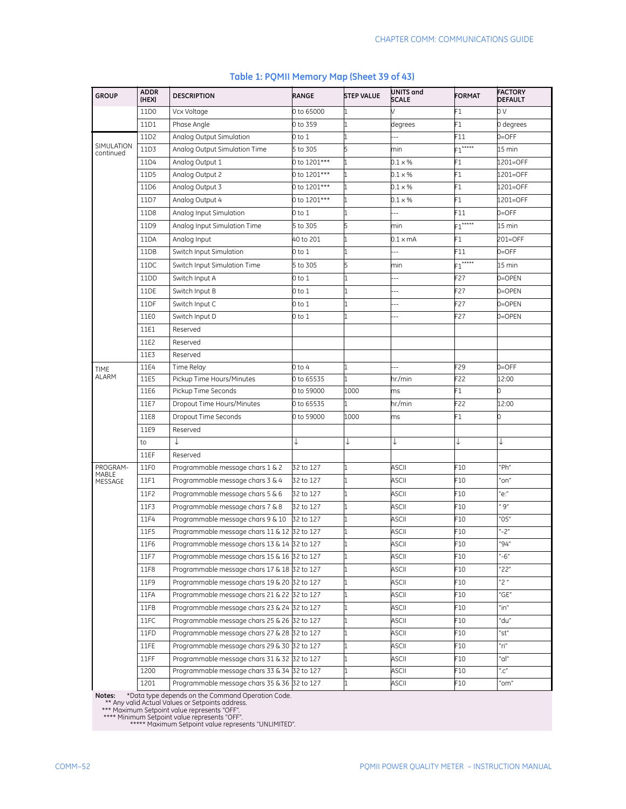| <b>GROUP</b>            | <b>ADDR</b><br>(HEX) | <b>DESCRIPTION</b>                           | RANGE        | <b>STEP VALUE</b> | UNITS and<br><b>SCALE</b> | <b>FORMAT</b>         | <b>FACTORY</b><br><b>DEFAULT</b>       |
|-------------------------|----------------------|----------------------------------------------|--------------|-------------------|---------------------------|-----------------------|----------------------------------------|
|                         | 11D <sub>0</sub>     | Vcx Voltage                                  | 0 to 65000   |                   |                           | F1                    | 0V                                     |
|                         | 11D1                 | Phase Angle                                  | 0 to 359     |                   | degrees                   | F1                    | 0 degrees                              |
|                         | 11D2                 | Analog Output Simulation                     | 0 to 1       |                   |                           | F11                   | $0=$ OFF                               |
| SIMULATION<br>continued | 11D3                 | Analog Output Simulation Time                | 5 to 305     | 5                 | min                       | $F1$ <sup>*****</sup> | $15 \text{ min}$                       |
|                         | 11D4                 | Analog Output 1                              | 0 to 1201*** |                   | $0.1 \times %$            | F1                    | 1201=OFF                               |
|                         | 11D5                 | Analog Output 2                              | 0 to 1201*** |                   | $0.1 \times %$            | F1                    | 1201=OFF                               |
|                         | 11D6                 | Analog Output 3                              | 0 to 1201*** |                   | $0.1 \times \%$           | F1                    | 1201=OFF                               |
|                         | 11D7                 | Analog Output 4                              | 0 to 1201*** |                   | $0.1 \times \%$           | F1                    | 1201=OFF                               |
|                         | 11D8                 | Analog Input Simulation                      | 0 to 1       |                   |                           | F11                   | $0 =$ OFF                              |
|                         | 11D9                 | Analog Input Simulation Time                 | 5 to 305     |                   | min                       | $F1$ *****            | 15 min                                 |
|                         | 11DA                 | Analog Input                                 | 40 to 201    |                   | 0.1 x mA                  | F1                    | 201=OFF                                |
|                         | 11DB                 | Switch Input Simulation                      | 0 to 1       |                   |                           | F11                   | $0 =$ OFF                              |
|                         | 11DC                 | Switch Input Simulation Time                 | 5 to 305     | 5                 | min                       | $F1$ *****            | 15 min                                 |
|                         | 11DD                 | Switch Input A                               | 0 to 1       |                   | $\overline{a}$            | F27                   | 0=OPEN                                 |
|                         | 11DE                 | Switch Input B                               | 0 to 1       |                   |                           | F27                   | 0=OPEN                                 |
|                         | 11DF                 | Switch Input C                               | 0 to 1       |                   |                           | F27                   | 0=OPEN                                 |
|                         | 11E0                 | Switch Input D                               | 0 to 1       | 1                 |                           | F27                   | 0=OPEN                                 |
|                         | 11E1                 | Reserved                                     |              |                   |                           |                       |                                        |
|                         | 11E2                 | Reserved                                     |              |                   |                           |                       |                                        |
|                         | 11E3                 | Reserved                                     |              |                   |                           |                       |                                        |
| <b>TIME</b>             | 11E4                 | Time Relay                                   | $0$ to $4$   |                   | ٠.                        | F29                   | $0=$ OFF                               |
| ALARM                   | 11E5                 | Pickup Time Hours/Minutes                    | 0 to 65535   | 1                 | hr./min                   | F22                   | 12:00                                  |
|                         | 11E6                 | Pickup Time Seconds                          | 0 to 59000   | 1000              | ms                        | F1                    | 0                                      |
|                         | 11E7                 | Dropout Time Hours/Minutes                   | 0 to 65535   |                   | hr./min                   | F22                   | 12:00                                  |
|                         | 11E8                 | Dropout Time Seconds                         | 0 to 59000   | 1000              | ms                        | F1                    | 0                                      |
|                         | 11E9                 | Reserved                                     |              |                   |                           |                       |                                        |
|                         | to                   | J                                            | ↓            | ↓                 | ↓                         |                       | ↓                                      |
|                         | 11EF                 | Reserved                                     |              |                   |                           |                       |                                        |
| PROGRAM-                | 11F0                 | Programmable message chars 1 & 2             | 32 to 127    |                   | <b>ASCII</b>              | F10                   | "Ph"                                   |
| MABLE<br>MESSAGE        | 11F1                 | Programmable message chars 3 & 4             | 32 to 127    |                   | ASCII                     | F10                   | 'on"                                   |
|                         | 11F2                 | Programmable message chars 5 & 6             | 32 to 127    |                   | ASCII                     | F10                   | "e:"                                   |
|                         | 11F3                 | Programmable message chars 7 & 8             | 32 to 127    |                   | ASCII                     | F10                   | " $9"$                                 |
|                         | 11F4                 | Programmable message chars 9 & 10            | 32 to 127    |                   | <b>ASCII</b>              | F10                   | "05"                                   |
|                         | 11F5                 | Programmable message chars 11 & 12 32 to 127 |              |                   | <b>ASCII</b>              | F10                   | $-2"$                                  |
|                         | 11F6                 | Programmable message chars 13 & 14 32 to 127 |              | 1                 | <b>ASCII</b>              | F10                   | "94"                                   |
|                         | 11F7                 | Programmable message chars 15 & 16 32 to 127 |              |                   | ASCII                     | F10                   | "-6"                                   |
|                         | 11F8                 | Programmable message chars 17 & 18 32 to 127 |              |                   | ASCII                     | F10                   | "22"                                   |
|                         | 11F9                 | Programmable message chars 19 & 20 32 to 127 |              | 1                 | ASCII                     | F10                   | "2"                                    |
|                         | 11FA                 | Programmable message chars 21 & 22 32 to 127 |              | 1                 | ASCII                     | F10                   | "GE"                                   |
|                         | 11FB                 | Programmable message chars 23 & 24 32 to 127 |              |                   | ASCII                     | F10                   | "in"                                   |
|                         | 11FC                 | Programmable message chars 25 & 26 32 to 127 |              | 1                 | ASCII                     | F10                   | "du"                                   |
|                         | 11FD                 | Programmable message chars 27 & 28 32 to 127 |              | 1                 | ASCII                     | F10                   | "st"                                   |
|                         | 11FE                 | Programmable message chars 29 & 30 32 to 127 |              | 1                 | ASCII                     | F10                   | "ri"                                   |
|                         | 11FF                 | Programmable message chars 31 & 32 32 to 127 |              | 1                 | ASCII                     | F10                   | "al"                                   |
|                         | 1200                 | Programmable message chars 33 & 34 32 to 127 |              | 1                 | ASCII                     | F10                   | $^{\prime\prime}$ .C $^{\prime\prime}$ |
|                         | 1201                 | Programmable message chars 35 & 36 32 to 127 |              |                   | ASCII                     | F10                   | 'om"                                   |

#### **Table 1: PQMII Memory Map (Sheet 39 of 43)**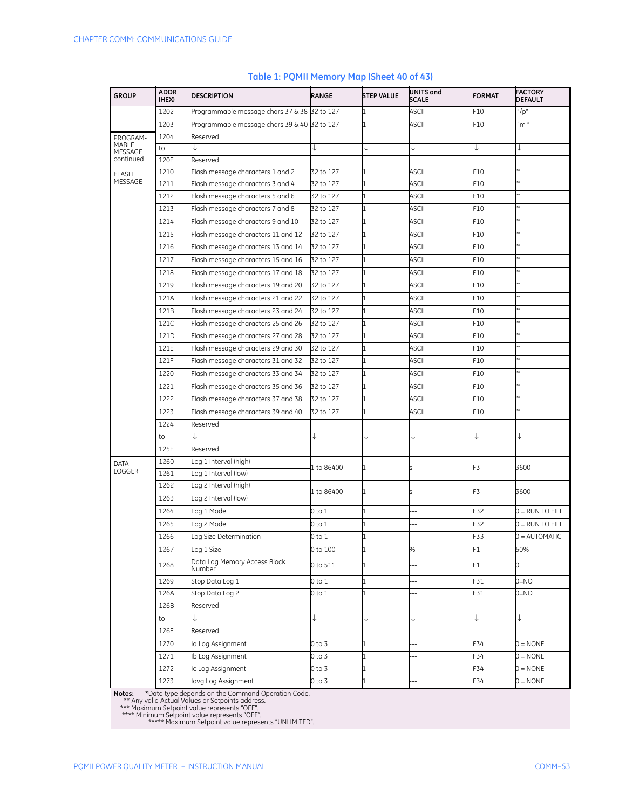| <b>GROUP</b>     | <b>ADDR</b><br>(HEX) | <b>DESCRIPTION</b>                           | RANGE      | <b>STEP VALUE</b> | UNITS and<br><b>SCALE</b> | <b>FORMAT</b>   | <b>FACTORY</b><br><b>DEFAULT</b> |
|------------------|----------------------|----------------------------------------------|------------|-------------------|---------------------------|-----------------|----------------------------------|
|                  | 1202                 | Programmable message chars 37 & 38 32 to 127 |            |                   | <b>ASCII</b>              | F <sub>10</sub> | "/p"                             |
|                  | 1203                 | Programmable message chars 39 & 40 32 to 127 |            |                   | <b>ASCII</b>              | F10             | m''                              |
| PROGRAM-         | 1204                 | Reserved                                     |            |                   |                           |                 |                                  |
| MABLE<br>MESSAGE | to                   | T                                            |            | ↓                 |                           | ↓               | ↓                                |
| continued        | 120F                 | Reserved                                     |            |                   |                           |                 |                                  |
| <b>FLASH</b>     | 1210                 | Flash message characters 1 and 2             | 32 to 127  | 1                 | <b>ASCII</b>              | F10             |                                  |
| MESSAGE          | 1211                 | Flash message characters 3 and 4             | 32 to 127  | 1                 | <b>ASCII</b>              | F10             |                                  |
|                  | 1212                 | Flash message characters 5 and 6             | 32 to 127  | 1                 | <b>ASCII</b>              | F10             | u n                              |
|                  | 1213                 | Flash message characters 7 and 8             | 32 to 127  | 1                 | <b>ASCII</b>              | F10             |                                  |
|                  | 1214                 | Flash message characters 9 and 10            | 32 to 127  | 1                 | ASCII                     | F10             |                                  |
|                  | 1215                 | Flash message characters 11 and 12           | 32 to 127  | 1                 | ASCII                     | F10             |                                  |
|                  | 1216                 | Flash message characters 13 and 14           | 32 to 127  | 1                 | ASCII                     | F10             | $\overline{\phantom{a}}$         |
|                  | 1217                 | Flash message characters 15 and 16           | 32 to 127  | 1                 | <b>ASCII</b>              | F10             |                                  |
|                  | 1218                 | Flash message characters 17 and 18           | 32 to 127  | 1                 | ASCII                     | F10             |                                  |
|                  | 1219                 | Flash message characters 19 and 20           | 32 to 127  | 1                 | ASCII                     | F10             |                                  |
|                  | 121A                 | Flash message characters 21 and 22           | 32 to 127  | 1                 | <b>ASCII</b>              | F10             |                                  |
|                  | 121B                 | Flash message characters 23 and 24           | 32 to 127  | 1                 | ASCII                     | F10             | w                                |
|                  | 121C                 | Flash message characters 25 and 26           | 32 to 127  | 1                 | ASCII                     | F10             | "                                |
|                  | <b>121D</b>          | Flash message characters 27 and 28           | 32 to 127  | 1                 | <b>ASCII</b>              | F10             | "                                |
|                  | 121E                 | Flash message characters 29 and 30           | 32 to 127  | 1                 | ASCII                     | F10             | $\overline{u}$                   |
|                  | 121F                 | Flash message characters 31 and 32           | 32 to 127  | 1                 | <b>ASCII</b>              | F10             |                                  |
|                  | 1220                 | Flash message characters 33 and 34           | 32 to 127  | 1                 | ASCII                     | F10             | u n                              |
|                  | 1221                 | Flash message characters 35 and 36           | 32 to 127  | 1                 | ASCII                     | F10             | "                                |
|                  | 1222                 | Flash message characters 37 and 38           | 32 to 127  | 1                 | ASCII                     | F10             |                                  |
|                  | 1223                 | Flash message characters 39 and 40           | 32 to 127  | 1                 | ASCII                     | F10             |                                  |
|                  | 1224                 | Reserved                                     |            |                   |                           |                 |                                  |
|                  | to                   | ↓                                            |            | ↓                 |                           | ↓               | ↓                                |
|                  | 125F                 | Reserved                                     |            |                   |                           |                 |                                  |
| <b>DATA</b>      | 1260                 | Log 1 Interval (high)                        |            |                   |                           |                 |                                  |
| LOGGER           | 1261                 | Log 1 Interval (low)                         | 1 to 86400 | 1                 |                           | F3              | 3600                             |
|                  | 1262                 | Log 2 Interval (high)                        |            |                   |                           |                 |                                  |
|                  | 1263                 | Log 2 Interval (low)                         | 1 to 86400 | 1                 |                           | F3              | 3600                             |
|                  | 1264                 | Log 1 Mode                                   | 0 to 1     | 1                 | ۵.                        | F32             | $0 = RUN TO FILL$                |
|                  | 1265                 | Log 2 Mode                                   | $0$ to $1$ | 1                 | Ξ.                        | F32             | $0 = RUN TO FILL$                |
|                  | 1266                 | Log Size Determination                       | 0 to 1     | 1                 |                           | F33             | $0 =$ AUTOMATIC                  |
|                  | 1267                 | Log 1 Size                                   | 0 to 100   | 1                 | %                         | F1              | 50%                              |
|                  | 1268                 | Data Log Memory Access Block<br>Number       | 0 to 511   | $\mathbf{1}$      |                           | F1              |                                  |
|                  | 1269                 | Stop Data Log 1                              | 0 to 1     | 1                 | --                        | F31             | OW=0                             |
|                  | 126A                 | Stop Data Log 2                              | 0 to 1     | 1                 | $\overline{\phantom{a}}$  | F31             | $ON=0$                           |
|                  | 126B                 | Reserved                                     |            |                   |                           |                 |                                  |
|                  | to                   | ↓                                            | ↓          | ↓                 | ↓                         | ↓               | ↓                                |
|                  | 126F                 | Reserved                                     |            |                   |                           |                 |                                  |
|                  | 1270                 | la Log Assignment                            | 0 to 3     | 1                 |                           | F34             | $0 = \text{NONE}$                |
|                  | 1271                 | Ib Log Assignment                            | 0 to 3     | 1                 | $\overline{a}$            | F34             | $0 = \text{NONE}$                |
|                  | 1272                 | Ic Log Assignment                            | 0 to 3     | 1                 | $\overline{a}$            | F34             | $0 = \text{NONE}$                |
|                  | 1273                 | lavg Log Assignment                          | 0 to 3     | 1                 |                           | F34             | $0 = \text{NONE}$                |

#### **Table 1: PQMII Memory Map (Sheet 40 of 43)**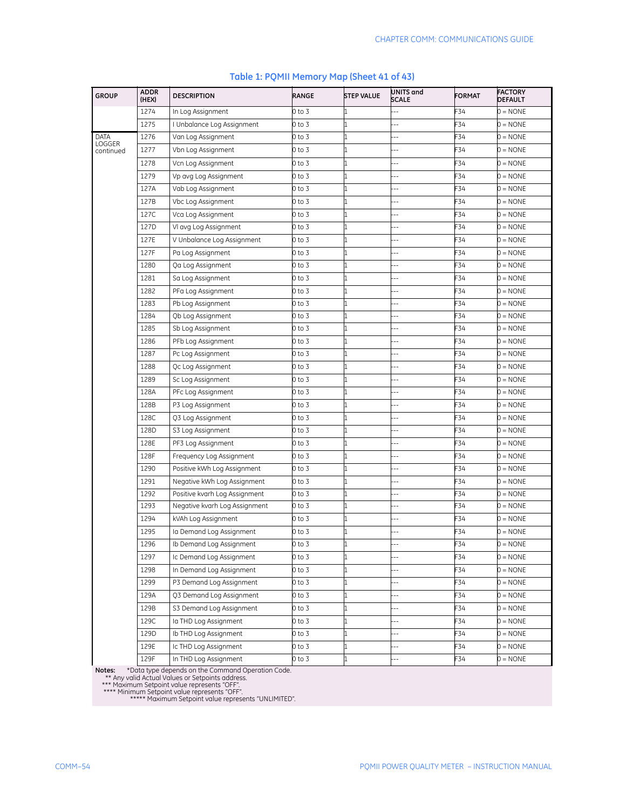| <b>GROUP</b>          | <b>ADDR</b><br>(HEX) | <b>DESCRIPTION</b>            | RANGE  | <b>STEP VALUE</b> | UNITS and<br><b>SCALE</b> | <b>FORMAT</b> | <b>FACTORY</b><br><b>DEFAULT</b> |
|-----------------------|----------------------|-------------------------------|--------|-------------------|---------------------------|---------------|----------------------------------|
|                       | 1274                 | In Log Assignment             | 0 to 3 |                   |                           | F34           | $0 = \text{NONE}$                |
|                       | 1275                 | I Unbalance Log Assignment    | 0 to 3 |                   |                           | F34           | $0 = \text{NONE}$                |
| DATA<br><b>LOGGER</b> | 1276                 | Van Log Assignment            | 0 to 3 | 1                 | н,                        | F34           | $0 = \text{NONE}$                |
| continued             | 1277                 | Vbn Log Assignment            | 0 to 3 | 1                 | ÷.                        | F34           | $0 = \text{NONE}$                |
|                       | 1278                 | Vcn Log Assignment            | 0 to 3 |                   |                           | F34           | 0 = NONE                         |
|                       | 1279                 | Vp avg Log Assignment         | 0 to 3 | 1                 |                           | F34           | 0 = NONE                         |
|                       | 127A                 | Vab Log Assignment            | 0 to 3 | 1                 |                           | F34           | 0 = NONE                         |
|                       | 127B                 | Vbc Log Assignment            | 0 to 3 |                   |                           | F34           | $0 = \text{NONE}$                |
|                       | 127C                 | Vca Log Assignment            | 0 to 3 | 1                 | ÷.                        | F34           | $0 = \text{NONE}$                |
|                       | 127D                 | VI avg Log Assignment         | 0 to 3 | 1                 | ٠.                        | F34           | $0 = \text{NONE}$                |
|                       | 127E                 | V Unbalance Log Assignment    | 0 to 3 |                   | н,                        | F34           | $0 = \text{NONE}$                |
|                       | 127F                 | Pa Log Assignment             | 0 to 3 | 1                 |                           | F34           | $0 = \text{NONE}$                |
|                       | 1280                 | Qa Log Assignment             | 0 to 3 | 1                 |                           | F34           | $0 = \text{NONE}$                |
|                       | 1281                 | Sa Log Assignment             | 0 to 3 | 1                 |                           | F34           | $0 = \text{NONE}$                |
|                       | 1282                 | PFa Log Assignment            | 0 to 3 |                   | ц,                        | F34           | 0 = NONE                         |
|                       | 1283                 | Pb Log Assignment             | 0 to 3 | 11                | ٠.                        | F34           | $0 = \text{NONE}$                |
|                       | 1284                 | Qb Log Assignment             | 0 to 3 | 1                 | Ц,                        | F34           | $0 = \text{NONE}$                |
|                       | 1285                 | Sb Log Assignment             | 0 to 3 | 1                 | ٠.                        | F34           | $0 = \text{NONE}$                |
|                       | 1286                 | PFb Log Assignment            | 0 to 3 |                   |                           | F34           | $0 = \text{NONE}$                |
|                       | 1287                 | Pc Log Assignment             | 0 to 3 | 11                |                           | F34           | 0 = NONE                         |
|                       | 1288                 | Qc Log Assignment             | 0 to 3 | l1                |                           | F34           | 0 = NONE                         |
|                       | 1289                 | Sc Log Assignment             | 0 to 3 |                   |                           | F34           | 0 = NONE                         |
|                       | 128A                 | PFc Log Assignment            | 0 to 3 | l1                | ÷.                        | F34           | $0 = \text{NONE}$                |
|                       | 128B                 | P3 Log Assignment             | 0 to 3 | 11                |                           | F34           | $0 = \text{NONE}$                |
|                       | 128C                 | Q3 Log Assignment             | 0 to 3 |                   |                           | F34           | $0 = \text{NONE}$                |
|                       | 128D                 | S3 Log Assignment             | 0 to 3 | 11                | ù,                        | F34           | $0 = \text{NONE}$                |
|                       | 128E                 | PF3 Log Assignment            | 0 to 3 | 1                 |                           | F34           | $0 = \text{NONE}$                |
|                       | 128F                 | Frequency Log Assignment      | 0 to 3 | 1                 | $\overline{a}$            | F34           | 0 = NONE                         |
|                       | 1290                 | Positive kWh Log Assignment   | 0 to 3 | 1                 | ÷.                        | F34           | 0 = NONE                         |
|                       | 1291                 | Negative kWh Log Assignment   | 0 to 3 | 1                 | ٠.                        | F34           | $0 = \text{NONE}$                |
|                       | 1292                 | Positive kvarh Log Assignment | 0 to 3 | 1                 | ц,                        | F34           | $0 = \text{NONE}$                |
|                       | 1293                 | Negative kvarh Log Assignment | 0 to 3 | 1                 | Ц,                        | F34           | $0 = \text{NONE}$                |
|                       | 1294                 | kVAh Log Assignment           | 0 to 3 |                   |                           | F34           | $0 = \text{NONE}$                |
|                       | 1295                 | la Demand Log Assignment      | 0 to 3 | 1                 |                           | F34           | 0 = NONE                         |
|                       | 1296                 | Ib Demand Log Assignment      | 0 to 3 |                   |                           | F34           | $0 = \text{NONE}$                |
|                       | 1297                 | Ic Demand Log Assignment      | 0 to 3 |                   |                           | F34           | $0 = \text{NONE}$                |
|                       | 1298                 | In Demand Log Assignment      | 0 to 3 | 1                 | $\overline{\phantom{a}}$  | F34           | $0 = \text{NONE}$                |
|                       | 1299                 | P3 Demand Log Assignment      | 0 to 3 |                   | --                        | F34           | $0 = \text{NONE}$                |
|                       | 129A                 | Q3 Demand Log Assignment      | 0 to 3 | 1                 | $\overline{\phantom{a}}$  | F34           | $0 = \text{NONE}$                |
|                       | 129B                 | S3 Demand Log Assignment      | 0 to 3 | 1                 | Ц,                        | F34           | $0 = \text{NONE}$                |
|                       | 129C                 | la THD Log Assignment         | 0 to 3 | 1                 |                           | F34           | $0 = \text{NONE}$                |
|                       | 129D                 | Ib THD Log Assignment         | 0 to 3 | 1                 |                           | F34           | $0 = \text{NONE}$                |
|                       | 129E                 | Ic THD Log Assignment         | 0 to 3 | 1                 | $\overline{\phantom{a}}$  | F34           | $0 = \text{NONE}$                |
|                       | 129F                 | In THD Log Assignment         | 0 to 3 | $\mathbf{1}$      | $\overline{\phantom{a}}$  | F34           | $0 = \text{NONE}$                |

#### **Table 1: PQMII Memory Map (Sheet 41 of 43)**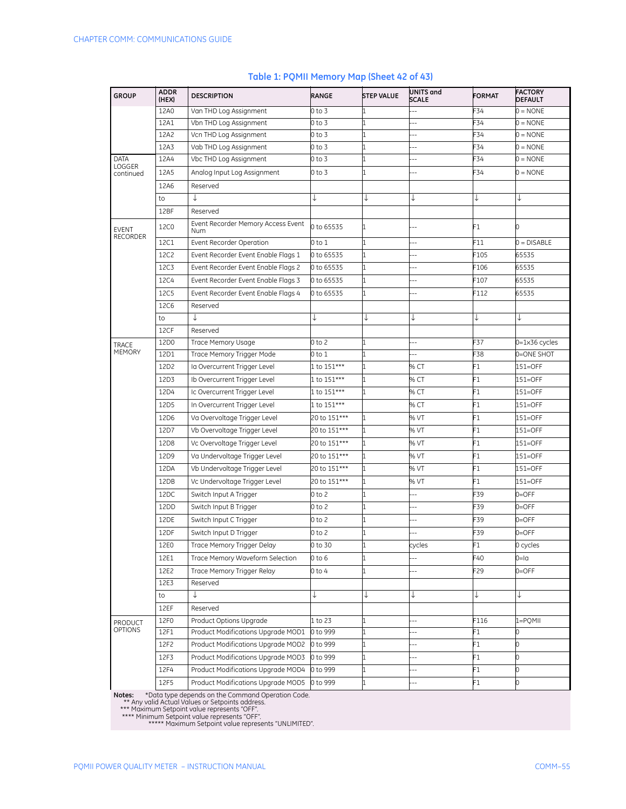| <b>GROUP</b>      | <b>ADDR</b><br>(HEX) | <b>DESCRIPTION</b>                        | RANGE        | <b>STEP VALUE</b> | UNITS and<br><b>SCALE</b> | <b>FORMAT</b> | <b>FACTORY</b><br><b>DEFAULT</b> |
|-------------------|----------------------|-------------------------------------------|--------------|-------------------|---------------------------|---------------|----------------------------------|
|                   | 12A0                 | Van THD Log Assignment                    | 0 to 3       | 1                 | Ξ.                        | F34           | $0 = \text{NONE}$                |
|                   | 12A1                 | Vbn THD Log Assignment                    | 0 to 3       | 1                 | ÷                         | F34           | $0 = \text{NONE}$                |
|                   | 12A2                 | Vcn THD Log Assignment                    | $0$ to $3$   | 1                 | --                        | F34           | $0 = \text{NONE}$                |
|                   | 12A3                 | Vab THD Log Assignment                    | 0 to 3       | 1                 | ۵.                        | F34           | $0 = \text{NONE}$                |
| DATA<br>LOGGER    | 12A4                 | Vbc THD Log Assignment                    | 0 to 3       | 1                 |                           | -34           | $0 = \text{NONE}$                |
| continued         | 12A5                 | Analog Input Log Assignment               | 0 to 3       | $\mathbf{1}$      | ц,                        | F34           | $0 = \text{NONE}$                |
|                   | 12A6                 | Reserved                                  |              |                   |                           |               |                                  |
|                   | to                   | $\downarrow$                              | ↓            | ↓                 | ↓                         | ↓             | ↓                                |
|                   | 12BF                 | Reserved                                  |              |                   |                           |               |                                  |
| EVENT<br>RECORDER | 12C0                 | Event Recorder Memory Access Event<br>Num | 0 to 65535   | 1                 |                           | F1            | 0                                |
|                   | 12C1                 | Event Recorder Operation                  | 0 to 1       | $\mathbf{1}$      | $\overline{a}$            | F11           | $0 = DISABLE$                    |
|                   | 12C2                 | Event Recorder Event Enable Flags 1       | 0 to 65535   | $\mathbf{1}$      | $\overline{a}$            | F105          | 65535                            |
|                   | 12C3                 | Event Recorder Event Enable Flags 2       | 0 to 65535   | 1                 | ц,                        | -106          | 65535                            |
|                   | 12C4                 | Event Recorder Event Enable Flags 3       | 0 to 65535   | $\mathbf{1}$      | $-$                       | F107          | 65535                            |
|                   | <b>12C5</b>          | Event Recorder Event Enable Flags 4       | 0 to 65535   | 1                 | J.                        | -112          | 65535                            |
|                   | <b>12C6</b>          | Reserved                                  |              |                   |                           |               |                                  |
|                   | to                   | ↓                                         | ↓            | ↓                 | ↓                         | ↓             | ↓                                |
|                   | 12CF                 | Reserved                                  |              |                   |                           |               |                                  |
| TRACE             | 12D0                 | <b>Trace Memory Usage</b>                 | 0 to 2       |                   | --                        | F37           | 0=1×36 cycles                    |
| <b>MEMORY</b>     | 12D1                 | Trace Memory Trigger Mode                 | 0 to 1       | 1                 |                           | F38           | 0=ONE SHOT                       |
|                   | 12D <sub>2</sub>     | la Overcurrent Trigger Level              | 1 to 151***  | 1                 | % CT                      | F1            | 151=OFF                          |
|                   | 12D3                 | Ib Overcurrent Trigger Level              | 1 to 151***  |                   | % CT                      | F1            | 151=OFF                          |
|                   | 12D4                 | Ic Overcurrent Trigger Level              | 1 to 151***  | 1                 | % CT                      | F1            | 151=OFF                          |
|                   | 12D5                 | In Overcurrent Trigger Level              | 1 to 151***  |                   | % CT                      | F1            | 151=OFF                          |
|                   | 12D6                 | Va Overvoltage Trigger Level              | 20 to 151*** | 1                 | % VT                      | F1            | 151=OFF                          |
|                   | 12D7                 | Vb Overvoltage Trigger Level              | 20 to 151*** | 1                 | % VT                      | F1            | $151 =$ OFF                      |
|                   | 12D8                 | Vc Overvoltage Trigger Level              | 20 to 151*** | 1                 | % VT                      | F1            | 151=OFF                          |
|                   | 12D9                 | Va Undervoltage Trigger Level             | 20 to 151*** | 1                 | % VT                      | F1            | 151=OFF                          |
|                   | 12DA                 | Vb Undervoltage Trigger Level             | 20 to 151*** | 1                 | % VT                      | F1            | $151 =$ OFF                      |
|                   | 12DB                 | Vc Undervoltage Trigger Level             | 20 to 151*** | 1                 | % VT                      | F1            | $151 =$ OFF                      |
|                   | 12DC                 | Switch Input A Trigger                    | $0$ to 2     | 1                 | $\overline{a}$            | F39           | $0 =$ OFF                        |
|                   | 12DD                 | Switch Input B Trigger                    | 0 to 2       | 1                 | $-$                       | F39           | $0 =$ OFF                        |
|                   | 12DE                 | Switch Input C Trigger                    | 0 to 2       | 1                 | ц,                        | F39           | 0=OFF                            |
|                   | 12DF                 | Switch Input D Trigger                    | $0$ to $2$   | $\mathbf{1}$      |                           | F39           | $0 =$ OFF                        |
|                   | 12E0                 | Trace Memory Trigger Delay                | 0 to 30      | 1                 | cycles                    | F1            | 0 cycles                         |
|                   | 12E1                 | Trace Memory Waveform Selection           | $0$ to $6$   | $\mathbf 1$       |                           | -40           | $0=IG$                           |
|                   | 12E2                 | Trace Memory Trigger Relay                | 0 to 4       | $\mathbf{1}$      | 44                        | F29           | $0 =$ OFF                        |
|                   | 12E3                 | Reserved                                  |              |                   |                           |               |                                  |
|                   | to                   | ↓                                         | ↓            | ↓                 | ↓                         | ↓             | ↓                                |
|                   | 12EF                 | Reserved                                  |              |                   |                           |               |                                  |
| PRODUCT           | 12FO                 | Product Options Upgrade                   | 1 to 23      | 1                 | $\overline{a}$            | F116          | 1=PQMII                          |
| <b>OPTIONS</b>    | 12F1                 | Product Modifications Upgrade MOD1        | 0 to 999     | $\mathbf 1$       | $\overline{a}$            | F1            | 0                                |
|                   | 12F2                 | Product Modifications Upgrade MOD2        | 0 to 999     | $\mathbf{1}$      | Ξ.                        | F1            | 0                                |
|                   | 12F3                 | Product Modifications Upgrade MOD3        | 0 to 999     | $\mathbf{1}$      | $\overline{\phantom{a}}$  | F1            | 0                                |
|                   | 12F4                 | Product Modifications Upgrade MOD4        | 0 to 999     | $\mathbf{1}$      |                           | F1            | O                                |
|                   | 12F5                 | Product Modifications Upgrade MOD5        | 0 to 999     | $\mathbf{1}$      |                           | F1            | 0                                |
| $*$ $\Gamma$      |                      |                                           |              |                   |                           |               |                                  |

#### **Table 1: PQMII Memory Map (Sheet 42 of 43)**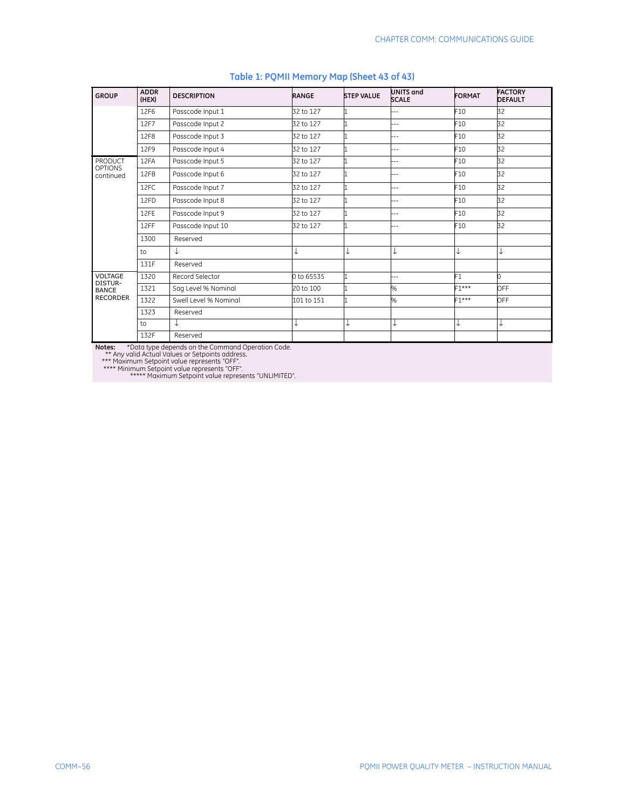| <b>GROUP</b>              | <b>ADDR</b><br>(HEX) | <b>DESCRIPTION</b>    | <b>RANGE</b> | <b>STEP VALUE</b> | <b>UNITS and</b><br><b>SCALE</b> | <b>FORMAT</b>   | <b>FACTORY</b><br><b>DEFAULT</b> |
|---------------------------|----------------------|-----------------------|--------------|-------------------|----------------------------------|-----------------|----------------------------------|
|                           | 12F6                 | Passcode Input 1      | 32 to 127    |                   |                                  | F10             | 32                               |
|                           | 12F7                 | Passcode Input 2      | 32 to 127    |                   | $-1$                             | F10             | 32                               |
|                           | 12F8                 | Passcode Input 3      | 32 to 127    |                   | $-1$                             | F10             | 32                               |
|                           | 12F9                 | Passcode Input 4      | 32 to 127    |                   | $-$                              | F10             | 32                               |
| PRODUCT<br><b>OPTIONS</b> | 12FA                 | Passcode Input 5      | 32 to 127    |                   | $-1$                             | F <sub>10</sub> | 32                               |
| continued                 | 12FB                 | Passcode Input 6      | 32 to 127    |                   |                                  | F10             | 32                               |
|                           | 12FC                 | Passcode Input 7      | 32 to 127    |                   |                                  | F10             | 32                               |
|                           | 12FD                 | Passcode Input 8      | 32 to 127    |                   | --                               | F10             | 32                               |
|                           | 12FE                 | Passcode Input 9      | 32 to 127    |                   |                                  | F10             | 32                               |
|                           | 12FF                 | Passcode Input 10     | 32 to 127    |                   |                                  | F10             | 32                               |
|                           | 1300                 | Reserved              |              |                   |                                  |                 |                                  |
|                           | to                   | ↓                     |              | ↓                 | ↓                                | ↓               | ↓                                |
|                           | 131F                 | Reserved              |              |                   |                                  |                 |                                  |
| VOLTAGE<br>DISTUR-        | 1320                 | Record Selector       | 0 to 65535   |                   | --                               | F1              | 0                                |
| <b>BANCE</b>              | 1321                 | Sag Level % Nominal   | 20 to 100    |                   | %                                | $F1***$         | OFF                              |
| <b>RECORDER</b>           | 1322                 | Swell Level % Nominal | 101 to 151   |                   | %                                | $F1***$         | OFF                              |
|                           | 1323                 | Reserved              |              |                   |                                  |                 |                                  |
|                           | to                   | ↓                     |              | ↓                 | ↓                                | ↓               | ↓                                |
|                           | 132F                 | Reserved              |              |                   |                                  |                 |                                  |

#### **Table 1: PQMII Memory Map (Sheet 43 of 43)**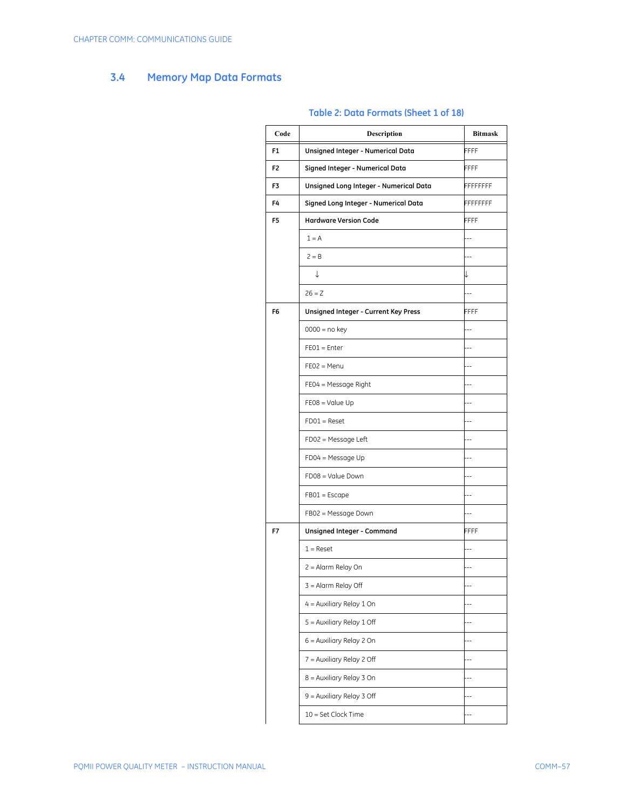# **3.4 Memory Map Data Formats**

| Code | Description                            | <b>Bitmask</b>  |
|------|----------------------------------------|-----------------|
| F1   | Unsigned Integer - Numerical Data      | FFFF            |
| F2   | Signed Integer - Numerical Data        | FFFF            |
| F3   | Unsigned Long Integer - Numerical Data | FFFFFFFF        |
| F4   | Signed Long Integer - Numerical Data   | <b>FFFFFFFF</b> |
| F5   | <b>Hardware Version Code</b>           | FFFF            |
|      | $1 = A$                                | --              |
|      | $2 = B$                                |                 |
|      | ↓                                      | ↓               |
|      | $26 = Z$                               | --              |
| F6   | Unsigned Integer - Current Key Press   | FFFF            |
|      | $0000 = no key$                        | ۵.              |
|      | $FE01 = Enter$                         |                 |
|      | $FEO2 = Menu$                          |                 |
|      | $FE04 = Message Right$                 | ۵.              |
|      | $FE08 = Value Up$                      |                 |
|      | $FDO1 = Reset$                         |                 |
|      | $FDO2 = Message Left$                  |                 |
|      | $FDO4 = Message Up$                    |                 |
|      | FD08 = Value Down                      |                 |
|      | $FB01 = Escape$                        |                 |
|      | FB02 = Message Down                    |                 |
| F7   | Unsigned Integer - Command             | FFFF            |
|      | $1 =$ Reset                            |                 |
|      | 2 = Alarm Relay On                     | $-$             |
|      | 3 = Alarm Relay Off                    |                 |
|      | 4 = Auxiliary Relay 1 On               |                 |
|      | 5 = Auxiliary Relay 1 Off              |                 |
|      | 6 = Auxiliary Relay 2 On               |                 |
|      | 7 = Auxiliary Relay 2 Off              |                 |
|      | 8 = Auxiliary Relay 3 On               |                 |
|      | 9 = Auxiliary Relay 3 Off              |                 |
|      | 10 = Set Clock Time                    |                 |

### **Table 2: Data Formats (Sheet 1 of 18)**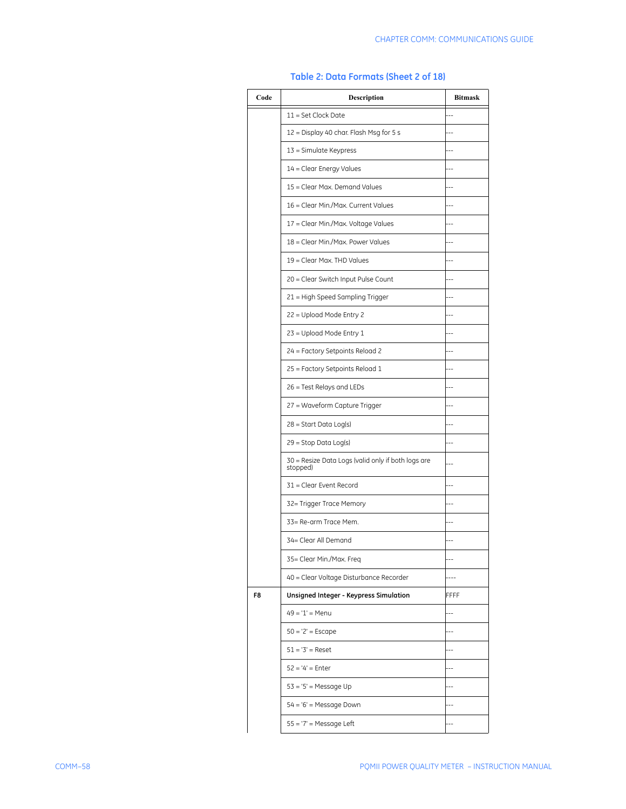| Code | <b>Description</b>                                             | <b>Bitmask</b> |
|------|----------------------------------------------------------------|----------------|
|      | $11 = Set Clock Date$                                          |                |
|      | 12 = Display 40 char. Flash Msg for 5 s                        |                |
|      | 13 = Simulate Keypress                                         |                |
|      | 14 = Clear Energy Values                                       |                |
|      | 15 = Clear Max. Demand Values                                  |                |
|      | 16 = Clear Min./Max. Current Values                            |                |
|      | 17 = Clear Min./Max. Voltage Values                            |                |
|      | 18 = Clear Min./Max. Power Values                              |                |
|      | 19 = Clear Max. THD Values                                     |                |
|      | 20 = Clear Switch Input Pulse Count                            |                |
|      | 21 = High Speed Sampling Trigger                               |                |
|      | 22 = Upload Mode Entry 2                                       |                |
|      | 23 = Upload Mode Entry 1                                       |                |
|      | 24 = Factory Setpoints Reload 2                                |                |
|      | 25 = Factory Setpoints Reload 1                                |                |
|      | 26 = Test Relays and LEDs                                      |                |
|      | 27 = Waveform Capture Trigger                                  |                |
|      | 28 = Start Data Log(s)                                         |                |
|      | 29 = Stop Data Log(s)                                          |                |
|      | 30 = Resize Data Logs (valid only if both logs are<br>stopped) |                |
|      | 31 = Clear Event Record                                        |                |
|      | 32= Trigger Trace Memory                                       |                |
|      | 33= Re-arm Trace Mem.                                          |                |
|      | 34= Clear All Demand                                           |                |
|      | 35= Clear Min./Max. Freq                                       |                |
|      | 40 = Clear Voltage Disturbance Recorder                        |                |
| F8   | Unsigned Integer - Keypress Simulation                         | FFFF           |
|      | 49 = '1' = Menu                                                |                |
|      | $50 = '2' = Escape$                                            |                |
|      | $51 = '3' =$ Reset                                             |                |
|      | $52 = '4' = Enter$                                             |                |
|      | $53 = 5'$ = Message Up                                         |                |
|      | $54 = 6'$ = Message Down                                       |                |
|      | $55 = '7'$ = Message Left                                      |                |

#### **Table 2: Data Formats (Sheet 2 of 18)**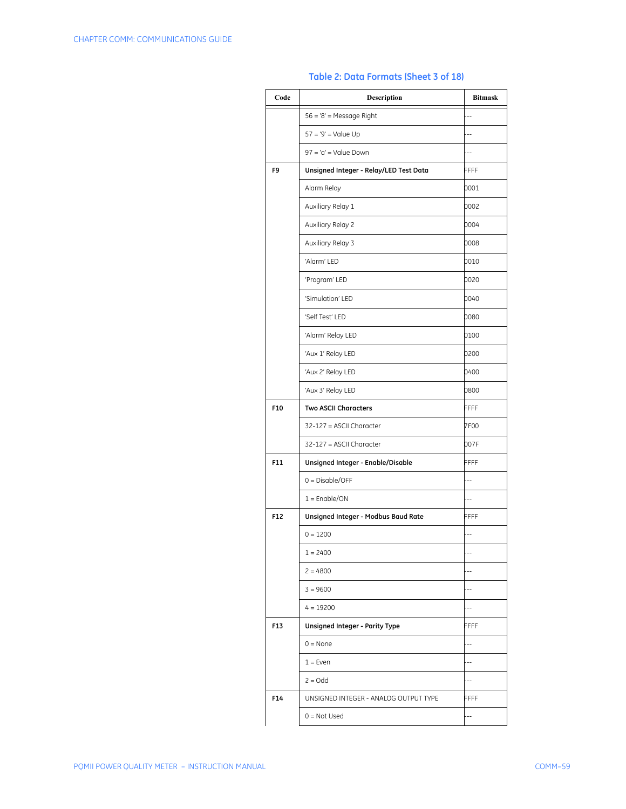| Code | <b>Description</b>                     | <b>Bitmask</b> |
|------|----------------------------------------|----------------|
|      | $56 = 8'$ = Message Right              | $\overline{a}$ |
|      | $57 = 9'$ = Value Up                   | $-$            |
|      | $97 = 'a' = Value Down$                | $-$            |
| F9   | Unsigned Integer - Relay/LED Test Data | FFFF           |
|      | Alarm Relay                            | 0001           |
|      | Auxiliary Relay 1                      | 0002           |
|      | Auxiliary Relay 2                      | 0004           |
|      | Auxiliary Relay 3                      | 8000           |
|      | 'Alarm' LED                            | 0010           |
|      | 'Program' LED                          | 0020           |
|      | 'Simulation' LED                       | 0040           |
|      | 'Self Test' LED                        | 0080           |
|      | 'Alarm' Relay LED                      | 0100           |
|      | 'Aux 1' Relay LED                      | 0200           |
|      | 'Aux 2' Relay LED                      | 0400           |
|      | 'Aux 3' Relay LED                      | 0800           |
| F10  | <b>Two ASCII Characters</b>            | <b>FFFF</b>    |
|      | 32-127 = ASCII Character               | 7F00           |
|      | 32-127 = ASCII Character               | 007F           |
| F11  | Unsigned Integer - Enable/Disable      | FFFF           |
|      | $0 = Disable/OFF$                      | $-$            |
|      | $1 =$ Enable/ON                        | $-$            |
| F12  | Unsigned Integer - Modbus Baud Rate    | FFFF           |
|      | $0 = 1200$                             | $-$            |
|      | $1 = 2400$                             | $-$            |
|      | $2 = 4800$                             | $-$            |
|      | $3 = 9600$                             | --             |
|      | $4 = 19200$                            | $-$            |
| F13  | Unsigned Integer - Parity Type         | FFFF           |
|      | $0 = \text{None}$                      | $-$            |
|      | $1 = Even$                             | $-$            |
|      | $2 = Odd$                              | $-$            |
| F14  | UNSIGNED INTEGER - ANALOG OUTPUT TYPE  | FFFF           |
|      | $0 = Not Used$                         | $-$            |

# **Table 2: Data Formats (Sheet 3 of 18)**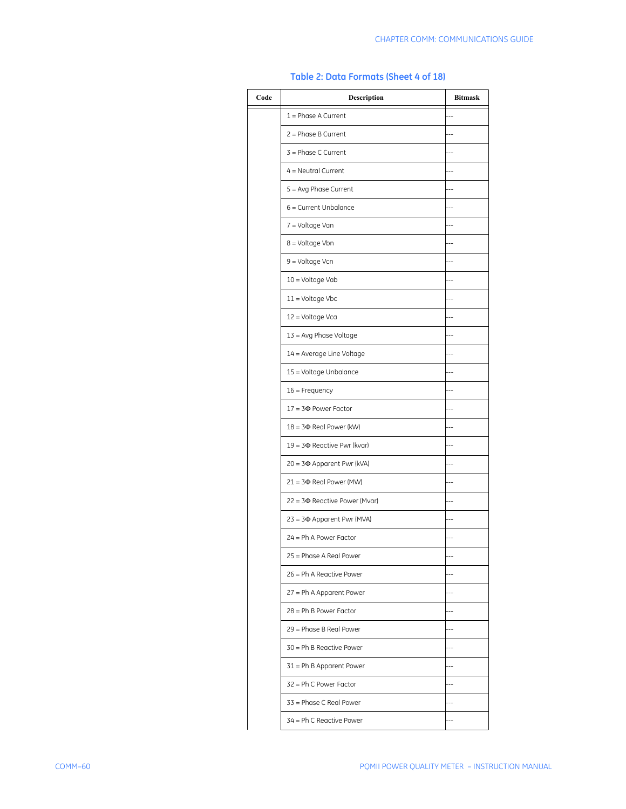| Code | Description                        | <b>Bitmask</b> |
|------|------------------------------------|----------------|
|      | $1 =$ Phase A Current              |                |
|      | $2 = Phase B Current$              |                |
|      | $3 = Phase C Current$              |                |
|      | $4 =$ Neutral Current              |                |
|      | 5 = Avg Phase Current              |                |
|      | 6 = Current Unbalance              |                |
|      | 7 = Voltage Van                    |                |
|      | 8 = Voltage Vbn                    |                |
|      | 9 = Voltage Vcn                    |                |
|      | 10 = Voltage Vab                   |                |
|      | $11 =$ Voltage Vbc                 |                |
|      | 12 = Voltage Vca                   |                |
|      | 13 = Avg Phase Voltage             |                |
|      | 14 = Average Line Voltage          |                |
|      | 15 = Voltage Unbalance             |                |
|      | $16 =$ Frequency                   |                |
|      | $17 = 3\Phi$ Power Factor          |                |
|      | $18 = 3\Phi$ Real Power (kW)       |                |
|      | $19 = 3\Phi$ Reactive Pwr (kvar)   |                |
|      | 20 = 3 $\Phi$ Apparent Pwr (kVA)   |                |
|      | $21 = 3\Phi$ Real Power (MW)       |                |
|      | $22 = 3\Phi$ Reactive Power (Mvar) |                |
|      | 23 = 3 $\Phi$ Apparent Pwr (MVA)   |                |
|      | $24 = Ph A Power Factor$           |                |
|      | 25 = Phase A Real Power            |                |
|      | 26 = Ph A Reactive Power           |                |
|      | 27 = Ph A Apparent Power           |                |
|      | 28 = Ph B Power Factor             |                |
|      | 29 = Phase B Real Power            |                |
|      | 30 = Ph B Reactive Power           |                |
|      | $31$ = Ph B Apparent Power         |                |
|      | 32 = Ph C Power Factor             |                |
|      | 33 = Phase C Real Power            |                |
|      | 34 = Ph C Reactive Power           |                |

#### **Table 2: Data Formats (Sheet 4 of 18)**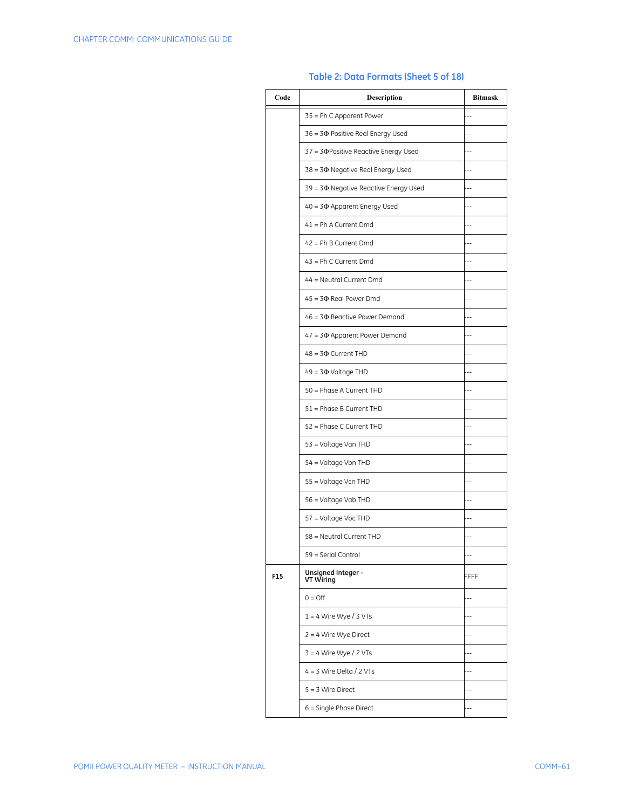| Code | <b>Description</b>                          | <b>Bitmask</b> |
|------|---------------------------------------------|----------------|
|      | 35 = Ph C Apparent Power                    |                |
|      | $36 = 3\Phi$ Positive Real Energy Used      |                |
|      | $37 = 3\Phi$ Positive Reactive Energy Used  |                |
|      | $38 = 3\Phi$ Negative Real Energy Used      |                |
|      | 39 = 3 $\Phi$ Negative Reactive Energy Used |                |
|      | $40 = 3\Phi$ Apparent Energy Used           |                |
|      | 41 = Ph A Current Dmd                       |                |
|      | $42$ = Ph B Current Dmd                     |                |
|      | $43$ = Ph C Current Dmd                     |                |
|      | 44 = Neutral Current Dmd                    |                |
|      | $45 = 3\Phi$ Real Power Dmd                 |                |
|      | 46 = 3¢ Reactive Power Demand               |                |
|      | $47 = 3\Phi$ Apparent Power Demand          |                |
|      | $48 = 3\Phi$ Current THD                    |                |
|      | $49 = 3\Phi$ Voltage THD                    |                |
|      | 50 = Phase A Current THD                    |                |
|      | 51 = Phase B Current THD                    |                |
|      | 52 = Phase C Current THD                    |                |
|      | 53 = Voltage Van THD                        |                |
|      | 54 = Voltage Vbn THD                        |                |
|      | 55 = Voltage Vcn THD                        |                |
|      | 56 = Voltage Vab THD                        |                |
|      | 57 = Voltage Vbc THD                        |                |
|      | 58 = Neutral Current THD                    |                |
|      | 59 = Serial Control                         |                |
| F15  | Unsigned Integer -<br>VT Wiring             | FFFF           |
|      | $0 = \bigcirc$                              |                |
|      | $1 = 4$ Wire Wye / 3 VTs                    |                |
|      | $2 = 4$ Wire Wye Direct                     |                |
|      | $3 = 4$ Wire Wye / 2 VTs                    |                |
|      | $4 = 3$ Wire Delta / 2 VTs                  |                |
|      | $5 = 3$ Wire Direct                         |                |
|      | 6 = Single Phase Direct                     |                |

#### **Table 2: Data Formats (Sheet 5 of 18)**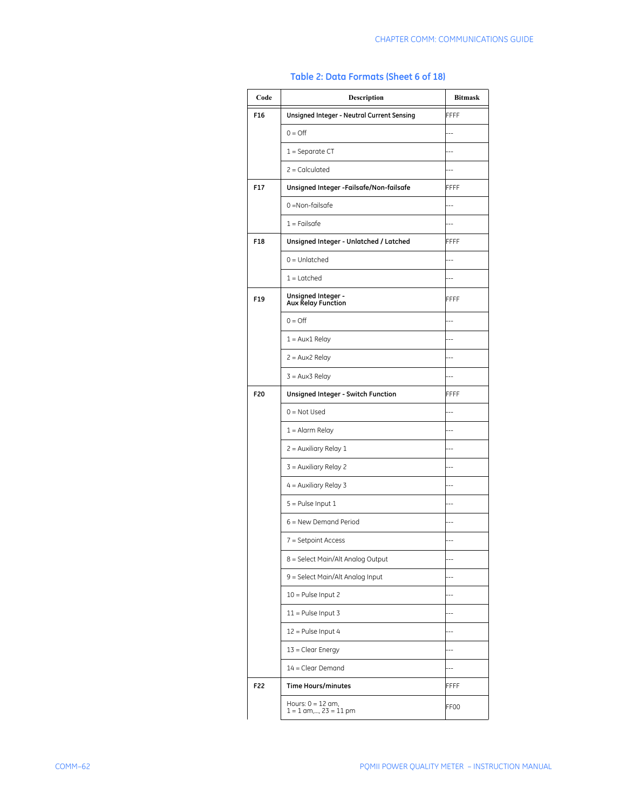| Code | Description                                      | <b>Bitmask</b> |
|------|--------------------------------------------------|----------------|
| F16  | Unsigned Integer - Neutral Current Sensing       | FFFF           |
|      | $0 = \bigcirc$                                   | $-$            |
|      | $1 =$ Separate CT                                | $\overline{a}$ |
|      | $2 =$ Calculated                                 | $-$            |
| F17  | Unsigned Integer - Failsafe/Non-failsafe         | FFFF           |
|      | $0 = \text{Non-fails}$                           | --             |
|      | $1 =$ Failsafe                                   | --             |
| F18  | Unsigned Integer - Unlatched / Latched           | FFFF           |
|      | $0 =$ Unlatched                                  | $\overline{a}$ |
|      | $1 =$ Latched                                    | $\overline{a}$ |
| F19  | Unsigned Integer -<br><b>Aux Relay Function</b>  | FFFF           |
|      | $0 = \bigcirc$                                   |                |
|      | 1 = Aux1 Relay                                   |                |
|      | $2 = Aux2$ Relay                                 | ۵.             |
|      | $3 = Aux3$ Relay                                 |                |
| F20  | Unsigned Integer - Switch Function               | FFFF           |
|      | $0 = Not Used$                                   | $\overline{a}$ |
|      | $1 =$ Alarm Relay                                | --             |
|      | $2$ = Auxiliary Relay 1                          | $-$            |
|      | $3$ = Auxiliary Relay 2                          | $-$            |
|      | $4 =$ Auxiliary Relay 3                          | $-$            |
|      | $5 =$ Pulse Input 1                              | $-$            |
|      | $6$ = New Demand Period                          | $-$            |
|      | 7 = Setpoint Access                              |                |
|      | 8 = Select Main/Alt Analog Output                |                |
|      | 9 = Select Main/Alt Analog Input                 | $\overline{a}$ |
|      | $10 =$ Pulse Input 2                             |                |
|      | $11 =$ Pulse Input 3                             |                |
|      | 12 = Pulse Input 4                               |                |
|      | $13 =$ Clear Energy                              |                |
|      | $14 = Clear$ Demand                              |                |
| F22  | <b>Time Hours/minutes</b>                        | FFFF           |
|      | Hours: $0 = 12$ am,<br>$1 = 1$ am,, $23 = 11$ pm | FF00           |

# **Table 2: Data Formats (Sheet 6 of 18)**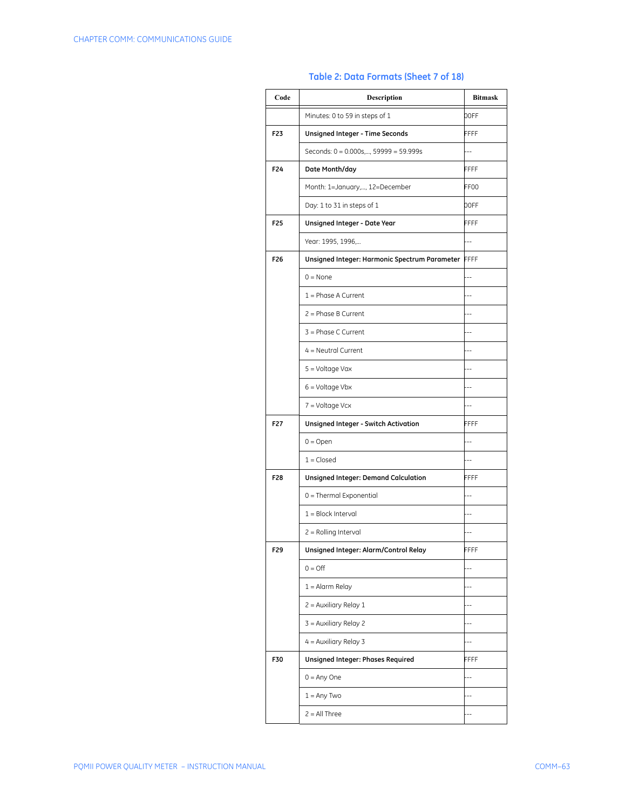| Code            | <b>Description</b>                                 | <b>Bitmask</b> |
|-----------------|----------------------------------------------------|----------------|
|                 | Minutes: 0 to 59 in steps of 1                     | 00FF           |
| F23             | Unsigned Integer - Time Seconds                    | FFFF           |
|                 | Seconds: 0 = 0.000s,, 59999 = 59.999s              | ۵.             |
| F24             | Date Month/day                                     | FFFF           |
|                 | Month: 1=January,, 12=December                     | FF00           |
|                 | Day: 1 to 31 in steps of 1                         | 00FF           |
| F <sub>25</sub> | Unsigned Integer - Date Year                       | FFFF           |
|                 | Year: 1995, 1996,                                  |                |
| F26             | Unsigned Integer: Harmonic Spectrum Parameter FFFF |                |
|                 | $0 = None$                                         | $-$            |
|                 | $1 =$ Phase A Current                              | $\overline{a}$ |
|                 | $2 = Phase B Current$                              | $\overline{a}$ |
|                 | $3 = Phase C Current$                              | --             |
|                 | $4 =$ Neutral Current                              | $\overline{a}$ |
|                 | 5 = Voltage Vax                                    |                |
|                 | $6 =$ Voltage Vbx                                  | ۵.             |
|                 | $7 =$ Voltage Vcx                                  |                |
| F27             | Unsigned Integer - Switch Activation               | FFFF           |
|                 | $0 = Open$                                         | $-$            |
|                 | $1 = Closed$                                       | ٠.             |
| F28             | <b>Unsigned Integer: Demand Calculation</b>        | FFFF           |
|                 | 0 = Thermal Exponential                            |                |
|                 | $1 = Block$ Interval                               |                |
|                 | 2 = Rolling Interval                               |                |
| F29             | Unsigned Integer: Alarm/Control Relay              | FFFF           |
|                 | $0 = \bigcirc$                                     |                |
|                 | $1 =$ Alarm Relay                                  |                |
|                 | 2 = Auxiliary Relay 1                              |                |
|                 | 3 = Auxiliary Relay 2                              |                |
|                 | $4 =$ Auxiliary Relay 3                            |                |
| F30             | <b>Unsigned Integer: Phases Required</b>           | FFFF           |
|                 | $0 = Any One$                                      | $-$            |
|                 | $1 = Any Two$                                      | $\overline{a}$ |
|                 | $2 = All Three$                                    |                |

### **Table 2: Data Formats (Sheet 7 of 18)**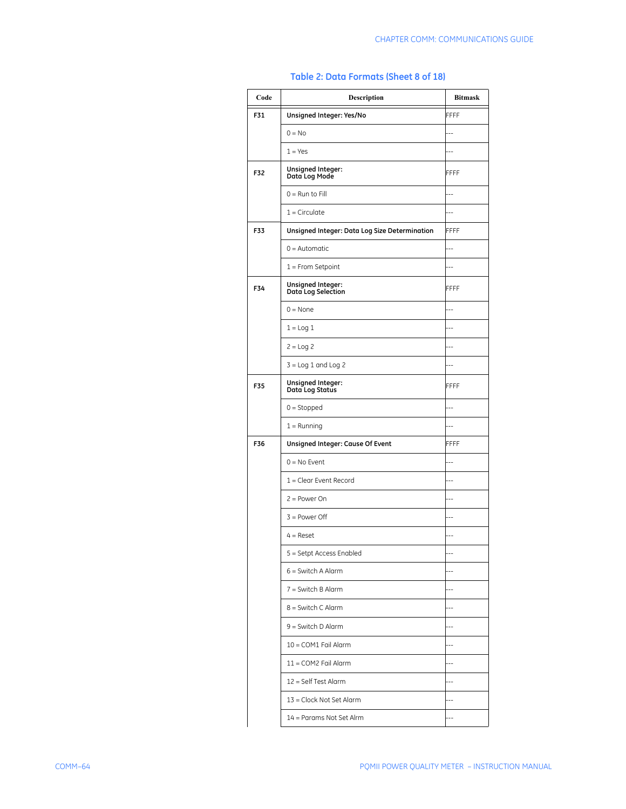| Code | Description                                   | <b>Bitmask</b> |
|------|-----------------------------------------------|----------------|
| F31  | Unsigned Integer: Yes/No                      | FFFF           |
|      | $0 = No$                                      | $-1$           |
|      | $1 = Yes$                                     | $-1$           |
| F32  | Unsigned Integer:<br>Data Log Mode            | FFFF           |
|      | $0 =$ Run to Fill                             | $-1$           |
|      | $1 =$ Circulate                               |                |
| F33  | Unsigned Integer: Data Log Size Determination | FFFF           |
|      | $0 =$ Automatic                               |                |
|      | $1 =$ From Setpoint                           |                |
| F34  | Unsigned Integer:<br>Data Log Selection       | FFFF           |
|      | $0 = None$                                    |                |
|      | $1 = Log 1$                                   |                |
|      | $2 = Log 2$                                   |                |
|      | $3 =$ Log 1 and Log 2                         |                |
| F35  | Unsigned Integer:<br>Data Log Status          | FFFF           |
|      | $0 =$ Stopped                                 |                |
|      | $1 =$ Running                                 |                |
| F36  | Unsigned Integer: Cause Of Event              | FFFF           |
|      | $0 = No$ Event                                |                |
|      | $1 =$ Clear Event Record                      | Ц,             |
|      | $2 = Power On$                                | ц,             |
|      | $3 = Power$ Off                               | $-$            |
|      | $4 =$ Reset                                   | Ξ.             |
|      | 5 = Setpt Access Enabled                      |                |
|      | $6 =$ Switch A Alarm                          | $\overline{a}$ |
|      | $7 =$ Switch B Alarm                          | $-$            |
|      | 8 = Switch C Alarm                            | $-$            |
|      | $9 =$ Switch D Alarm                          | $-1$           |
|      | 10 = COM1 Fail Alarm                          | $-$            |
|      | 11 = COM2 Fail Alarm                          | Ц.             |
|      | 12 = Self Test Alarm                          | $-$            |
|      | 13 = Clock Not Set Alarm                      | Ц,             |
|      | 14 = Params Not Set Alrm                      | Ц,             |

# **Table 2: Data Formats (Sheet 8 of 18)**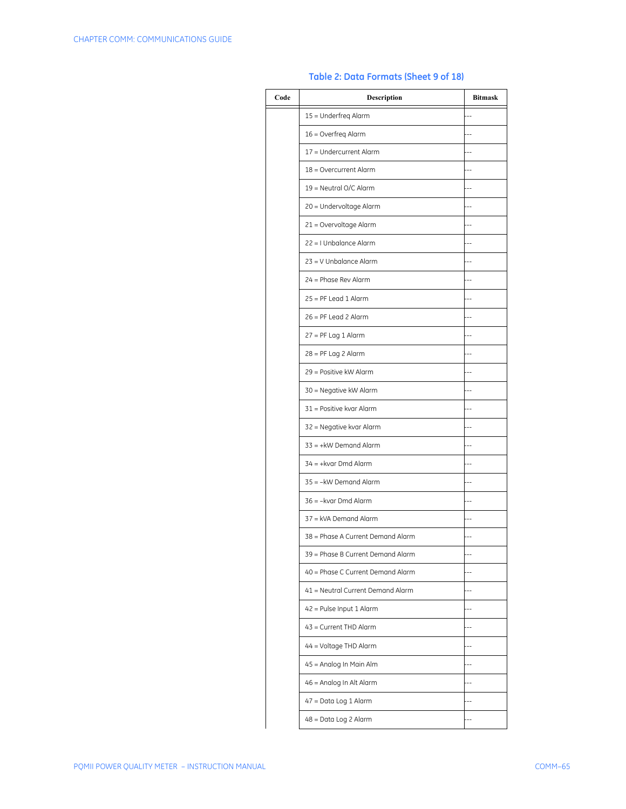| Code | Description                       | <b>Bitmask</b> |
|------|-----------------------------------|----------------|
|      | 15 = Underfreg Alarm              |                |
|      | 16 = Overfreq Alarm               |                |
|      | 17 = Undercurrent Alarm           |                |
|      | 18 = Overcurrent Alarm            |                |
|      | 19 = Neutral O/C Alarm            |                |
|      | 20 = Undervoltage Alarm           |                |
|      | 21 = Overvoltage Alarm            |                |
|      | 22 = I Unbalance Alarm            |                |
|      | $23 = V$ Unbalance Alarm          |                |
|      | 24 = Phase Rev Alarm              |                |
|      | $25 = PF$ Lead 1 Alarm            |                |
|      | $26 = PF$ Lead 2 Alarm            |                |
|      | $27 = PF$ Lag 1 Alarm             |                |
|      | $28 = PF$ Lag 2 Alarm             |                |
|      | 29 = Positive kW Alarm            |                |
|      | 30 = Negative kW Alarm            |                |
|      | 31 = Positive kvar Alarm          |                |
|      | 32 = Negative kvar Alarm          |                |
|      | $33 = +kW$ Demand Alarm           |                |
|      | $34 = +kvar Dmd$ Alarm            |                |
|      | 35 = - kW Demand Alarm            |                |
|      | 36 = - kvar Dmd Alarm             |                |
|      | 37 = kVA Demand Alarm             |                |
|      | 38 = Phase A Current Demand Alarm |                |
|      | 39 = Phase B Current Demand Alarm |                |
|      | 40 = Phase C Current Demand Alarm | --             |
|      | 41 = Neutral Current Demand Alarm |                |
|      | 42 = Pulse Input 1 Alarm          |                |
|      | 43 = Current THD Alarm            | ٠.             |
|      | 44 = Voltage THD Alarm            | --             |
|      | 45 = Analog In Main Alm           | ٠.             |
|      | 46 = Analog In Alt Alarm          |                |
|      | $47 = Data Log 1$ Alarm           |                |
|      | $48 = Data Log 2$ Alarm           |                |
|      |                                   |                |

#### **Table 2: Data Formats (Sheet 9 of 18)**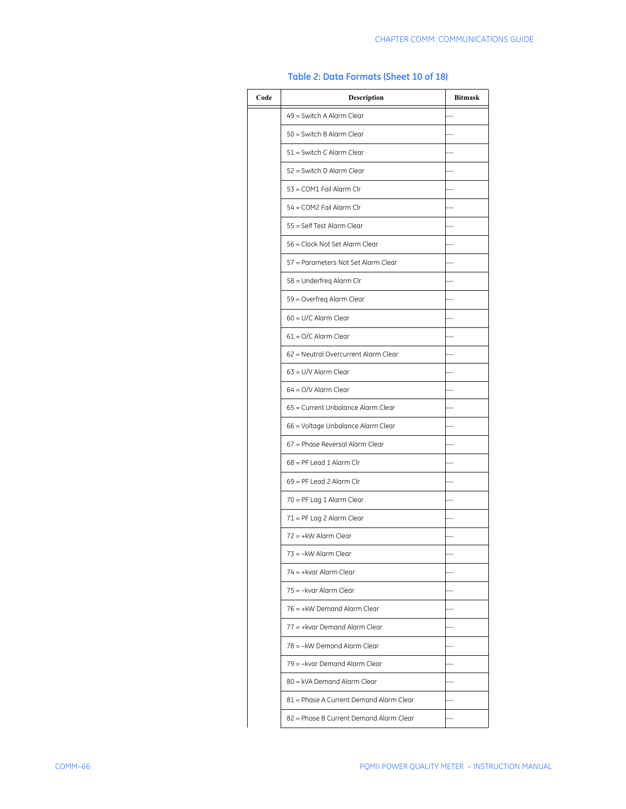| Code | Description                             | <b>Bitmask</b> |
|------|-----------------------------------------|----------------|
|      | 49 = Switch A Alarm Clear               |                |
|      | 50 = Switch B Alarm Clear               |                |
|      | 51 = Switch C Alarm Clear               |                |
|      | 52 = Switch D Alarm Clear               |                |
|      | 53 = COM1 Fail Alarm Clr                |                |
|      | 54 = COM2 Fail Alarm Clr                |                |
|      | 55 = Self Test Alarm Clear              |                |
|      | 56 = Clock Not Set Alarm Clear          |                |
|      | 57 = Parameters Not Set Alarm Clear     |                |
|      | 58 = Underfreg Alarm Clr                |                |
|      | 59 = Overfreg Alarm Clear               |                |
|      | $60 = U/C$ Alarm Clear                  |                |
|      | $61 = O/C$ Alarm Clear                  |                |
|      | 62 = Neutral Overcurrent Alarm Clear    |                |
|      | $63 = U/V$ Alarm Clear                  |                |
|      | $64 = Q/V$ Alarm Clear                  |                |
|      | 65 = Current Unbalance Alarm Clear      |                |
|      | 66 = Voltage Unbalance Alarm Clear      |                |
|      | 67 = Phase Reversal Alarm Clear         |                |
|      | $68 = PF$ Lead 1 Alarm Clr              |                |
|      | $69 = PF$ Lead 2 Alarm Clr              |                |
|      | 70 = PF Lag 1 Alarm Clear               |                |
|      | 71 = PF Lag 2 Alarm Clear               |                |
|      | 72 = +kW Alarm Clear                    |                |
|      | 73 = - kW Alarm Clear                   |                |
|      | $74 = +kvar$ Alarm Clear                |                |
|      | 75 = -kvar Alarm Clear                  |                |
|      | $76 = +kW$ Demand Alarm Clear           |                |
|      | 77 = +kvar Demand Alarm Clear           |                |
|      | 78 = - kW Demand Alarm Clear            |                |
|      | 79 = - kvar Demand Alarm Clear          |                |
|      | 80 = kVA Demand Alarm Clear             |                |
|      | 81 = Phase A Current Demand Alarm Clear |                |
|      | 82 = Phase B Current Demand Alarm Clear |                |

#### **Table 2: Data Formats (Sheet 10 of 18)**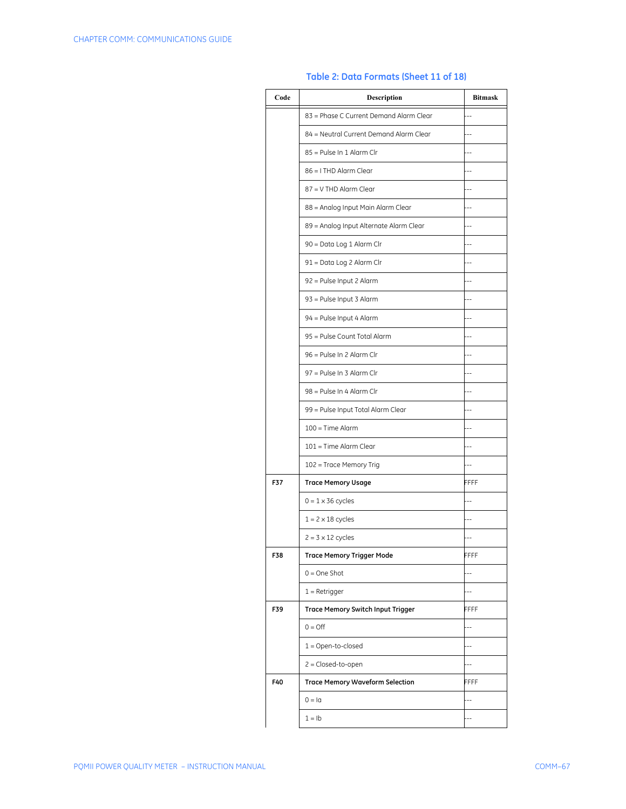| Code | Description                              | <b>Bitmask</b> |
|------|------------------------------------------|----------------|
|      | 83 = Phase C Current Demand Alarm Clear  |                |
|      | 84 = Neutral Current Demand Alarm Clear  | ۵.             |
|      | 85 = Pulse In 1 Alarm Clr                |                |
|      | 86 = I THD Alarm Clear                   |                |
|      | 87 = V THD Alarm Clear                   |                |
|      | 88 = Analog Input Main Alarm Clear       | $-$            |
|      | 89 = Analog Input Alternate Alarm Clear  |                |
|      | 90 = Data Log 1 Alarm Clr                |                |
|      | 91 = Data Log 2 Alarm Clr                |                |
|      | 92 = Pulse Input 2 Alarm                 |                |
|      | 93 = Pulse Input 3 Alarm                 |                |
|      | 94 = Pulse Input 4 Alarm                 |                |
|      | 95 = Pulse Count Total Alarm             |                |
|      | 96 = Pulse In 2 Alarm Clr                |                |
|      | 97 = Pulse In 3 Alarm Clr                |                |
|      | 98 = Pulse In 4 Alarm Clr                |                |
|      | 99 = Pulse Input Total Alarm Clear       |                |
|      | $100 = Time$ Alarm                       |                |
|      | 101 = Time Alarm Clear                   |                |
|      | 102 = Trace Memory Trig                  |                |
| F37  | <b>Trace Memory Usage</b>                | FFFF           |
|      | $0 = 1 \times 36$ cycles                 |                |
|      | $1 = 2 \times 18$ cycles                 |                |
|      | $2 = 3 \times 12$ cycles                 |                |
| F38  | <b>Trace Memory Trigger Mode</b>         | FFFF           |
|      | $0 = One$ Shot                           |                |
|      | $1 =$ Retrigger                          |                |
| F39  | <b>Trace Memory Switch Input Trigger</b> | FFFF           |
|      | $0 = \bigcirc$                           |                |
|      | $1 =$ Open-to-closed                     |                |
|      | $2 = Closed-to-open$                     |                |
| F40  | <b>Trace Memory Waveform Selection</b>   | FFFF           |
|      | $0 = Ia$                                 |                |
|      | $1 = lb$                                 |                |

#### **Table 2: Data Formats (Sheet 11 of 18)**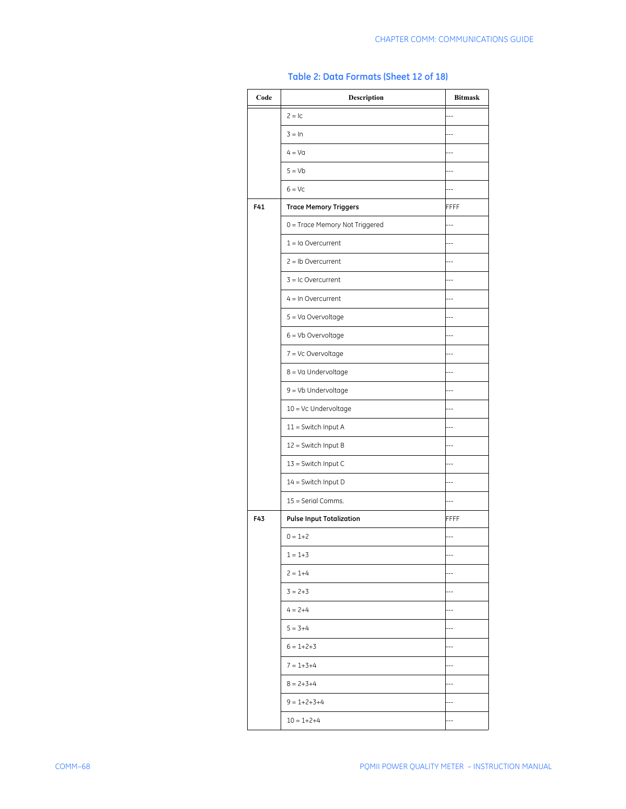| Code | Description                     | <b>Bitmask</b> |
|------|---------------------------------|----------------|
|      | $2 = 1c$                        | --             |
|      | $3 = \ln$                       | $\overline{a}$ |
|      | $4 = Va$                        | --             |
|      | $5 = Vb$                        | $-$            |
|      | $6 = VC$                        | à.             |
| F41  | <b>Trace Memory Triggers</b>    | FFFF           |
|      | 0 = Trace Memory Not Triggered  |                |
|      | $1 = Ia$ Overcurrent            |                |
|      | $2 = lb$ Overcurrent            |                |
|      | $3 = 1c$ Overcurrent            |                |
|      | $4 = In Overcurrent$            |                |
|      | 5 = Va Overvoltage              |                |
|      | $6 = Vb$ Overvoltage            |                |
|      | 7 = Vc Overvoltage              |                |
|      | 8 = Va Undervoltage             |                |
|      | 9 = Vb Undervoltage             |                |
|      | $10 = VC$ Undervoltage          |                |
|      | 11 = Switch Input A             |                |
|      | 12 = Switch Input B             |                |
|      | 13 = Switch Input C             |                |
|      | 14 = Switch Input D             |                |
|      | 15 = Serial Comms.              |                |
| F43  | <b>Pulse Input Totalization</b> | FFFF           |
|      | $0 = 1 + 2$                     |                |
|      | $1 = 1 + 3$                     | $-$            |
|      | $2 = 1 + 4$                     | --             |
|      | $3 = 2 + 3$                     |                |
|      | $4 = 2 + 4$                     | $-1$           |
|      | $5 = 3+4$                       |                |
|      | $6 = 1 + 2 + 3$                 | $-1$           |
|      | $7 = 1 + 3 + 4$                 |                |
|      | $8 = 2 + 3 + 4$                 | $-1$           |
|      | $9 = 1 + 2 + 3 + 4$             |                |
|      | $10 = 1 + 2 + 4$                | $-$            |

# **Table 2: Data Formats (Sheet 12 of 18)**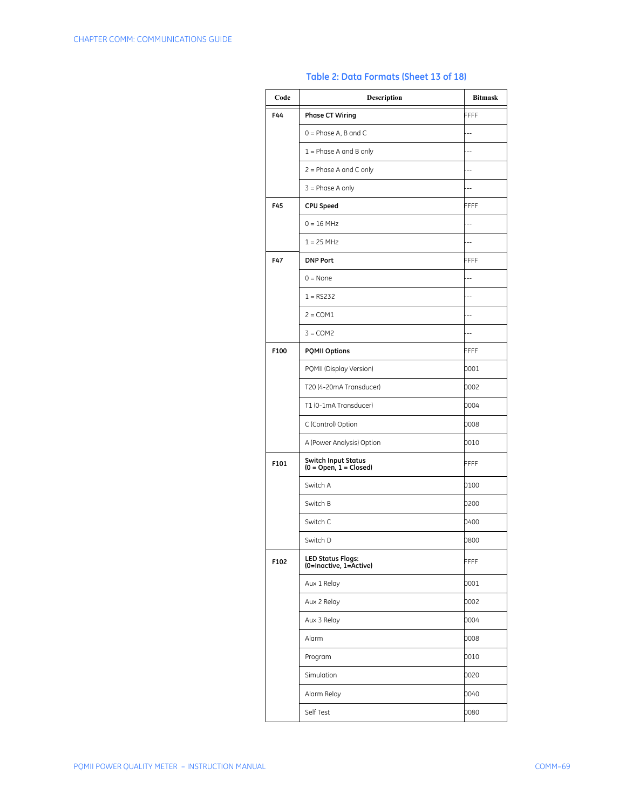| Code | <b>Description</b>                                     | <b>Bitmask</b> |
|------|--------------------------------------------------------|----------------|
| F44  | <b>Phase CT Wiring</b>                                 | FFFF           |
|      | $0 =$ Phase A, B and C                                 | $-$            |
|      | $1 =$ Phase A and B only                               | $-1$           |
|      | $2 =$ Phase A and C only                               | $-$            |
|      | $3$ = Phase A only                                     | $-1$           |
| F45  | CPU Speed                                              | FFFF           |
|      | $0 = 16$ MHz                                           | $-$            |
|      | $1 = 25 MHz$                                           | --             |
| F47  | <b>DNP Port</b>                                        | FFFF           |
|      | $0 = None$                                             |                |
|      | $1 = RS232$                                            |                |
|      | $2 = COM1$                                             |                |
|      | $3 = COM2$                                             | $-$            |
| F100 | <b>PQMII Options</b>                                   | FFFF           |
|      | PQMII (Display Version)                                | 0001           |
|      | T20 (4-20mA Transducer)                                | 0002           |
|      | T1 (0-1mA Transducer)                                  | 0004           |
|      | C (Control) Option                                     | 8000           |
|      | A (Power Analysis) Option                              | 0010           |
| F101 | <b>Switch Input Status</b><br>$(0 = Open, 1 = Closed)$ | FFFF           |
|      | Switch A                                               | 0100           |
|      | Switch B                                               | 0200           |
|      | Switch C                                               | 0400           |
|      | Switch D                                               | 0800           |
| F102 | <b>LED Status Flags:</b><br>(0=Inactive, 1=Active)     | FFFF           |
|      | Aux 1 Relay                                            | 0001           |
|      | Aux 2 Relay                                            | 0002           |
|      | Aux 3 Relay                                            | 0004           |
|      | Alarm                                                  | 8000           |
|      | Program                                                | 0010           |
|      | Simulation                                             | 0020           |
|      | Alarm Relay                                            | 0040           |
|      | Self Test                                              | 0080           |

## **Table 2: Data Formats (Sheet 13 of 18)**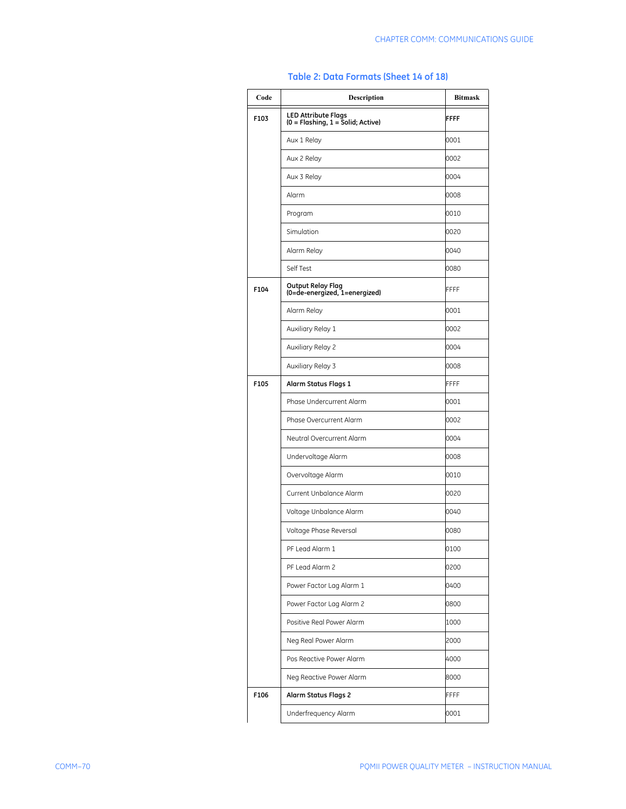| Code | <b>Description</b>                                                | <b>Bitmask</b> |
|------|-------------------------------------------------------------------|----------------|
| F103 | <b>LED Attribute Flags</b><br>$(0 = Flashing, 1 = Solid; Active)$ | FFFF           |
|      | Aux 1 Relay                                                       | 0001           |
|      | Aux 2 Relay                                                       | 0002           |
|      | Aux 3 Relay                                                       | 0004           |
|      | Alarm                                                             | 8000           |
|      | Program                                                           | 0010           |
|      | Simulation                                                        | 0020           |
|      | Alarm Relay                                                       | 0040           |
|      | Self Test                                                         | 0080           |
| F104 | Output Relay Flag<br>(0=de-energized, 1=energized)                | FFFF           |
|      | Alarm Relay                                                       | 0001           |
|      | Auxiliary Relay 1                                                 | 0002           |
|      | Auxiliary Relay 2                                                 | 0004           |
|      | Auxiliary Relay 3                                                 | 0008           |
| F105 | Alarm Status Flags 1                                              | <b>FFFF</b>    |
|      | Phase Undercurrent Alarm                                          | 0001           |
|      | Phase Overcurrent Alarm                                           | 0002           |
|      | Neutral Overcurrent Alarm                                         | 0004           |
|      | Undervoltage Alarm                                                | 8000           |
|      | Overvoltage Alarm                                                 | 0010           |
|      | Current Unbalance Alarm                                           | 0020           |
|      | Voltage Unbalance Alarm                                           | 0040           |
|      | Voltage Phase Reversal                                            | 0080           |
|      | PF Lead Alarm 1                                                   | 0100           |
|      | PF Lead Alarm 2                                                   | 0200           |
|      | Power Factor Lag Alarm 1                                          | 0400           |
|      | Power Factor Lag Alarm 2                                          | 0800           |
|      | Positive Real Power Alarm                                         | 1000           |
|      | Neg Real Power Alarm                                              | 2000           |
|      | Pos Reactive Power Alarm                                          | 4000           |
|      | Neg Reactive Power Alarm                                          | 8000           |
| F106 | <b>Alarm Status Flags 2</b>                                       | FFFF           |
|      | Underfrequency Alarm                                              | 0001           |

### **Table 2: Data Formats (Sheet 14 of 18)**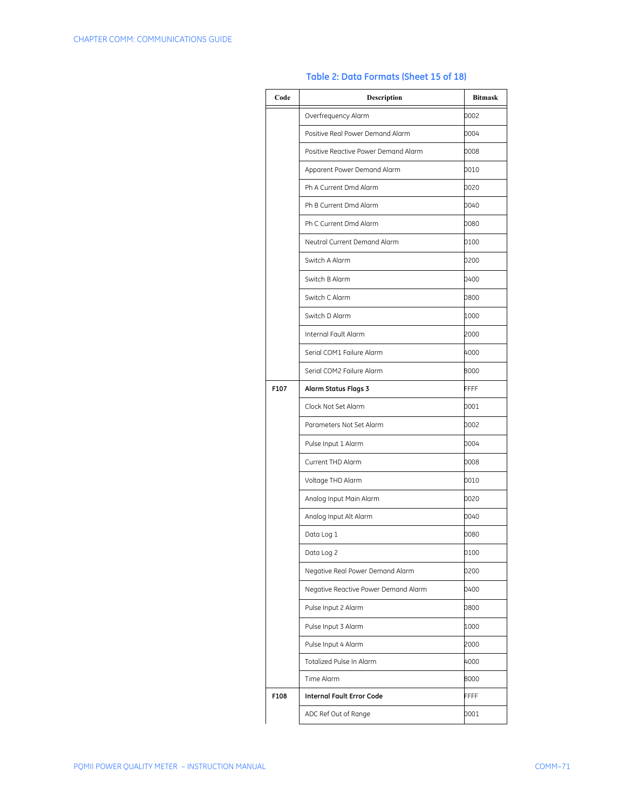| Code | <b>Description</b>                                               | <b>Bitmask</b> |  |  |  |
|------|------------------------------------------------------------------|----------------|--|--|--|
|      | Overfrequency Alarm                                              | 0002           |  |  |  |
|      | Positive Real Power Demand Alarm                                 | 0004           |  |  |  |
|      | Positive Reactive Power Demand Alarm                             | 8000           |  |  |  |
|      | Apparent Power Demand Alarm                                      | 0010           |  |  |  |
|      | Ph A Current Dmd Alarm                                           | 0020           |  |  |  |
|      | Ph B Current Dmd Alarm<br>0040<br>Ph C Current Dmd Alarm<br>0080 |                |  |  |  |
|      |                                                                  |                |  |  |  |
|      | Neutral Current Demand Alarm                                     | 0100           |  |  |  |
|      | Switch A Alarm                                                   | 0200           |  |  |  |
|      | Switch B Alarm                                                   | 0400           |  |  |  |
|      | Switch C Alarm                                                   | 0800           |  |  |  |
|      | Switch D Alarm                                                   | 1000           |  |  |  |
|      | Internal Fault Alarm                                             | 2000           |  |  |  |
|      | Serial COM1 Failure Alarm                                        | 4000           |  |  |  |
|      | Serial COM2 Failure Alarm                                        | 8000           |  |  |  |
| F107 | <b>Alarm Status Flags 3</b>                                      | FFFF           |  |  |  |
|      | Clock Not Set Alarm                                              | 0001           |  |  |  |
|      | Parameters Not Set Alarm                                         | 0002           |  |  |  |
|      | Pulse Input 1 Alarm                                              | 0004           |  |  |  |
|      | Current THD Alarm                                                | 0008           |  |  |  |
|      | Voltage THD Alarm                                                | 0010           |  |  |  |
|      | Analog Input Main Alarm                                          | 0020           |  |  |  |
|      | Analog Input Alt Alarm                                           | 0040           |  |  |  |
|      | Data Log 1                                                       | 0080           |  |  |  |
|      | Data Log 2                                                       | 0100           |  |  |  |
|      | Negative Real Power Demand Alarm                                 | 0200           |  |  |  |
|      | Negative Reactive Power Demand Alarm                             | 0400           |  |  |  |
|      | Pulse Input 2 Alarm                                              | 0800           |  |  |  |
|      | Pulse Input 3 Alarm                                              | 1000           |  |  |  |
|      | Pulse Input 4 Alarm                                              | 2000           |  |  |  |
|      | Totalized Pulse In Alarm                                         | 4000           |  |  |  |
|      | Time Alarm                                                       | 8000           |  |  |  |
| F108 | <b>Internal Fault Error Code</b>                                 | FFFF           |  |  |  |
|      | ADC Ref Out of Range                                             | 0001           |  |  |  |

## **Table 2: Data Formats (Sheet 15 of 18)**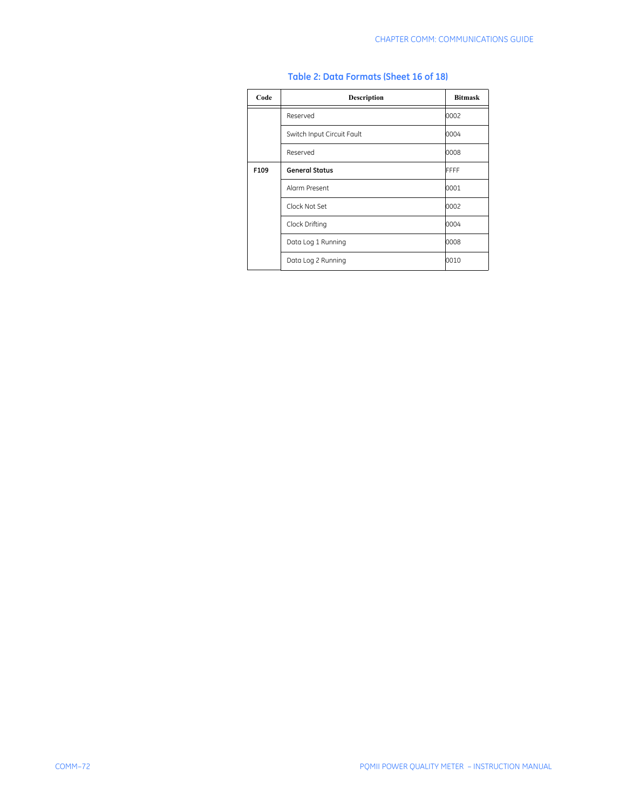| Code | <b>Description</b>         | <b>Bitmask</b> |
|------|----------------------------|----------------|
|      | Reserved                   | 0002           |
|      | Switch Input Circuit Fault | 0004           |
|      | Reserved                   | 8000           |
| F109 | <b>General Status</b>      | FFFF           |
|      | Alarm Present              | 0001           |
|      | Clock Not Set              | 0002           |
|      | Clock Drifting             | 0004           |
|      | Data Log 1 Running         | 8000           |
|      | Data Log 2 Running         | 0010           |

#### **Table 2: Data Formats (Sheet 16 of 18)**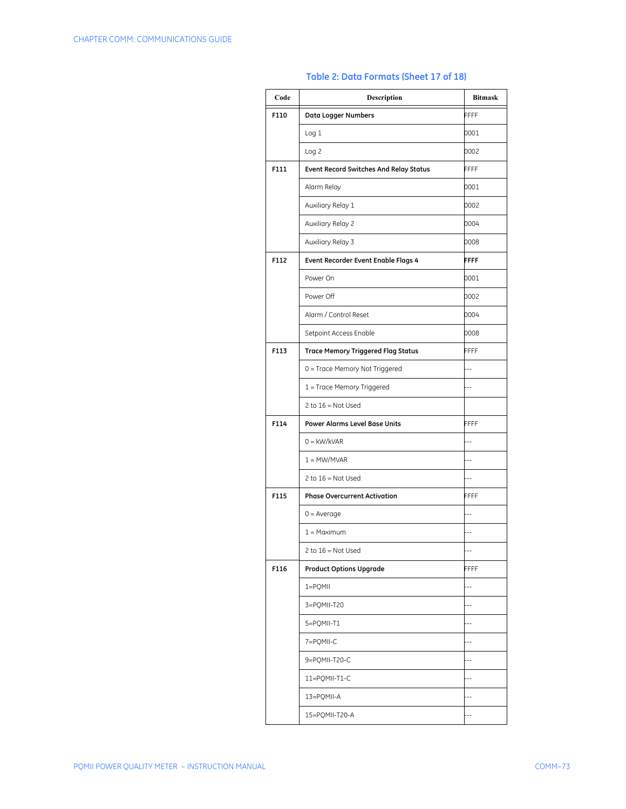| Code | <b>Description</b>                            | <b>Bitmask</b> |
|------|-----------------------------------------------|----------------|
| F110 | Data Logger Numbers                           | FFFF           |
|      | Log <sub>1</sub>                              | 0001           |
|      | Log <sub>2</sub>                              | 0002           |
| F111 | <b>Event Record Switches And Relay Status</b> | <b>FFFF</b>    |
|      | Alarm Relay                                   | 0001           |
|      | Auxiliary Relay 1                             | 0002           |
|      | Auxiliary Relay 2                             | 0004           |
|      | Auxiliary Relay 3                             | 8000           |
| F112 | Event Recorder Event Enable Flags 4           | <b>FFFF</b>    |
|      | Power On                                      | 0001           |
|      | Power Off                                     | 0002           |
|      | Alarm / Control Reset                         | 0004           |
|      | Setpoint Access Enable                        | 0008           |
| F113 | <b>Trace Memory Triggered Flag Status</b>     | FFFF           |
|      | 0 = Trace Memory Not Triggered                | $\sim$         |
|      | 1 = Trace Memory Triggered                    | $\sim$         |
|      | 2 to $16 = Not$ Used                          |                |
| F114 | <b>Power Alarms Level Base Units</b>          | FFFF           |
|      | $0 = \frac{kW}{kVAR}$                         | $-$            |
|      | $1 = MW/MVAR$                                 | $-$            |
|      | 2 to $16 = Not Used$                          | $\overline{a}$ |
| F115 | <b>Phase Overcurrent Activation</b>           | FFFF           |
|      | $0 = Average$                                 |                |
|      | $1 =$ Maximum                                 |                |
|      | $2$ to $16 = Not$ Used                        | --             |
| F116 | <b>Product Options Upgrade</b>                | FFFF           |
|      | 1=PQMII                                       | $-$            |
|      | 3=PQMII-T20                                   |                |
|      | 5=PQMII-T1                                    | $\overline{a}$ |
|      | 7=PQMII-C                                     |                |
|      | 9=PQMII-T20-C                                 | $\overline{a}$ |
|      | 11=PQMII-T1-C                                 |                |
|      | 13=PQMII-A                                    |                |
|      | 15=PQMII-T20-A                                |                |

## **Table 2: Data Formats (Sheet 17 of 18)**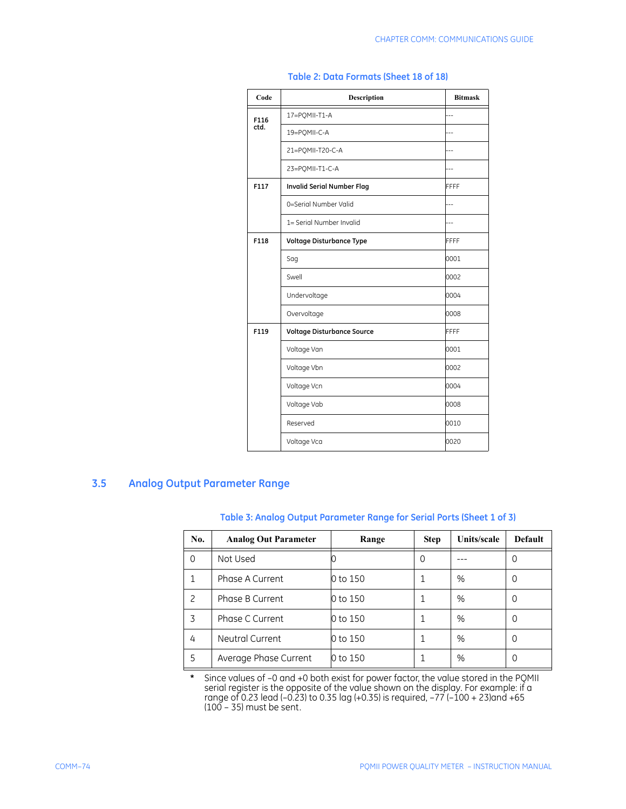| Code | <b>Description</b>                | <b>Bitmask</b> |
|------|-----------------------------------|----------------|
| F116 | 17=POMII-T1-A                     |                |
| ctd. | 19=POMII-C-A                      |                |
|      | 21=PQMII-T20-C-A                  |                |
|      | 23=PQMII-T1-C-A                   |                |
| F117 | <b>Invalid Serial Number Flag</b> | <b>FFFF</b>    |
|      | 0=Serial Number Valid             |                |
|      | 1= Serial Number Invalid          | ÷.             |
| F118 | Voltage Disturbance Type          | FFFF           |
|      | Sag                               | 0001           |
|      | Swell                             | 0002           |
|      | Undervoltage                      | 0004           |
|      | Overvoltage                       | 8000           |
| F119 | Voltage Disturbance Source        | FFFF           |
|      | Voltage Van                       | 0001           |
|      | Voltage Vbn                       | 0002           |
|      | Voltage Vcn                       | 0004           |
|      | Voltage Vab                       | 8000           |
|      | Reserved                          | 0010           |
|      | Voltage Vca                       | 0020           |

#### **Table 2: Data Formats (Sheet 18 of 18)**

## **3.5 Analog Output Parameter Range**

### **Table 3: Analog Output Parameter Range for Serial Ports (Sheet 1 of 3)**

| No. | <b>Analog Out Parameter</b> | Range    | <b>Step</b> | Units/scale | <b>Default</b>   |
|-----|-----------------------------|----------|-------------|-------------|------------------|
| 0   | Not Used                    |          | 0           |             |                  |
|     | Phase A Current             | 0 to 150 |             | %           | 0                |
| 2   | Phase B Current             | 0 to 150 |             | %           | 0                |
| 3   | Phase C Current             | 0 to 150 |             | %           | 0                |
| 4   | Neutral Current             | 0 to 150 |             | %           | 0                |
| 5   | Average Phase Current       | 0 to 150 |             | %           | $\left( \right)$ |

**\*** Since values of –0 and +0 both exist for power factor, the value stored in the PQMII serial register is the opposite of the value shown on the display. For example: if a range of 0.23 lead (–0.23) to 0.35 lag (+0.35) is required, –77 (–100 + 23)and +65 (100 – 35) must be sent.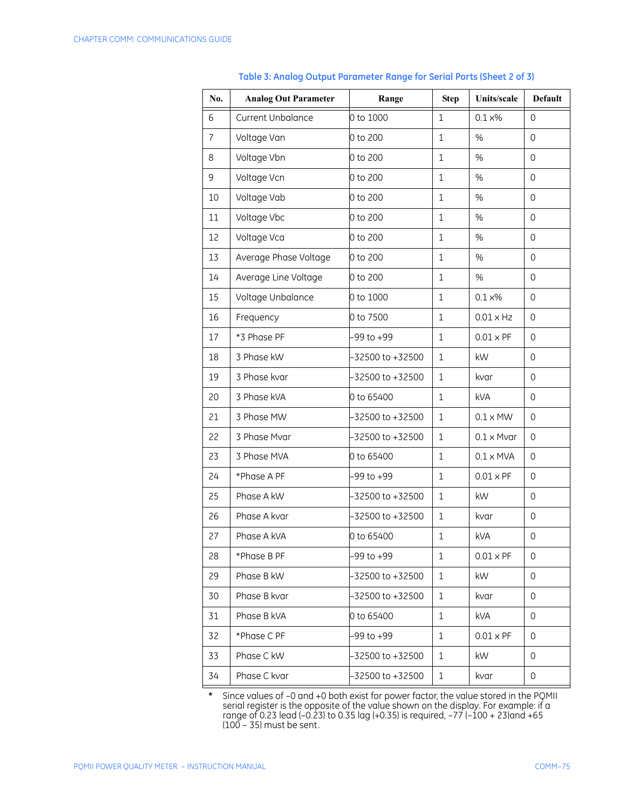| No.            | <b>Analog Out Parameter</b> | Range                                  | <b>Step</b>        | Units/scale        | <b>Default</b> |
|----------------|-----------------------------|----------------------------------------|--------------------|--------------------|----------------|
| 6              | Current Unbalance           | 0 to 1000                              | $\mathbf{1}$       | $0.1\times\%$      | $\mathbf 0$    |
| $\overline{7}$ | Voltage Van                 | 0 to 200                               | $\mathbf{1}$       | %                  | $\mathbf 0$    |
| 8              | Voltage Vbn                 | 0 to 200                               | $\mathbf{1}$       | %                  | $\mathbf 0$    |
| 9              | Voltage Vcn                 | 0 to 200                               | $\mathbf{1}$       | %                  | $\mathbf 0$    |
| 10             | Voltage Vab                 | 0 to 200                               | $\mathbf{1}$       | %                  | $\mathbf 0$    |
| 11             | Voltage Vbc                 | 0 to 200                               | $\mathbf{1}$       | %                  | $\mathbf 0$    |
| 12             | Voltage Vca                 | 0 to 200                               | $\mathbf{1}$       | %                  | $\mathbf 0$    |
| 13             | Average Phase Voltage       | 0 to 200                               | $\mathbf{1}$       | %                  | $\mathbf 0$    |
| 14             | Average Line Voltage        | 0 to 200                               | $\mathbf{1}$       | %                  | $\mathbf 0$    |
| 15             | Voltage Unbalance           | 0 to 1000                              | $\mathbf{1}$       | $0.1 \times\%$     | $\mathbf 0$    |
| 16             | Frequency                   | 0 to 7500                              | $\mathbf{1}$       | $0.01 \times Hz$   | $\mathbf 0$    |
| 17             | *3 Phase PF                 | -99 to +99                             | $\mathbf{1}$       | $0.01 \times PF$   | $\mathbf 0$    |
| 18             | 3 Phase kW                  | -32500 to +32500                       | $\mathbf{1}$<br>kW |                    | $\mathbf 0$    |
| 19             | 3 Phase kvar                | -32500 to +32500                       | $\mathbf{1}$       | kvar               | $\mathbf 0$    |
| 20             | 3 Phase kVA                 | 0 to 65400                             | $\mathbf{1}$       | <b>kVA</b>         | $\mathbf 0$    |
| 21             | 3 Phase MW                  | -32500 to +32500                       | $\mathbf{1}$       | $0.1 \times M$ W   | $\mathbf 0$    |
| 22             | 3 Phase Mvar                | -32500 to +32500                       | $1\,$              | $0.1 \times M$ var | $\mathbf 0$    |
| 23             | 3 Phase MVA                 | 0 to 65400                             | $\mathbf{1}$       | $0.1 \times MVA$   | $\mathbf 0$    |
| 24             | *Phase A PF                 | -99 to +99                             | $\mathbf{1}$       | $0.01 \times PF$   | $\mathbf 0$    |
| 25             | Phase A kW                  | -32500 to +32500                       | $\mathbf{1}$       | kW                 | $\mathbf 0$    |
| 26             | Phase A kvar                | -32500 to +32500                       | $\mathbf{1}$       | kvar               | $\mathbf 0$    |
| 27             | Phase A kVA                 | 0 to 65400                             | $1\,$              | kVA                | $\mathbf 0$    |
| 28             | *Phase B PF                 | -99 to +99                             | 1                  | $0.01 \times PF$   | 0              |
| 29             | Phase B kW                  | -32500 to +32500                       | $\mathbf 1$        | kW                 | $\mathbf 0$    |
| 30             | Phase B kvar                | -32500 to +32500                       | $\mathbf{1}$       | kvar               | 0              |
| 31             | Phase B kVA                 | 0 to 65400                             | $\mathbf{1}$       | kVA                | $\mathbf 0$    |
| 32             | *Phase C PF                 | -99 to +99                             | $\mathbf{1}$       | $0.01 \times PF$   | 0              |
| 33             | Phase C kW                  | $\mathbf{1}$<br>kW<br>-32500 to +32500 |                    |                    | $\mathbf 0$    |
| 34             | Phase C kvar                | -32500 to +32500                       | $\mathbf{1}$       | kvar               | 0              |

### **Table 3: Analog Output Parameter Range for Serial Ports (Sheet 2 of 3)**

**\*** Since values of –0 and +0 both exist for power factor, the value stored in the PQMII serial register is the opposite of the value shown on the display. For example: if a range of 0.23 lead (–0.23) to 0.35 lag (+0.35) is required, –77 (–100 + 23)and +65 (100 – 35) must be sent.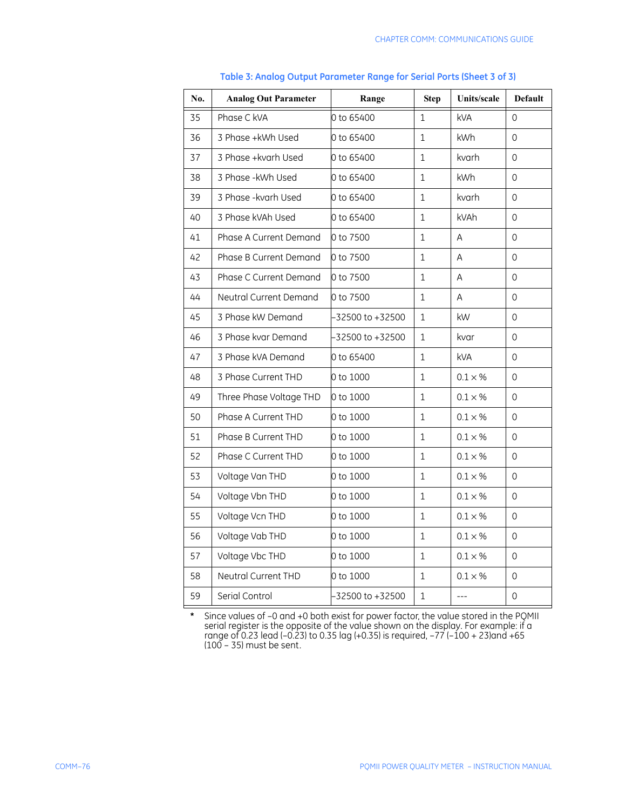| No. | <b>Analog Out Parameter</b> | Range            | <b>Step</b>  | Units/scale     | <b>Default</b>      |
|-----|-----------------------------|------------------|--------------|-----------------|---------------------|
| 35  | Phase C kVA                 | 0 to 65400       | $\mathbf{1}$ | <b>kVA</b>      | 0                   |
| 36  | 3 Phase +kWh Used           | 0 to 65400       | $\mathbf{1}$ | <b>kWh</b>      | 0                   |
| 37  | 3 Phase +kvarh Used         | 0 to 65400       | $\mathbf{1}$ | kvarh           | 0                   |
| 38  | 3 Phase - kWh Used          | 0 to 65400       | 1            | kWh             | 0                   |
| 39  | 3 Phase - kvarh Used        | 0 to 65400       | $\mathbf{1}$ | kvarh           | 0                   |
| 40  | 3 Phase kVAh Used           | 0 to 65400       | $\mathbf{1}$ | kVAh            | 0                   |
| 41  | Phase A Current Demand      | 0 to 7500        | $\mathbf{1}$ | A               | $\Omega$            |
| 42  | Phase B Current Demand      | 0 to 7500        | $\mathbf{1}$ | A               | 0                   |
| 43  | Phase C Current Demand      | 0 to 7500        | 1            | A               | 0                   |
| 44  | Neutral Current Demand      | 0 to 7500        | 1            | A               | $\mathsf{O}$        |
| 45  | 3 Phase kW Demand           | -32500 to +32500 | 1            | kW              | 0                   |
| 46  | 3 Phase kvar Demand         | -32500 to +32500 | 1            | kvar            | $\overline{0}$      |
| 47  | 3 Phase kVA Demand          | 0 to 65400       | $\mathbf{1}$ | <b>kVA</b>      | 0                   |
| 48  | 3 Phase Current THD         | 0 to 1000        | $\mathbf{1}$ | $0.1 \times %$  | 0                   |
| 49  | Three Phase Voltage THD     | 0 to 1000        | $\mathbf{1}$ | $0.1\times\%$   | $\mathsf{O}$        |
| 50  | Phase A Current THD         | 0 to 1000        | $\mathbf{1}$ | $0.1 \times %$  | 0                   |
| 51  | Phase B Current THD         | 0 to 1000        | $1\,$        | $0.1 \times %$  | 0                   |
| 52  | Phase C Current THD         | 0 to 1000        | $\mathbf{1}$ | $0.1 \times \%$ | 0                   |
| 53  | Voltage Van THD             | 0 to 1000        | $\mathbf{1}$ | $0.1 \times %$  | 0                   |
| 54  | Voltage Vbn THD             | 0 to 1000        | 1            | $0.1 \times %$  | 0                   |
| 55  | Voltage Vcn THD             | 0 to 1000        | $\mathbf{1}$ | $0.1 \times \%$ | 0                   |
| 56  | Voltage Vab THD             | 0 to 1000        | $\mathbf{1}$ | $0.1 \times %$  | 0                   |
| 57  | Voltage Vbc THD             | 0 to 1000        | $\mathbf{1}$ | $0.1 \times \%$ | 0                   |
| 58  | Neutral Current THD         | 0 to 1000        | 1            | $0.1 \times %$  | $\mathsf{O}\xspace$ |
| 59  | Serial Control              | -32500 to +32500 | $1\,$        | ---             | $\mathsf{O}\xspace$ |

#### **Table 3: Analog Output Parameter Range for Serial Ports (Sheet 3 of 3)**

**\*** Since values of –0 and +0 both exist for power factor, the value stored in the PQMII serial register is the opposite of the value shown on the display. For example: if a range of 0.23 lead (–0.23) to 0.35 lag (+0.35) is required, –77 (–100 + 23)and +65 (100 – 35) must be sent.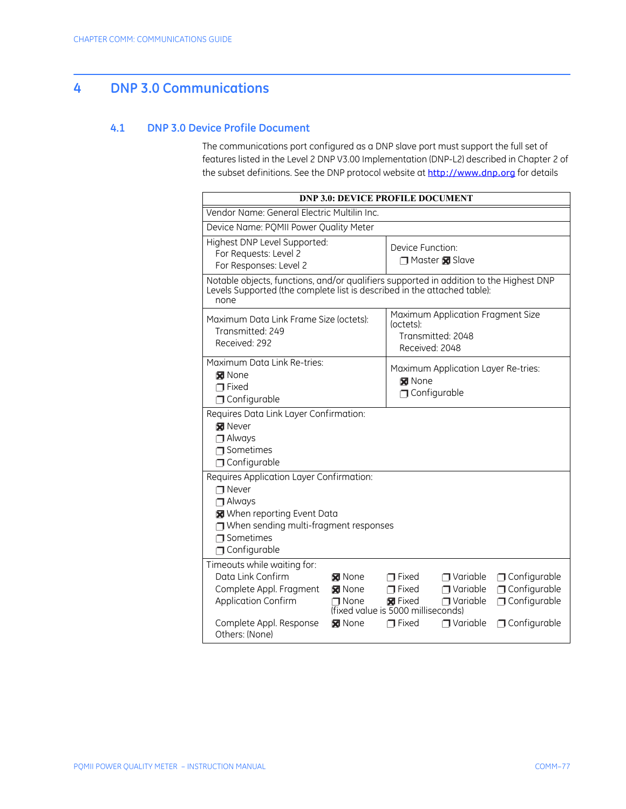# **4 DNP 3.0 Communications**

### **4.1 DNP 3.0 Device Profile Document**

The communications port configured as a DNP slave port must support the full set of features listed in the Level 2 DNP V3.00 Implementation (DNP-L2) described in Chapter 2 of the subset definitions. See the DNP protocol website at <http://www.dnp.org> for details

|                                                                                                                                                                                                                           | <b>DNP 3.0: DEVICE PROFILE DOCUMENT</b>                                                                                                                                                                                                                                     |  |  |  |  |  |  |
|---------------------------------------------------------------------------------------------------------------------------------------------------------------------------------------------------------------------------|-----------------------------------------------------------------------------------------------------------------------------------------------------------------------------------------------------------------------------------------------------------------------------|--|--|--|--|--|--|
| Vendor Name: General Electric Multilin Inc.                                                                                                                                                                               |                                                                                                                                                                                                                                                                             |  |  |  |  |  |  |
| Device Name: PQMII Power Quality Meter                                                                                                                                                                                    |                                                                                                                                                                                                                                                                             |  |  |  |  |  |  |
| Highest DNP Level Supported:<br>Device Function:<br>For Requests: Level 2<br>Master <b>x</b> Slave<br>For Responses: Level 2                                                                                              |                                                                                                                                                                                                                                                                             |  |  |  |  |  |  |
| Notable objects, functions, and/or qualifiers supported in addition to the Highest DNP<br>Levels Supported (the complete list is described in the attached table):<br>none                                                |                                                                                                                                                                                                                                                                             |  |  |  |  |  |  |
| Maximum Application Fragment Size<br>Maximum Data Link Frame Size (octets):<br>(octets):<br>Transmitted: 249<br>Transmitted: 2048<br>Received: 292<br>Received: 2048                                                      |                                                                                                                                                                                                                                                                             |  |  |  |  |  |  |
| Maximum Data Link Re-tries:<br>Maximum Application Layer Re-tries:<br>M None<br><b>x</b> None<br>$\sqcap$ Fixed<br>$\Box$ Configurable<br>$\Box$ Configurable                                                             |                                                                                                                                                                                                                                                                             |  |  |  |  |  |  |
| Requires Data Link Layer Confirmation:<br><b>X</b> Never<br>$\Box$ Always<br>$\Box$ Sometimes<br>Configurable                                                                                                             |                                                                                                                                                                                                                                                                             |  |  |  |  |  |  |
| Requires Application Layer Confirmation:<br>$\n  •$ Never<br>$\Box$ Always<br>When reporting Event Data<br>$\Box$ When sending multi-fragment responses<br>$\Box$ Sometimes<br>$\Box$ Configurable                        |                                                                                                                                                                                                                                                                             |  |  |  |  |  |  |
| Timeouts while waiting for:<br>Data Link Confirm<br><b>X</b> None<br>Complete Appl. Fragment<br><b>M</b> None<br><b>Application Confirm</b><br>$\n  None\n$<br>Complete Appl. Response<br><b>x</b> None<br>Others: (None) | Configurable<br>$\Box$ Variable<br>$\sqcap$ Fixed<br>$\Box$ Configurable<br>$\sqcap$ Fixed<br>$\Box$ Variable<br>$\Box$ Configurable<br><b>X</b> Fixed<br>$\Box$ Variable<br>(fixed value is 5000 milliseconds)<br>$\sqcap$ Fixed<br>$\Box$ Variable<br>$\Box$ Configurable |  |  |  |  |  |  |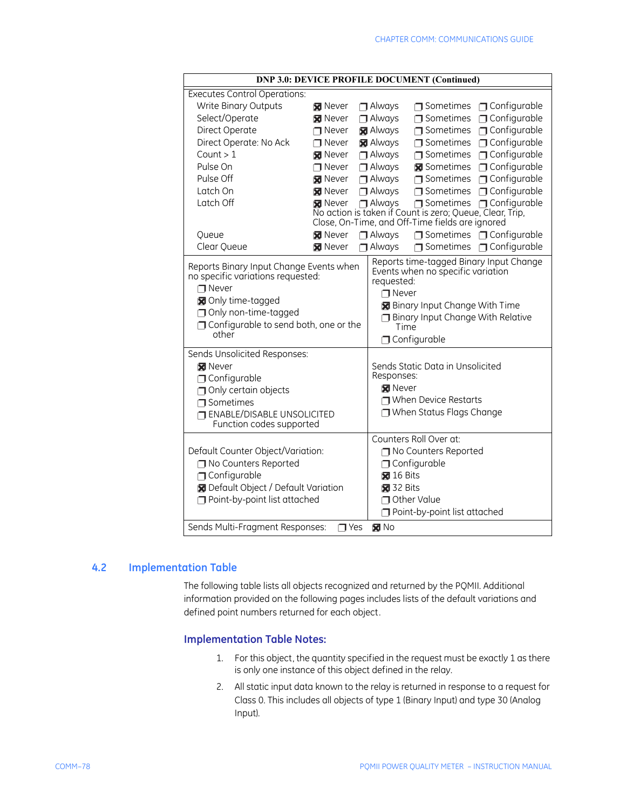| <b>DNP 3.0: DEVICE PROFILE DOCUMENT (Continued)</b>                                                                                                                                           |                              |                            |                                                                                                                                           |                                                                                                             |                                         |
|-----------------------------------------------------------------------------------------------------------------------------------------------------------------------------------------------|------------------------------|----------------------------|-------------------------------------------------------------------------------------------------------------------------------------------|-------------------------------------------------------------------------------------------------------------|-----------------------------------------|
| <b>Executes Control Operations:</b>                                                                                                                                                           |                              |                            |                                                                                                                                           |                                                                                                             |                                         |
| Write Binary Outputs                                                                                                                                                                          | <b>X</b> Never               |                            | $\Box$ Always                                                                                                                             |                                                                                                             | $\Box$ Sometimes $\Box$ Configurable    |
| Select/Operate                                                                                                                                                                                | <b>X</b> Never               |                            | $\Box$ Always                                                                                                                             | $\Box$ Sometimes                                                                                            | $\Box$ Configurable                     |
| Direct Operate                                                                                                                                                                                | $\Box$ Never                 |                            | <b>X</b> Always                                                                                                                           |                                                                                                             | $\Box$ Sometimes $\Box$ Configurable    |
| Direct Operate: No Ack                                                                                                                                                                        | $\Box$ Never                 |                            | <b>X</b> Always                                                                                                                           |                                                                                                             | □ Sometimes □ Configurable              |
| Count $> 1$                                                                                                                                                                                   | <b>Never</b>                 |                            | $\Box$ Always                                                                                                                             |                                                                                                             | □ Sometimes □ Configurable              |
| Pulse On                                                                                                                                                                                      | $\Box$ Never                 |                            | $\Box$ Always                                                                                                                             |                                                                                                             | Sometimes <b>I</b> Configurable         |
| Pulse Off                                                                                                                                                                                     | <b>X</b> Never               |                            | $\Box$ Always                                                                                                                             | $\Box$ Sometimes                                                                                            | $\Box$ Configurable                     |
| Latch On                                                                                                                                                                                      | <b>X</b> Never               |                            | $\Box$ Always                                                                                                                             |                                                                                                             | □ Sometimes □ Configurable              |
| Latch Off                                                                                                                                                                                     | <b>M</b> Never               |                            | $\Box$ Always                                                                                                                             |                                                                                                             | □ Sometimes □ Configurable              |
|                                                                                                                                                                                               |                              |                            |                                                                                                                                           | No action is taken if Count is zero; Queue, Clear, Trip,<br>Close, On-Time, and Off-Time fields are ignored |                                         |
| Queue                                                                                                                                                                                         | <b>X</b> Never               |                            | $\Box$ Always                                                                                                                             |                                                                                                             | $\Box$ Sometimes $\Box$ Configurable    |
| Clear Queue                                                                                                                                                                                   | <b>M</b> Never               |                            | $\Box$ Always                                                                                                                             |                                                                                                             | □ Sometimes □ Configurable              |
|                                                                                                                                                                                               |                              |                            |                                                                                                                                           |                                                                                                             | Reports time-tagged Binary Input Change |
| Reports Binary Input Change Events when<br>no specific variations requested:<br>$\n  •$ Never<br>Only time-tagged<br>□ Only non-time-tagged<br>Configurable to send both, one or the<br>other |                              |                            | requested:<br>$\n  • Never$<br><b>N</b> Binary Input Change With Time<br>Binary Input Change With Relative<br>Time<br>$\Box$ Configurable |                                                                                                             |                                         |
| Sends Unsolicited Responses:<br>M Never                                                                                                                                                       |                              |                            |                                                                                                                                           | Sends Static Data in Unsolicited                                                                            |                                         |
| $\Box$ Configurable                                                                                                                                                                           |                              |                            | Responses:                                                                                                                                |                                                                                                             |                                         |
| Only certain objects                                                                                                                                                                          |                              |                            | <b>X</b> Never                                                                                                                            |                                                                                                             |                                         |
| $\Box$ Sometimes                                                                                                                                                                              |                              |                            | $\Box$ When Device Restarts                                                                                                               |                                                                                                             |                                         |
| <b>TENABLE/DISABLE UNSOLICITED</b><br>Function codes supported                                                                                                                                |                              | □ When Status Flags Change |                                                                                                                                           |                                                                                                             |                                         |
|                                                                                                                                                                                               |                              |                            | Counters Roll Over at:                                                                                                                    |                                                                                                             |                                         |
| Default Counter Object/Variation:                                                                                                                                                             |                              |                            | No Counters Reported                                                                                                                      |                                                                                                             |                                         |
| No Counters Reported                                                                                                                                                                          |                              |                            | $\Box$ Configurable                                                                                                                       |                                                                                                             |                                         |
| $\Box$ Configurable                                                                                                                                                                           |                              |                            | $\boxtimes$ 16 Bits                                                                                                                       |                                                                                                             |                                         |
| <b>N</b> Default Object / Default Variation                                                                                                                                                   |                              | $32 \text{ bits}$          |                                                                                                                                           |                                                                                                             |                                         |
| Point-by-point list attached                                                                                                                                                                  |                              | Other Value                |                                                                                                                                           |                                                                                                             |                                         |
|                                                                                                                                                                                               | Point-by-point list attached |                            |                                                                                                                                           |                                                                                                             |                                         |
| Sends Multi-Fragment Responses:                                                                                                                                                               | <b>T</b> Yes                 |                            | $M$ No                                                                                                                                    |                                                                                                             |                                         |

### **4.2 Implementation Table**

The following table lists all objects recognized and returned by the PQMII. Additional information provided on the following pages includes lists of the default variations and defined point numbers returned for each object.

### **Implementation Table Notes:**

- 1. For this object, the quantity specified in the request must be exactly 1 as there is only one instance of this object defined in the relay.
- 2. All static input data known to the relay is returned in response to a request for Class 0. This includes all objects of type 1 (Binary Input) and type 30 (Analog Input).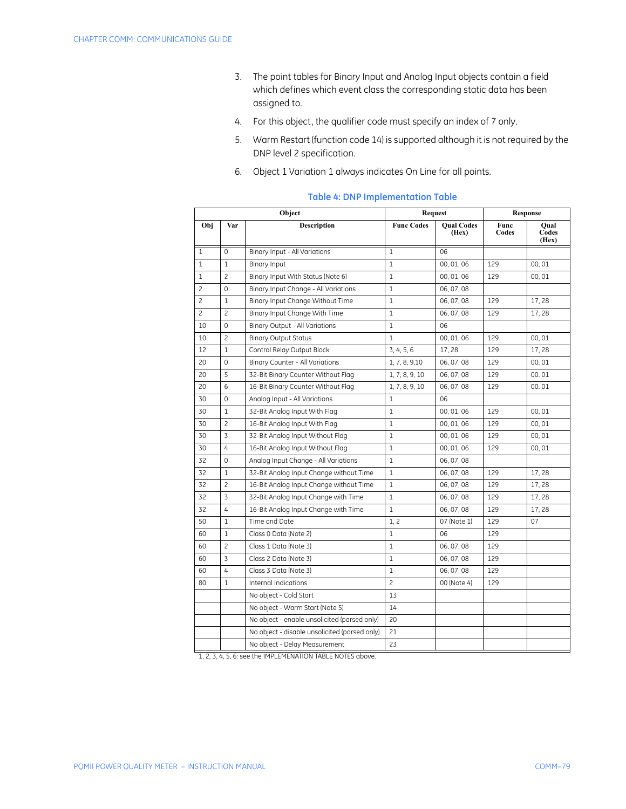- 3. The point tables for Binary Input and Analog Input objects contain a field which defines which event class the corresponding static data has been assigned to.
- 4. For this object, the qualifier code must specify an index of 7 only.
- 5. Warm Restart (function code 14) is supported although it is not required by the DNP level 2 specification.
- 6. Object 1 Variation 1 always indicates On Line for all points.

|                |                | Object                                        | <b>Request</b>    |                            |               | <b>Response</b>        |
|----------------|----------------|-----------------------------------------------|-------------------|----------------------------|---------------|------------------------|
| Obj            | Var            | <b>Description</b>                            | <b>Func Codes</b> | <b>Qual Codes</b><br>(Hex) | Func<br>Codes | Oual<br>Codes<br>(Hex) |
| $\mathbf{1}$   | $\mathbf 0$    | Binary Input - All Variations                 | $\mathbf{1}$      | 06                         |               |                        |
| $\mathbf{1}$   | $\mathbf{1}$   | Binary Input                                  | $\mathbf{1}$      | 00, 01, 06                 | 129           | 00.01                  |
| $\mathbf{1}$   | $\overline{c}$ | Binary Input With Status (Note 6)             | $\mathbf{1}$      | 00, 01, 06                 | 129           | 00.01                  |
| 2              | $\mathbf 0$    | Binary Input Change - All Variations          | 1                 | 06, 07, 08                 |               |                        |
| $\overline{c}$ | $\mathbf{1}$   | Binary Input Change Without Time              | $\mathbf{1}$      | 06, 07, 08                 | 129           | 17,28                  |
| $\overline{c}$ | $\overline{c}$ | Binary Input Change With Time                 | $\mathbf{1}$      | 06, 07, 08                 | 129           | 17,28                  |
| 10             | $\mathbf 0$    | Binary Output - All Variations                | $\mathbf{1}$      | 06                         |               |                        |
| 10             | $\overline{c}$ | <b>Binary Output Status</b>                   | $\mathbf{1}$      | 00, 01, 06                 | 129           | 00,01                  |
| 12             | $\mathbf{1}$   | Control Relay Output Block                    | 3, 4, 5, 6        | 17,28                      | 129           | 17,28                  |
| 20             | $\mathbf 0$    | Binary Counter - All Variations               | 1, 7, 8, 9, 10    | 06, 07, 08                 | 129           | 00.01                  |
| 20             | 5              | 32-Bit Binary Counter Without Flag            | 1, 7, 8, 9, 10    | 06, 07, 08                 | 129           | 00.01                  |
| 20             | 6              | 16-Bit Binary Counter Without Flag            | 1, 7, 8, 9, 10    | 06, 07, 08                 | 129           | 00.01                  |
| 30             | $\Omega$       | Analog Input - All Variations                 | $\mathbf{1}$      | 06                         |               |                        |
| 30             | $\mathbf{1}$   | 32-Bit Analog Input With Flag                 | $\mathbf{1}$      | 00, 01, 06                 | 129           | 00.01                  |
| 30             | $\overline{c}$ | 16-Bit Analog Input With Flag                 | $\mathbf{1}$      | 00, 01, 06                 | 129           | 00.01                  |
| 30             | 3              | 32-Bit Analog Input Without Flag              | $\mathbf{1}$      | 00, 01, 06                 | 129           | 00.01                  |
| 30             | 4              | 16-Bit Analog Input Without Flag              | $\mathbf{1}$      | 00, 01, 06                 | 129           | 00.01                  |
| 32             | $\mathbf 0$    | Analog Input Change - All Variations          | $\mathbf{1}$      | 06, 07, 08                 |               |                        |
| 32             | $\mathbf{1}$   | 32-Bit Analog Input Change without Time       | $\mathbf{1}$      | 06, 07, 08                 | 129           | 17,28                  |
| 32             | $\overline{c}$ | 16-Bit Analog Input Change without Time       | $\mathbf{1}$      | 06, 07, 08                 | 129           | 17,28                  |
| 32             | 3              | 32-Bit Analog Input Change with Time          | $\mathbf{1}$      | 06, 07, 08                 | 129           | 17,28                  |
| 32             | 4              | 16-Bit Analog Input Change with Time          | $\mathbf{1}$      | 06, 07, 08                 | 129           | 17,28                  |
| 50             | $\mathbf{1}$   | Time and Date                                 | 1, 2              | 07 (Note 1)                | 129           | 07                     |
| 60             | $\mathbf{1}$   | Class 0 Data (Note 2)                         | $\mathbf{1}$      | 06                         | 129           |                        |
| 60             | $\overline{c}$ | Class 1 Data (Note 3)                         | $\mathbf{1}$      | 06, 07, 08                 | 129           |                        |
| 60             | 3              | Class 2 Data (Note 3)                         | $\mathbf{1}$      | 06, 07, 08                 | 129           |                        |
| 60             | 4              | Class 3 Data (Note 3)                         | $\mathbf{1}$      | 06, 07, 08                 | 129           |                        |
| 80             | $\mathbf{1}$   | Internal Indications                          | $\overline{c}$    | 00 (Note 4)                | 129           |                        |
|                |                | No object - Cold Start                        | 13                |                            |               |                        |
|                |                | No object - Warm Start (Note 5)               | 14                |                            |               |                        |
|                |                | No object - enable unsolicited (parsed only)  | 20                |                            |               |                        |
|                |                | No object - disable unsolicited (parsed only) | 21                |                            |               |                        |
|                |                | No object - Delay Measurement                 | 23                |                            |               |                        |

#### **Table 4: DNP Implementation Table**

1, 2, 3, 4, 5, 6: see the IMPLEMENATION TABLE NOTES above.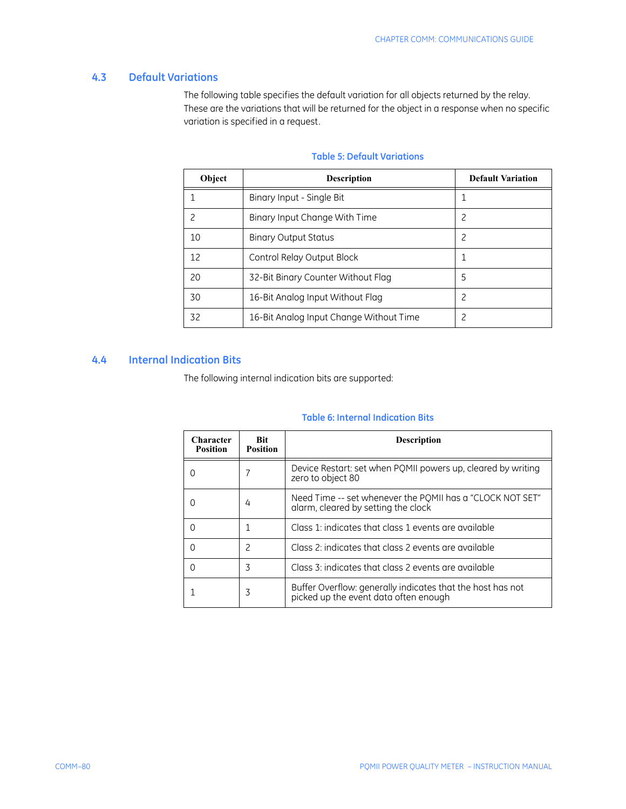## **4.3 Default Variations**

The following table specifies the default variation for all objects returned by the relay. These are the variations that will be returned for the object in a response when no specific variation is specified in a request.

| Object | <b>Description</b>                      | <b>Default Variation</b> |
|--------|-----------------------------------------|--------------------------|
|        | Binary Input - Single Bit               |                          |
| 2      | Binary Input Change With Time           | 2                        |
| 10     | <b>Binary Output Status</b>             | 2                        |
| 12     | Control Relay Output Block              |                          |
| 20     | 32-Bit Binary Counter Without Flag      | 5                        |
| 30     | 16-Bit Analog Input Without Flag        | 2                        |
| 32     | 16-Bit Analog Input Change Without Time | 2                        |

## **Table 5: Default Variations**

### **4.4 Internal Indication Bits**

The following internal indication bits are supported:

### **Table 6: Internal Indication Bits**

| <b>Character</b><br><b>Position</b> | <b>Bit</b><br><b>Position</b> | <b>Description</b>                                                                                  |
|-------------------------------------|-------------------------------|-----------------------------------------------------------------------------------------------------|
| ( )                                 |                               | Device Restart: set when PQMII powers up, cleared by writing<br>zero to object 80                   |
|                                     | 4                             | Need Time -- set whenever the POMII has a "CLOCK NOT SET"<br>alarm, cleared by setting the clock    |
| $\left( \right)$                    |                               | Class 1: indicates that class 1 events are available                                                |
| 0                                   | 2                             | Class 2: indicates that class 2 events are available                                                |
| Ω                                   | 3                             | Class 3: indicates that class 2 events are available                                                |
|                                     | 3                             | Buffer Overflow: generally indicates that the host has not<br>picked up the event data often enough |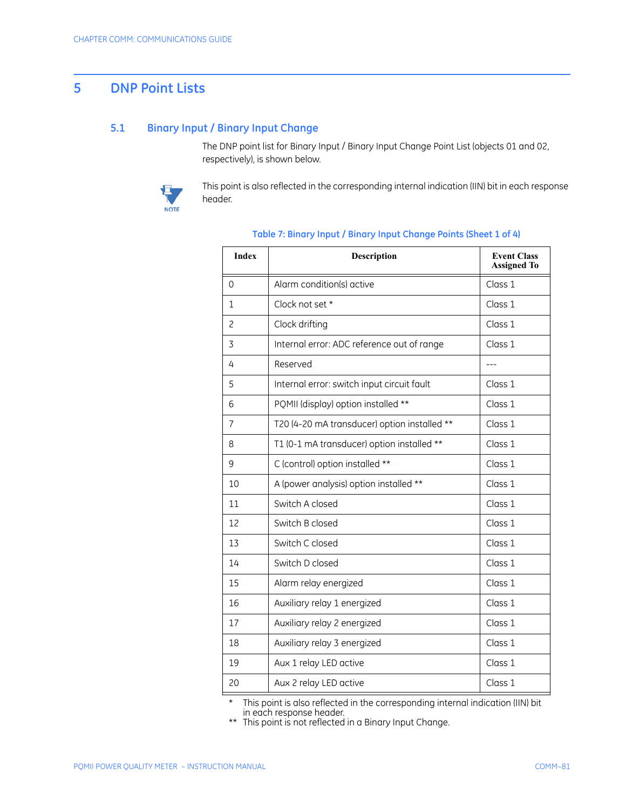# **5 DNP Point Lists**

#### **5.1 Binary Input / Binary Input Change**

The DNP point list for Binary Input / Binary Input Change Point List (objects 01 and 02, respectively), is shown below.



This point is also reflected in the corresponding internal indication (IIN) bit in each response header.

| <b>Index</b>   | <b>Description</b>                           | <b>Event Class</b><br><b>Assigned To</b> |
|----------------|----------------------------------------------|------------------------------------------|
| $\Omega$       | Alarm condition(s) active                    | Class 1                                  |
| 1              | Clock not set *                              | Class 1                                  |
| $\overline{c}$ | Clock drifting                               | Class 1                                  |
| 3              | Internal error: ADC reference out of range   | Class 1                                  |
| 4              | Reserved                                     |                                          |
| 5              | Internal error: switch input circuit fault   | Class 1                                  |
| 6              | PQMII (display) option installed **          | Class 1                                  |
| 7              | T20 (4-20 mA transducer) option installed ** | Class 1                                  |
| 8              | T1 (0-1 mA transducer) option installed **   | Class 1                                  |
| 9              | C (control) option installed **              | Class 1                                  |
| 10             | A (power analysis) option installed **       | Class 1                                  |
| 11             | Switch A closed                              | Class 1                                  |
| 12             | Switch B closed                              | Class 1                                  |
| 13             | Switch C closed                              | Class 1                                  |
| 14             | Switch D closed                              | Class 1                                  |
| 15             | Alarm relay energized                        | Class 1                                  |
| 16             | Auxiliary relay 1 energized                  | Class 1                                  |
| 17             | Auxiliary relay 2 energized                  | Class 1                                  |
| 18             | Auxiliary relay 3 energized                  | Class 1                                  |
| 19             | Aux 1 relay LED active                       | Class 1                                  |
| 20             | Aux 2 relay LED active                       | Class 1                                  |

#### **Table 7: Binary Input / Binary Input Change Points (Sheet 1 of 4)**

\* This point is also reflected in the corresponding internal indication (IIN) bit in each response header.

\*\* This point is not reflected in a Binary Input Change.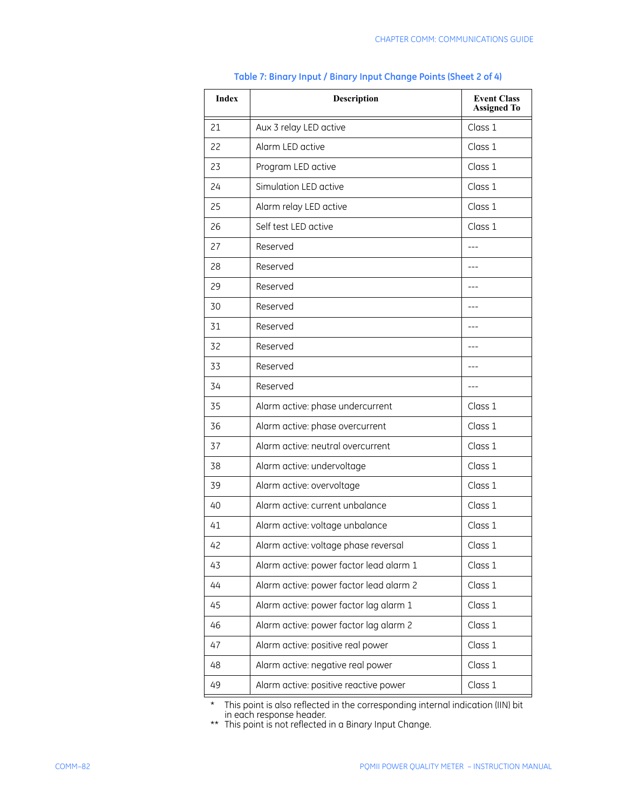| <b>Index</b> | Description                             | <b>Event Class</b><br><b>Assigned To</b> |
|--------------|-----------------------------------------|------------------------------------------|
| 21           | Aux 3 relay LED active                  | Class 1                                  |
| 22           | Alarm LED active                        | Class 1                                  |
| 23           | Program LED active                      | Class 1                                  |
| 24           | Simulation LED active                   | Class 1                                  |
| 25           | Alarm relay LED active                  | Class 1                                  |
| 26           | Self test LED active                    | Class 1                                  |
| 27           | Reserved                                |                                          |
| 28           | Reserved                                |                                          |
| 29           | Reserved                                | $---$                                    |
| 30           | Reserved                                |                                          |
| 31           | Reserved                                |                                          |
| 32           | Reserved                                | $---$                                    |
| 33           | Reserved                                |                                          |
| 34           | Reserved                                |                                          |
| 35           | Alarm active: phase undercurrent        | Class 1                                  |
| 36           | Alarm active: phase overcurrent         | Class 1                                  |
| 37           | Alarm active: neutral overcurrent       | Class 1                                  |
| 38           | Alarm active: undervoltage              | Class 1                                  |
| 39           | Alarm active: overvoltage               | Class 1                                  |
| 40           | Alarm active: current unbalance         | Class 1                                  |
| 41           | Alarm active: voltage unbalance         | Class 1                                  |
| 42           | Alarm active: voltage phase reversal    | Class 1                                  |
| 43           | Alarm active: power factor lead alarm 1 | Class 1                                  |
| 44           | Alarm active: power factor lead alarm 2 | Class 1                                  |
| 45           | Alarm active: power factor lag alarm 1  | Class 1                                  |
| 46           | Alarm active: power factor lag alarm 2  | Class 1                                  |
| 47           | Alarm active: positive real power       | Class 1                                  |
| 48           | Alarm active: negative real power       | Class 1                                  |
| 49           | Alarm active: positive reactive power   | Class 1                                  |

## **Table 7: Binary Input / Binary Input Change Points (Sheet 2 of 4)**

\* This point is also reflected in the corresponding internal indication (IIN) bit in each response header.

\*\* This point is not reflected in a Binary Input Change.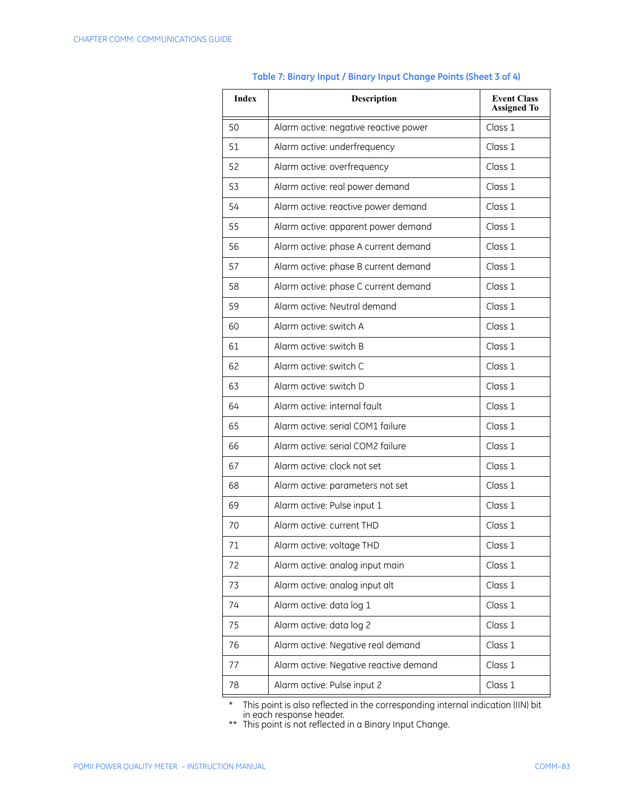| <b>Index</b> | Description                            | <b>Event Class</b><br><b>Assigned To</b> |
|--------------|----------------------------------------|------------------------------------------|
| 50           | Alarm active: negative reactive power  | Class 1                                  |
| 51           | Alarm active: underfrequency           | Class 1                                  |
| 52           | Alarm active: overfrequency            | Class 1                                  |
| 53           | Alarm active: real power demand        | Class 1                                  |
| 54           | Alarm active: reactive power demand    | Class 1                                  |
| 55           | Alarm active: apparent power demand    | Class 1                                  |
| 56           | Alarm active: phase A current demand   | Class 1                                  |
| 57           | Alarm active: phase B current demand   | Class 1                                  |
| 58           | Alarm active: phase C current demand   | Class 1                                  |
| 59           | Alarm active: Neutral demand           | Class 1                                  |
| 60           | Alarm active: switch A                 | Class 1                                  |
| 61           | Alarm active: switch B                 | Class 1                                  |
| 62           | Alarm active: switch C                 | Class 1                                  |
| 63           | Alarm active: switch D                 | Class 1                                  |
| 64           | Alarm active: internal fault           | Class 1                                  |
| 65           | Alarm active: serial COM1 failure      | Class 1                                  |
| 66           | Alarm active: serial COM2 failure      | Class 1                                  |
| 67           | Alarm active: clock not set            | Class 1                                  |
| 68           | Alarm active: parameters not set       | Class 1                                  |
| 69           | Alarm active: Pulse input 1            | Class 1                                  |
| 70           | Alarm active: current THD              | Class 1                                  |
| 71           | Alarm active: voltage THD              | Class 1                                  |
| 72           | Alarm active: analog input main        | Class 1                                  |
| 73           | Alarm active: analog input alt         | Class 1                                  |
| 74           | Alarm active: data log 1               | Class 1                                  |
| 75           | Alarm active: data log 2               | Class 1                                  |
| 76           | Alarm active: Negative real demand     | Class 1                                  |
| 77           | Alarm active: Negative reactive demand | Class 1                                  |
| 78           | Alarm active: Pulse input 2            | Class 1                                  |

## **Table 7: Binary Input / Binary Input Change Points (Sheet 3 of 4)**

\* This point is also reflected in the corresponding internal indication (IIN) bit in each response header.

\*\* This point is not reflected in a Binary Input Change.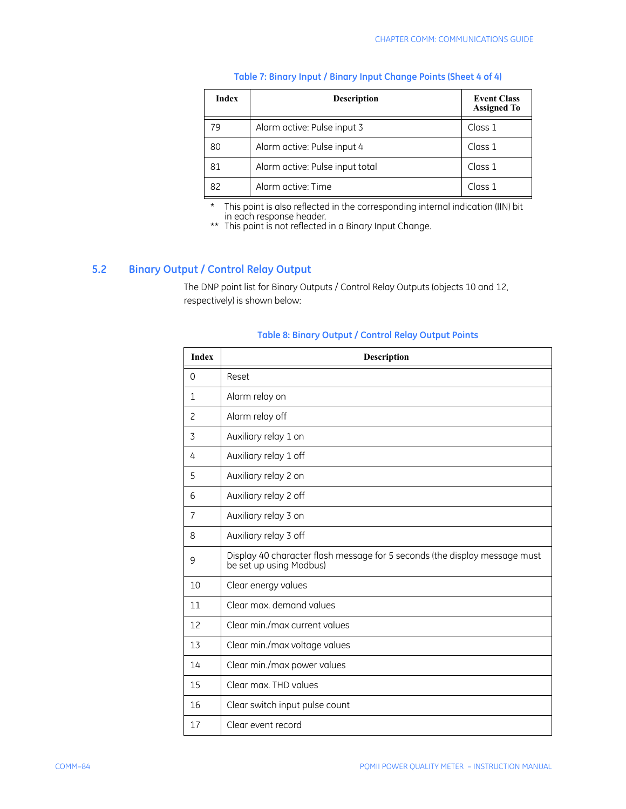| <b>Index</b> | <b>Description</b>              | <b>Event Class</b><br><b>Assigned To</b> |
|--------------|---------------------------------|------------------------------------------|
|              | Alarm active: Pulse input 3     | Class 1                                  |
| 80           | Alarm active: Pulse input 4     | Class 1                                  |
| 81           | Alarm active: Pulse input total | Class 1                                  |
| 82           | Alarm active: Time              | Class 1                                  |

#### **Table 7: Binary Input / Binary Input Change Points (Sheet 4 of 4)**

\* This point is also reflected in the corresponding internal indication (IIN) bit in each response header.

\*\* This point is not reflected in a Binary Input Change.

## **5.2 Binary Output / Control Relay Output**

The DNP point list for Binary Outputs / Control Relay Outputs (objects 10 and 12, respectively) is shown below:

#### **Table 8: Binary Output / Control Relay Output Points**

| <b>Index</b>   | <b>Description</b>                                                                                    |
|----------------|-------------------------------------------------------------------------------------------------------|
| $\Omega$       | Reset                                                                                                 |
| $\mathbf{1}$   | Alarm relay on                                                                                        |
| $\overline{c}$ | Alarm relay off                                                                                       |
| 3              | Auxiliary relay 1 on                                                                                  |
| 4              | Auxiliary relay 1 off                                                                                 |
| 5              | Auxiliary relay 2 on                                                                                  |
| 6              | Auxiliary relay 2 off                                                                                 |
| $\overline{7}$ | Auxiliary relay 3 on                                                                                  |
| 8              | Auxiliary relay 3 off                                                                                 |
| 9              | Display 40 character flash message for 5 seconds (the display message must<br>be set up using Modbus) |
| 10             | Clear energy values                                                                                   |
| 11             | Clear max, demand values                                                                              |
| 12             | Clear min./max current values                                                                         |
| 13             | Clear min./max voltage values                                                                         |
| 14             | Clear min./max power values                                                                           |
| 15             | Clear max. THD values                                                                                 |
| 16             | Clear switch input pulse count                                                                        |
| 17             | Clear event record                                                                                    |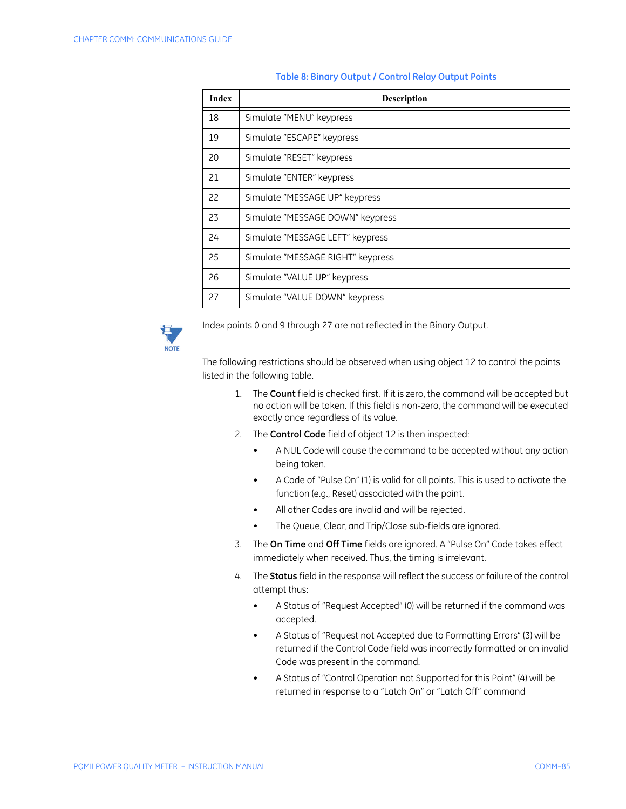| <b>Index</b> | <b>Description</b>                |
|--------------|-----------------------------------|
| 18           | Simulate "MENU" keypress          |
| 19           | Simulate "ESCAPE" keypress        |
| 20           | Simulate "RESET" keypress         |
| 21           | Simulate "ENTER" keypress         |
| 22           | Simulate "MESSAGE UP" keypress    |
| 23           | Simulate "MESSAGE DOWN" keypress  |
| 24           | Simulate "MESSAGE LEFT" keypress  |
| 25           | Simulate "MESSAGE RIGHT" keypress |
| 26           | Simulate "VALUE UP" keypress      |
| 27           | Simulate "VALUE DOWN" keypress    |

#### **Table 8: Binary Output / Control Relay Output Points**



Index points 0 and 9 through 27 are not reflected in the Binary Output.

The following restrictions should be observed when using object 12 to control the points listed in the following table.

- 1. The **Count** field is checked first. If it is zero, the command will be accepted but no action will be taken. If this field is non-zero, the command will be executed exactly once regardless of its value.
- 2. The **Control Code** field of object 12 is then inspected:
	- A NUL Code will cause the command to be accepted without any action being taken.
	- A Code of "Pulse On" (1) is valid for all points. This is used to activate the function (e.g., Reset) associated with the point.
	- All other Codes are invalid and will be rejected.
	- The Queue, Clear, and Trip/Close sub-fields are ignored.
- 3. The **On Time** and **Off Time** fields are ignored. A "Pulse On" Code takes effect immediately when received. Thus, the timing is irrelevant.
- 4. The **Status** field in the response will reflect the success or failure of the control attempt thus:
	- A Status of "Request Accepted" (0) will be returned if the command was accepted.
	- A Status of "Request not Accepted due to Formatting Errors" (3) will be returned if the Control Code field was incorrectly formatted or an invalid Code was present in the command.
	- A Status of "Control Operation not Supported for this Point" (4) will be returned in response to a "Latch On" or "Latch Off" command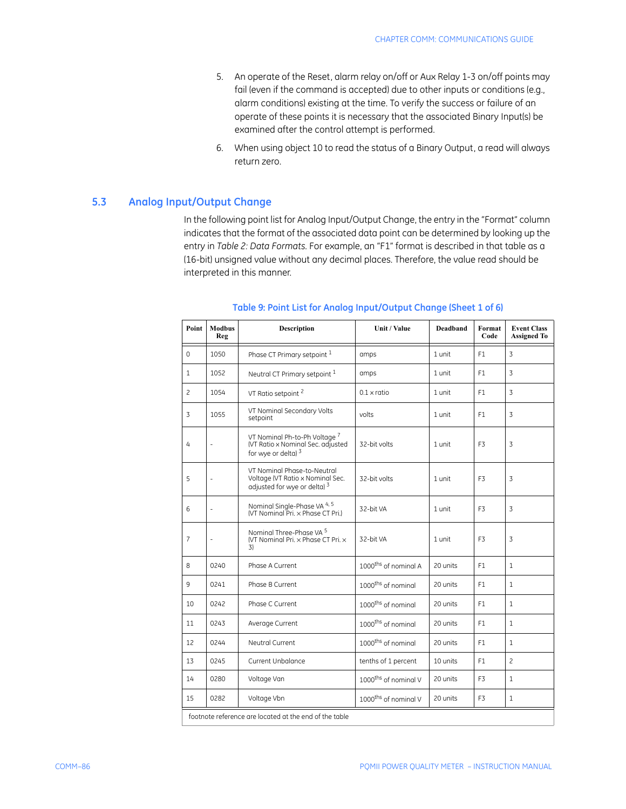- 5. An operate of the Reset, alarm relay on/off or Aux Relay 1-3 on/off points may fail (even if the command is accepted) due to other inputs or conditions (e.g., alarm conditions) existing at the time. To verify the success or failure of an operate of these points it is necessary that the associated Binary Input(s) be examined after the control attempt is performed.
- 6. When using object 10 to read the status of a Binary Output, a read will always return zero.

### **5.3 Analog Input/Output Change**

In the following point list for Analog Input/Output Change, the entry in the "Format" column indicates that the format of the associated data point can be determined by looking up the entry in *Table 2: Data Formats*. For example, an "F1" format is described in that table as a (16-bit) unsigned value without any decimal places. Therefore, the value read should be interpreted in this manner.

| Point          | <b>Modbus</b><br>Reg                                   | <b>Description</b>                                                                                         | Unit / Value                     | <b>Deadband</b> | Format<br>Code | <b>Event Class</b><br><b>Assigned To</b> |  |  |
|----------------|--------------------------------------------------------|------------------------------------------------------------------------------------------------------------|----------------------------------|-----------------|----------------|------------------------------------------|--|--|
| $\mathbf{0}$   | 1050                                                   | Phase CT Primary setpoint 1                                                                                | amps                             | 1 unit          | F1             | 3                                        |  |  |
| $\mathbf{1}$   | 1052                                                   | Neutral CT Primary setpoint 1                                                                              | amps                             | 1 unit          | F1             | 3                                        |  |  |
| $\overline{c}$ | 1054                                                   | VT Ratio setpoint <sup>2</sup>                                                                             | $0.1 \times$ ratio               | 1 unit          | F1             | 3                                        |  |  |
| 3              | 1055                                                   | VT Nominal Secondary Volts<br>setpoint                                                                     | volts                            | 1 unit          | F1             | 3                                        |  |  |
| $\overline{4}$ | ä,                                                     | VT Nominal Ph-to-Ph Voltage <sup>7</sup><br>(VT Ratio x Nominal Sec. adjusted<br>for wye or delta) $3$     | 32-bit volts                     | 1 unit          | F <sub>3</sub> | 3                                        |  |  |
| 5              |                                                        | VT Nominal Phase-to-Neutral<br>Voltage (VT Ratio x Nominal Sec.<br>adjusted for wye or delta) <sup>3</sup> | 32-bit volts                     | 1 unit          | F <sub>3</sub> | 3                                        |  |  |
| 6              | $\frac{1}{2}$                                          | Nominal Single-Phase VA <sup>4, 5</sup><br>(VT Nominal Pri. x Phase CT Pri.)                               | 32-bit VA                        | 1 unit          | F <sub>3</sub> | 3                                        |  |  |
| $\overline{7}$ |                                                        | Nominal Three-Phase VA $^5$<br>(VT Nominal Pri. x Phase CT Pri. x<br>3)                                    | 32-bit VA                        | 1 unit          | F <sub>3</sub> | 3                                        |  |  |
| 8              | 0240                                                   | Phase A Current                                                                                            | 1000 <sup>ths</sup> of nominal A | 20 units        | F <sub>1</sub> | $\mathbf{1}$                             |  |  |
| 9              | 0241                                                   | Phase B Current                                                                                            | 1000 <sup>ths</sup> of nominal   | 20 units        | F <sub>1</sub> | $\mathbf{1}$                             |  |  |
| 10             | 0242                                                   | Phase C Current                                                                                            | 1000 <sup>ths</sup> of nominal   | 20 units        | F1             | $\mathbf{1}$                             |  |  |
| 11             | 0243                                                   | Average Current                                                                                            | 1000 <sup>ths</sup> of nominal   | 20 units        | F <sub>1</sub> | $\mathbf{1}$                             |  |  |
| 12             | 0244                                                   | Neutral Current                                                                                            | 1000 <sup>ths</sup> of nominal   | 20 units        | F1             | $\mathbf{1}$                             |  |  |
| 13             | 0245                                                   | Current Unbalance                                                                                          | tenths of 1 percent              | 10 units        | F1             | $\overline{c}$                           |  |  |
| 14             | 0280                                                   | Voltage Van                                                                                                | 1000 <sup>ths</sup> of nominal V | 20 units        | F3             | $\mathbf{1}$                             |  |  |
| 15             | 0282                                                   | Voltage Vbn                                                                                                | 1000 <sup>ths</sup> of nominal V | 20 units        | F <sub>3</sub> | $\mathbf{1}$                             |  |  |
|                | footnote reference are located at the end of the table |                                                                                                            |                                  |                 |                |                                          |  |  |

#### **Table 9: Point List for Analog Input/Output Change (Sheet 1 of 6)**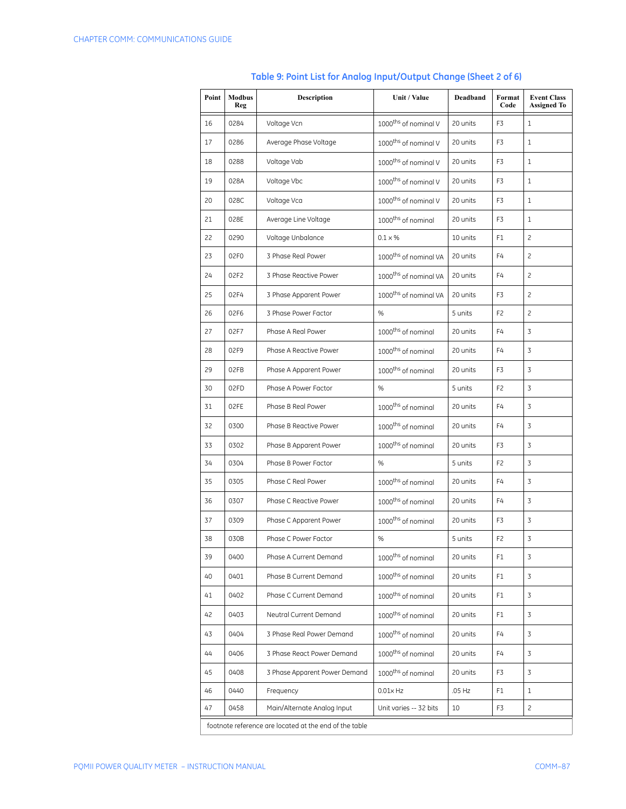| Point | <b>Modbus</b><br>Reg                                   | <b>Description</b>            | Unit / Value                      | Deadband | Format<br>Code | <b>Event Class</b><br><b>Assigned To</b> |  |
|-------|--------------------------------------------------------|-------------------------------|-----------------------------------|----------|----------------|------------------------------------------|--|
| 16    | 0284                                                   | Voltage Vcn                   | 1000 <sup>ths</sup> of nominal V  | 20 units | F3             | 1                                        |  |
| 17    | 0286                                                   | Average Phase Voltage         | 1000 <sup>ths</sup> of nominal V  | 20 units | F3             | $\mathbf{1}$                             |  |
| 18    | 0288                                                   | Voltage Vab                   | 1000 <sup>ths</sup> of nominal V  | 20 units | F3             | 1                                        |  |
| 19    | 028A                                                   | Voltage Vbc                   | 1000 <sup>ths</sup> of nominal V  | 20 units | F3             | $\mathbf{1}$                             |  |
| 20    | 028C                                                   | Voltage Vca                   | 1000 <sup>ths</sup> of nominal V  | 20 units | F3             | 1                                        |  |
| 21    | 028E                                                   | Average Line Voltage          | 1000 <sup>ths</sup> of nominal    | 20 units | F3             | 1                                        |  |
| 22    | 0290                                                   | Voltage Unbalance             | $0.1 \times %$                    | 10 units | F1             | 2                                        |  |
| 23    | 02F0                                                   | 3 Phase Real Power            | 1000 <sup>ths</sup> of nominal VA | 20 units | F4             | 2                                        |  |
| 24    | 02F2                                                   | 3 Phase Reactive Power        | 1000 <sup>ths</sup> of nominal VA | 20 units | F4             | $\overline{c}$                           |  |
| 25    | 02F4                                                   | 3 Phase Apparent Power        | 1000 <sup>ths</sup> of nominal VA | 20 units | F3             | $\overline{c}$                           |  |
| 26    | 02F6                                                   | 3 Phase Power Factor          | %                                 | 5 units  | F <sub>2</sub> | $\overline{c}$                           |  |
| 27    | 02F7                                                   | Phase A Real Power            | 1000 <sup>ths</sup> of nominal    | 20 units | F4             | 3                                        |  |
| 28    | 02F9                                                   | Phase A Reactive Power        | 1000 <sup>ths</sup> of nominal    | 20 units | F4             | 3                                        |  |
| 29    | 02FB                                                   | Phase A Apparent Power        | 1000 <sup>ths</sup> of nominal    | 20 units | F3             | 3                                        |  |
| 30    | 02FD                                                   | Phase A Power Factor          | $\%$                              | 5 units  | F <sub>2</sub> | 3                                        |  |
| 31    | 02FE                                                   | Phase B Real Power            | 1000 <sup>ths</sup> of nominal    | 20 units | F4             | 3                                        |  |
| 32    | 0300                                                   | Phase B Reactive Power        | 1000 <sup>ths</sup> of nominal    | 20 units | F4             | 3                                        |  |
| 33    | 0302                                                   | Phase B Apparent Power        | 1000 <sup>ths</sup> of nominal    | 20 units | F3             | 3                                        |  |
| 34    | 0304                                                   | Phase B Power Factor          | %                                 | 5 units  | F2             | 3                                        |  |
| 35    | 0305                                                   | Phase C Real Power            | 1000 <sup>ths</sup> of nominal    | 20 units | F4             | 3                                        |  |
| 36    | 0307                                                   | Phase C Reactive Power        | 1000 <sup>ths</sup> of nominal    | 20 units | F4             | 3                                        |  |
| 37    | 0309                                                   | Phase C Apparent Power        | 1000 <sup>ths</sup> of nominal    | 20 units | F3             | 3                                        |  |
| 38    | 030B                                                   | Phase C Power Factor          | $\%$                              | 5 units  | F2             | $\overline{3}$                           |  |
| 39    | 0400                                                   | Phase A Current Demand        | 1000 <sup>ths</sup> of nominal    | 20 units | F1             | 3                                        |  |
| 40    | 0401                                                   | Phase B Current Demand        | 1000 <sup>ths</sup> of nominal    | 20 units | F1             | 3                                        |  |
| 41    | 0402                                                   | Phase C Current Demand        | 1000 <sup>ths</sup> of nominal    | 20 units | F1             | 3                                        |  |
| 42    | 0403                                                   | Neutral Current Demand        | 1000 <sup>ths</sup> of nominal    | 20 units | F1             | 3                                        |  |
| 43    | 0404                                                   | 3 Phase Real Power Demand     | 1000 <sup>ths</sup> of nominal    | 20 units | F4             | 3                                        |  |
| 44    | 0406                                                   | 3 Phase React Power Demand    | 1000 <sup>ths</sup> of nominal    | 20 units | F4             | 3                                        |  |
| 45    | 0408                                                   | 3 Phase Apparent Power Demand | 1000 <sup>ths</sup> of nominal    | 20 units | F3             | 3                                        |  |
| 46    | 0440                                                   | Frequency                     | $0.01 \times Hz$                  | $.05$ Hz | F1             | 1                                        |  |
| 47    | 0458                                                   | Main/Alternate Analog Input   | Unit varies -- 32 bits            | 10       | F3             | $\overline{c}$                           |  |
|       | footnote reference are located at the end of the table |                               |                                   |          |                |                                          |  |

# **Table 9: Point List for Analog Input/Output Change (Sheet 2 of 6)**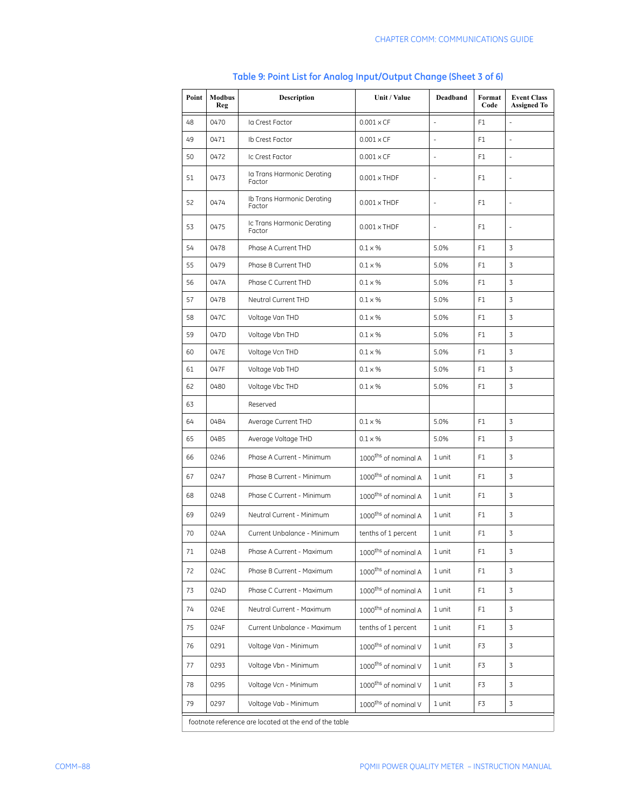| Point                                                  | <b>Modbus</b><br>Reg | <b>Description</b>                   | Unit / Value                     | Deadband       | Format<br>Code | <b>Event Class</b><br><b>Assigned To</b> |
|--------------------------------------------------------|----------------------|--------------------------------------|----------------------------------|----------------|----------------|------------------------------------------|
| 48                                                     | 0470                 | la Crest Factor                      | $0.001 \times CF$                | $\overline{a}$ | F <sub>1</sub> | $\overline{a}$                           |
| 49                                                     | 0471                 | Ib Crest Factor                      | $0.001 \times CF$                | $\bar{a}$      | F1             |                                          |
| 50                                                     | 0472                 | Ic Crest Factor                      | $0.001 \times CF$                | ÷,             | F1             | $\overline{a}$                           |
| 51                                                     | 0473                 | la Trans Harmonic Derating<br>Factor | $0.001 \times THDF$              | ÷,             | F1             | ä,                                       |
| 52                                                     | 0474                 | Ib Trans Harmonic Derating<br>Factor | $0.001 \times THDF$              | ÷,             | F1             | ä,                                       |
| 53                                                     | 0475                 | Ic Trans Harmonic Derating<br>Factor | $0.001 \times THDF$              | $\bar{a}$      | F1             | ä,                                       |
| 54                                                     | 0478                 | Phase A Current THD                  | $0.1 \times %$                   | 5.0%           | F1             | 3                                        |
| 55                                                     | 0479                 | Phase B Current THD                  | $0.1 \times \%$                  | 5.0%           | F1             | 3                                        |
| 56                                                     | 047A                 | Phase C Current THD                  | $0.1 \times %$                   | 5.0%           | F1             | 3                                        |
| 57                                                     | 047B                 | Neutral Current THD                  | $0.1 \times %$                   | 5.0%           | F1             | 3                                        |
| 58                                                     | 047C                 | Voltage Van THD                      | $0.1 \times %$                   | 5.0%           | F1             | 3                                        |
| 59                                                     | 047D                 | Voltage Vbn THD                      | $0.1 \times %$                   | 5.0%           | F1             | 3                                        |
| 60                                                     | 047E                 | Voltage Vcn THD                      | $0.1 \times %$                   | 5.0%           | F1             | 3                                        |
| 61                                                     | 047F                 | Voltage Vab THD                      | $0.1 \times %$                   | 5.0%           | F1             | 3                                        |
| 62                                                     | 0480                 | Voltage Vbc THD                      | $0.1 \times %$                   | 5.0%           | F1             | 3                                        |
| 63                                                     |                      | Reserved                             |                                  |                |                |                                          |
| 64                                                     | 04B4                 | Average Current THD                  | $0.1 \times %$                   | 5.0%           | F1             | 3                                        |
| 65                                                     | 04B5                 | Average Voltage THD                  | $0.1 \times %$                   | 5.0%           | F1             | 3                                        |
| 66                                                     | 0246                 | Phase A Current - Minimum            | 1000 <sup>ths</sup> of nominal A | 1 unit         | F1             | 3                                        |
| 67                                                     | 0247                 | Phase B Current - Minimum            | 1000 <sup>ths</sup> of nominal A | 1 unit         | F1             | 3                                        |
| 68                                                     | 0248                 | Phase C Current - Minimum            | 1000 <sup>ths</sup> of nominal A | 1 unit         | F1             | 3                                        |
| 69                                                     | 0249                 | Neutral Current - Minimum            | 1000 <sup>ths</sup> of nominal A | 1 unit         | F1             | 3                                        |
| 70                                                     | 024A                 | Current Unbalance - Minimum          | tenths of 1 percent              | 1 unit         | F1             | 3                                        |
| 71                                                     | 024B                 | Phase A Current - Maximum            | 1000 <sup>ths</sup> of nominal A | 1 unit         | F1             | 3                                        |
| 72                                                     | 024C                 | Phase B Current - Maximum            | 1000 <sup>ths</sup> of nominal A | 1 unit         | F1             | 3                                        |
| 73                                                     | 024D                 | Phase C Current - Maximum            | 1000 <sup>ths</sup> of nominal A | 1 unit         | F1             | 3                                        |
| 74                                                     | 024E                 | Neutral Current - Maximum            | 1000 <sup>ths</sup> of nominal A | 1 unit         | F1             | $\overline{3}$                           |
| 75                                                     | 024F                 | Current Unbalance - Maximum          | tenths of 1 percent              | 1 unit         | F1             | 3                                        |
| 76                                                     | 0291                 | Voltage Van - Minimum                | 1000 <sup>ths</sup> of nominal V | 1 unit         | F3             | $\overline{3}$                           |
| 77                                                     | 0293                 | Voltage Vbn - Minimum                | 1000 <sup>ths</sup> of nominal V | 1 unit         | F3             | 3                                        |
| 78                                                     | 0295                 | Voltage Vcn - Minimum                | 1000 <sup>ths</sup> of nominal V | 1 unit         | F3             | 3                                        |
| 79                                                     | 0297                 | Voltage Vab - Minimum                | 1000 <sup>ths</sup> of nominal V | 1 unit         | F3             | 3                                        |
| footnote reference are located at the end of the table |                      |                                      |                                  |                |                |                                          |

# **Table 9: Point List for Analog Input/Output Change (Sheet 3 of 6)**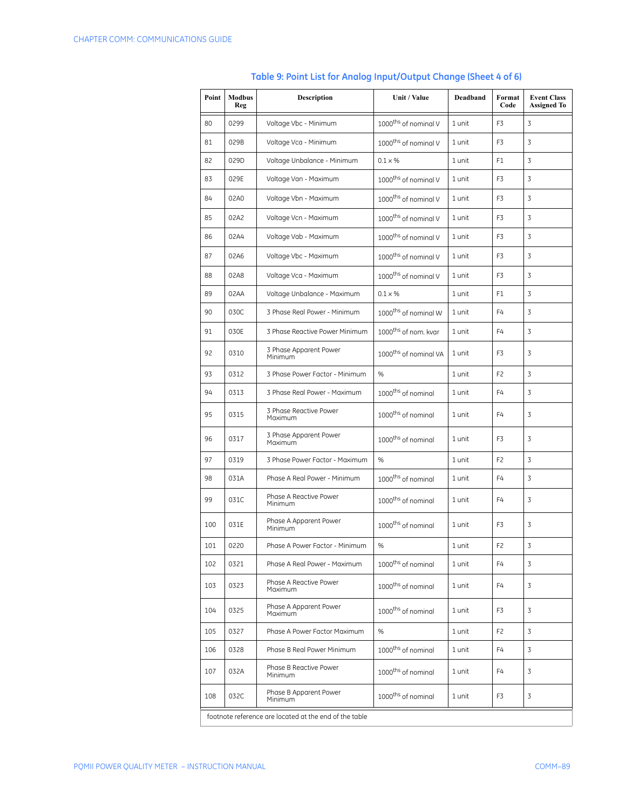| Point | <b>Modbus</b><br>Reg                                   | <b>Description</b>                | Unit / Value                      | Deadband | Format<br>Code | <b>Event Class</b><br><b>Assigned To</b> |  |
|-------|--------------------------------------------------------|-----------------------------------|-----------------------------------|----------|----------------|------------------------------------------|--|
| 80    | 0299                                                   | Voltage Vbc - Minimum             | 1000 <sup>ths</sup> of nominal V  | 1 unit   | F3             | 3                                        |  |
| 81    | 029B                                                   | Voltage Vca - Minimum             | 1000 <sup>ths</sup> of nominal V  | 1 unit   | F3             | 3                                        |  |
| 82    | 029D                                                   | Voltage Unbalance - Minimum       | $0.1 \times %$                    | 1 unit   | F1             | 3                                        |  |
| 83    | 029E                                                   | Voltage Van - Maximum             | 1000 <sup>ths</sup> of nominal V  | 1 unit   | F3             | 3                                        |  |
| 84    | 02A0                                                   | Voltage Vbn - Maximum             | 1000 <sup>ths</sup> of nominal V  | 1 unit   | F3             | 3                                        |  |
| 85    | 02A2                                                   | Voltage Vcn - Maximum             | 1000 <sup>ths</sup> of nominal V  | 1 unit   | F3             | 3                                        |  |
| 86    | 02A4                                                   | Voltage Vab - Maximum             | 1000 <sup>ths</sup> of nominal V  | 1 unit   | F3             | 3                                        |  |
| 87    | 02A6                                                   | Voltage Vbc - Maximum             | 1000 <sup>ths</sup> of nominal V  | 1 unit   | F3             | 3                                        |  |
| 88    | 02A8                                                   | Voltage Vca - Maximum             | 1000 <sup>ths</sup> of nominal V  | 1 unit   | F3             | 3                                        |  |
| 89    | 02AA                                                   | Voltage Unbalance - Maximum       | $0.1 \times %$                    | 1 unit   | F1             | 3                                        |  |
| 90    | 030C                                                   | 3 Phase Real Power - Minimum      | 1000 <sup>ths</sup> of nominal W  | 1 unit   | F4             | 3                                        |  |
| 91    | 030E                                                   | 3 Phase Reactive Power Minimum    | 1000 <sup>ths</sup> of nom. kvar  | 1 unit   | F4             | 3                                        |  |
| 92    | 0310                                                   | 3 Phase Apparent Power<br>Minimum | 1000 <sup>ths</sup> of nominal VA | 1 unit   | F3             | 3                                        |  |
| 93    | 0312                                                   | 3 Phase Power Factor - Minimum    | %                                 | 1 unit   | F <sub>2</sub> | 3                                        |  |
| 94    | 0313                                                   | 3 Phase Real Power - Maximum      | 1000 <sup>ths</sup> of nominal    | 1 unit   | F4             | 3                                        |  |
| 95    | 0315                                                   | 3 Phase Reactive Power<br>Maximum | 1000 <sup>ths</sup> of nominal    | 1 unit   | F4             | 3                                        |  |
| 96    | 0317                                                   | 3 Phase Apparent Power<br>Maximum | 1000 <sup>ths</sup> of nominal    | 1 unit   | F3             | 3                                        |  |
| 97    | 0319                                                   | 3 Phase Power Factor - Maximum    | %                                 | 1 unit   | F <sub>2</sub> | 3                                        |  |
| 98    | 031A                                                   | Phase A Real Power - Minimum      | 1000 <sup>ths</sup> of nominal    | 1 unit   | F4             | 3                                        |  |
| 99    | 031C                                                   | Phase A Reactive Power<br>Minimum | 1000 <sup>ths</sup> of nominal    | 1 unit   | F4             | 3                                        |  |
| 100   | 031E                                                   | Phase A Apparent Power<br>Minimum | 1000 <sup>ths</sup> of nominal    | 1 unit   | F3             | 3                                        |  |
| 101   | 0220                                                   | Phase A Power Factor - Minimum    | %                                 | 1 unit   | F <sub>2</sub> | 3                                        |  |
| 102   | 0321                                                   | Phase A Real Power - Maximum      | 1000 <sup>ths</sup> of nominal    | 1 unit   | F4             | 3                                        |  |
| 103   | 0323                                                   | Phase A Reactive Power<br>Maximum | 1000 <sup>ths</sup> of nominal    | 1 unit   | F4             | 3                                        |  |
| 104   | 0325                                                   | Phase A Apparent Power<br>Maximum | 1000 <sup>ths</sup> of nominal    | 1 unit   | F3             | 3                                        |  |
| 105   | 0327                                                   | Phase A Power Factor Maximum      | %                                 | 1 unit   | F <sub>2</sub> | 3                                        |  |
| 106   | 0328                                                   | Phase B Real Power Minimum        | 1000 <sup>ths</sup> of nominal    | 1 unit   | F4             | 3                                        |  |
| 107   | 032A                                                   | Phase B Reactive Power<br>Minimum | 1000 <sup>ths</sup> of nominal    | 1 unit   | F4             | 3                                        |  |
| 108   | 032C                                                   | Phase B Apparent Power<br>Minimum | 1000 <sup>ths</sup> of nominal    | 1 unit   | F3             | 3                                        |  |
|       | footnote reference are located at the end of the table |                                   |                                   |          |                |                                          |  |

# **Table 9: Point List for Analog Input/Output Change (Sheet 4 of 6)**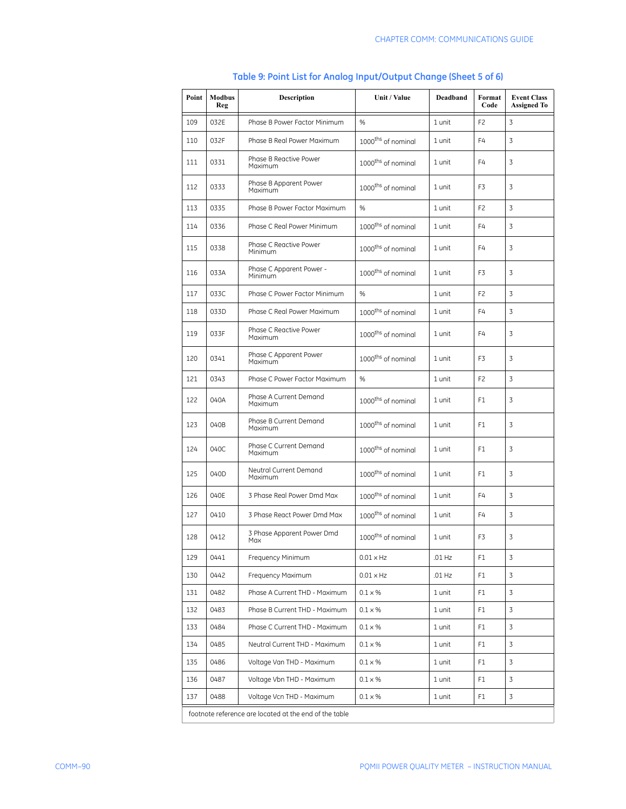| Point                                                  | <b>Modbus</b><br>Reg | <b>Description</b>                                                                  | Unit / Value                             | Deadband       | Format<br>Code | <b>Event Class</b><br><b>Assigned To</b> |  |  |
|--------------------------------------------------------|----------------------|-------------------------------------------------------------------------------------|------------------------------------------|----------------|----------------|------------------------------------------|--|--|
| 109                                                    | 032E                 | Phase B Power Factor Minimum                                                        | %                                        | 1 unit         | F <sub>2</sub> | 3                                        |  |  |
| 110                                                    | 032F                 | Phase B Real Power Maximum                                                          | 1000 <sup>ths</sup> of nominal           | 1 unit         | F4             | 3                                        |  |  |
| 111                                                    | 0331                 | Phase B Reactive Power<br>1000 <sup>ths</sup> of nominal<br>F4<br>1 unit<br>Maximum |                                          |                | 3              |                                          |  |  |
| 112                                                    | 0333                 | Phase B Apparent Power<br>Maximum                                                   | 1000 <sup>ths</sup> of nominal           | 1 unit         | F3             | 3                                        |  |  |
| 113                                                    | 0335                 | Phase B Power Factor Maximum                                                        | %                                        | 1 unit         | F <sub>2</sub> | 3                                        |  |  |
| 114                                                    | 0336                 | Phase C Real Power Minimum                                                          | 1000 <sup>ths</sup> of nominal           | 1 unit         | F4             | 3                                        |  |  |
| 115                                                    | 0338                 | Phase C Reactive Power<br>Minimum                                                   | 1000 <sup>ths</sup> of nominal           | 1 unit         | F4             | 3                                        |  |  |
| 116                                                    | 033A                 | Phase C Apparent Power -<br>Minimum                                                 | 1000 <sup>ths</sup> of nominal<br>1 unit |                | F3             | 3                                        |  |  |
| 117                                                    | 033C                 | Phase C Power Factor Minimum<br>%<br>1 unit                                         |                                          | F <sub>2</sub> | 3              |                                          |  |  |
| 118                                                    | 033D                 | Phase C Real Power Maximum                                                          | 1000 <sup>ths</sup> of nominal<br>1 unit |                | F4             | 3                                        |  |  |
| 119                                                    | 033F                 | Phase C Reactive Power<br>Maximum                                                   | 1000 <sup>ths</sup> of nominal           | 1 unit         | F4             | 3                                        |  |  |
| 120                                                    | 0341                 | Phase C Apparent Power<br>Maximum <sup>1</sup>                                      | 1000 <sup>ths</sup> of nominal           | 1 unit         | F3             | 3                                        |  |  |
| 121                                                    | 0343                 | Phase C Power Factor Maximum                                                        | %                                        | 1 unit         | F <sub>2</sub> | 3                                        |  |  |
| 122                                                    | 040A                 | Phase A Current Demand<br>Maximum                                                   | 1000 <sup>ths</sup> of nominal           | 1 unit         | F1             | 3                                        |  |  |
| 123                                                    | 040B                 | Phase B Current Demand<br>Maximum                                                   | 1000 <sup>ths</sup> of nominal           | 1 unit         | F1             | 3                                        |  |  |
| 124                                                    | 040C                 | Phase C Current Demand<br>Maximum                                                   | 1000 <sup>ths</sup> of nominal           | 1 unit         | F1             | 3                                        |  |  |
| 125                                                    | 040D                 | Neutral Current Demand<br>Maximum                                                   | 1000 <sup>ths</sup> of nominal           | 1 unit         | F1             | 3                                        |  |  |
| 126                                                    | 040E                 | 3 Phase Real Power Dmd Max                                                          | 1000 <sup>ths</sup> of nominal           | 1 unit         | F4             | 3                                        |  |  |
| 127                                                    | 0410                 | 3 Phase React Power Dmd Max                                                         | 1000 <sup>ths</sup> of nominal           | 1 unit         | F4             | 3                                        |  |  |
| 128                                                    | 0412                 | 3 Phase Apparent Power Dmd<br>Max                                                   | 1000 <sup>ths</sup> of nominal           | 1 unit         | F3             | 3                                        |  |  |
| 129                                                    | 0441                 | Frequency Minimum                                                                   | $0.01 \times Hz$                         | $.01$ Hz       | F1             | 3                                        |  |  |
| 130                                                    | 0442                 | Frequency Maximum                                                                   | $0.01 \times Hz$                         | $.01$ Hz       | F1             | 3                                        |  |  |
| 131                                                    | 0482                 | Phase A Current THD - Maximum                                                       | $0.1 \times %$                           | 1 unit         | F1             | 3                                        |  |  |
| 132                                                    | 0483                 | Phase B Current THD - Maximum                                                       | $0.1 \times \%$                          | 1 unit         | F1             | 3                                        |  |  |
| 133                                                    | 0484                 | Phase C Current THD - Maximum                                                       | $0.1 \times %$                           | 1 unit         | F1             | 3                                        |  |  |
| 134                                                    | 0485                 | Neutral Current THD - Maximum                                                       | $0.1 \times %$                           | 1 unit         | F1             | 3                                        |  |  |
| 135                                                    | 0486                 | Voltage Van THD - Maximum                                                           | $0.1 \times %$                           | 1 unit         | F1             | 3                                        |  |  |
| 136                                                    | 0487                 | Voltage Vbn THD - Maximum                                                           | $0.1 \times %$                           | 1 unit         | F1             | 3                                        |  |  |
| 137                                                    | 0488                 | Voltage Vcn THD - Maximum                                                           | $0.1 \times %$                           | 1 unit         | F1             | 3                                        |  |  |
| footnote reference are located at the end of the table |                      |                                                                                     |                                          |                |                |                                          |  |  |

# **Table 9: Point List for Analog Input/Output Change (Sheet 5 of 6)**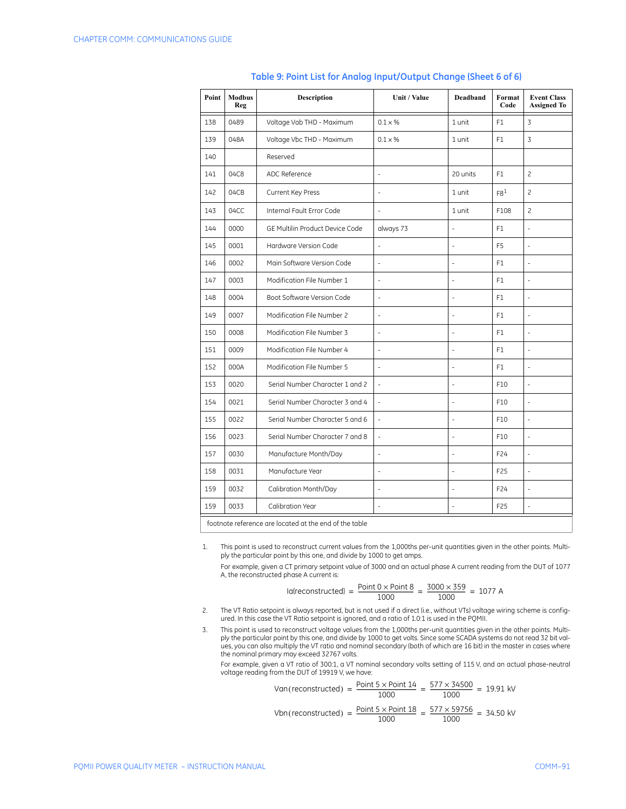| Point | <b>Modbus</b><br>Reg | <b>Description</b>              | Unit / Value             | Deadband       | Format<br>Code  | <b>Event Class</b><br><b>Assigned To</b> |
|-------|----------------------|---------------------------------|--------------------------|----------------|-----------------|------------------------------------------|
| 138   | 0489                 | Voltage Vab THD - Maximum       | $0.1 \times %$           | 1 unit         | F1              | 3                                        |
| 139   | 048A                 | Voltage Vbc THD - Maximum       | $0.1 \times %$           | 1 unit         | F1              | $\overline{3}$                           |
| 140   |                      | Reserved                        |                          |                |                 |                                          |
| 141   | 04C8                 | ADC Reference                   | $\overline{a}$           | 20 units       | F <sub>1</sub>  | $\overline{c}$                           |
| 142   | 04CB                 | Current Key Press               | ÷                        | 1 unit         | F8 <sup>1</sup> | $\overline{c}$                           |
| 143   | 04CC                 | Internal Fault Error Code       | $\frac{1}{2}$            | 1 unit         | F108            | $\overline{c}$                           |
| 144   | 0000                 | GE Multilin Product Device Code | always 73                | Ĭ.             | F1              | ÷,                                       |
| 145   | 0001                 | Hardware Version Code           | $\overline{a}$           | $\overline{a}$ | F <sub>5</sub>  | $\overline{\phantom{a}}$                 |
| 146   | 0002                 | Main Software Version Code      | ÷,                       | ÷              | F <sub>1</sub>  | $\overline{\phantom{a}}$                 |
| 147   | 0003                 | Modification File Number 1      | $\overline{a}$           | Ĭ.             | F1              | $\frac{1}{2}$                            |
| 148   | 0004                 | Boot Software Version Code      | $\overline{\phantom{a}}$ | $\overline{a}$ | F1              | ÷,                                       |
| 149   | 0007                 | Modification File Number 2      | $\overline{\phantom{a}}$ | ÷              | F1              | $\overline{\phantom{a}}$                 |
| 150   | 0008                 | Modification File Number 3      | $\bar{a}$                | ÷,             | F <sub>1</sub>  | ÷,                                       |
| 151   | 0009                 | Modification File Number 4      | ÷,                       | ÷              | F1              | $\frac{1}{2}$                            |
| 152   | 000A                 | Modification File Number 5      | $\overline{\phantom{a}}$ | ÷              | F1              | $\overline{\phantom{a}}$                 |
| 153   | 0020                 | Serial Number Character 1 and 2 | $\overline{\phantom{a}}$ | ÷              | F10             | $\frac{1}{2}$                            |
| 154   | 0021                 | Serial Number Character 3 and 4 | $\overline{\phantom{a}}$ | ÷              | F10             | L,                                       |
| 155   | 0022                 | Serial Number Character 5 and 6 | $\overline{\phantom{a}}$ | ÷,             | F10             | ÷,                                       |
| 156   | 0023                 | Serial Number Character 7 and 8 | $\blacksquare$           | ÷,             | F10             | ÷,                                       |
| 157   | 0030                 | Manufacture Month/Day           | ÷,                       | ÷,             | F24             | ÷,                                       |
| 158   | 0031                 | Manufacture Year                | $\overline{a}$           | ÷,             | F25             | $\frac{1}{2}$                            |
| 159   | 0032                 | Calibration Month/Day           | $\overline{a}$           | ÷,             | F24             | $\frac{1}{2}$                            |
| 159   | 0033                 | Calibration Year                | ÷,                       | ÷,             | F25             | $\overline{\phantom{a}}$                 |

#### **Table 9: Point List for Analog Input/Output Change (Sheet 6 of 6)**

footnote reference are located at the end of the table

1. This point is used to reconstruct current values from the 1,000ths per-unit quantities given in the other points. Multiply the particular point by this one, and divide by 1000 to get amps.

For example, given a CT primary setpoint value of 3000 and an actual phase A current reading from the DUT of 1077 A, the reconstructed phase A current is:

$$
Iafreconstructed = \frac{Point 0 \times Point 8}{1000} = \frac{3000 \times 359}{1000} = 1077 A
$$

- 2. The VT Ratio setpoint is always reported, but is not used if a direct (i.e., without VTs) voltage wiring scheme is configured. In this case the VT Ratio setpoint is ignored, and a ratio of 1.0:1 is used in the PQMII.
- 3. This point is used to reconstruct voltage values from the 1,000ths per-unit quantities given in the other points. Multi-<br>- ply the particular point by this one, and divide by 1000 to get volts. Since some SCADA systems ues, you can also multiply the VT ratio and nominal secondary (both of which are 16 bit) in the master in cases where the nominal primary may exceed 32767 volts.

For example, given a VT ratio of 300:1, a VT nominal secondary volts setting of 115 V, and an actual phase-neutral voltage reading from the DUT of 19919 V, we have:

\n
$$
\text{Van}(\text{reconstructed}) = \frac{\text{Point } 5 \times \text{Point } 14}{1000} = \frac{577 \times 34500}{1000} = 19.91 \, \text{kV}
$$
\n

\n\n $\text{Vbn}(\text{reconstructed}) = \frac{\text{Point } 5 \times \text{Point } 18}{1000} = \frac{577 \times 59756}{1000} = 34.50 \, \text{kV}$ \n